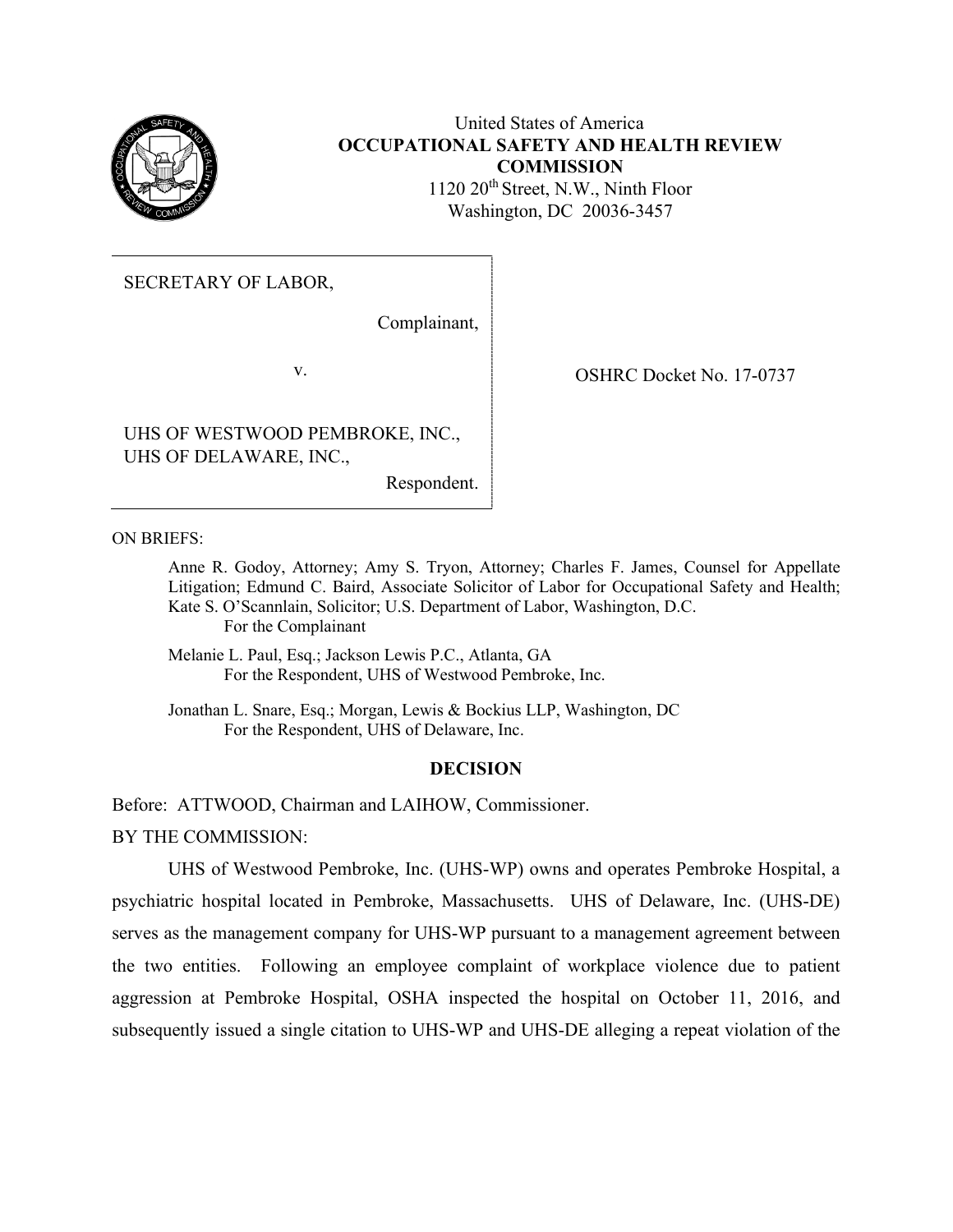

# United States of America **OCCUPATIONAL SAFETY AND HEALTH REVIEW COMMISSION**

1120 20th Street, N.W., Ninth Floor Washington, DC 20036-3457

SECRETARY OF LABOR,

Complainant,

UHS OF WESTWOOD PEMBROKE, INC., UHS OF DELAWARE, INC.,

Respondent.

v. COSHRC Docket No. 17-0737

ON BRIEFS:

Anne R. Godoy, Attorney; Amy S. Tryon, Attorney; Charles F. James, Counsel for Appellate Litigation; Edmund C. Baird, Associate Solicitor of Labor for Occupational Safety and Health; Kate S. O'Scannlain, Solicitor; U.S. Department of Labor, Washington, D.C. For the Complainant

Melanie L. Paul, Esq.; Jackson Lewis P.C., Atlanta, GA For the Respondent, UHS of Westwood Pembroke, Inc.

 Jonathan L. Snare, Esq.; Morgan, Lewis & Bockius LLP, Washington, DC For the Respondent, UHS of Delaware, Inc.

### **DECISION**

Before: ATTWOOD, Chairman and LAIHOW, Commissioner.

BY THE COMMISSION:

UHS of Westwood Pembroke, Inc. (UHS-WP) owns and operates Pembroke Hospital, a psychiatric hospital located in Pembroke, Massachusetts. UHS of Delaware, Inc. (UHS-DE) serves as the management company for UHS-WP pursuant to a management agreement between the two entities. Following an employee complaint of workplace violence due to patient aggression at Pembroke Hospital, OSHA inspected the hospital on October 11, 2016, and subsequently issued a single citation to UHS-WP and UHS-DE alleging a repeat violation of the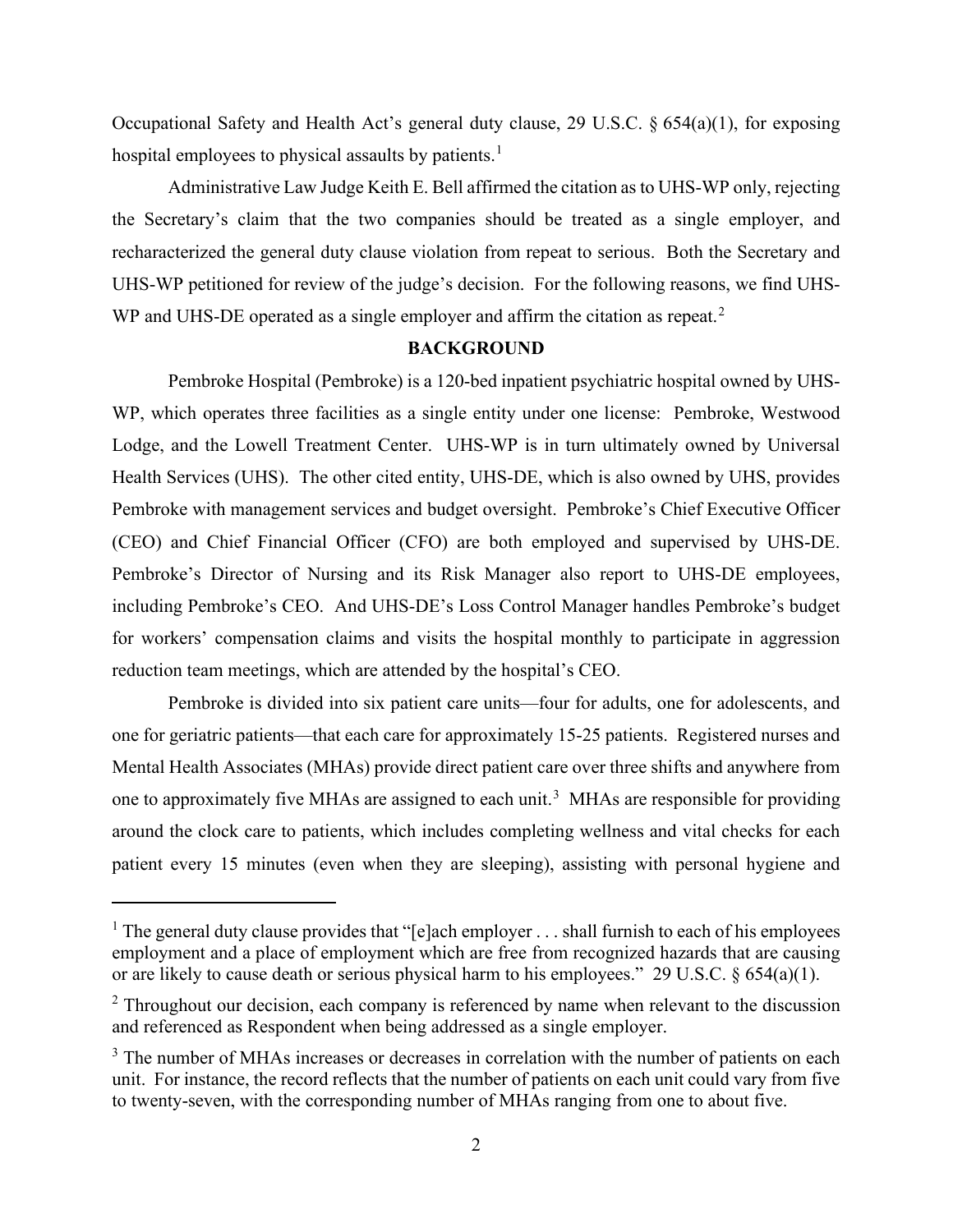Occupational Safety and Health Act's general duty clause, 29 U.S.C. § 654(a)(1), for exposing hospital employees to physical assaults by patients.<sup>1</sup>

Administrative Law Judge Keith E. Bell affirmed the citation as to UHS-WP only, rejecting the Secretary's claim that the two companies should be treated as a single employer, and recharacterized the general duty clause violation from repeat to serious. Both the Secretary and UHS-WP petitioned for review of the judge's decision. For the following reasons, we find UHS-WP and UHS-DE operated as a single employer and affirm the citation as repeat.<sup>2</sup>

#### **BACKGROUND**

Pembroke Hospital (Pembroke) is a 120-bed inpatient psychiatric hospital owned by UHS-WP, which operates three facilities as a single entity under one license: Pembroke, Westwood Lodge, and the Lowell Treatment Center. UHS-WP is in turn ultimately owned by Universal Health Services (UHS). The other cited entity, UHS-DE, which is also owned by UHS, provides Pembroke with management services and budget oversight. Pembroke's Chief Executive Officer (CEO) and Chief Financial Officer (CFO) are both employed and supervised by UHS-DE. Pembroke's Director of Nursing and its Risk Manager also report to UHS-DE employees, including Pembroke's CEO. And UHS-DE's Loss Control Manager handles Pembroke's budget for workers' compensation claims and visits the hospital monthly to participate in aggression reduction team meetings, which are attended by the hospital's CEO.

Pembroke is divided into six patient care units—four for adults, one for adolescents, and one for geriatric patients—that each care for approximately 15-25 patients. Registered nurses and Mental Health Associates (MHAs) provide direct patient care over three shifts and anywhere from one to approximately five MHAs are assigned to each unit.<sup>3</sup> MHAs are responsible for providing around the clock care to patients, which includes completing wellness and vital checks for each patient every 15 minutes (even when they are sleeping), assisting with personal hygiene and

<sup>&</sup>lt;sup>1</sup> The general duty clause provides that "[e]ach employer  $\dots$  shall furnish to each of his employees employment and a place of employment which are free from recognized hazards that are causing or are likely to cause death or serious physical harm to his employees." 29 U.S.C. § 654(a)(1).

<sup>&</sup>lt;sup>2</sup> Throughout our decision, each company is referenced by name when relevant to the discussion and referenced as Respondent when being addressed as a single employer.

<sup>&</sup>lt;sup>3</sup> The number of MHAs increases or decreases in correlation with the number of patients on each unit. For instance, the record reflects that the number of patients on each unit could vary from five to twenty-seven, with the corresponding number of MHAs ranging from one to about five.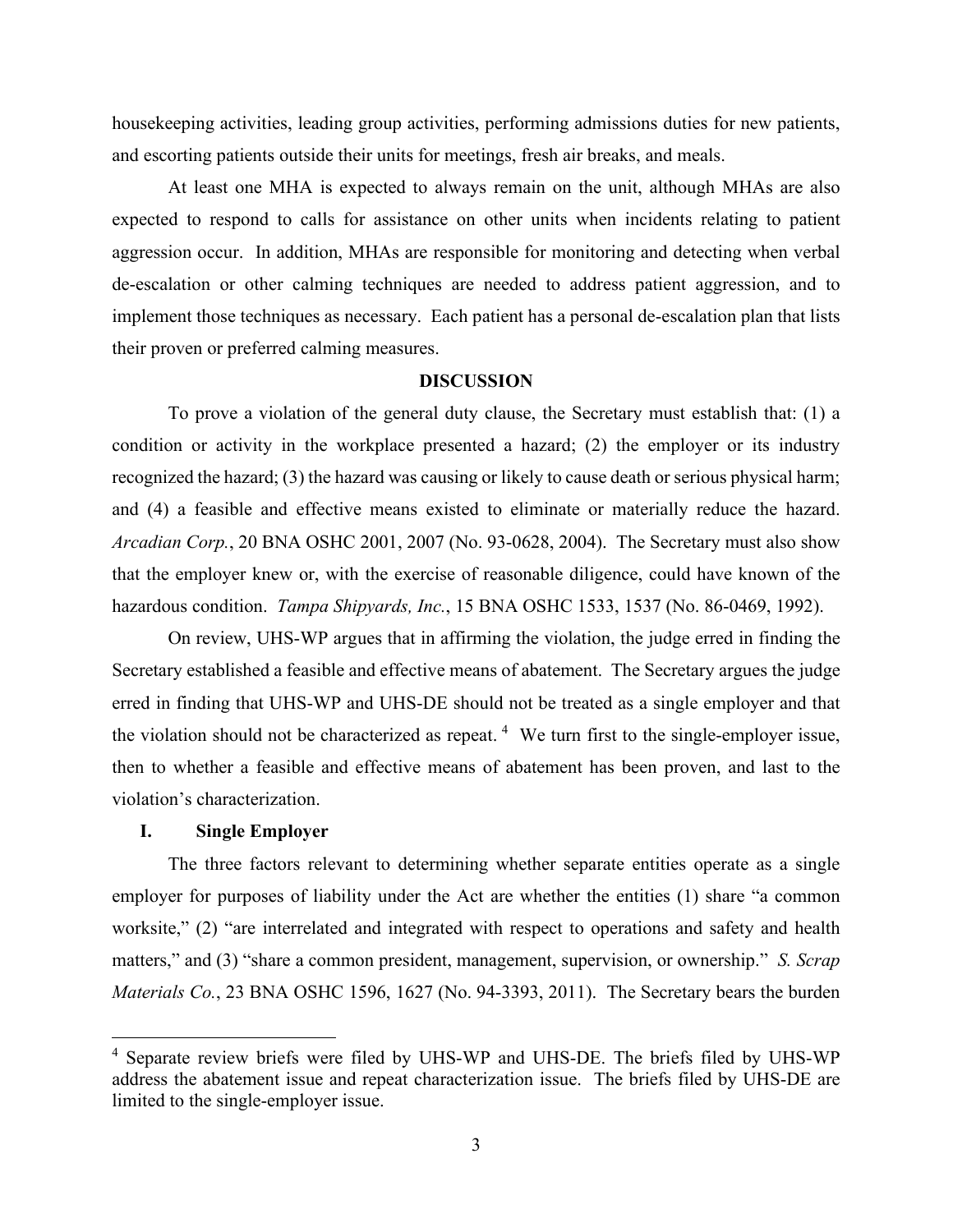housekeeping activities, leading group activities, performing admissions duties for new patients, and escorting patients outside their units for meetings, fresh air breaks, and meals.

At least one MHA is expected to always remain on the unit, although MHAs are also expected to respond to calls for assistance on other units when incidents relating to patient aggression occur. In addition, MHAs are responsible for monitoring and detecting when verbal de-escalation or other calming techniques are needed to address patient aggression, and to implement those techniques as necessary. Each patient has a personal de-escalation plan that lists their proven or preferred calming measures.

### **DISCUSSION**

To prove a violation of the general duty clause, the Secretary must establish that: (1) a condition or activity in the workplace presented a hazard; (2) the employer or its industry recognized the hazard; (3) the hazard was causing or likely to cause death or serious physical harm; and (4) a feasible and effective means existed to eliminate or materially reduce the hazard. *Arcadian Corp.*, 20 BNA OSHC 2001, 2007 (No. 93-0628, 2004). The Secretary must also show that the employer knew or, with the exercise of reasonable diligence, could have known of the hazardous condition. *Tampa Shipyards, Inc.*, 15 BNA OSHC 1533, 1537 (No. 86-0469, 1992).

On review, UHS-WP argues that in affirming the violation, the judge erred in finding the Secretary established a feasible and effective means of abatement. The Secretary argues the judge erred in finding that UHS-WP and UHS-DE should not be treated as a single employer and that the violation should not be characterized as repeat.<sup>4</sup> We turn first to the single-employer issue, then to whether a feasible and effective means of abatement has been proven, and last to the violation's characterization.

### **I. Single Employer**

The three factors relevant to determining whether separate entities operate as a single employer for purposes of liability under the Act are whether the entities (1) share "a common worksite," (2) "are interrelated and integrated with respect to operations and safety and health matters," and (3) "share a common president, management, supervision, or ownership." *S. Scrap Materials Co.*, 23 BNA OSHC 1596, 1627 (No. 94-3393, 2011). The Secretary bears the burden

<sup>4</sup> Separate review briefs were filed by UHS-WP and UHS-DE. The briefs filed by UHS-WP address the abatement issue and repeat characterization issue. The briefs filed by UHS-DE are limited to the single-employer issue.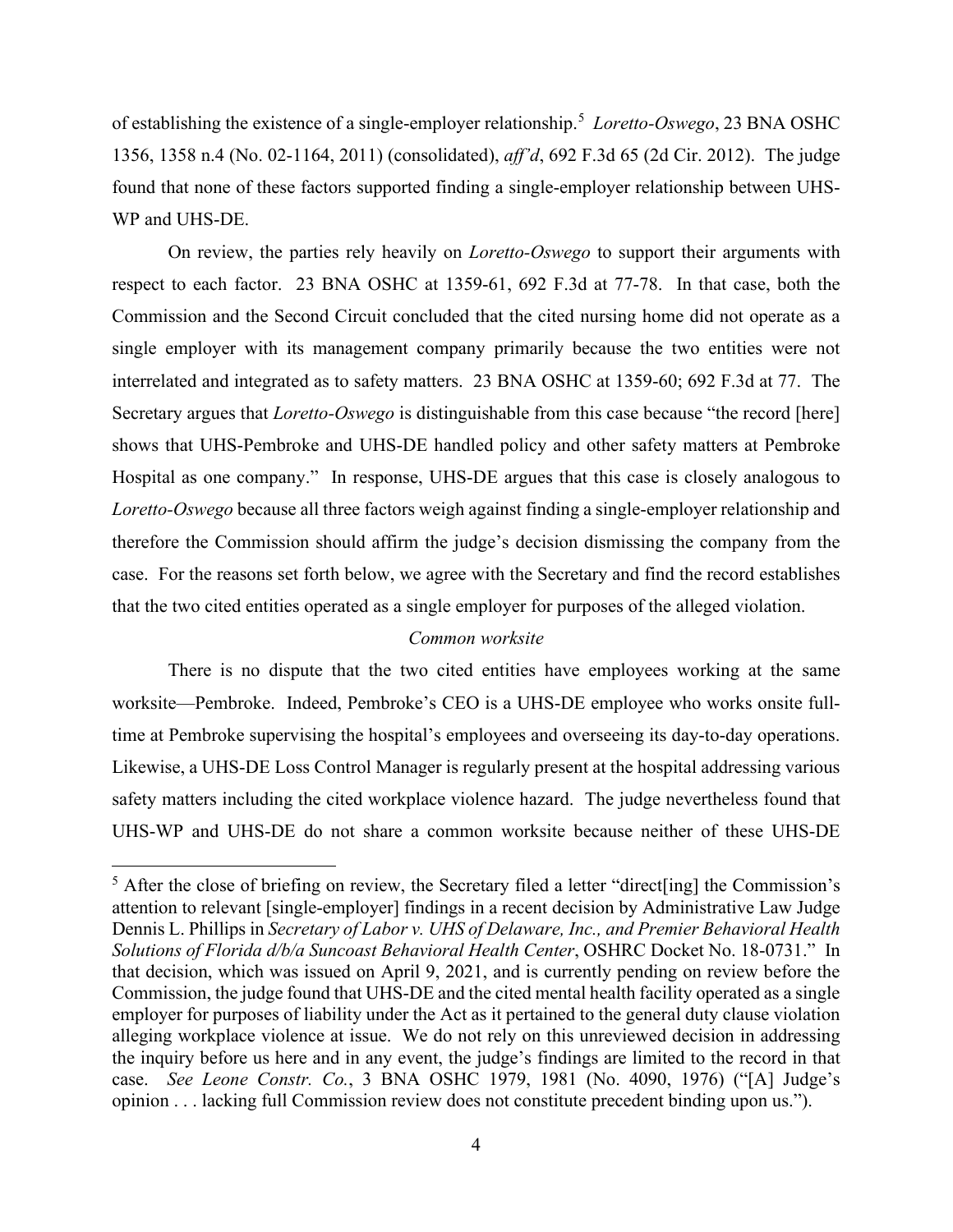of establishing the existence of a single-employer relationship.<sup>5</sup>  *Loretto-Oswego*, 23 BNA OSHC 1356, 1358 n.4 (No. 02-1164, 2011) (consolidated), *aff'd*, 692 F.3d 65 (2d Cir. 2012). The judge found that none of these factors supported finding a single-employer relationship between UHS-WP and UHS-DE.

On review, the parties rely heavily on *Loretto-Oswego* to support their arguments with respect to each factor. 23 BNA OSHC at 1359-61, 692 F.3d at 77-78. In that case, both the Commission and the Second Circuit concluded that the cited nursing home did not operate as a single employer with its management company primarily because the two entities were not interrelated and integrated as to safety matters. 23 BNA OSHC at 1359-60; 692 F.3d at 77. The Secretary argues that *Loretto-Oswego* is distinguishable from this case because "the record [here] shows that UHS-Pembroke and UHS-DE handled policy and other safety matters at Pembroke Hospital as one company." In response, UHS-DE argues that this case is closely analogous to *Loretto-Oswego* because all three factors weigh against finding a single-employer relationship and therefore the Commission should affirm the judge's decision dismissing the company from the case. For the reasons set forth below, we agree with the Secretary and find the record establishes that the two cited entities operated as a single employer for purposes of the alleged violation.

### *Common worksite*

There is no dispute that the two cited entities have employees working at the same worksite—Pembroke. Indeed, Pembroke's CEO is a UHS-DE employee who works onsite fulltime at Pembroke supervising the hospital's employees and overseeing its day-to-day operations. Likewise, a UHS-DE Loss Control Manager is regularly present at the hospital addressing various safety matters including the cited workplace violence hazard. The judge nevertheless found that UHS-WP and UHS-DE do not share a common worksite because neither of these UHS-DE

<sup>&</sup>lt;sup>5</sup> After the close of briefing on review, the Secretary filed a letter "direct[ing] the Commission's attention to relevant [single-employer] findings in a recent decision by Administrative Law Judge Dennis L. Phillips in *Secretary of Labor v. UHS of Delaware, Inc., and Premier Behavioral Health Solutions of Florida d/b/a Suncoast Behavioral Health Center*, OSHRC Docket No. 18-0731." In that decision, which was issued on April 9, 2021, and is currently pending on review before the Commission, the judge found that UHS-DE and the cited mental health facility operated as a single employer for purposes of liability under the Act as it pertained to the general duty clause violation alleging workplace violence at issue. We do not rely on this unreviewed decision in addressing the inquiry before us here and in any event, the judge's findings are limited to the record in that case. *See Leone Constr. Co.*, 3 BNA OSHC 1979, 1981 (No. 4090, 1976) ("[A] Judge's opinion . . . lacking full Commission review does not constitute precedent binding upon us.").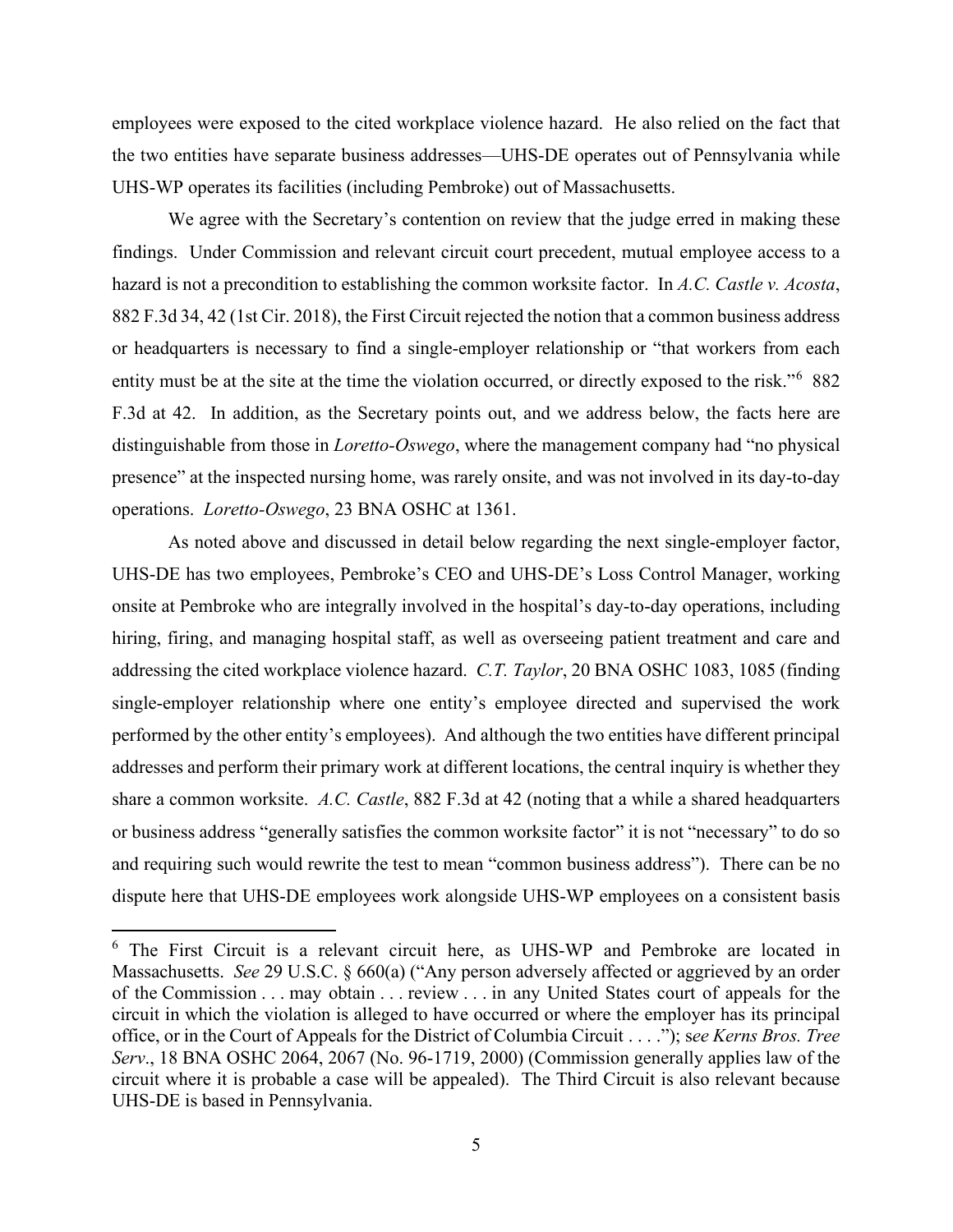employees were exposed to the cited workplace violence hazard. He also relied on the fact that the two entities have separate business addresses—UHS-DE operates out of Pennsylvania while UHS-WP operates its facilities (including Pembroke) out of Massachusetts.

We agree with the Secretary's contention on review that the judge erred in making these findings. Under Commission and relevant circuit court precedent, mutual employee access to a hazard is not a precondition to establishing the common worksite factor. In *A.C. Castle v. Acosta*, 882 F.3d 34, 42 (1st Cir. 2018), the First Circuit rejected the notion that a common business address or headquarters is necessary to find a single-employer relationship or "that workers from each entity must be at the site at the time the violation occurred, or directly exposed to the risk."<sup>6</sup> 882 F.3d at 42. In addition, as the Secretary points out, and we address below, the facts here are distinguishable from those in *Loretto-Oswego*, where the management company had "no physical presence" at the inspected nursing home, was rarely onsite, and was not involved in its day-to-day operations. *Loretto-Oswego*, 23 BNA OSHC at 1361.

As noted above and discussed in detail below regarding the next single-employer factor, UHS-DE has two employees, Pembroke's CEO and UHS-DE's Loss Control Manager, working onsite at Pembroke who are integrally involved in the hospital's day-to-day operations, including hiring, firing, and managing hospital staff, as well as overseeing patient treatment and care and addressing the cited workplace violence hazard. *C.T. Taylor*, 20 BNA OSHC 1083, 1085 (finding single-employer relationship where one entity's employee directed and supervised the work performed by the other entity's employees). And although the two entities have different principal addresses and perform their primary work at different locations, the central inquiry is whether they share a common worksite. *A.C. Castle*, 882 F.3d at 42 (noting that a while a shared headquarters or business address "generally satisfies the common worksite factor" it is not "necessary" to do so and requiring such would rewrite the test to mean "common business address"). There can be no dispute here that UHS-DE employees work alongside UHS-WP employees on a consistent basis

<sup>&</sup>lt;sup>6</sup> The First Circuit is a relevant circuit here, as UHS-WP and Pembroke are located in Massachusetts. *See* 29 U.S.C. § 660(a) ("Any person adversely affected or aggrieved by an order of the Commission . . . may obtain . . . review . . . in any United States court of appeals for the circuit in which the violation is alleged to have occurred or where the employer has its principal office, or in the Court of Appeals for the District of Columbia Circuit . . . ."); s*ee Kerns Bros. Tree Serv*., 18 BNA OSHC 2064, 2067 (No. 96-1719, 2000) (Commission generally applies law of the circuit where it is probable a case will be appealed). The Third Circuit is also relevant because UHS-DE is based in Pennsylvania.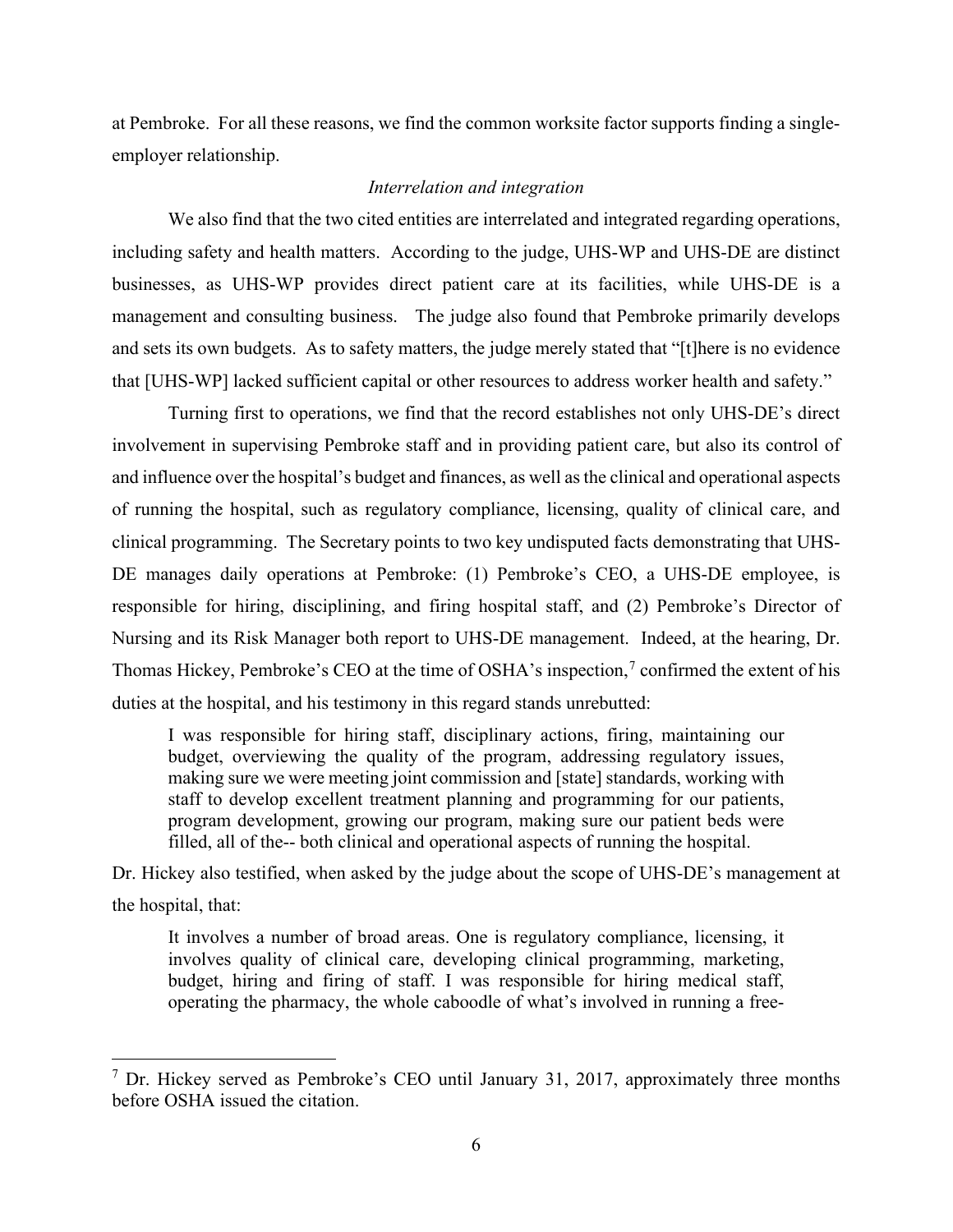at Pembroke. For all these reasons, we find the common worksite factor supports finding a singleemployer relationship.

## *Interrelation and integration*

We also find that the two cited entities are interrelated and integrated regarding operations, including safety and health matters. According to the judge, UHS-WP and UHS-DE are distinct businesses, as UHS-WP provides direct patient care at its facilities, while UHS-DE is a management and consulting business. The judge also found that Pembroke primarily develops and sets its own budgets. As to safety matters, the judge merely stated that "[t]here is no evidence that [UHS-WP] lacked sufficient capital or other resources to address worker health and safety."

Turning first to operations, we find that the record establishes not only UHS-DE's direct involvement in supervising Pembroke staff and in providing patient care, but also its control of and influence over the hospital's budget and finances, as well as the clinical and operational aspects of running the hospital, such as regulatory compliance, licensing, quality of clinical care, and clinical programming. The Secretary points to two key undisputed facts demonstrating that UHS-DE manages daily operations at Pembroke: (1) Pembroke's CEO, a UHS-DE employee, is responsible for hiring, disciplining, and firing hospital staff, and (2) Pembroke's Director of Nursing and its Risk Manager both report to UHS-DE management. Indeed, at the hearing, Dr. Thomas Hickey, Pembroke's CEO at the time of OSHA's inspection,<sup>7</sup> confirmed the extent of his duties at the hospital, and his testimony in this regard stands unrebutted:

I was responsible for hiring staff, disciplinary actions, firing, maintaining our budget, overviewing the quality of the program, addressing regulatory issues, making sure we were meeting joint commission and [state] standards, working with staff to develop excellent treatment planning and programming for our patients, program development, growing our program, making sure our patient beds were filled, all of the-- both clinical and operational aspects of running the hospital.

Dr. Hickey also testified, when asked by the judge about the scope of UHS-DE's management at the hospital, that:

It involves a number of broad areas. One is regulatory compliance, licensing, it involves quality of clinical care, developing clinical programming, marketing, budget, hiring and firing of staff. I was responsible for hiring medical staff, operating the pharmacy, the whole caboodle of what's involved in running a free-

 $7$  Dr. Hickey served as Pembroke's CEO until January 31, 2017, approximately three months before OSHA issued the citation.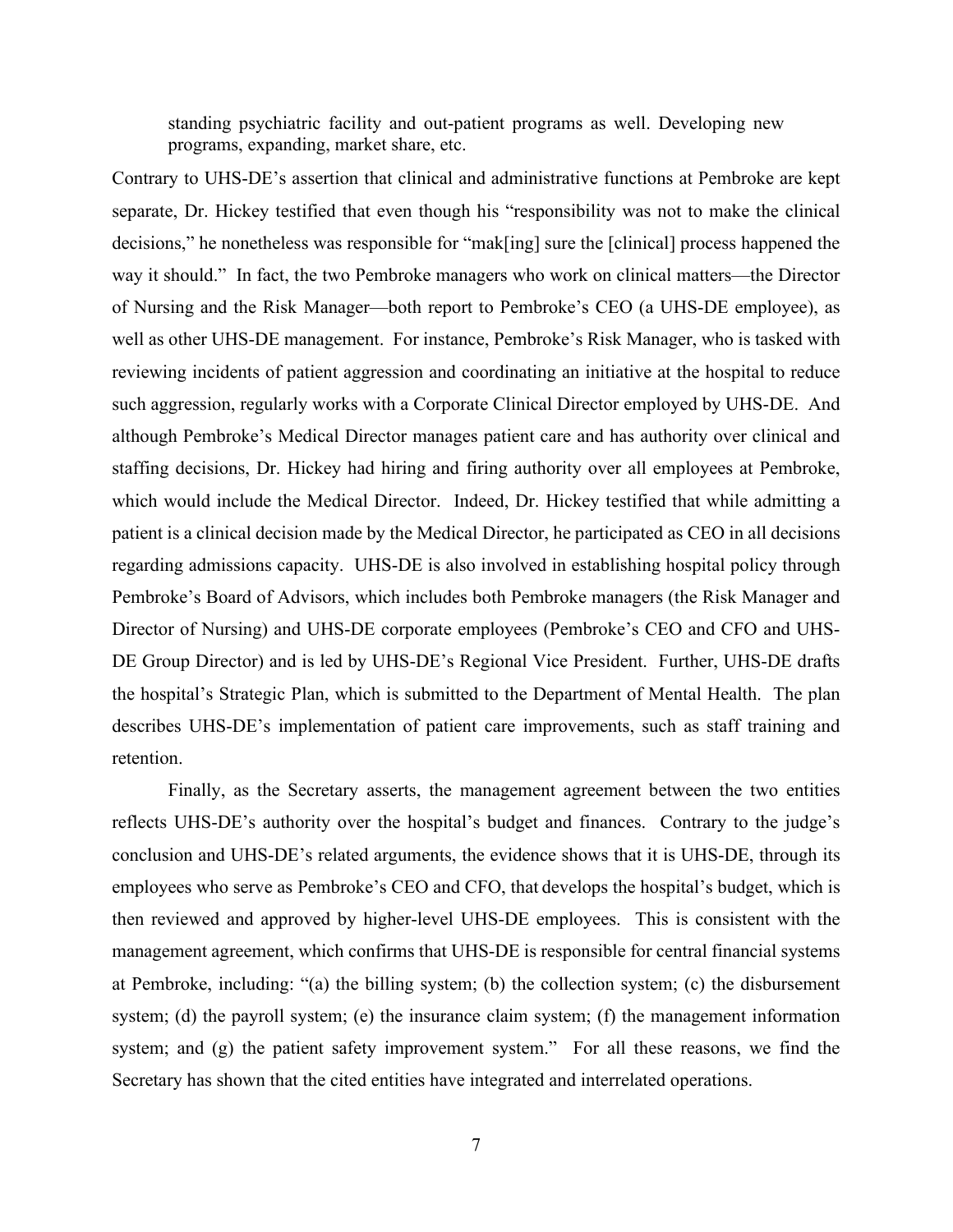standing psychiatric facility and out-patient programs as well. Developing new programs, expanding, market share, etc.

Contrary to UHS-DE's assertion that clinical and administrative functions at Pembroke are kept separate, Dr. Hickey testified that even though his "responsibility was not to make the clinical decisions," he nonetheless was responsible for "mak[ing] sure the [clinical] process happened the way it should." In fact, the two Pembroke managers who work on clinical matters—the Director of Nursing and the Risk Manager—both report to Pembroke's CEO (a UHS-DE employee), as well as other UHS-DE management. For instance, Pembroke's Risk Manager, who is tasked with reviewing incidents of patient aggression and coordinating an initiative at the hospital to reduce such aggression, regularly works with a Corporate Clinical Director employed by UHS-DE. And although Pembroke's Medical Director manages patient care and has authority over clinical and staffing decisions, Dr. Hickey had hiring and firing authority over all employees at Pembroke, which would include the Medical Director. Indeed, Dr. Hickey testified that while admitting a patient is a clinical decision made by the Medical Director, he participated as CEO in all decisions regarding admissions capacity. UHS-DE is also involved in establishing hospital policy through Pembroke's Board of Advisors, which includes both Pembroke managers (the Risk Manager and Director of Nursing) and UHS-DE corporate employees (Pembroke's CEO and CFO and UHS-DE Group Director) and is led by UHS-DE's Regional Vice President. Further, UHS-DE drafts the hospital's Strategic Plan, which is submitted to the Department of Mental Health. The plan describes UHS-DE's implementation of patient care improvements, such as staff training and retention.

Finally, as the Secretary asserts, the management agreement between the two entities reflects UHS-DE's authority over the hospital's budget and finances. Contrary to the judge's conclusion and UHS-DE's related arguments, the evidence shows that it is UHS-DE, through its employees who serve as Pembroke's CEO and CFO, that develops the hospital's budget, which is then reviewed and approved by higher-level UHS-DE employees. This is consistent with the management agreement, which confirms that UHS-DE is responsible for central financial systems at Pembroke, including: "(a) the billing system; (b) the collection system; (c) the disbursement system; (d) the payroll system; (e) the insurance claim system; (f) the management information system; and (g) the patient safety improvement system." For all these reasons, we find the Secretary has shown that the cited entities have integrated and interrelated operations.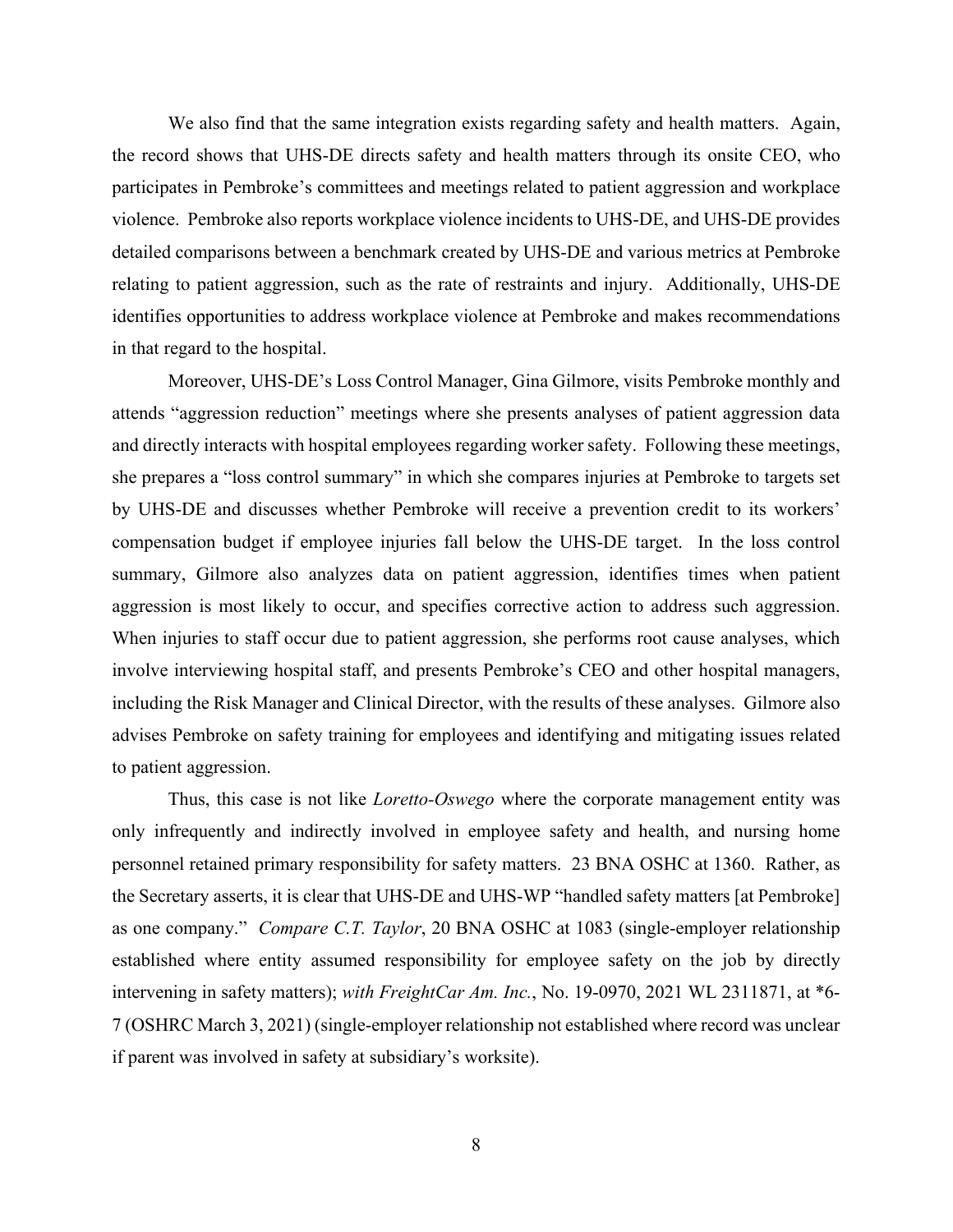We also find that the same integration exists regarding safety and health matters. Again, the record shows that UHS-DE directs safety and health matters through its onsite CEO, who participates in Pembroke's committees and meetings related to patient aggression and workplace violence. Pembroke also reports workplace violence incidents to UHS-DE, and UHS-DE provides detailed comparisons between a benchmark created by UHS-DE and various metrics at Pembroke relating to patient aggression, such as the rate of restraints and injury. Additionally, UHS-DE identifies opportunities to address workplace violence at Pembroke and makes recommendations in that regard to the hospital.

Moreover, UHS-DE's Loss Control Manager, Gina Gilmore, visits Pembroke monthly and attends "aggression reduction" meetings where she presents analyses of patient aggression data and directly interacts with hospital employees regarding worker safety. Following these meetings, she prepares a "loss control summary" in which she compares injuries at Pembroke to targets set by UHS-DE and discusses whether Pembroke will receive a prevention credit to its workers' compensation budget if employee injuries fall below the UHS-DE target. In the loss control summary, Gilmore also analyzes data on patient aggression, identifies times when patient aggression is most likely to occur, and specifies corrective action to address such aggression. When injuries to staff occur due to patient aggression, she performs root cause analyses, which involve interviewing hospital staff, and presents Pembroke's CEO and other hospital managers, including the Risk Manager and Clinical Director, with the results of these analyses. Gilmore also advises Pembroke on safety training for employees and identifying and mitigating issues related to patient aggression.

Thus, this case is not like *Loretto-Oswego* where the corporate management entity was only infrequently and indirectly involved in employee safety and health, and nursing home personnel retained primary responsibility for safety matters. 23 BNA OSHC at 1360. Rather, as the Secretary asserts, it is clear that UHS-DE and UHS-WP "handled safety matters [at Pembroke] as one company." *Compare C.T. Taylor*, 20 BNA OSHC at 1083 (single-employer relationship established where entity assumed responsibility for employee safety on the job by directly intervening in safety matters); *with FreightCar Am. Inc.*, No. 19-0970, 2021 WL 2311871, at \*6- 7 (OSHRC March 3, 2021) (single-employer relationship not established where record was unclear if parent was involved in safety at subsidiary's worksite).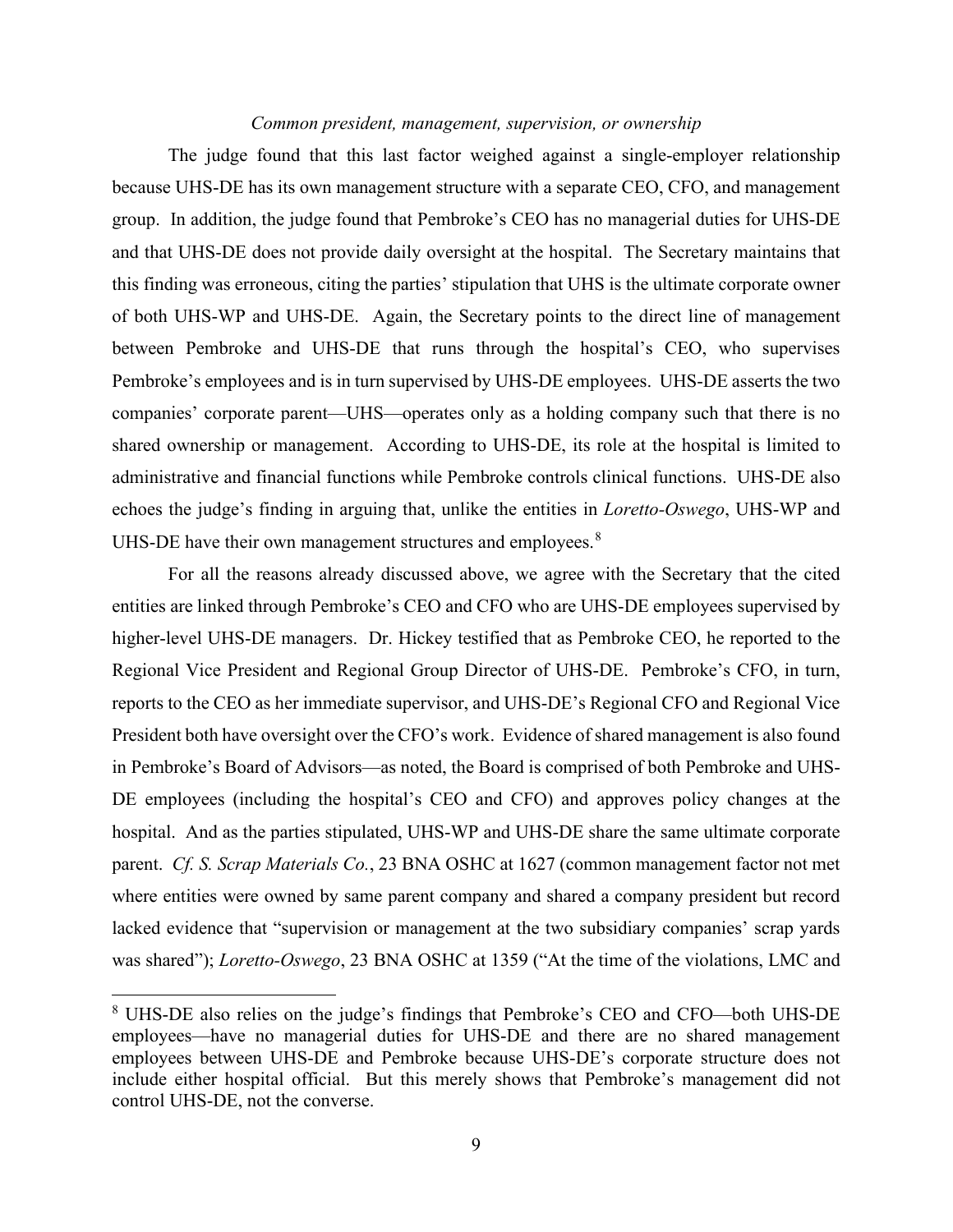### *Common president, management, supervision, or ownership*

The judge found that this last factor weighed against a single-employer relationship because UHS-DE has its own management structure with a separate CEO, CFO, and management group. In addition, the judge found that Pembroke's CEO has no managerial duties for UHS-DE and that UHS-DE does not provide daily oversight at the hospital. The Secretary maintains that this finding was erroneous, citing the parties' stipulation that UHS is the ultimate corporate owner of both UHS-WP and UHS-DE. Again, the Secretary points to the direct line of management between Pembroke and UHS-DE that runs through the hospital's CEO, who supervises Pembroke's employees and is in turn supervised by UHS-DE employees. UHS-DE asserts the two companies' corporate parent—UHS—operates only as a holding company such that there is no shared ownership or management. According to UHS-DE, its role at the hospital is limited to administrative and financial functions while Pembroke controls clinical functions. UHS-DE also echoes the judge's finding in arguing that, unlike the entities in *Loretto-Oswego*, UHS-WP and UHS-DE have their own management structures and employees. $8$ 

For all the reasons already discussed above, we agree with the Secretary that the cited entities are linked through Pembroke's CEO and CFO who are UHS-DE employees supervised by higher-level UHS-DE managers. Dr. Hickey testified that as Pembroke CEO, he reported to the Regional Vice President and Regional Group Director of UHS-DE. Pembroke's CFO, in turn, reports to the CEO as her immediate supervisor, and UHS-DE's Regional CFO and Regional Vice President both have oversight over the CFO's work. Evidence of shared management is also found in Pembroke's Board of Advisors—as noted, the Board is comprised of both Pembroke and UHS-DE employees (including the hospital's CEO and CFO) and approves policy changes at the hospital. And as the parties stipulated, UHS-WP and UHS-DE share the same ultimate corporate parent. *Cf. S. Scrap Materials Co.*, 23 BNA OSHC at 1627 (common management factor not met where entities were owned by same parent company and shared a company president but record lacked evidence that "supervision or management at the two subsidiary companies' scrap yards was shared"); *Loretto-Oswego*, 23 BNA OSHC at 1359 ("At the time of the violations, LMC and

<sup>8</sup> UHS-DE also relies on the judge's findings that Pembroke's CEO and CFO—both UHS-DE employees—have no managerial duties for UHS-DE and there are no shared management employees between UHS-DE and Pembroke because UHS-DE's corporate structure does not include either hospital official. But this merely shows that Pembroke's management did not control UHS-DE, not the converse.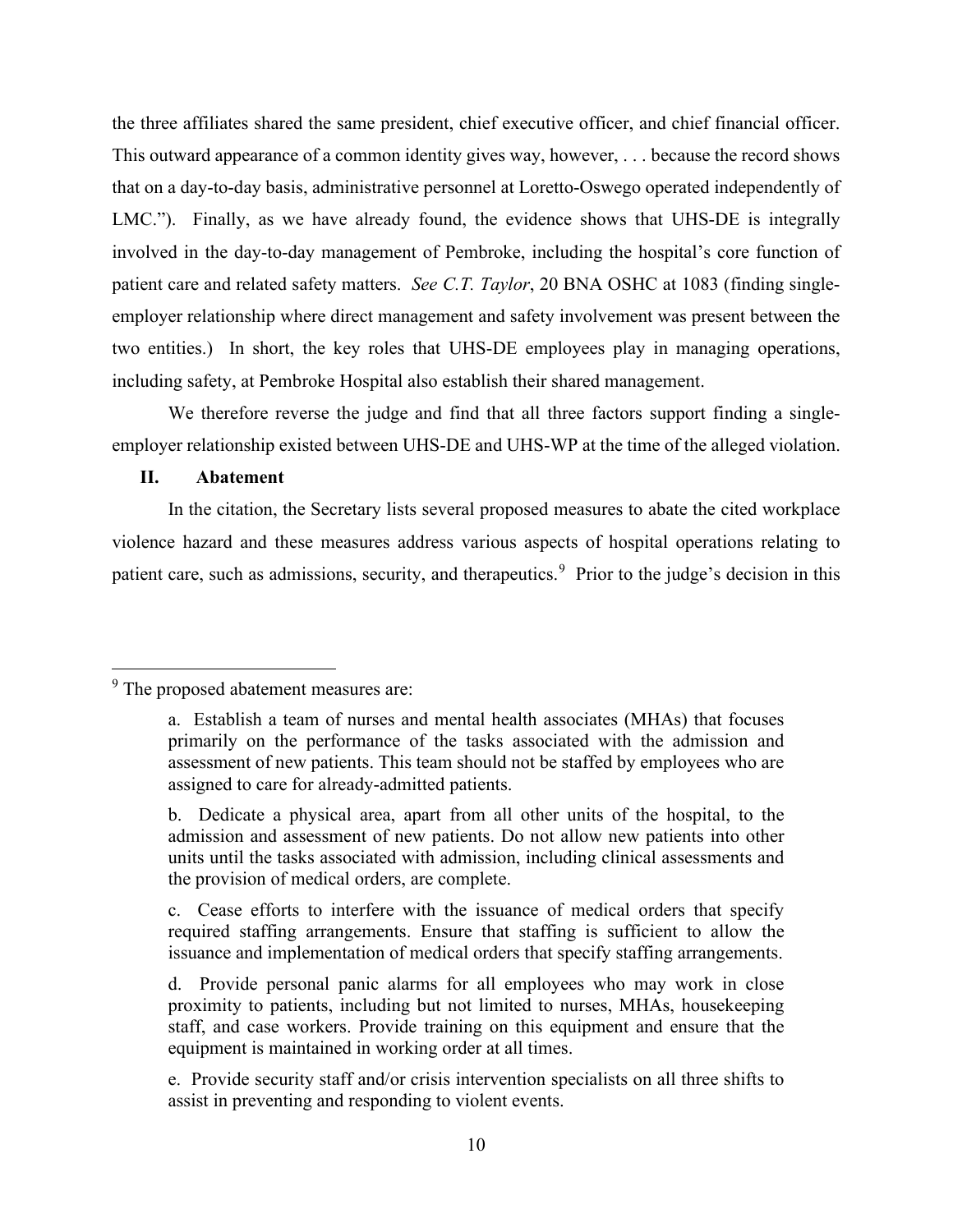the three affiliates shared the same president, chief executive officer, and chief financial officer. This outward appearance of a common identity gives way, however, . . . because the record shows that on a day-to-day basis, administrative personnel at Loretto-Oswego operated independently of LMC."). Finally, as we have already found, the evidence shows that UHS-DE is integrally involved in the day-to-day management of Pembroke, including the hospital's core function of patient care and related safety matters. *See C.T. Taylor*, 20 BNA OSHC at 1083 (finding singleemployer relationship where direct management and safety involvement was present between the two entities.) In short, the key roles that UHS-DE employees play in managing operations, including safety, at Pembroke Hospital also establish their shared management.

We therefore reverse the judge and find that all three factors support finding a singleemployer relationship existed between UHS-DE and UHS-WP at the time of the alleged violation.

#### **II. Abatement**

In the citation, the Secretary lists several proposed measures to abate the cited workplace violence hazard and these measures address various aspects of hospital operations relating to patient care, such as admissions, security, and therapeutics.<sup>9</sup> Prior to the judge's decision in this

<sup>&</sup>lt;sup>9</sup> The proposed abatement measures are:

a. Establish a team of nurses and mental health associates (MHAs) that focuses primarily on the performance of the tasks associated with the admission and assessment of new patients. This team should not be staffed by employees who are assigned to care for already-admitted patients.

b. Dedicate a physical area, apart from all other units of the hospital, to the admission and assessment of new patients. Do not allow new patients into other units until the tasks associated with admission, including clinical assessments and the provision of medical orders, are complete.

c. Cease efforts to interfere with the issuance of medical orders that specify required staffing arrangements. Ensure that staffing is sufficient to allow the issuance and implementation of medical orders that specify staffing arrangements.

d. Provide personal panic alarms for all employees who may work in close proximity to patients, including but not limited to nurses, MHAs, housekeeping staff, and case workers. Provide training on this equipment and ensure that the equipment is maintained in working order at all times.

e. Provide security staff and/or crisis intervention specialists on all three shifts to assist in preventing and responding to violent events.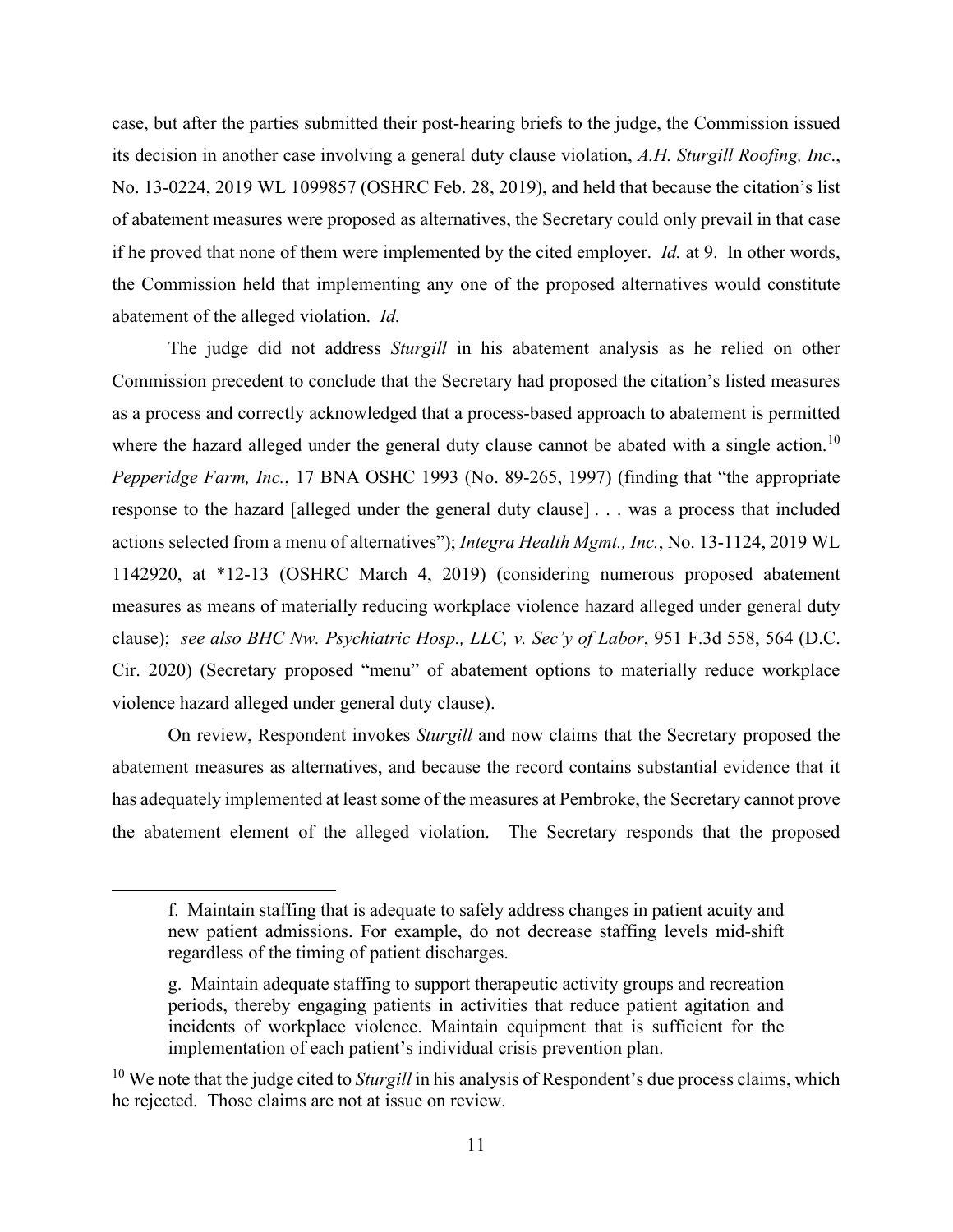case, but after the parties submitted their post-hearing briefs to the judge, the Commission issued its decision in another case involving a general duty clause violation, *A.H. Sturgill Roofing, Inc*., No. 13-0224, 2019 WL 1099857 (OSHRC Feb. 28, 2019), and held that because the citation's list of abatement measures were proposed as alternatives, the Secretary could only prevail in that case if he proved that none of them were implemented by the cited employer. *Id.* at 9. In other words, the Commission held that implementing any one of the proposed alternatives would constitute abatement of the alleged violation. *Id.*

The judge did not address *Sturgill* in his abatement analysis as he relied on other Commission precedent to conclude that the Secretary had proposed the citation's listed measures as a process and correctly acknowledged that a process-based approach to abatement is permitted where the hazard alleged under the general duty clause cannot be abated with a single action.<sup>10</sup> *Pepperidge Farm, Inc.*, 17 BNA OSHC 1993 (No. 89-265, 1997) (finding that "the appropriate response to the hazard [alleged under the general duty clause] . . . was a process that included actions selected from a menu of alternatives"); *Integra Health Mgmt., Inc.*, No. 13-1124, 2019 WL 1142920, at \*12-13 (OSHRC March 4, 2019) (considering numerous proposed abatement measures as means of materially reducing workplace violence hazard alleged under general duty clause); *see also BHC Nw. Psychiatric Hosp., LLC, v. Sec'y of Labor*, 951 F.3d 558, 564 (D.C. Cir. 2020) (Secretary proposed "menu" of abatement options to materially reduce workplace violence hazard alleged under general duty clause).

On review, Respondent invokes *Sturgill* and now claims that the Secretary proposed the abatement measures as alternatives, and because the record contains substantial evidence that it has adequately implemented at least some of the measures at Pembroke, the Secretary cannot prove the abatement element of the alleged violation. The Secretary responds that the proposed

f. Maintain staffing that is adequate to safely address changes in patient acuity and new patient admissions. For example, do not decrease staffing levels mid-shift regardless of the timing of patient discharges.

g. Maintain adequate staffing to support therapeutic activity groups and recreation periods, thereby engaging patients in activities that reduce patient agitation and incidents of workplace violence. Maintain equipment that is sufficient for the implementation of each patient's individual crisis prevention plan.

<sup>&</sup>lt;sup>10</sup> We note that the judge cited to *Sturgill* in his analysis of Respondent's due process claims, which he rejected. Those claims are not at issue on review.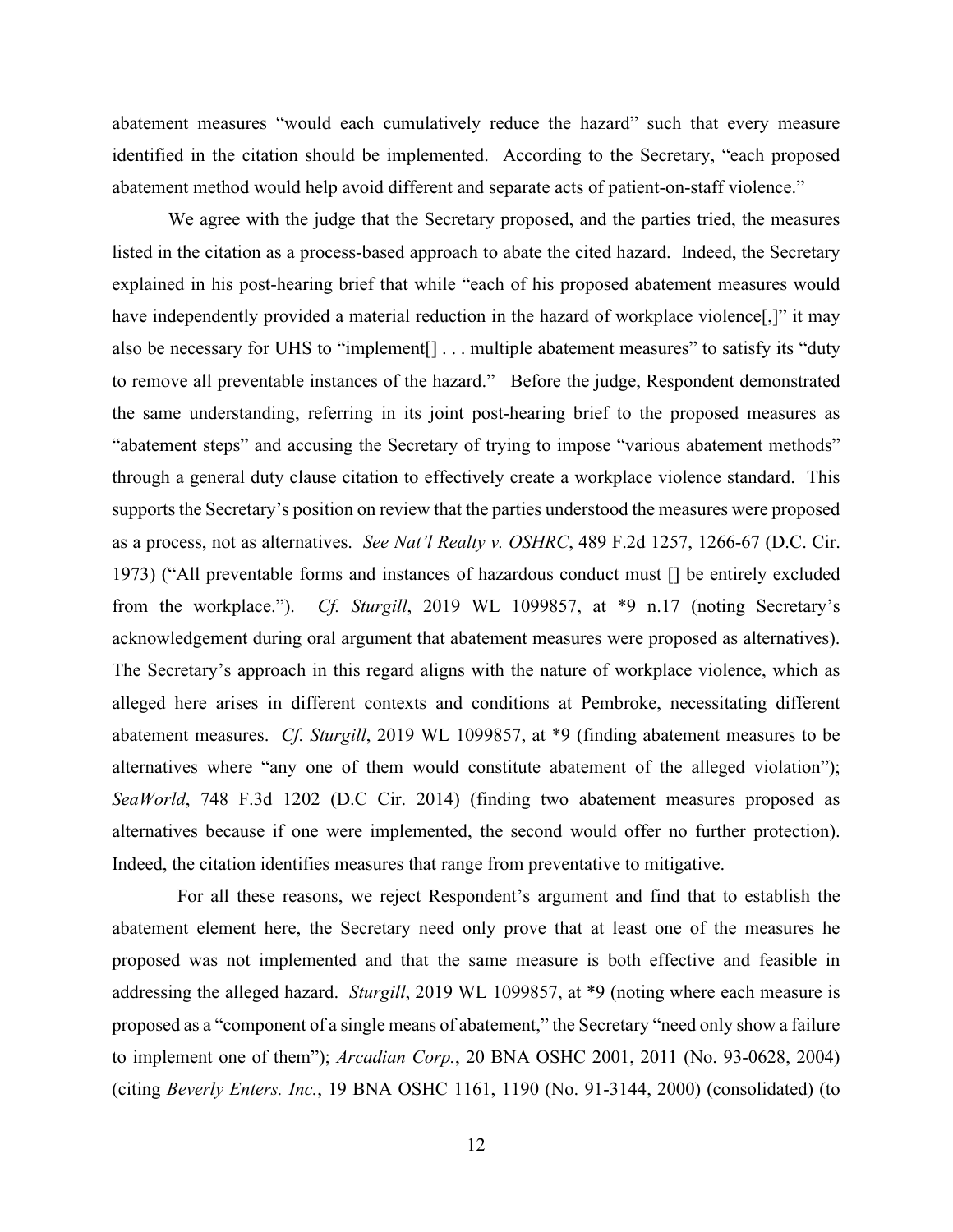abatement measures "would each cumulatively reduce the hazard" such that every measure identified in the citation should be implemented. According to the Secretary, "each proposed abatement method would help avoid different and separate acts of patient-on-staff violence."

We agree with the judge that the Secretary proposed, and the parties tried, the measures listed in the citation as a process-based approach to abate the cited hazard. Indeed, the Secretary explained in his post-hearing brief that while "each of his proposed abatement measures would have independently provided a material reduction in the hazard of workplace violence<sup>[1]</sup>, it may also be necessary for UHS to "implement<sup>[]</sup> . . . multiple abatement measures" to satisfy its "duty to remove all preventable instances of the hazard." Before the judge, Respondent demonstrated the same understanding, referring in its joint post-hearing brief to the proposed measures as "abatement steps" and accusing the Secretary of trying to impose "various abatement methods" through a general duty clause citation to effectively create a workplace violence standard. This supports the Secretary's position on review that the parties understood the measures were proposed as a process, not as alternatives. *See Nat'l Realty v. OSHRC*, 489 F.2d 1257, 1266-67 (D.C. Cir. 1973) ("All preventable forms and instances of hazardous conduct must [] be entirely excluded from the workplace."). *Cf. Sturgill*, 2019 WL 1099857, at \*9 n.17 (noting Secretary's acknowledgement during oral argument that abatement measures were proposed as alternatives). The Secretary's approach in this regard aligns with the nature of workplace violence, which as alleged here arises in different contexts and conditions at Pembroke, necessitating different abatement measures. *Cf. Sturgill*, 2019 WL 1099857, at \*9 (finding abatement measures to be alternatives where "any one of them would constitute abatement of the alleged violation"); *SeaWorld*, 748 F.3d 1202 (D.C Cir. 2014) (finding two abatement measures proposed as alternatives because if one were implemented, the second would offer no further protection). Indeed, the citation identifies measures that range from preventative to mitigative.

 For all these reasons, we reject Respondent's argument and find that to establish the abatement element here, the Secretary need only prove that at least one of the measures he proposed was not implemented and that the same measure is both effective and feasible in addressing the alleged hazard. *Sturgill*, 2019 WL 1099857, at \*9 (noting where each measure is proposed as a "component of a single means of abatement," the Secretary "need only show a failure to implement one of them"); *Arcadian Corp.*, 20 BNA OSHC 2001, 2011 (No. 93-0628, 2004) (citing *Beverly Enters. Inc.*, 19 BNA OSHC 1161, 1190 (No. 91-3144, 2000) (consolidated) (to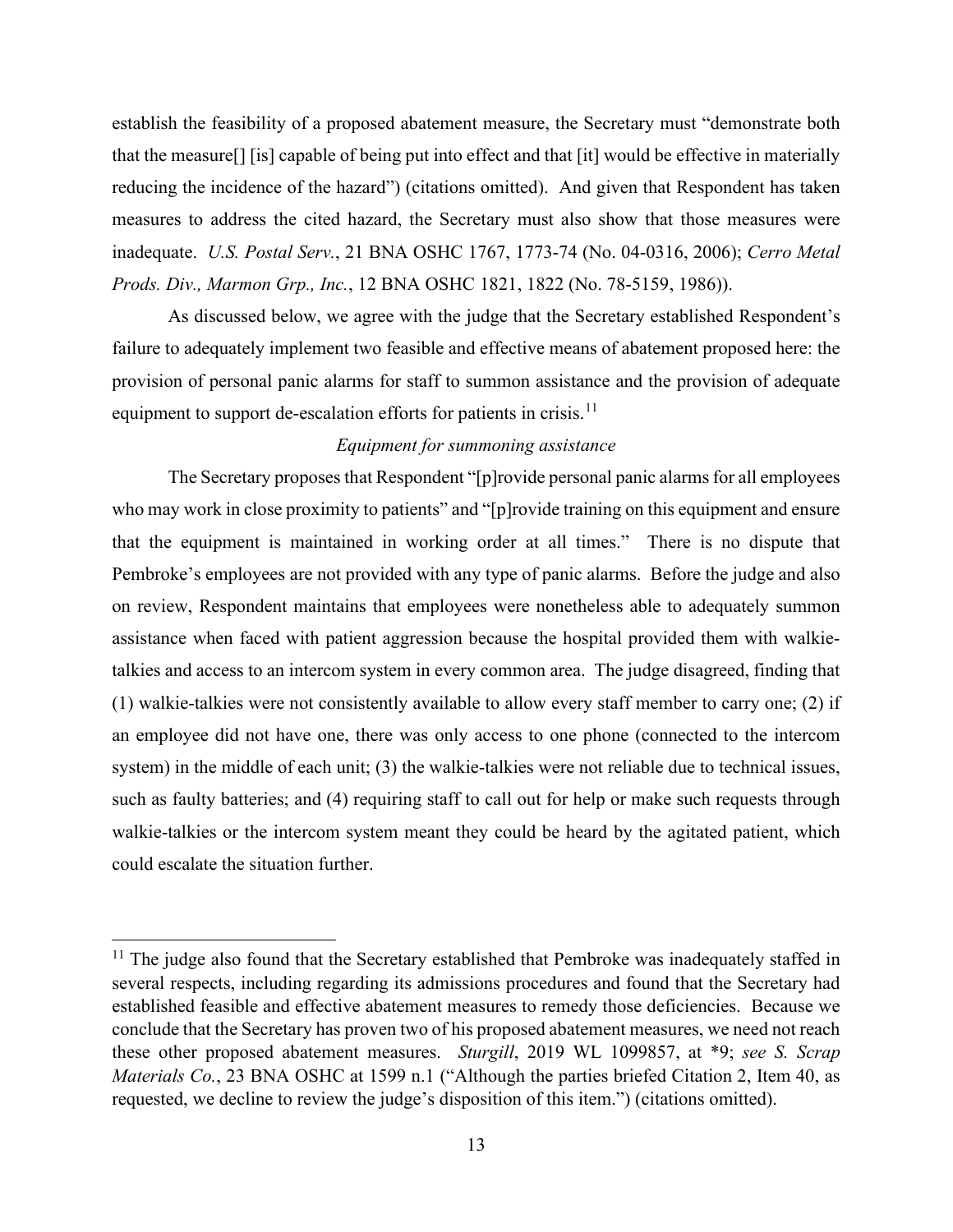establish the feasibility of a proposed abatement measure, the Secretary must "demonstrate both that the measure[] [is] capable of being put into effect and that [it] would be effective in materially reducing the incidence of the hazard") (citations omitted). And given that Respondent has taken measures to address the cited hazard, the Secretary must also show that those measures were inadequate. *U.S. Postal Serv.*, 21 BNA OSHC 1767, 1773-74 (No. 04-0316, 2006); *Cerro Metal Prods. Div., Marmon Grp., Inc.*, 12 BNA OSHC 1821, 1822 (No. 78-5159, 1986)).

As discussed below, we agree with the judge that the Secretary established Respondent's failure to adequately implement two feasible and effective means of abatement proposed here: the provision of personal panic alarms for staff to summon assistance and the provision of adequate equipment to support de-escalation efforts for patients in crisis.<sup>11</sup>

### *Equipment for summoning assistance*

The Secretary proposes that Respondent "[p]rovide personal panic alarms for all employees who may work in close proximity to patients" and "[p]rovide training on this equipment and ensure that the equipment is maintained in working order at all times." There is no dispute that Pembroke's employees are not provided with any type of panic alarms. Before the judge and also on review, Respondent maintains that employees were nonetheless able to adequately summon assistance when faced with patient aggression because the hospital provided them with walkietalkies and access to an intercom system in every common area. The judge disagreed, finding that (1) walkie-talkies were not consistently available to allow every staff member to carry one; (2) if an employee did not have one, there was only access to one phone (connected to the intercom system) in the middle of each unit; (3) the walkie-talkies were not reliable due to technical issues, such as faulty batteries; and (4) requiring staff to call out for help or make such requests through walkie-talkies or the intercom system meant they could be heard by the agitated patient, which could escalate the situation further.

 $11$  The judge also found that the Secretary established that Pembroke was inadequately staffed in several respects, including regarding its admissions procedures and found that the Secretary had established feasible and effective abatement measures to remedy those deficiencies. Because we conclude that the Secretary has proven two of his proposed abatement measures, we need not reach these other proposed abatement measures. *Sturgill*, 2019 WL 1099857, at \*9; *see S. Scrap Materials Co.*, 23 BNA OSHC at 1599 n.1 ("Although the parties briefed Citation 2, Item 40, as requested, we decline to review the judge's disposition of this item.") (citations omitted).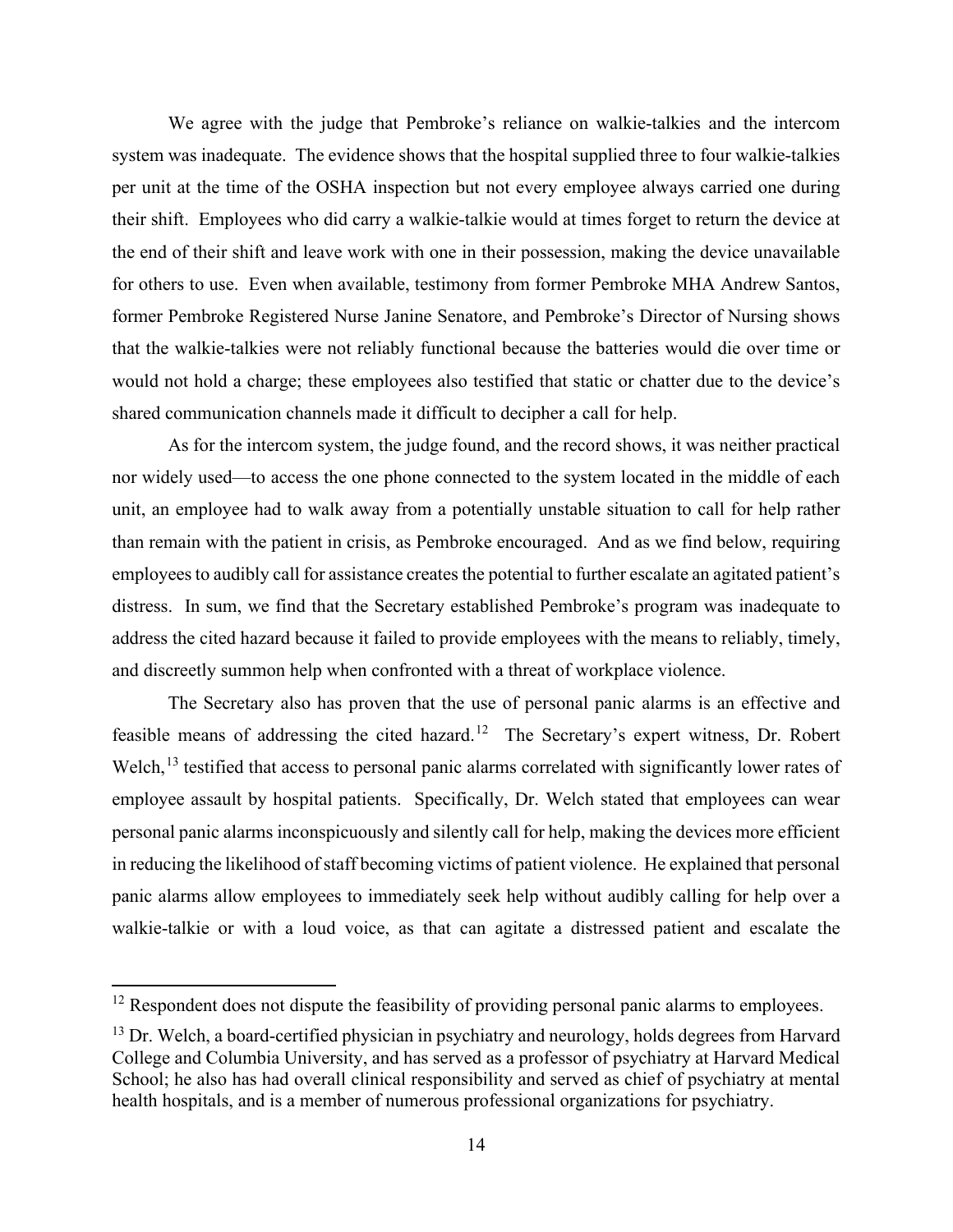We agree with the judge that Pembroke's reliance on walkie-talkies and the intercom system was inadequate. The evidence shows that the hospital supplied three to four walkie-talkies per unit at the time of the OSHA inspection but not every employee always carried one during their shift. Employees who did carry a walkie-talkie would at times forget to return the device at the end of their shift and leave work with one in their possession, making the device unavailable for others to use. Even when available, testimony from former Pembroke MHA Andrew Santos, former Pembroke Registered Nurse Janine Senatore, and Pembroke's Director of Nursing shows that the walkie-talkies were not reliably functional because the batteries would die over time or would not hold a charge; these employees also testified that static or chatter due to the device's shared communication channels made it difficult to decipher a call for help.

As for the intercom system, the judge found, and the record shows, it was neither practical nor widely used—to access the one phone connected to the system located in the middle of each unit, an employee had to walk away from a potentially unstable situation to call for help rather than remain with the patient in crisis, as Pembroke encouraged. And as we find below, requiring employees to audibly call for assistance creates the potential to further escalate an agitated patient's distress. In sum, we find that the Secretary established Pembroke's program was inadequate to address the cited hazard because it failed to provide employees with the means to reliably, timely, and discreetly summon help when confronted with a threat of workplace violence.

The Secretary also has proven that the use of personal panic alarms is an effective and feasible means of addressing the cited hazard.<sup>12</sup> The Secretary's expert witness, Dr. Robert Welch,<sup>13</sup> testified that access to personal panic alarms correlated with significantly lower rates of employee assault by hospital patients. Specifically, Dr. Welch stated that employees can wear personal panic alarms inconspicuously and silently call for help, making the devices more efficient in reducing the likelihood of staff becoming victims of patient violence. He explained that personal panic alarms allow employees to immediately seek help without audibly calling for help over a walkie-talkie or with a loud voice, as that can agitate a distressed patient and escalate the

 $12$  Respondent does not dispute the feasibility of providing personal panic alarms to employees.

 $13$  Dr. Welch, a board-certified physician in psychiatry and neurology, holds degrees from Harvard College and Columbia University, and has served as a professor of psychiatry at Harvard Medical School; he also has had overall clinical responsibility and served as chief of psychiatry at mental health hospitals, and is a member of numerous professional organizations for psychiatry.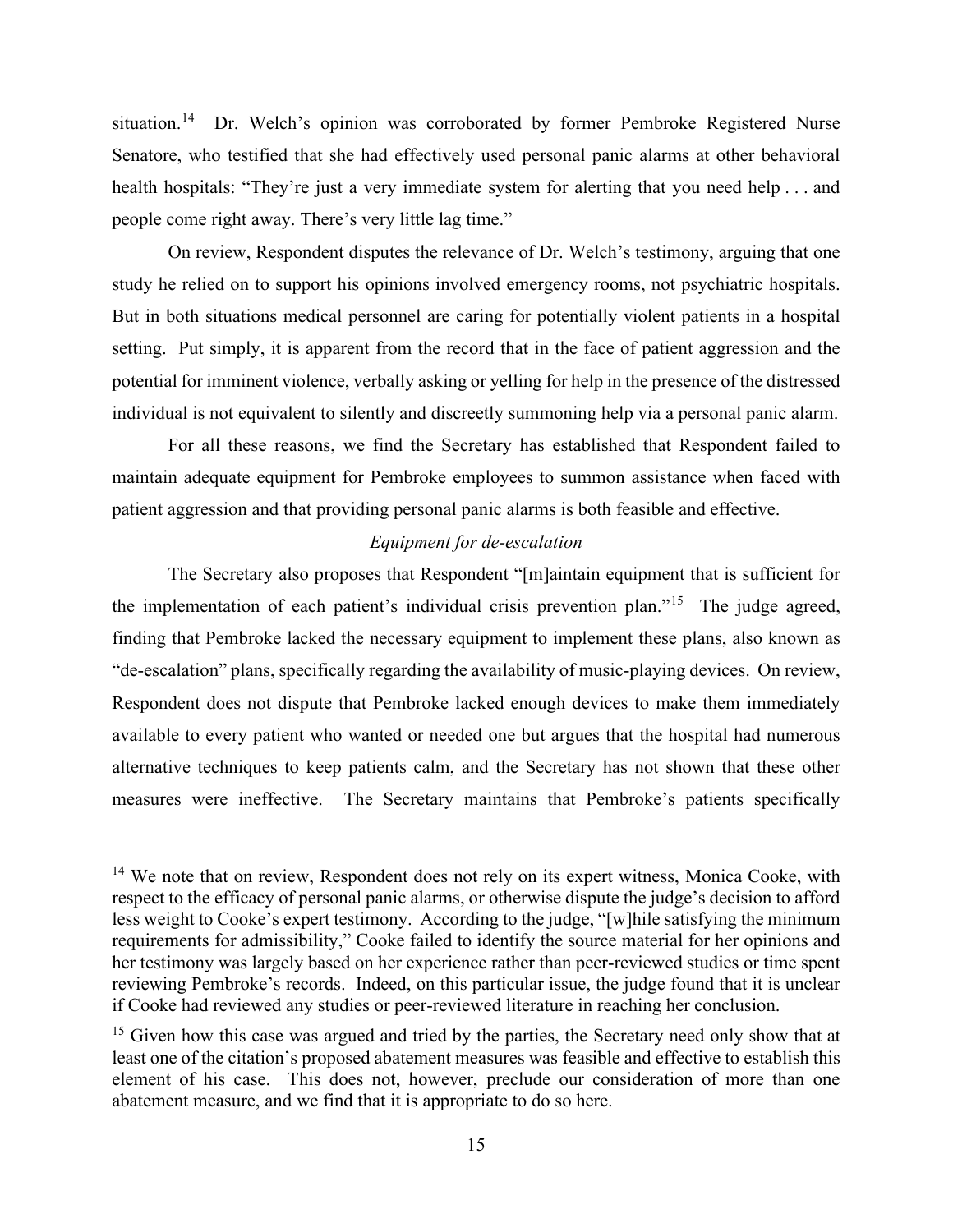situation.<sup>14</sup> Dr. Welch's opinion was corroborated by former Pembroke Registered Nurse Senatore, who testified that she had effectively used personal panic alarms at other behavioral health hospitals: "They're just a very immediate system for alerting that you need help . . . and people come right away. There's very little lag time."

On review, Respondent disputes the relevance of Dr. Welch's testimony, arguing that one study he relied on to support his opinions involved emergency rooms, not psychiatric hospitals. But in both situations medical personnel are caring for potentially violent patients in a hospital setting. Put simply, it is apparent from the record that in the face of patient aggression and the potential for imminent violence, verbally asking or yelling for help in the presence of the distressed individual is not equivalent to silently and discreetly summoning help via a personal panic alarm.

For all these reasons, we find the Secretary has established that Respondent failed to maintain adequate equipment for Pembroke employees to summon assistance when faced with patient aggression and that providing personal panic alarms is both feasible and effective.

### *Equipment for de-escalation*

The Secretary also proposes that Respondent "[m]aintain equipment that is sufficient for the implementation of each patient's individual crisis prevention plan."<sup>15</sup> The judge agreed, finding that Pembroke lacked the necessary equipment to implement these plans, also known as "de-escalation" plans, specifically regarding the availability of music-playing devices. On review, Respondent does not dispute that Pembroke lacked enough devices to make them immediately available to every patient who wanted or needed one but argues that the hospital had numerous alternative techniques to keep patients calm, and the Secretary has not shown that these other measures were ineffective. The Secretary maintains that Pembroke's patients specifically

<sup>&</sup>lt;sup>14</sup> We note that on review, Respondent does not rely on its expert witness, Monica Cooke, with respect to the efficacy of personal panic alarms, or otherwise dispute the judge's decision to afford less weight to Cooke's expert testimony. According to the judge, "[w]hile satisfying the minimum requirements for admissibility," Cooke failed to identify the source material for her opinions and her testimony was largely based on her experience rather than peer-reviewed studies or time spent reviewing Pembroke's records. Indeed, on this particular issue, the judge found that it is unclear if Cooke had reviewed any studies or peer-reviewed literature in reaching her conclusion.

 $15$  Given how this case was argued and tried by the parties, the Secretary need only show that at least one of the citation's proposed abatement measures was feasible and effective to establish this element of his case. This does not, however, preclude our consideration of more than one abatement measure, and we find that it is appropriate to do so here.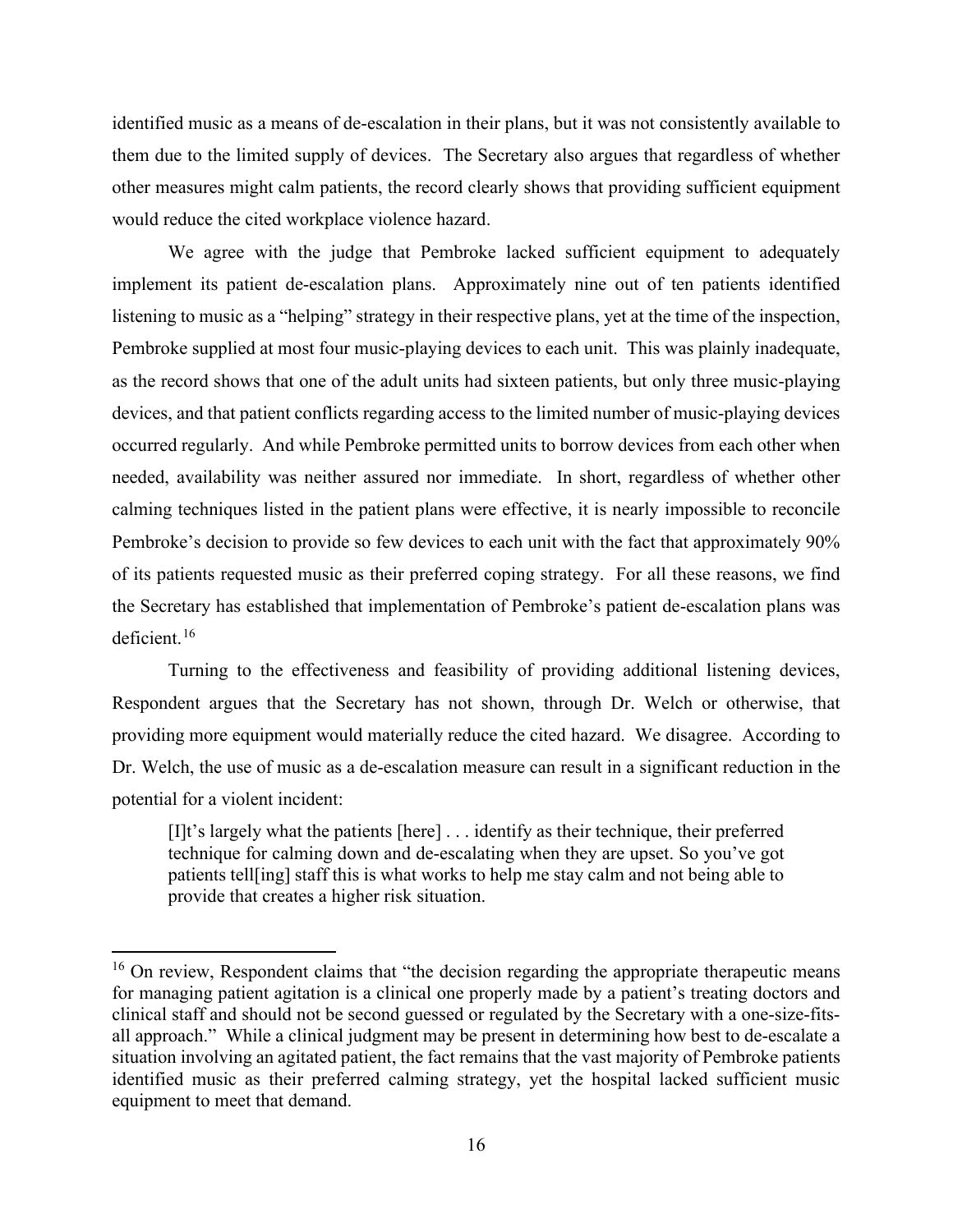identified music as a means of de-escalation in their plans, but it was not consistently available to them due to the limited supply of devices. The Secretary also argues that regardless of whether other measures might calm patients, the record clearly shows that providing sufficient equipment would reduce the cited workplace violence hazard.

We agree with the judge that Pembroke lacked sufficient equipment to adequately implement its patient de-escalation plans. Approximately nine out of ten patients identified listening to music as a "helping" strategy in their respective plans, yet at the time of the inspection, Pembroke supplied at most four music-playing devices to each unit. This was plainly inadequate, as the record shows that one of the adult units had sixteen patients, but only three music-playing devices, and that patient conflicts regarding access to the limited number of music-playing devices occurred regularly. And while Pembroke permitted units to borrow devices from each other when needed, availability was neither assured nor immediate. In short, regardless of whether other calming techniques listed in the patient plans were effective, it is nearly impossible to reconcile Pembroke's decision to provide so few devices to each unit with the fact that approximately 90% of its patients requested music as their preferred coping strategy. For all these reasons, we find the Secretary has established that implementation of Pembroke's patient de-escalation plans was deficient.<sup>16</sup>

Turning to the effectiveness and feasibility of providing additional listening devices, Respondent argues that the Secretary has not shown, through Dr. Welch or otherwise, that providing more equipment would materially reduce the cited hazard. We disagree. According to Dr. Welch, the use of music as a de-escalation measure can result in a significant reduction in the potential for a violent incident:

[I]t's largely what the patients [here] . . . identify as their technique, their preferred technique for calming down and de-escalating when they are upset. So you've got patients tell[ing] staff this is what works to help me stay calm and not being able to provide that creates a higher risk situation.

<sup>&</sup>lt;sup>16</sup> On review, Respondent claims that "the decision regarding the appropriate therapeutic means for managing patient agitation is a clinical one properly made by a patient's treating doctors and clinical staff and should not be second guessed or regulated by the Secretary with a one-size-fitsall approach." While a clinical judgment may be present in determining how best to de-escalate a situation involving an agitated patient, the fact remains that the vast majority of Pembroke patients identified music as their preferred calming strategy, yet the hospital lacked sufficient music equipment to meet that demand.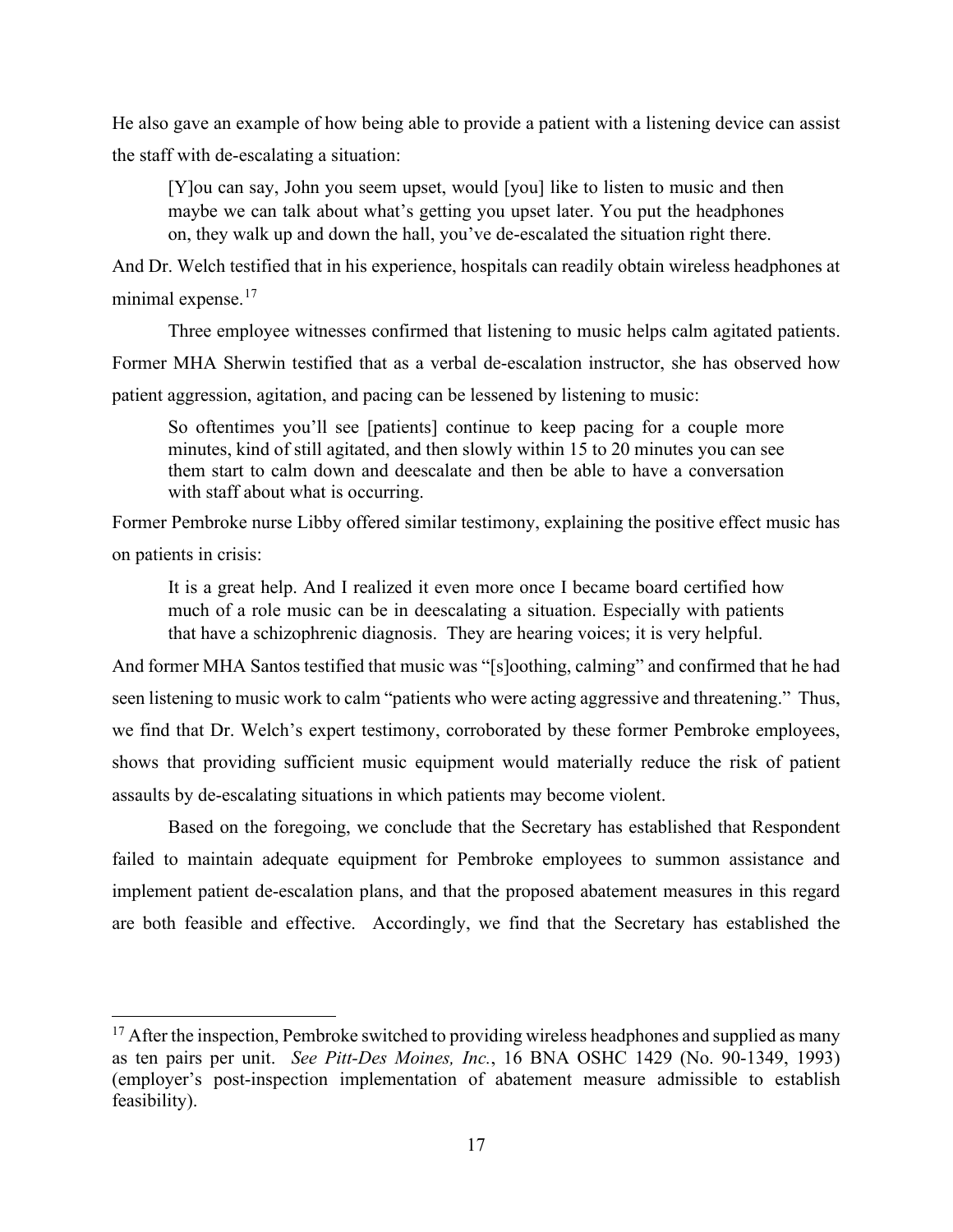He also gave an example of how being able to provide a patient with a listening device can assist the staff with de-escalating a situation:

[Y]ou can say, John you seem upset, would [you] like to listen to music and then maybe we can talk about what's getting you upset later. You put the headphones on, they walk up and down the hall, you've de-escalated the situation right there.

And Dr. Welch testified that in his experience, hospitals can readily obtain wireless headphones at minimal expense.<sup>17</sup>

Three employee witnesses confirmed that listening to music helps calm agitated patients.

Former MHA Sherwin testified that as a verbal de-escalation instructor, she has observed how

patient aggression, agitation, and pacing can be lessened by listening to music:

So oftentimes you'll see [patients] continue to keep pacing for a couple more minutes, kind of still agitated, and then slowly within 15 to 20 minutes you can see them start to calm down and deescalate and then be able to have a conversation with staff about what is occurring.

Former Pembroke nurse Libby offered similar testimony, explaining the positive effect music has on patients in crisis:

It is a great help. And I realized it even more once I became board certified how much of a role music can be in deescalating a situation. Especially with patients that have a schizophrenic diagnosis. They are hearing voices; it is very helpful.

And former MHA Santos testified that music was "[s]oothing, calming" and confirmed that he had seen listening to music work to calm "patients who were acting aggressive and threatening." Thus, we find that Dr. Welch's expert testimony, corroborated by these former Pembroke employees, shows that providing sufficient music equipment would materially reduce the risk of patient assaults by de-escalating situations in which patients may become violent.

Based on the foregoing, we conclude that the Secretary has established that Respondent failed to maintain adequate equipment for Pembroke employees to summon assistance and implement patient de-escalation plans, and that the proposed abatement measures in this regard are both feasible and effective. Accordingly, we find that the Secretary has established the

 $17$  After the inspection, Pembroke switched to providing wireless headphones and supplied as many as ten pairs per unit. *See Pitt-Des Moines, Inc.*, 16 BNA OSHC 1429 (No. 90-1349, 1993) (employer's post-inspection implementation of abatement measure admissible to establish feasibility).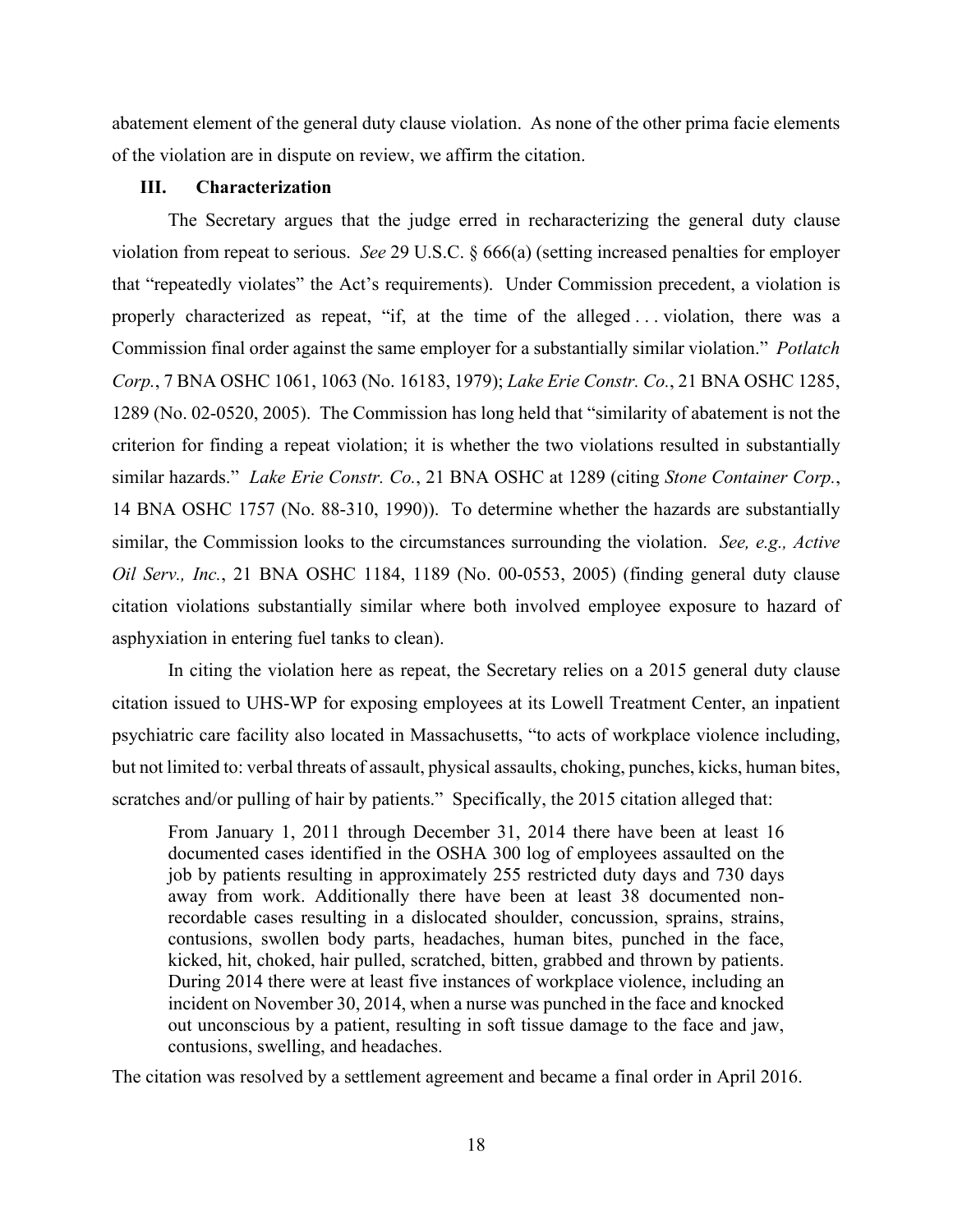abatement element of the general duty clause violation. As none of the other prima facie elements of the violation are in dispute on review, we affirm the citation.

### **III. Characterization**

The Secretary argues that the judge erred in recharacterizing the general duty clause violation from repeat to serious. *See* 29 U.S.C. § 666(a) (setting increased penalties for employer that "repeatedly violates" the Act's requirements). Under Commission precedent, a violation is properly characterized as repeat, "if, at the time of the alleged . . . violation, there was a Commission final order against the same employer for a substantially similar violation." *Potlatch Corp.*, 7 BNA OSHC 1061, 1063 (No. 16183, 1979); *Lake Erie Constr. Co.*, 21 BNA OSHC 1285, 1289 (No. 02-0520, 2005). The Commission has long held that "similarity of abatement is not the criterion for finding a repeat violation; it is whether the two violations resulted in substantially similar hazards." *Lake Erie Constr. Co.*, 21 BNA OSHC at 1289 (citing *Stone Container Corp.*, 14 BNA OSHC 1757 (No. 88-310, 1990)). To determine whether the hazards are substantially similar, the Commission looks to the circumstances surrounding the violation. *See, e.g., Active Oil Serv., Inc.*, 21 BNA OSHC 1184, 1189 (No. 00-0553, 2005) (finding general duty clause citation violations substantially similar where both involved employee exposure to hazard of asphyxiation in entering fuel tanks to clean).

In citing the violation here as repeat, the Secretary relies on a 2015 general duty clause citation issued to UHS-WP for exposing employees at its Lowell Treatment Center, an inpatient psychiatric care facility also located in Massachusetts, "to acts of workplace violence including, but not limited to: verbal threats of assault, physical assaults, choking, punches, kicks, human bites, scratches and/or pulling of hair by patients." Specifically, the 2015 citation alleged that:

From January 1, 2011 through December 31, 2014 there have been at least 16 documented cases identified in the OSHA 300 log of employees assaulted on the job by patients resulting in approximately 255 restricted duty days and 730 days away from work. Additionally there have been at least 38 documented nonrecordable cases resulting in a dislocated shoulder, concussion, sprains, strains, contusions, swollen body parts, headaches, human bites, punched in the face, kicked, hit, choked, hair pulled, scratched, bitten, grabbed and thrown by patients. During 2014 there were at least five instances of workplace violence, including an incident on November 30, 2014, when a nurse was punched in the face and knocked out unconscious by a patient, resulting in soft tissue damage to the face and jaw, contusions, swelling, and headaches.

The citation was resolved by a settlement agreement and became a final order in April 2016.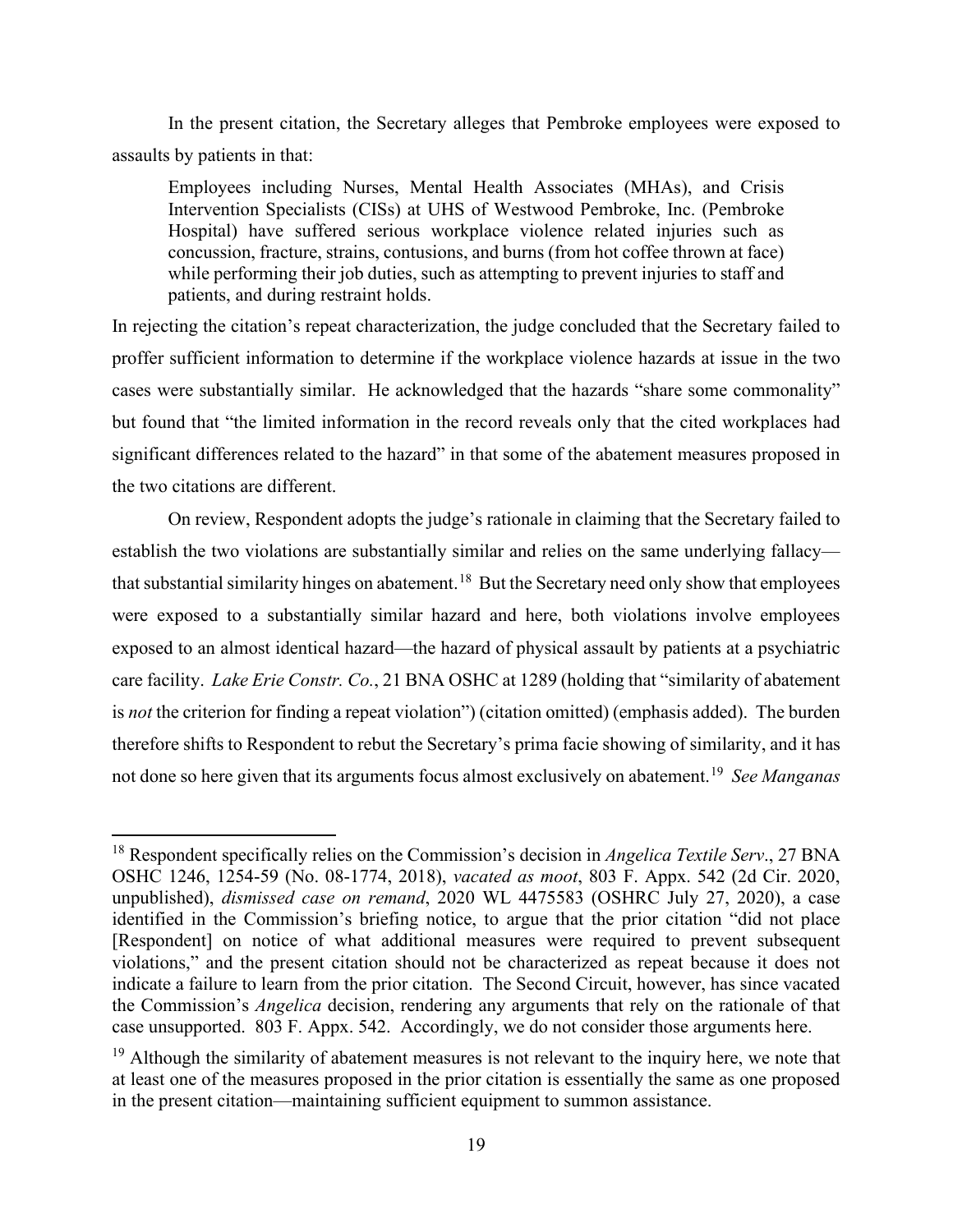In the present citation, the Secretary alleges that Pembroke employees were exposed to assaults by patients in that:

Employees including Nurses, Mental Health Associates (MHAs), and Crisis Intervention Specialists (CISs) at UHS of Westwood Pembroke, Inc. (Pembroke Hospital) have suffered serious workplace violence related injuries such as concussion, fracture, strains, contusions, and burns (from hot coffee thrown at face) while performing their job duties, such as attempting to prevent injuries to staff and patients, and during restraint holds.

In rejecting the citation's repeat characterization, the judge concluded that the Secretary failed to proffer sufficient information to determine if the workplace violence hazards at issue in the two cases were substantially similar. He acknowledged that the hazards "share some commonality" but found that "the limited information in the record reveals only that the cited workplaces had significant differences related to the hazard" in that some of the abatement measures proposed in the two citations are different.

On review, Respondent adopts the judge's rationale in claiming that the Secretary failed to establish the two violations are substantially similar and relies on the same underlying fallacy that substantial similarity hinges on abatement.<sup>18</sup> But the Secretary need only show that employees were exposed to a substantially similar hazard and here, both violations involve employees exposed to an almost identical hazard—the hazard of physical assault by patients at a psychiatric care facility. *Lake Erie Constr. Co.*, 21 BNA OSHC at 1289 (holding that "similarity of abatement is *not* the criterion for finding a repeat violation") (citation omitted) (emphasis added). The burden therefore shifts to Respondent to rebut the Secretary's prima facie showing of similarity, and it has not done so here given that its arguments focus almost exclusively on abatement. 19 *See Manganas* 

<sup>18</sup> Respondent specifically relies on the Commission's decision in *Angelica Textile Serv*., 27 BNA OSHC 1246, 1254-59 (No. 08-1774, 2018), *vacated as moot*, 803 F. Appx. 542 (2d Cir. 2020, unpublished), *dismissed case on remand*, 2020 WL 4475583 (OSHRC July 27, 2020), a case identified in the Commission's briefing notice, to argue that the prior citation "did not place [Respondent] on notice of what additional measures were required to prevent subsequent violations," and the present citation should not be characterized as repeat because it does not indicate a failure to learn from the prior citation. The Second Circuit, however, has since vacated the Commission's *Angelica* decision, rendering any arguments that rely on the rationale of that case unsupported. 803 F. Appx. 542. Accordingly, we do not consider those arguments here.

 $19$  Although the similarity of abatement measures is not relevant to the inquiry here, we note that at least one of the measures proposed in the prior citation is essentially the same as one proposed in the present citation—maintaining sufficient equipment to summon assistance.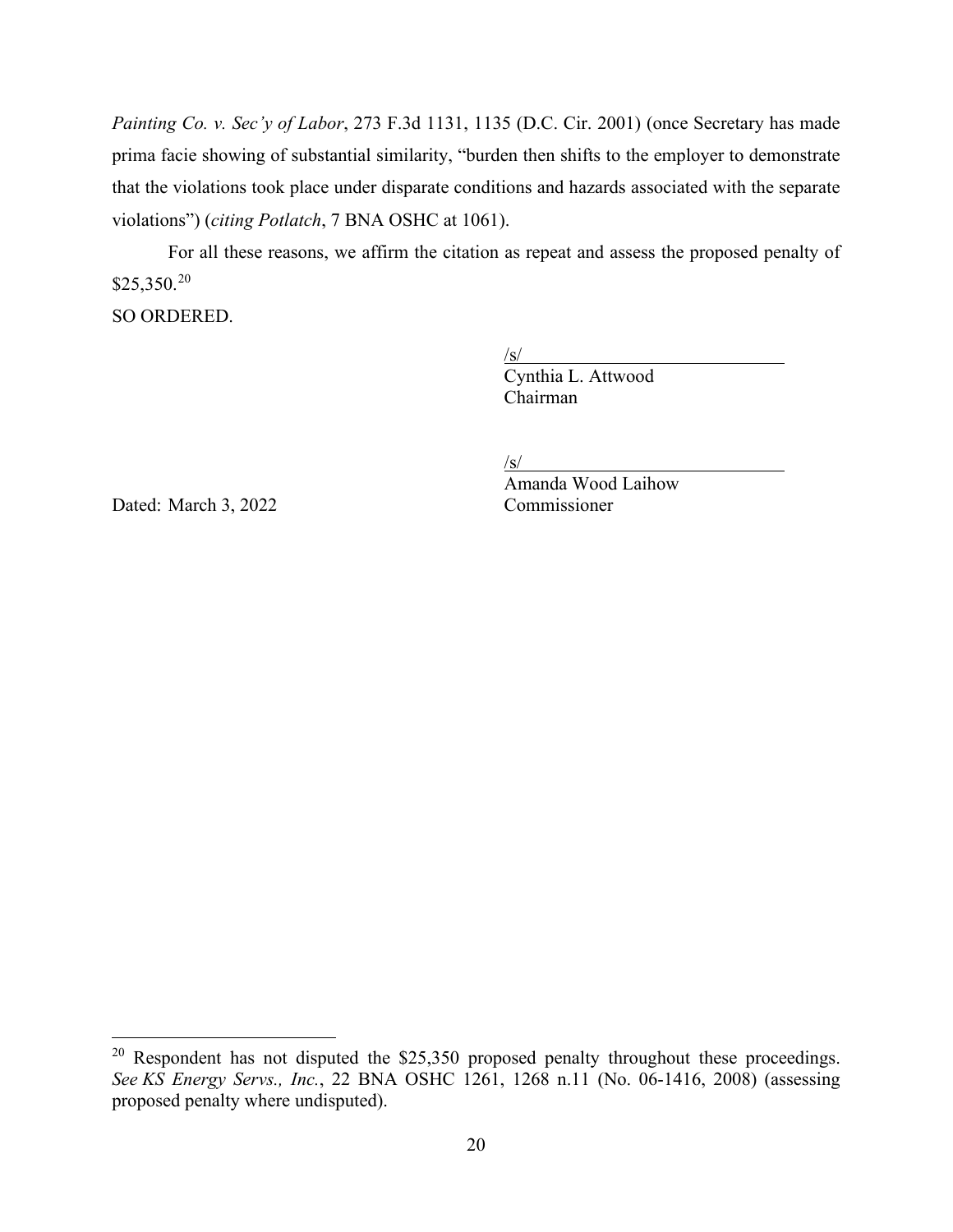*Painting Co. v. Sec'y of Labor*, 273 F.3d 1131, 1135 (D.C. Cir. 2001) (once Secretary has made prima facie showing of substantial similarity, "burden then shifts to the employer to demonstrate that the violations took place under disparate conditions and hazards associated with the separate violations") (*citing Potlatch*, 7 BNA OSHC at 1061).

For all these reasons, we affirm the citation as repeat and assess the proposed penalty of  $$25,350.<sup>20</sup>$ 

SO ORDERED.

 $\sqrt{s}$ /

Cynthia L. Attwood Chairman

/s/

Dated: March 3, 2022 Commissioner

Amanda Wood Laihow

<sup>&</sup>lt;sup>20</sup> Respondent has not disputed the \$25,350 proposed penalty throughout these proceedings. *See KS Energy Servs., Inc.*, 22 BNA OSHC 1261, 1268 n.11 (No. 06-1416, 2008) (assessing proposed penalty where undisputed).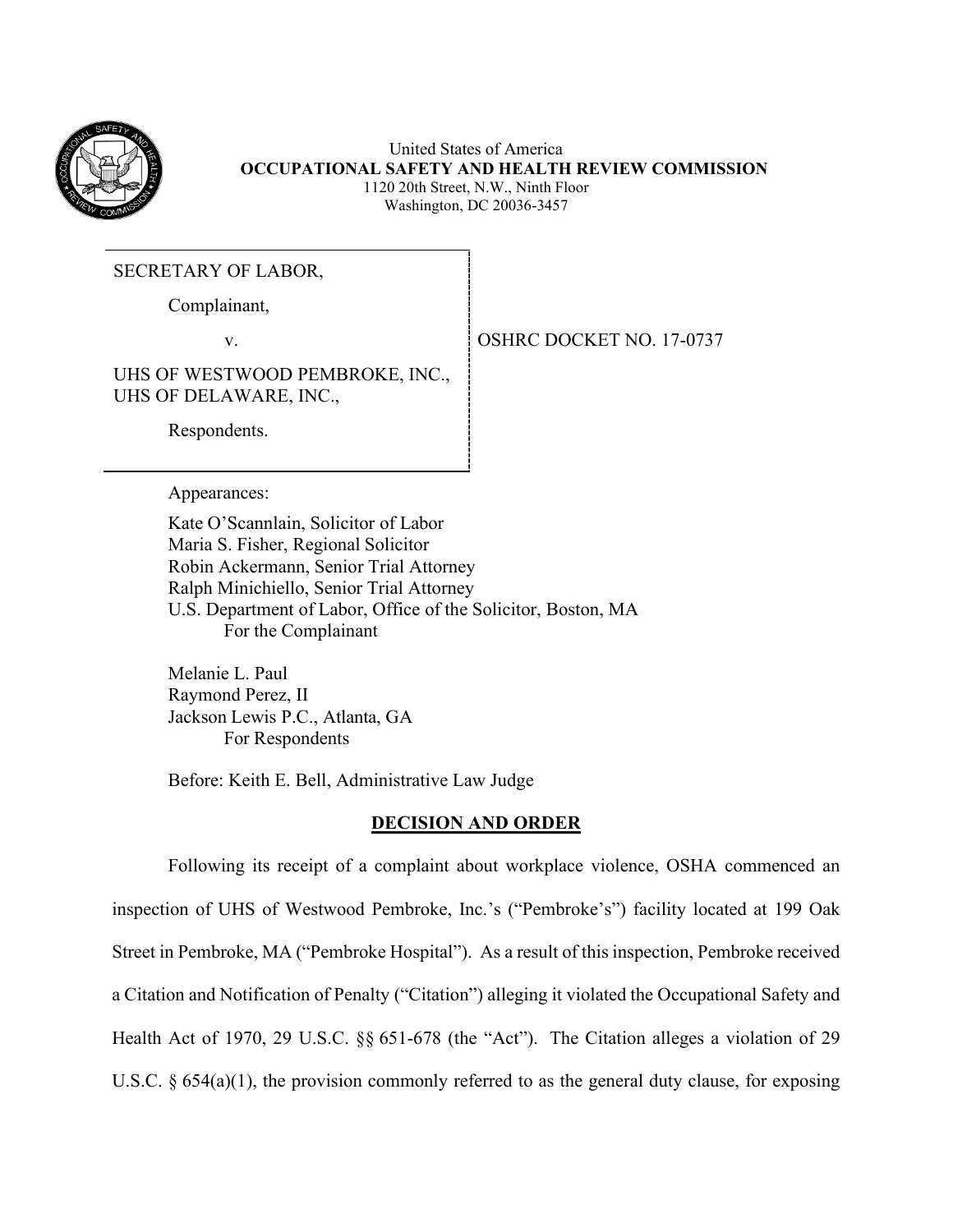

United States of America **OCCUPATIONAL SAFETY AND HEALTH REVIEW COMMISSION** 1120 20th Street, N.W., Ninth Floor Washington, DC 20036-3457

SECRETARY OF LABOR,

Complainant,

v. SOUTH OSHRC DOCKET NO. 17-0737

UHS OF WESTWOOD PEMBROKE, INC., UHS OF DELAWARE, INC.,

Respondents.

Appearances:

Kate O'Scannlain, Solicitor of Labor Maria S. Fisher, Regional Solicitor Robin Ackermann, Senior Trial Attorney Ralph Minichiello, Senior Trial Attorney U.S. Department of Labor, Office of the Solicitor, Boston, MA For the Complainant

Melanie L. Paul Raymond Perez, II Jackson Lewis P.C., Atlanta, GA For Respondents

Before: Keith E. Bell, Administrative Law Judge

### **DECISION AND ORDER**

Following its receipt of a complaint about workplace violence, OSHA commenced an inspection of UHS of Westwood Pembroke, Inc.'s ("Pembroke's") facility located at 199 Oak Street in Pembroke, MA ("Pembroke Hospital"). As a result of this inspection, Pembroke received a Citation and Notification of Penalty ("Citation") alleging it violated the Occupational Safety and Health Act of 1970, 29 U.S.C. §§ 651-678 (the "Act"). The Citation alleges a violation of 29 U.S.C. § 654(a)(1), the provision commonly referred to as the general duty clause, for exposing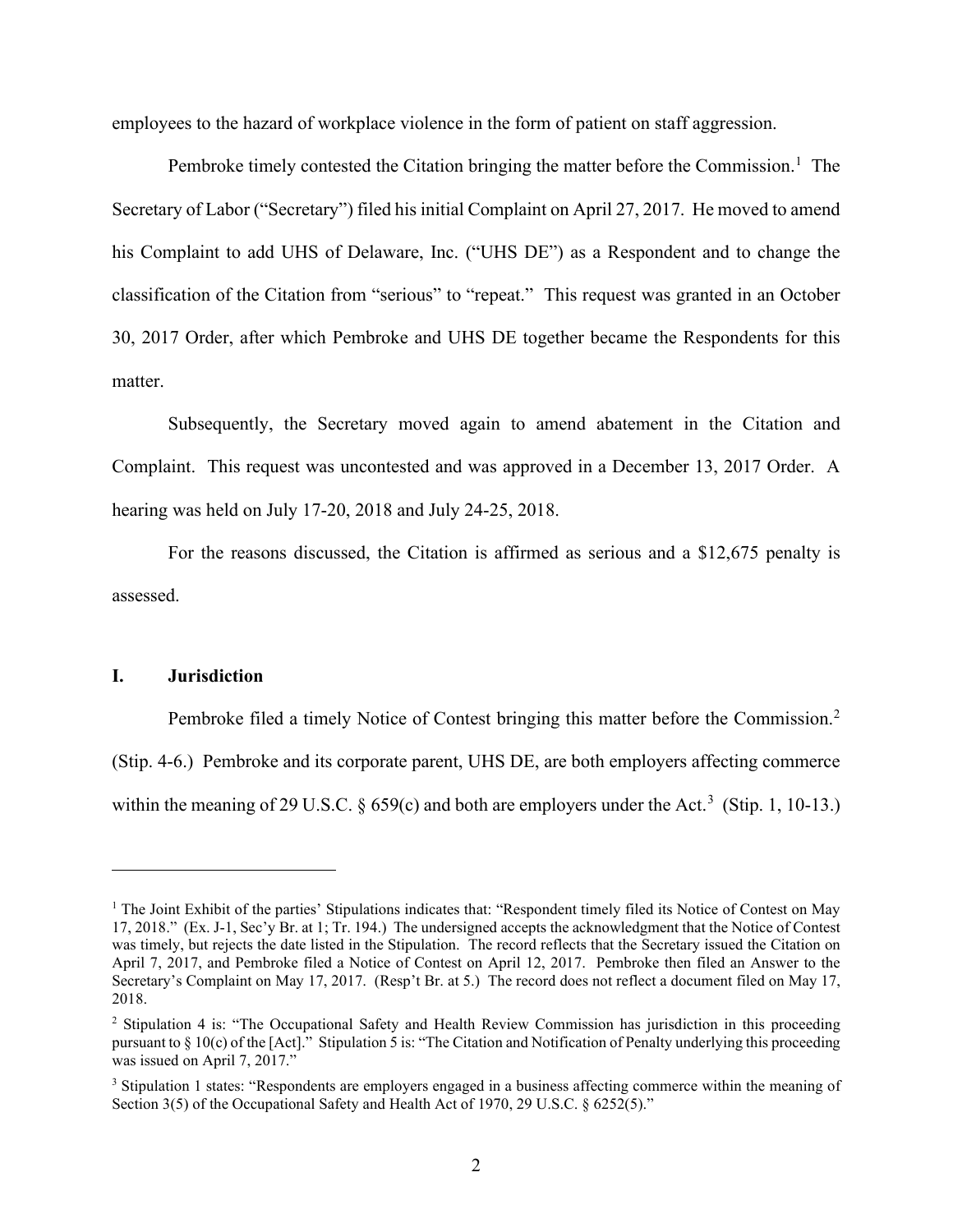employees to the hazard of workplace violence in the form of patient on staff aggression.

Pembroke timely contested the Citation bringing the matter before the Commission.<sup>1</sup> The Secretary of Labor ("Secretary") filed his initial Complaint on April 27, 2017. He moved to amend his Complaint to add UHS of Delaware, Inc. ("UHS DE") as a Respondent and to change the classification of the Citation from "serious" to "repeat." This request was granted in an October 30, 2017 Order, after which Pembroke and UHS DE together became the Respondents for this matter.

Subsequently, the Secretary moved again to amend abatement in the Citation and Complaint. This request was uncontested and was approved in a December 13, 2017 Order. A hearing was held on July 17-20, 2018 and July 24-25, 2018.

For the reasons discussed, the Citation is affirmed as serious and a \$12,675 penalty is assessed.

### **I. Jurisdiction**

Pembroke filed a timely Notice of Contest bringing this matter before the Commission.<sup>2</sup> (Stip. 4-6.) Pembroke and its corporate parent, UHS DE, are both employers affecting commerce within the meaning of 29 U.S.C.  $\S$  659(c) and both are employers under the Act.<sup>3</sup> (Stip. 1, 10-13.)

<sup>&</sup>lt;sup>1</sup> The Joint Exhibit of the parties' Stipulations indicates that: "Respondent timely filed its Notice of Contest on May 17, 2018." (Ex. J-1, Sec'y Br. at 1; Tr. 194.) The undersigned accepts the acknowledgment that the Notice of Contest was timely, but rejects the date listed in the Stipulation. The record reflects that the Secretary issued the Citation on April 7, 2017, and Pembroke filed a Notice of Contest on April 12, 2017. Pembroke then filed an Answer to the Secretary's Complaint on May 17, 2017. (Resp't Br. at 5.) The record does not reflect a document filed on May 17, 2018.

<sup>2</sup> Stipulation 4 is: "The Occupational Safety and Health Review Commission has jurisdiction in this proceeding pursuant to § 10(c) of the [Act]." Stipulation 5 is: "The Citation and Notification of Penalty underlying this proceeding was issued on April 7, 2017."

<sup>&</sup>lt;sup>3</sup> Stipulation 1 states: "Respondents are employers engaged in a business affecting commerce within the meaning of Section 3(5) of the Occupational Safety and Health Act of 1970, 29 U.S.C. § 6252(5)."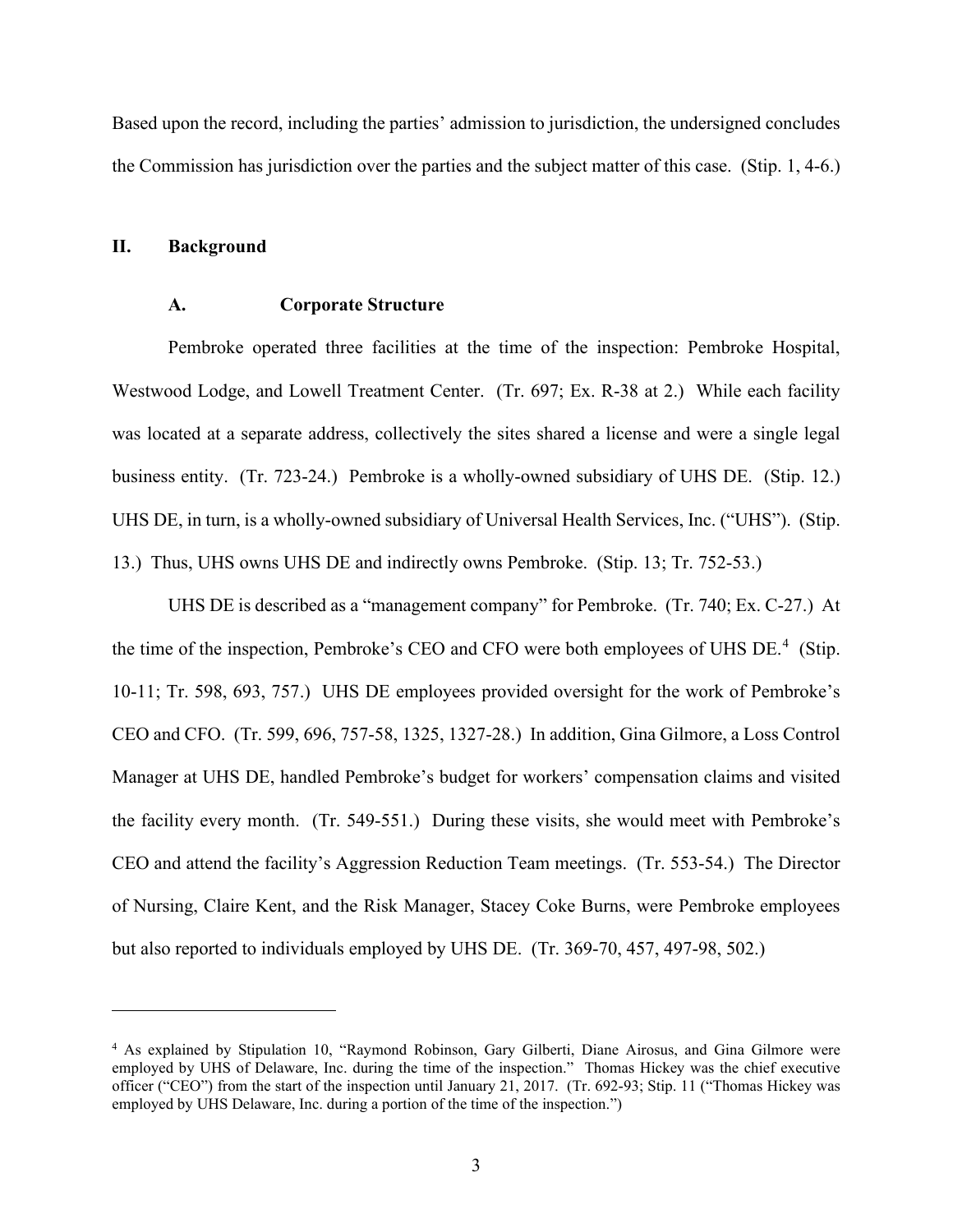Based upon the record, including the parties' admission to jurisdiction, the undersigned concludes the Commission has jurisdiction over the parties and the subject matter of this case. (Stip. 1, 4-6.)

#### **II. Background**

#### **A. Corporate Structure**

Pembroke operated three facilities at the time of the inspection: Pembroke Hospital, Westwood Lodge, and Lowell Treatment Center. (Tr. 697; Ex. R-38 at 2.) While each facility was located at a separate address, collectively the sites shared a license and were a single legal business entity. (Tr. 723-24.) Pembroke is a wholly-owned subsidiary of UHS DE. (Stip. 12.) UHS DE, in turn, is a wholly-owned subsidiary of Universal Health Services, Inc. ("UHS"). (Stip. 13.) Thus, UHS owns UHS DE and indirectly owns Pembroke. (Stip. 13; Tr. 752-53.)

UHS DE is described as a "management company" for Pembroke. (Tr. 740; Ex. C-27.) At the time of the inspection, Pembroke's CEO and CFO were both employees of UHS DE.<sup>4</sup> (Stip. 10-11; Tr. 598, 693, 757.) UHS DE employees provided oversight for the work of Pembroke's CEO and CFO. (Tr. 599, 696, 757-58, 1325, 1327-28.) In addition, Gina Gilmore, a Loss Control Manager at UHS DE, handled Pembroke's budget for workers' compensation claims and visited the facility every month. (Tr. 549-551.) During these visits, she would meet with Pembroke's CEO and attend the facility's Aggression Reduction Team meetings. (Tr. 553-54.) The Director of Nursing, Claire Kent, and the Risk Manager, Stacey Coke Burns, were Pembroke employees but also reported to individuals employed by UHS DE. (Tr. 369-70, 457, 497-98, 502.)

<sup>4</sup> As explained by Stipulation 10, "Raymond Robinson, Gary Gilberti, Diane Airosus, and Gina Gilmore were employed by UHS of Delaware, Inc. during the time of the inspection." Thomas Hickey was the chief executive officer ("CEO") from the start of the inspection until January 21, 2017. (Tr. 692-93; Stip. 11 ("Thomas Hickey was employed by UHS Delaware, Inc. during a portion of the time of the inspection.")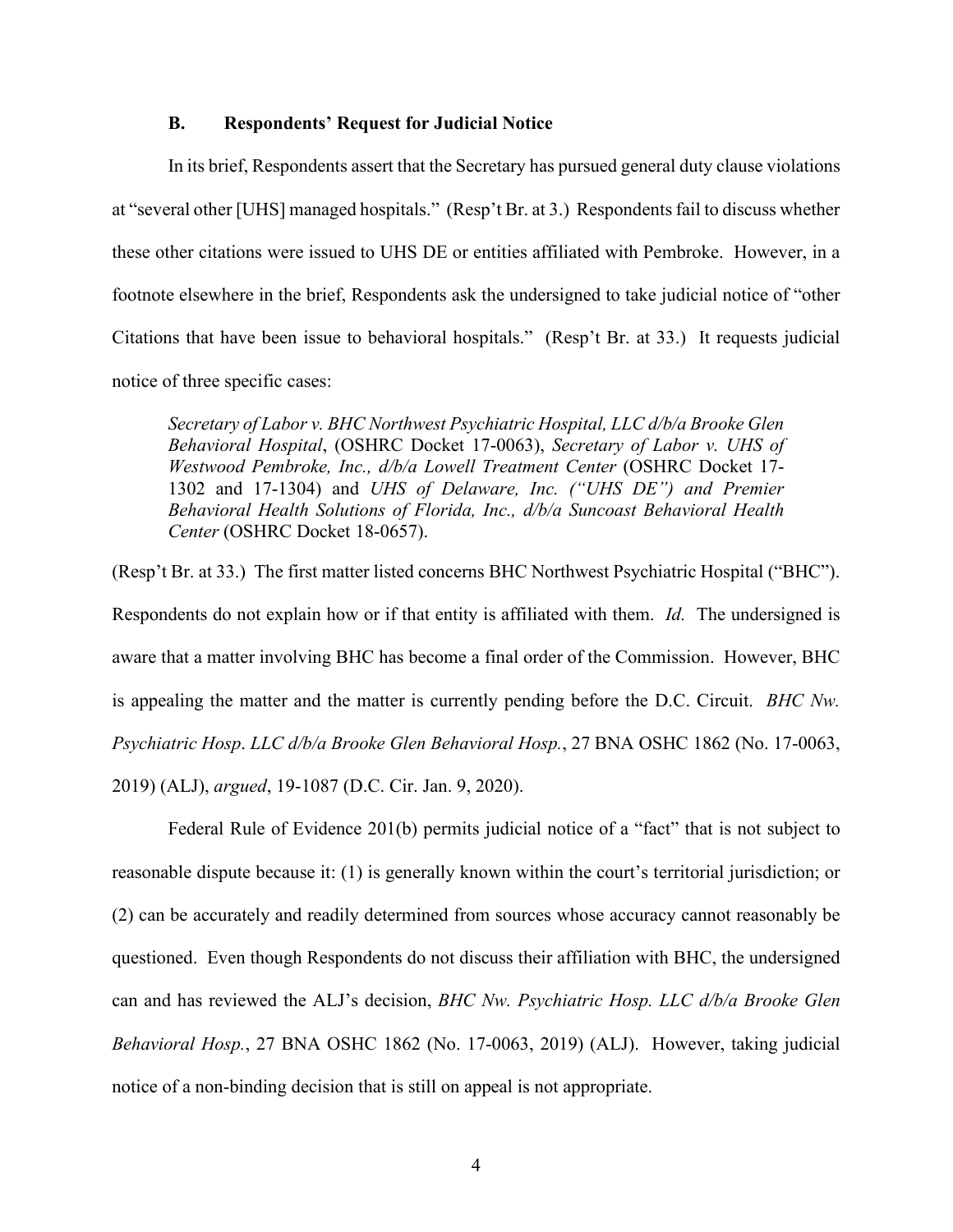### **B. Respondents' Request for Judicial Notice**

In its brief, Respondents assert that the Secretary has pursued general duty clause violations at "several other [UHS] managed hospitals." (Resp't Br. at 3.) Respondents fail to discuss whether these other citations were issued to UHS DE or entities affiliated with Pembroke. However, in a footnote elsewhere in the brief, Respondents ask the undersigned to take judicial notice of "other Citations that have been issue to behavioral hospitals." (Resp't Br. at 33.) It requests judicial notice of three specific cases:

*Secretary of Labor v. BHC Northwest Psychiatric Hospital, LLC d/b/a Brooke Glen Behavioral Hospital*, (OSHRC Docket 17-0063), *Secretary of Labor v. UHS of Westwood Pembroke, Inc., d/b/a Lowell Treatment Center* (OSHRC Docket 17- 1302 and 17-1304) and *UHS of Delaware, Inc. ("UHS DE") and Premier Behavioral Health Solutions of Florida, Inc., d/b/a Suncoast Behavioral Health Center* (OSHRC Docket 18-0657).

(Resp't Br. at 33.) The first matter listed concerns BHC Northwest Psychiatric Hospital ("BHC"). Respondents do not explain how or if that entity is affiliated with them. *Id.* The undersigned is aware that a matter involving BHC has become a final order of the Commission. However, BHC is appealing the matter and the matter is currently pending before the D.C. Circuit. *BHC Nw. Psychiatric Hosp*. *LLC d/b/a Brooke Glen Behavioral Hosp.*, 27 BNA OSHC 1862 (No. 17-0063, 2019) (ALJ), *argued*, 19-1087 (D.C. Cir. Jan. 9, 2020).

Federal Rule of Evidence 201(b) permits judicial notice of a "fact" that is not subject to reasonable dispute because it: (1) is generally known within the court's territorial jurisdiction; or (2) can be accurately and readily determined from sources whose accuracy cannot reasonably be questioned. Even though Respondents do not discuss their affiliation with BHC, the undersigned can and has reviewed the ALJ's decision, *BHC Nw. Psychiatric Hosp. LLC d/b/a Brooke Glen Behavioral Hosp.*, 27 BNA OSHC 1862 (No. 17-0063, 2019) (ALJ). However, taking judicial notice of a non-binding decision that is still on appeal is not appropriate.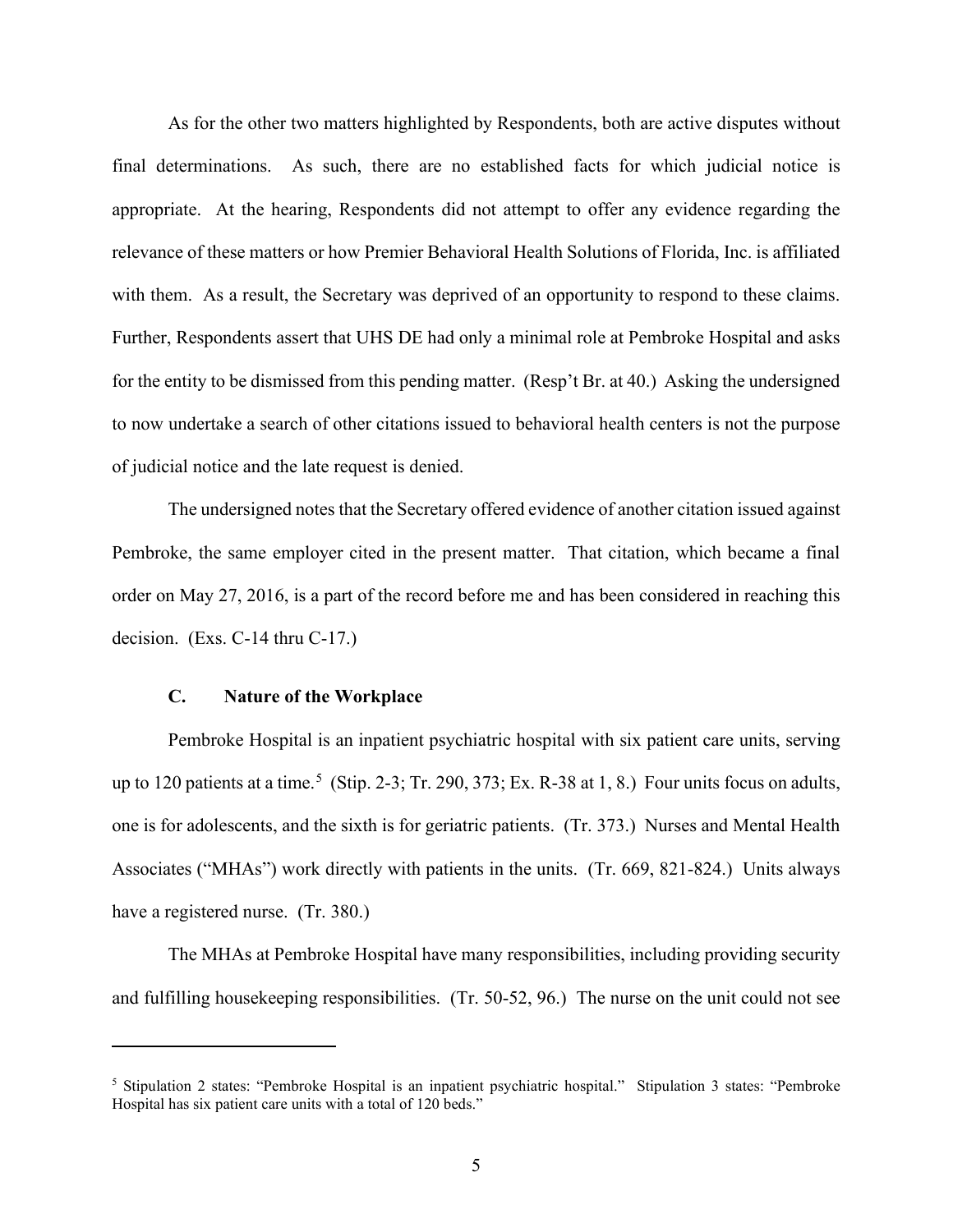As for the other two matters highlighted by Respondents, both are active disputes without final determinations. As such, there are no established facts for which judicial notice is appropriate. At the hearing, Respondents did not attempt to offer any evidence regarding the relevance of these matters or how Premier Behavioral Health Solutions of Florida, Inc. is affiliated with them. As a result, the Secretary was deprived of an opportunity to respond to these claims. Further, Respondents assert that UHS DE had only a minimal role at Pembroke Hospital and asks for the entity to be dismissed from this pending matter. (Resp't Br. at 40.) Asking the undersigned to now undertake a search of other citations issued to behavioral health centers is not the purpose of judicial notice and the late request is denied.

The undersigned notes that the Secretary offered evidence of another citation issued against Pembroke, the same employer cited in the present matter. That citation, which became a final order on May 27, 2016, is a part of the record before me and has been considered in reaching this decision. (Exs. C-14 thru C-17.)

### **C. Nature of the Workplace**

Pembroke Hospital is an inpatient psychiatric hospital with six patient care units, serving up to 120 patients at a time.<sup>5</sup> (Stip. 2-3; Tr. 290, 373; Ex. R-38 at 1, 8.) Four units focus on adults, one is for adolescents, and the sixth is for geriatric patients. (Tr. 373.) Nurses and Mental Health Associates ("MHAs") work directly with patients in the units. (Tr. 669, 821-824.) Units always have a registered nurse. (Tr. 380.)

The MHAs at Pembroke Hospital have many responsibilities, including providing security and fulfilling housekeeping responsibilities. (Tr. 50-52, 96.) The nurse on the unit could not see

<sup>5</sup> Stipulation 2 states: "Pembroke Hospital is an inpatient psychiatric hospital." Stipulation 3 states: "Pembroke Hospital has six patient care units with a total of 120 beds."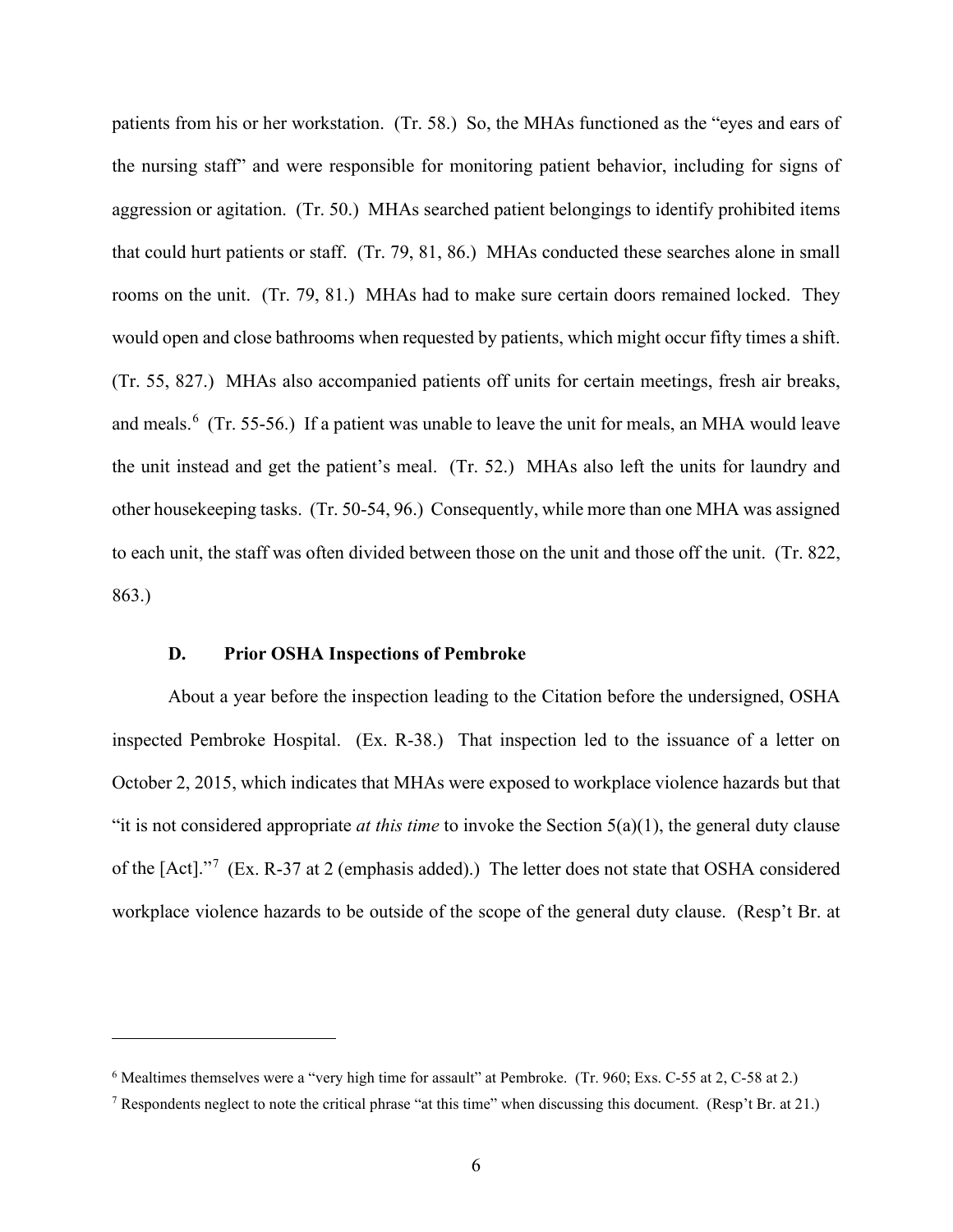patients from his or her workstation. (Tr. 58.) So, the MHAs functioned as the "eyes and ears of the nursing staff" and were responsible for monitoring patient behavior, including for signs of aggression or agitation. (Tr. 50.) MHAs searched patient belongings to identify prohibited items that could hurt patients or staff. (Tr. 79, 81, 86.) MHAs conducted these searches alone in small rooms on the unit. (Tr. 79, 81.) MHAs had to make sure certain doors remained locked. They would open and close bathrooms when requested by patients, which might occur fifty times a shift. (Tr. 55, 827.) MHAs also accompanied patients off units for certain meetings, fresh air breaks, and meals.<sup>6</sup> (Tr. 55-56.) If a patient was unable to leave the unit for meals, an MHA would leave the unit instead and get the patient's meal. (Tr. 52.) MHAs also left the units for laundry and other housekeeping tasks. (Tr. 50-54, 96.) Consequently, while more than one MHA was assigned to each unit, the staff was often divided between those on the unit and those off the unit. (Tr. 822, 863.)

### **D. Prior OSHA Inspections of Pembroke**

About a year before the inspection leading to the Citation before the undersigned, OSHA inspected Pembroke Hospital. (Ex. R-38.) That inspection led to the issuance of a letter on October 2, 2015, which indicates that MHAs were exposed to workplace violence hazards but that "it is not considered appropriate *at this time* to invoke the Section 5(a)(1), the general duty clause of the  $[Act]."$ <sup>7</sup> (Ex. R-37 at 2 (emphasis added).) The letter does not state that OSHA considered workplace violence hazards to be outside of the scope of the general duty clause. (Resp't Br. at

<sup>&</sup>lt;sup>6</sup> Mealtimes themselves were a "very high time for assault" at Pembroke. (Tr. 960; Exs. C-55 at 2, C-58 at 2.)

<sup>7</sup> Respondents neglect to note the critical phrase "at this time" when discussing this document. (Resp't Br. at 21.)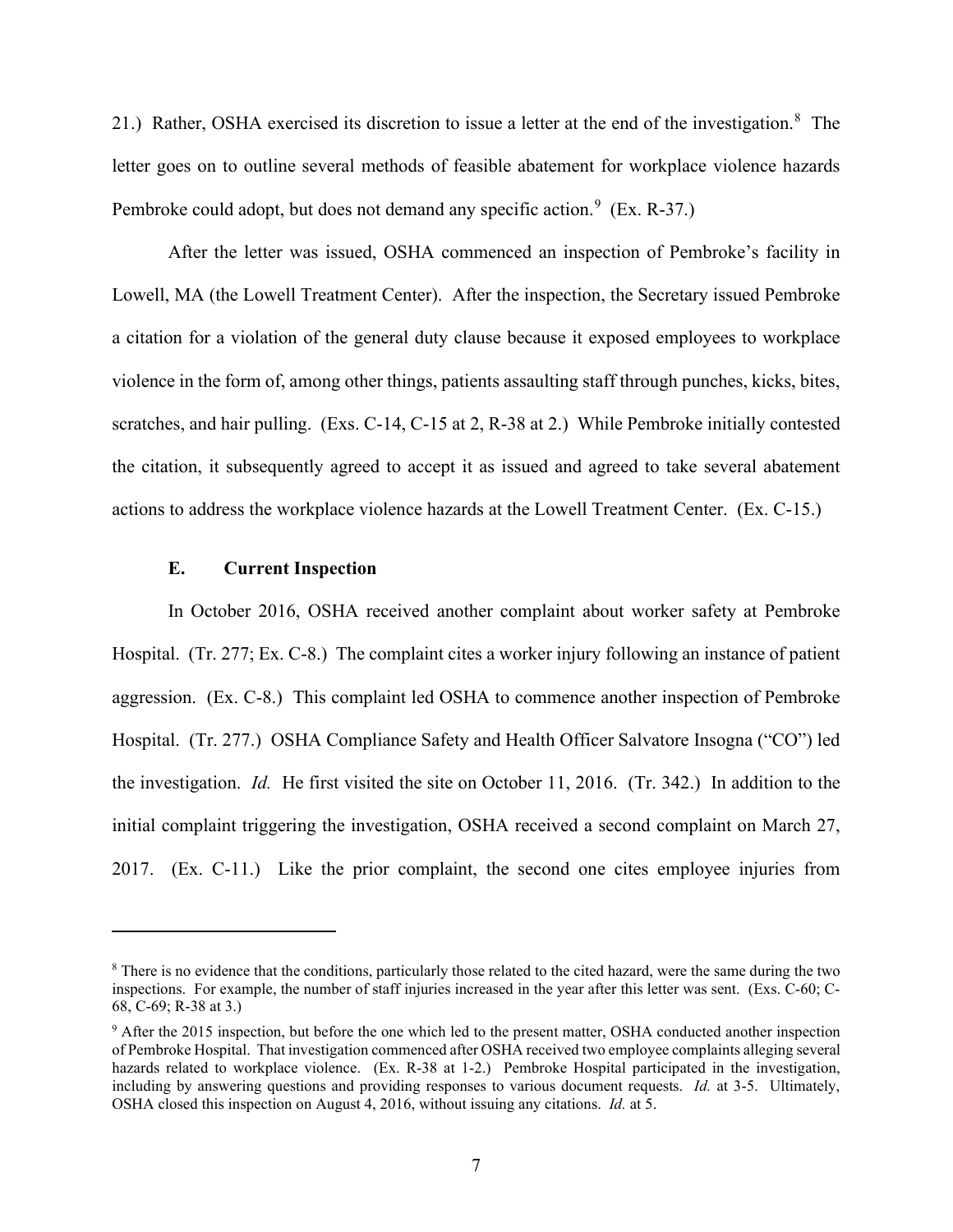21.) Rather, OSHA exercised its discretion to issue a letter at the end of the investigation.<sup>8</sup> The letter goes on to outline several methods of feasible abatement for workplace violence hazards Pembroke could adopt, but does not demand any specific action.<sup>9</sup> (Ex. R-37.)

After the letter was issued, OSHA commenced an inspection of Pembroke's facility in Lowell, MA (the Lowell Treatment Center). After the inspection, the Secretary issued Pembroke a citation for a violation of the general duty clause because it exposed employees to workplace violence in the form of, among other things, patients assaulting staff through punches, kicks, bites, scratches, and hair pulling. (Exs. C-14, C-15 at 2, R-38 at 2.) While Pembroke initially contested the citation, it subsequently agreed to accept it as issued and agreed to take several abatement actions to address the workplace violence hazards at the Lowell Treatment Center. (Ex. C-15.)

### **E. Current Inspection**

In October 2016, OSHA received another complaint about worker safety at Pembroke Hospital. (Tr. 277; Ex. C-8.) The complaint cites a worker injury following an instance of patient aggression. (Ex. C-8.) This complaint led OSHA to commence another inspection of Pembroke Hospital. (Tr. 277.) OSHA Compliance Safety and Health Officer Salvatore Insogna ("CO") led the investigation. *Id.* He first visited the site on October 11, 2016. (Tr. 342.) In addition to the initial complaint triggering the investigation, OSHA received a second complaint on March 27, 2017. (Ex. C-11.) Like the prior complaint, the second one cites employee injuries from

<sup>&</sup>lt;sup>8</sup> There is no evidence that the conditions, particularly those related to the cited hazard, were the same during the two inspections. For example, the number of staff injuries increased in the year after this letter was sent. (Exs. C-60; C-68, C-69; R-38 at 3.)

<sup>&</sup>lt;sup>9</sup> After the 2015 inspection, but before the one which led to the present matter, OSHA conducted another inspection of Pembroke Hospital. That investigation commenced after OSHA received two employee complaints alleging several hazards related to workplace violence. (Ex. R-38 at 1-2.) Pembroke Hospital participated in the investigation, including by answering questions and providing responses to various document requests. *Id.* at 3-5. Ultimately, OSHA closed this inspection on August 4, 2016, without issuing any citations. *Id.* at 5.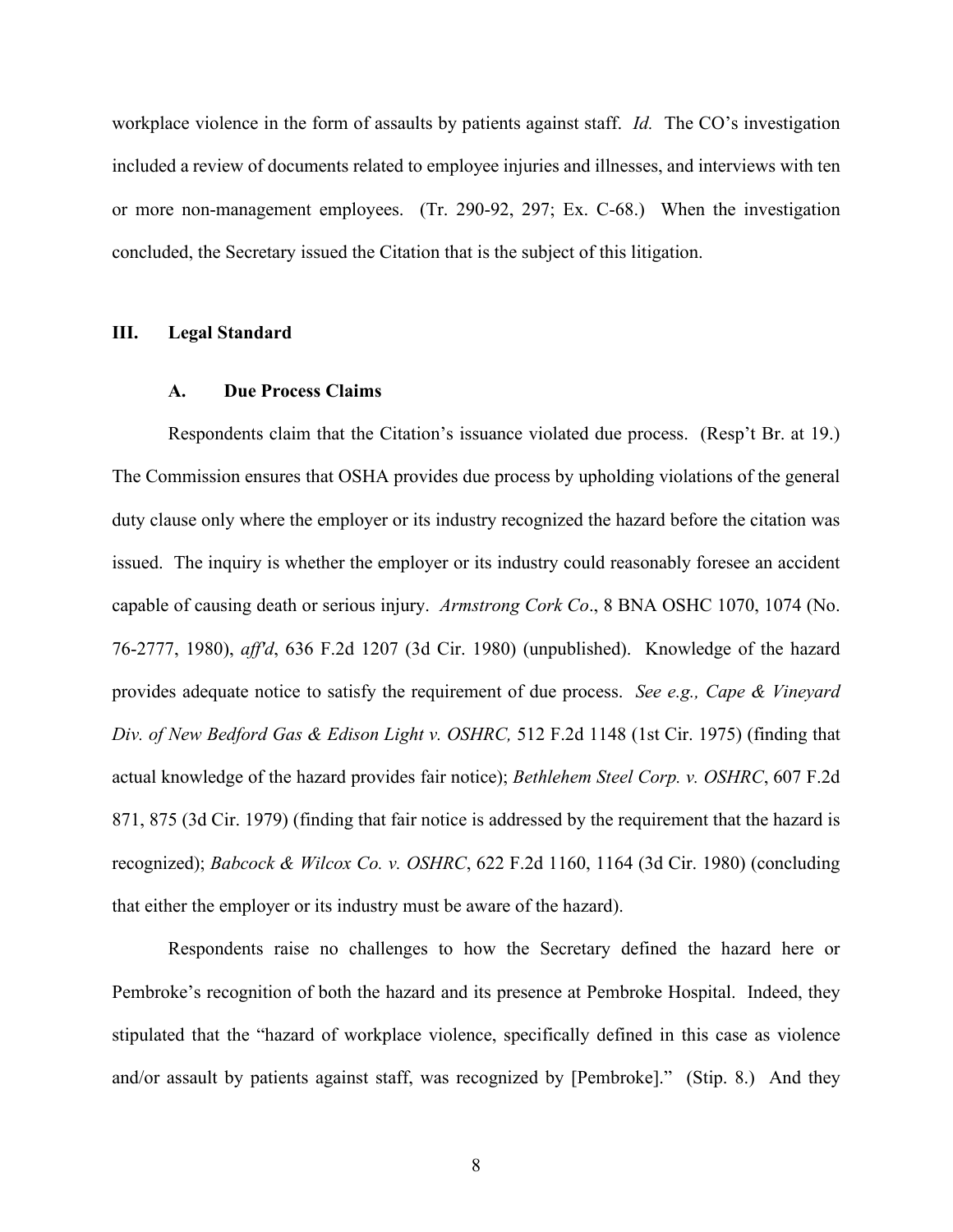workplace violence in the form of assaults by patients against staff. *Id.* The CO's investigation included a review of documents related to employee injuries and illnesses, and interviews with ten or more non-management employees. (Tr. 290-92, 297; Ex. C-68.) When the investigation concluded, the Secretary issued the Citation that is the subject of this litigation.

### **III. Legal Standard**

#### **A. Due Process Claims**

Respondents claim that the Citation's issuance violated due process. (Resp't Br. at 19.) The Commission ensures that OSHA provides due process by upholding violations of the general duty clause only where the employer or its industry recognized the hazard before the citation was issued. The inquiry is whether the employer or its industry could reasonably foresee an accident capable of causing death or serious injury. *Armstrong Cork Co*., 8 BNA OSHC 1070, 1074 (No. 76-2777, 1980), *aff'd*, 636 F.2d 1207 (3d Cir. 1980) (unpublished). Knowledge of the hazard provides adequate notice to satisfy the requirement of due process. *See e.g., Cape & Vineyard Div. of New Bedford Gas & Edison Light v. OSHRC,* 512 F.2d 1148 (1st Cir. 1975) (finding that actual knowledge of the hazard provides fair notice); *Bethlehem Steel Corp. v. OSHRC*, 607 F.2d 871, 875 (3d Cir. 1979) (finding that fair notice is addressed by the requirement that the hazard is recognized); *Babcock & Wilcox Co. v. OSHRC*, 622 F.2d 1160, 1164 (3d Cir. 1980) (concluding that either the employer or its industry must be aware of the hazard).

Respondents raise no challenges to how the Secretary defined the hazard here or Pembroke's recognition of both the hazard and its presence at Pembroke Hospital. Indeed, they stipulated that the "hazard of workplace violence, specifically defined in this case as violence and/or assault by patients against staff, was recognized by [Pembroke]." (Stip. 8.) And they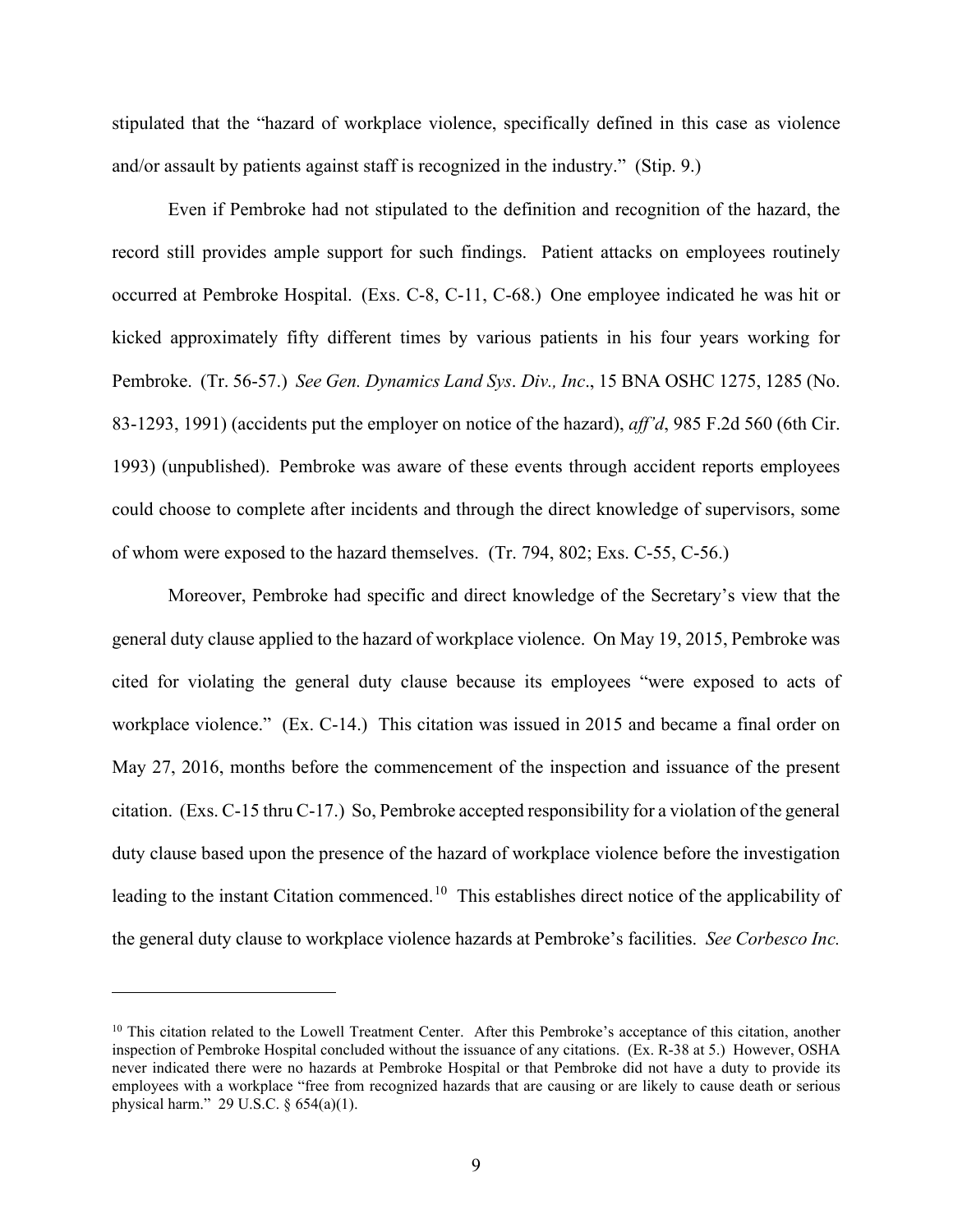stipulated that the "hazard of workplace violence, specifically defined in this case as violence and/or assault by patients against staff is recognized in the industry." (Stip. 9.)

Even if Pembroke had not stipulated to the definition and recognition of the hazard, the record still provides ample support for such findings. Patient attacks on employees routinely occurred at Pembroke Hospital. (Exs. C-8, C-11, C-68.) One employee indicated he was hit or kicked approximately fifty different times by various patients in his four years working for Pembroke. (Tr. 56-57.) *See Gen. Dynamics Land Sys*. *Div., Inc*., 15 BNA OSHC 1275, 1285 (No. 83-1293, 1991) (accidents put the employer on notice of the hazard), *aff'd*, 985 F.2d 560 (6th Cir. 1993) (unpublished). Pembroke was aware of these events through accident reports employees could choose to complete after incidents and through the direct knowledge of supervisors, some of whom were exposed to the hazard themselves. (Tr. 794, 802; Exs. C-55, C-56.)

Moreover, Pembroke had specific and direct knowledge of the Secretary's view that the general duty clause applied to the hazard of workplace violence. On May 19, 2015, Pembroke was cited for violating the general duty clause because its employees "were exposed to acts of workplace violence." (Ex. C-14.) This citation was issued in 2015 and became a final order on May 27, 2016, months before the commencement of the inspection and issuance of the present citation. (Exs. C-15 thru C-17.) So, Pembroke accepted responsibility for a violation of the general duty clause based upon the presence of the hazard of workplace violence before the investigation leading to the instant Citation commenced.<sup>10</sup> This establishes direct notice of the applicability of the general duty clause to workplace violence hazards at Pembroke's facilities. *See Corbesco Inc.* 

<sup>&</sup>lt;sup>10</sup> This citation related to the Lowell Treatment Center. After this Pembroke's acceptance of this citation, another inspection of Pembroke Hospital concluded without the issuance of any citations. (Ex. R-38 at 5.) However, OSHA never indicated there were no hazards at Pembroke Hospital or that Pembroke did not have a duty to provide its employees with a workplace "free from recognized hazards that are causing or are likely to cause death or serious physical harm." 29 U.S.C. § 654(a)(1).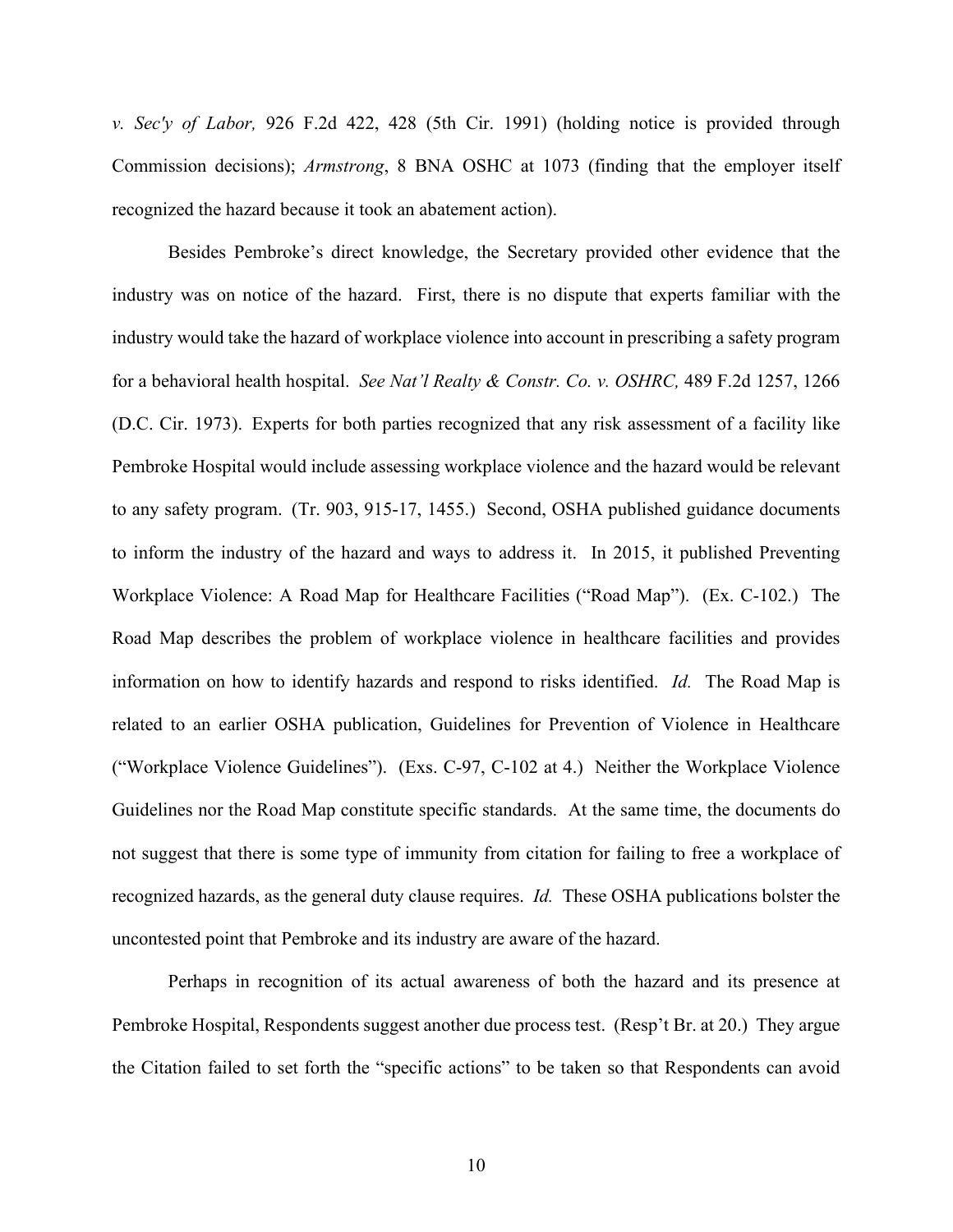*v. Sec'y of Labor,* 926 F.2d 422, 428 (5th Cir. 1991) (holding notice is provided through Commission decisions); *Armstrong*, 8 BNA OSHC at 1073 (finding that the employer itself recognized the hazard because it took an abatement action).

Besides Pembroke's direct knowledge, the Secretary provided other evidence that the industry was on notice of the hazard. First, there is no dispute that experts familiar with the industry would take the hazard of workplace violence into account in prescribing a safety program for a behavioral health hospital. *See Nat'l Realty & Constr. Co. v. OSHRC,* 489 F.2d 1257, 1266 (D.C. Cir. 1973). Experts for both parties recognized that any risk assessment of a facility like Pembroke Hospital would include assessing workplace violence and the hazard would be relevant to any safety program. (Tr. 903, 915-17, 1455.) Second, OSHA published guidance documents to inform the industry of the hazard and ways to address it. In 2015, it published Preventing Workplace Violence: A Road Map for Healthcare Facilities ("Road Map"). (Ex. C-102.) The Road Map describes the problem of workplace violence in healthcare facilities and provides information on how to identify hazards and respond to risks identified. *Id.* The Road Map is related to an earlier OSHA publication, Guidelines for Prevention of Violence in Healthcare ("Workplace Violence Guidelines"). (Exs. C-97, C-102 at 4.) Neither the Workplace Violence Guidelines nor the Road Map constitute specific standards. At the same time, the documents do not suggest that there is some type of immunity from citation for failing to free a workplace of recognized hazards, as the general duty clause requires. *Id.* These OSHA publications bolster the uncontested point that Pembroke and its industry are aware of the hazard.

Perhaps in recognition of its actual awareness of both the hazard and its presence at Pembroke Hospital, Respondents suggest another due process test. (Resp't Br. at 20.) They argue the Citation failed to set forth the "specific actions" to be taken so that Respondents can avoid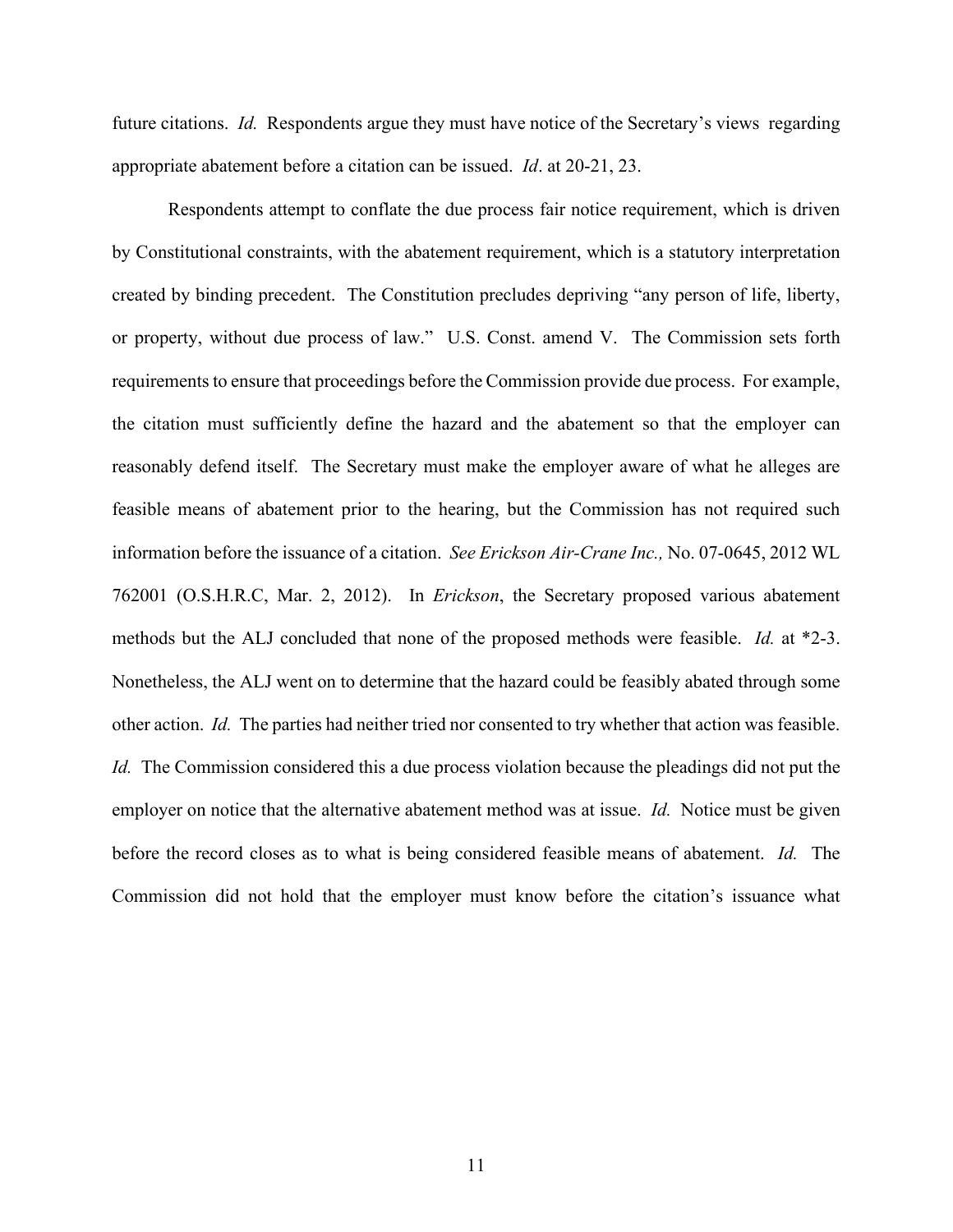future citations. *Id.* Respondents argue they must have notice of the Secretary's views regarding appropriate abatement before a citation can be issued. *Id*. at 20-21, 23.

Respondents attempt to conflate the due process fair notice requirement, which is driven by Constitutional constraints, with the abatement requirement, which is a statutory interpretation created by binding precedent. The Constitution precludes depriving "any person of life, liberty, or property, without due process of law." U.S. Const. amend V. The Commission sets forth requirements to ensure that proceedings before the Commission provide due process. For example, the citation must sufficiently define the hazard and the abatement so that the employer can reasonably defend itself. The Secretary must make the employer aware of what he alleges are feasible means of abatement prior to the hearing, but the Commission has not required such information before the issuance of a citation. *See Erickson Air-Crane Inc.,* No. 07-0645, 2012 WL 762001 (O.S.H.R.C, Mar. 2, 2012). In *Erickson*, the Secretary proposed various abatement methods but the ALJ concluded that none of the proposed methods were feasible. *Id.* at \*2-3. Nonetheless, the ALJ went on to determine that the hazard could be feasibly abated through some other action. *Id.* The parties had neither tried nor consented to try whether that action was feasible. *Id.* The Commission considered this a due process violation because the pleadings did not put the employer on notice that the alternative abatement method was at issue. *Id.* Notice must be given before the record closes as to what is being considered feasible means of abatement. *Id.* The Commission did not hold that the employer must know before the citation's issuance what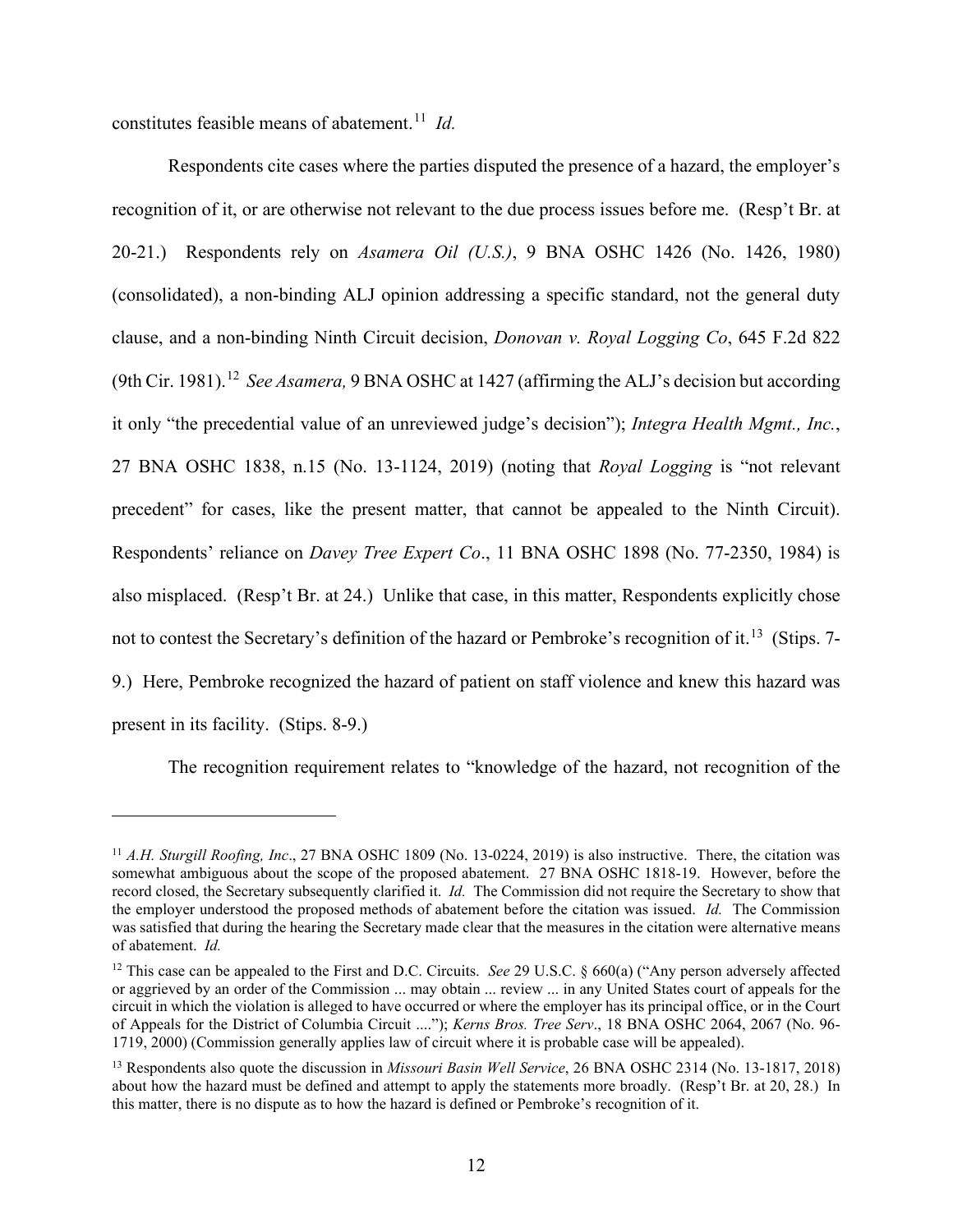constitutes feasible means of abatement.<sup>11</sup> *Id.* 

Respondents cite cases where the parties disputed the presence of a hazard, the employer's recognition of it, or are otherwise not relevant to the due process issues before me. (Resp't Br. at 20-21.) Respondents rely on *Asamera Oil (U.S.)*, 9 BNA OSHC 1426 (No. 1426, 1980) (consolidated), a non-binding ALJ opinion addressing a specific standard, not the general duty clause, and a non-binding Ninth Circuit decision, *Donovan v. Royal Logging Co*, 645 F.2d 822 (9th Cir. 1981). 12 *See Asamera,* 9 BNA OSHC at 1427 (affirming the ALJ's decision but according it only "the precedential value of an unreviewed judge's decision"); *Integra Health Mgmt., Inc.*, 27 BNA OSHC 1838, n.15 (No. 13-1124, 2019) (noting that *Royal Logging* is "not relevant precedent" for cases, like the present matter, that cannot be appealed to the Ninth Circuit). Respondents' reliance on *Davey Tree Expert Co*., 11 BNA OSHC 1898 (No. 77-2350, 1984) is also misplaced. (Resp't Br. at 24.) Unlike that case, in this matter, Respondents explicitly chose not to contest the Secretary's definition of the hazard or Pembroke's recognition of it.<sup>13</sup> (Stips. 7-9.) Here, Pembroke recognized the hazard of patient on staff violence and knew this hazard was present in its facility. (Stips. 8-9.)

The recognition requirement relates to "knowledge of the hazard, not recognition of the

<sup>&</sup>lt;sup>11</sup> *A.H. Sturgill Roofing, Inc.*, 27 BNA OSHC 1809 (No. 13-0224, 2019) is also instructive. There, the citation was somewhat ambiguous about the scope of the proposed abatement. 27 BNA OSHC 1818-19. However, before the record closed, the Secretary subsequently clarified it. *Id.* The Commission did not require the Secretary to show that the employer understood the proposed methods of abatement before the citation was issued. *Id.* The Commission was satisfied that during the hearing the Secretary made clear that the measures in the citation were alternative means of abatement. *Id.* 

<sup>&</sup>lt;sup>12</sup> This case can be appealed to the First and D.C. Circuits. *See* 29 U.S.C. § 660(a) ("Any person adversely affected or aggrieved by an order of the Commission ... may obtain ... review ... in any United States court of appeals for the circuit in which the violation is alleged to have occurred or where the employer has its principal office, or in the Court of Appeals for the District of Columbia Circuit ...."); *Kerns Bros. Tree Serv*., 18 BNA OSHC 2064, 2067 (No. 96- 1719, 2000) (Commission generally applies law of circuit where it is probable case will be appealed).

<sup>13</sup> Respondents also quote the discussion in *Missouri Basin Well Service*, 26 BNA OSHC 2314 (No. 13-1817, 2018) about how the hazard must be defined and attempt to apply the statements more broadly. (Resp't Br. at 20, 28.) In this matter, there is no dispute as to how the hazard is defined or Pembroke's recognition of it.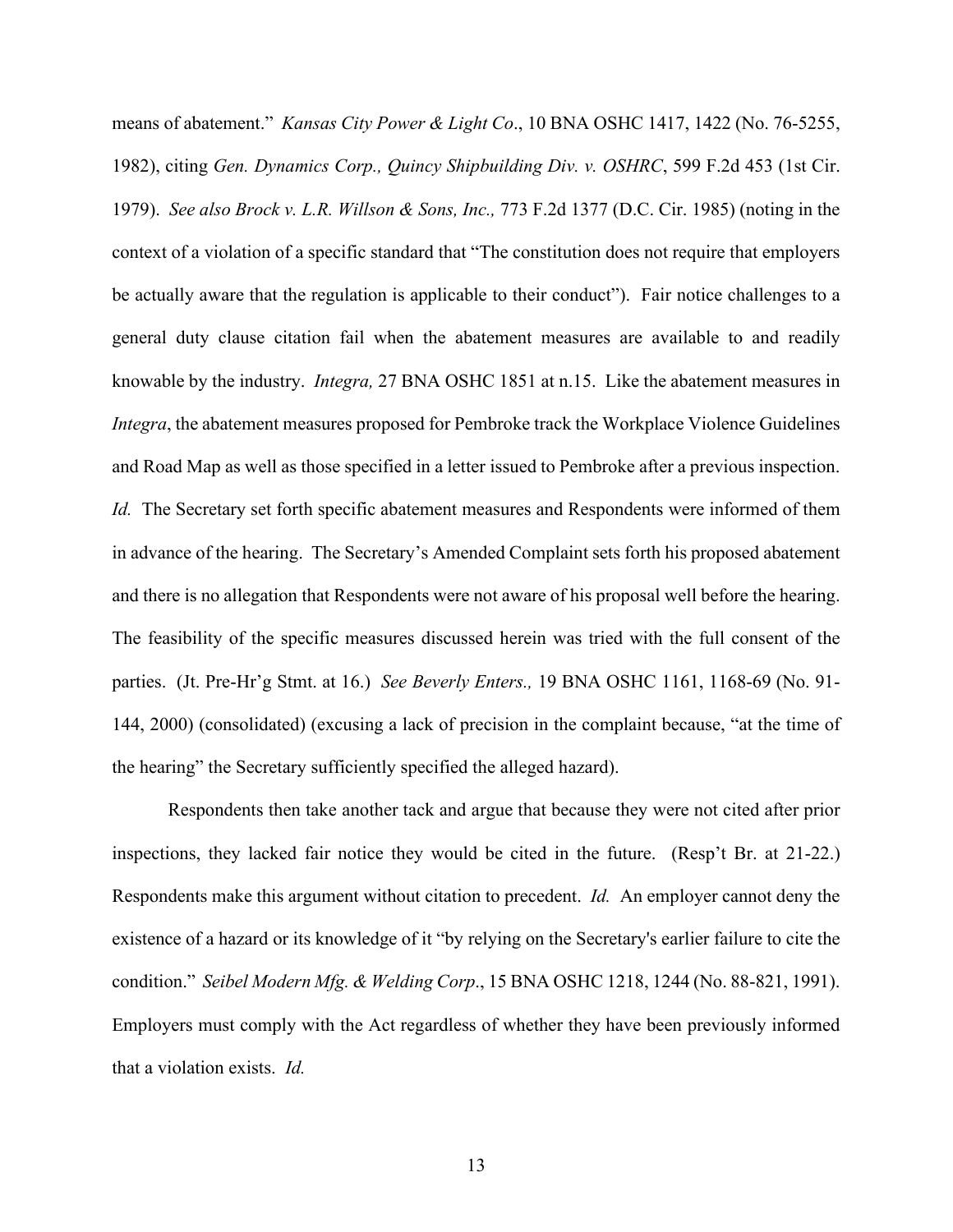means of abatement." *Kansas City Power & Light Co*., 10 BNA OSHC 1417, 1422 (No. 76-5255, 1982), citing *Gen. Dynamics Corp., Quincy Shipbuilding Div. v. OSHRC*, 599 F.2d 453 (1st Cir. 1979). *See also Brock v. L.R. Willson & Sons, Inc.,* 773 F.2d 1377 (D.C. Cir. 1985) (noting in the context of a violation of a specific standard that "The constitution does not require that employers be actually aware that the regulation is applicable to their conduct"). Fair notice challenges to a general duty clause citation fail when the abatement measures are available to and readily knowable by the industry. *Integra,* 27 BNA OSHC 1851 at n.15. Like the abatement measures in *Integra*, the abatement measures proposed for Pembroke track the Workplace Violence Guidelines and Road Map as well as those specified in a letter issued to Pembroke after a previous inspection. *Id.* The Secretary set forth specific abatement measures and Respondents were informed of them in advance of the hearing. The Secretary's Amended Complaint sets forth his proposed abatement and there is no allegation that Respondents were not aware of his proposal well before the hearing. The feasibility of the specific measures discussed herein was tried with the full consent of the parties. (Jt. Pre-Hr'g Stmt. at 16.) *See Beverly Enters.,* 19 BNA OSHC 1161, 1168-69 (No. 91- 144, 2000) (consolidated) (excusing a lack of precision in the complaint because, "at the time of the hearing" the Secretary sufficiently specified the alleged hazard).

Respondents then take another tack and argue that because they were not cited after prior inspections, they lacked fair notice they would be cited in the future. (Resp't Br. at 21-22.) Respondents make this argument without citation to precedent. *Id.* An employer cannot deny the existence of a hazard or its knowledge of it "by relying on the Secretary's earlier failure to cite the condition." *Seibel Modern Mfg. & Welding Corp*., 15 BNA OSHC 1218, 1244 (No. 88-821, 1991). Employers must comply with the Act regardless of whether they have been previously informed that a violation exists. *Id.*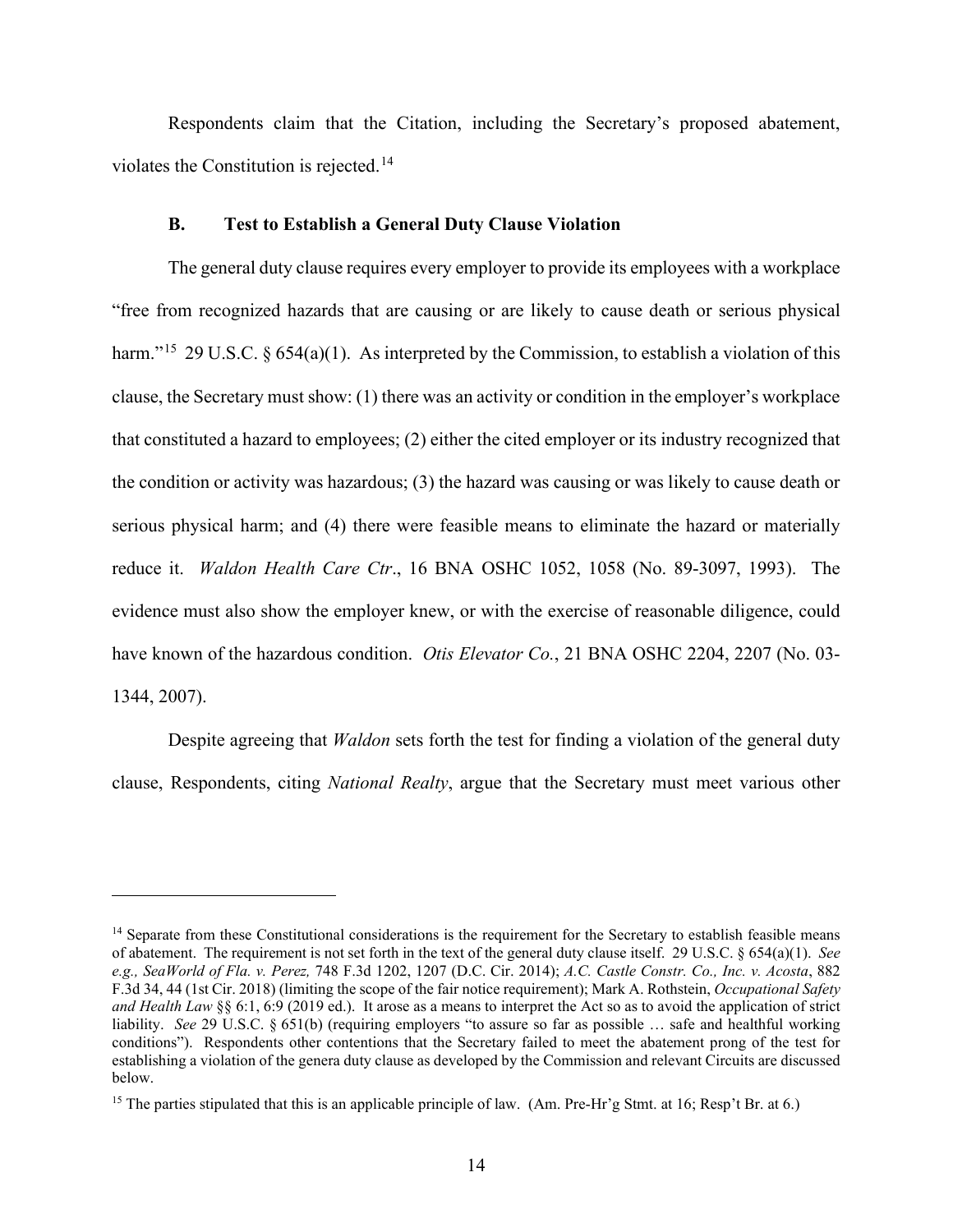Respondents claim that the Citation, including the Secretary's proposed abatement, violates the Constitution is rejected.<sup>14</sup>

#### **B. Test to Establish a General Duty Clause Violation**

The general duty clause requires every employer to provide its employees with a workplace "free from recognized hazards that are causing or are likely to cause death or serious physical harm."<sup>15</sup> 29 U.S.C. § 654(a)(1). As interpreted by the Commission, to establish a violation of this clause, the Secretary must show: (1) there was an activity or condition in the employer's workplace that constituted a hazard to employees; (2) either the cited employer or its industry recognized that the condition or activity was hazardous; (3) the hazard was causing or was likely to cause death or serious physical harm; and (4) there were feasible means to eliminate the hazard or materially reduce it. *Waldon Health Care Ctr*., 16 BNA OSHC 1052, 1058 (No. 89-3097, 1993). The evidence must also show the employer knew, or with the exercise of reasonable diligence, could have known of the hazardous condition. *Otis Elevator Co.*, 21 BNA OSHC 2204, 2207 (No. 03- 1344, 2007).

Despite agreeing that *Waldon* sets forth the test for finding a violation of the general duty clause, Respondents, citing *National Realty*, argue that the Secretary must meet various other

<sup>&</sup>lt;sup>14</sup> Separate from these Constitutional considerations is the requirement for the Secretary to establish feasible means of abatement. The requirement is not set forth in the text of the general duty clause itself. 29 U.S.C. § 654(a)(1). *See e.g., SeaWorld of Fla. v. Perez,* 748 F.3d 1202, 1207 (D.C. Cir. 2014); *A.C. Castle Constr. Co., Inc. v. Acosta*, 882 F.3d 34, 44 (1st Cir. 2018) (limiting the scope of the fair notice requirement); Mark A. Rothstein, *Occupational Safety and Health Law* §§ 6:1, 6:9 (2019 ed.). It arose as a means to interpret the Act so as to avoid the application of strict liability. *See* 29 U.S.C. § 651(b) (requiring employers "to assure so far as possible … safe and healthful working conditions"). Respondents other contentions that the Secretary failed to meet the abatement prong of the test for establishing a violation of the genera duty clause as developed by the Commission and relevant Circuits are discussed below.

<sup>&</sup>lt;sup>15</sup> The parties stipulated that this is an applicable principle of law. (Am. Pre-Hr'g Stmt. at 16; Resp't Br. at 6.)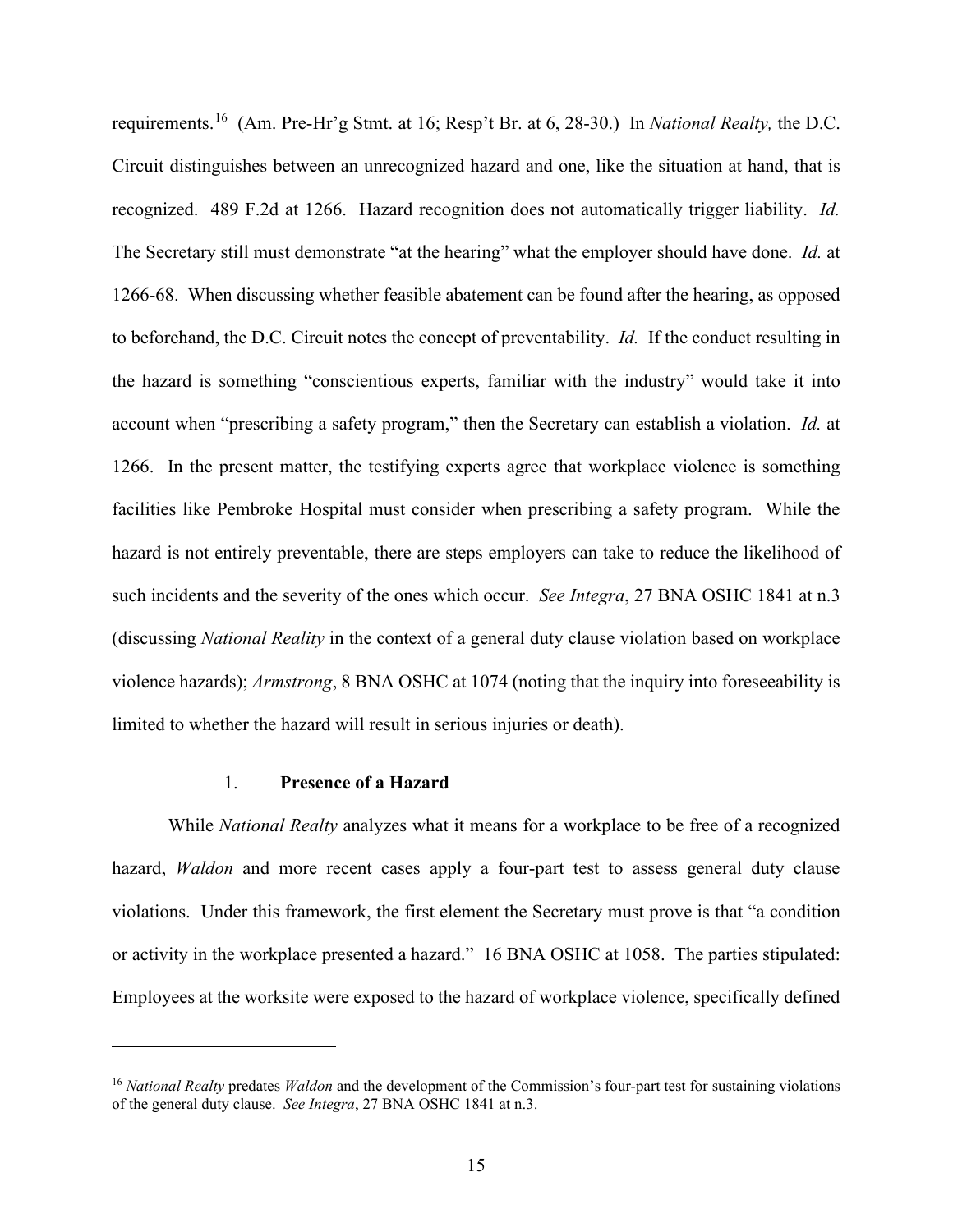requirements. 16 (Am. Pre-Hr'g Stmt. at 16; Resp't Br. at 6, 28-30.) In *National Realty,* the D.C. Circuit distinguishes between an unrecognized hazard and one, like the situation at hand, that is recognized. 489 F.2d at 1266. Hazard recognition does not automatically trigger liability. *Id.*  The Secretary still must demonstrate "at the hearing" what the employer should have done. *Id.* at 1266-68. When discussing whether feasible abatement can be found after the hearing, as opposed to beforehand, the D.C. Circuit notes the concept of preventability. *Id.* If the conduct resulting in the hazard is something "conscientious experts, familiar with the industry" would take it into account when "prescribing a safety program," then the Secretary can establish a violation. *Id.* at 1266. In the present matter, the testifying experts agree that workplace violence is something facilities like Pembroke Hospital must consider when prescribing a safety program. While the hazard is not entirely preventable, there are steps employers can take to reduce the likelihood of such incidents and the severity of the ones which occur. *See Integra*, 27 BNA OSHC 1841 at n.3 (discussing *National Reality* in the context of a general duty clause violation based on workplace violence hazards); *Armstrong*, 8 BNA OSHC at 1074 (noting that the inquiry into foreseeability is limited to whether the hazard will result in serious injuries or death).

### 1. **Presence of a Hazard**

While *National Realty* analyzes what it means for a workplace to be free of a recognized hazard, *Waldon* and more recent cases apply a four-part test to assess general duty clause violations. Under this framework, the first element the Secretary must prove is that "a condition or activity in the workplace presented a hazard." 16 BNA OSHC at 1058. The parties stipulated: Employees at the worksite were exposed to the hazard of workplace violence, specifically defined

<sup>16</sup> *National Realty* predates *Waldon* and the development of the Commission's four-part test for sustaining violations of the general duty clause. *See Integra*, 27 BNA OSHC 1841 at n.3.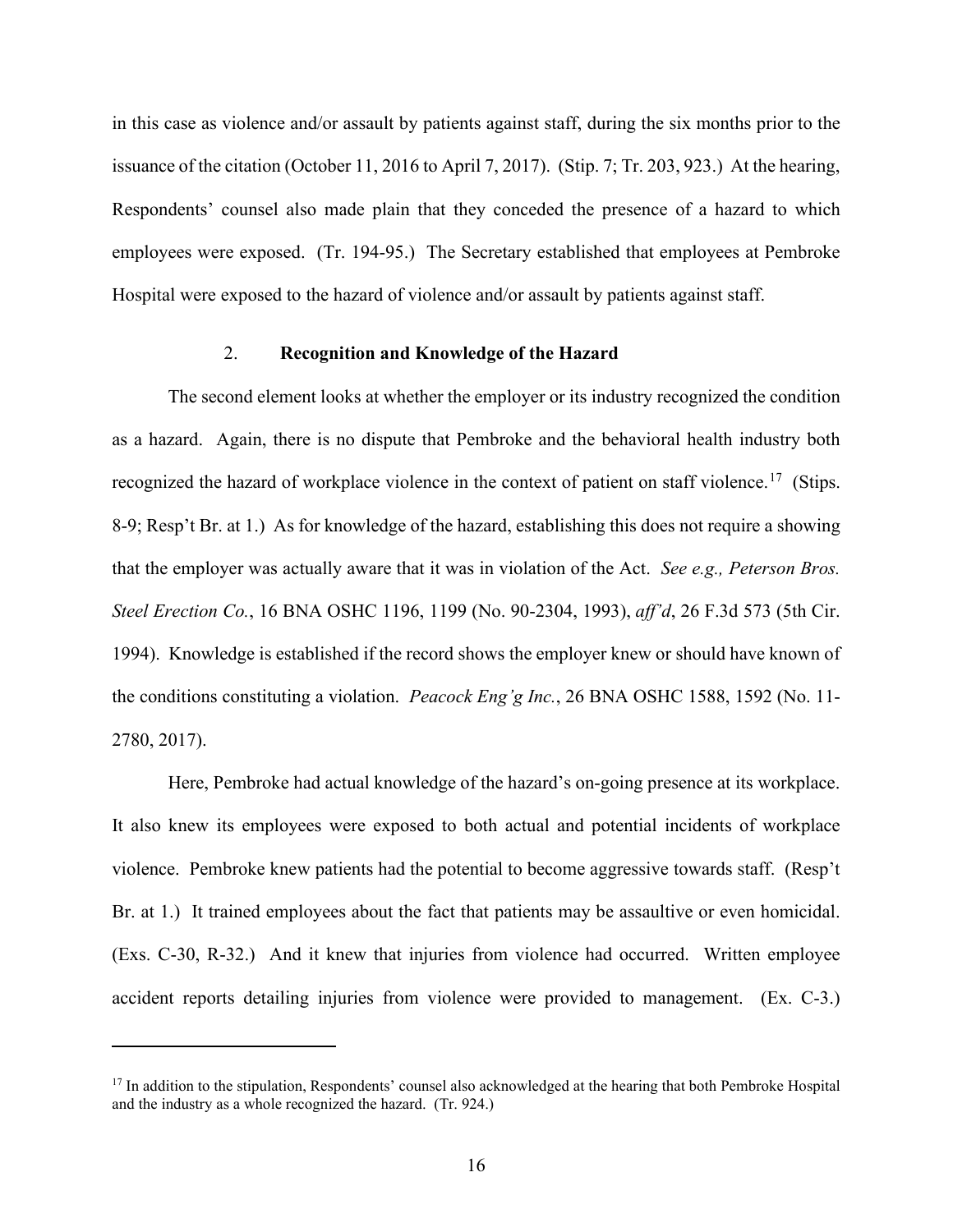in this case as violence and/or assault by patients against staff, during the six months prior to the issuance of the citation (October 11, 2016 to April 7, 2017). (Stip. 7; Tr. 203, 923.) At the hearing, Respondents' counsel also made plain that they conceded the presence of a hazard to which employees were exposed. (Tr. 194-95.) The Secretary established that employees at Pembroke Hospital were exposed to the hazard of violence and/or assault by patients against staff.

### 2. **Recognition and Knowledge of the Hazard**

The second element looks at whether the employer or its industry recognized the condition as a hazard. Again, there is no dispute that Pembroke and the behavioral health industry both recognized the hazard of workplace violence in the context of patient on staff violence.<sup>17</sup> (Stips. 8-9; Resp't Br. at 1.) As for knowledge of the hazard, establishing this does not require a showing that the employer was actually aware that it was in violation of the Act. *See e.g., Peterson Bros. Steel Erection Co.*, 16 BNA OSHC 1196, 1199 (No. 90-2304, 1993), *aff'd*, 26 F.3d 573 (5th Cir. 1994). Knowledge is established if the record shows the employer knew or should have known of the conditions constituting a violation. *Peacock Eng'g Inc.*, 26 BNA OSHC 1588, 1592 (No. 11- 2780, 2017).

Here, Pembroke had actual knowledge of the hazard's on-going presence at its workplace. It also knew its employees were exposed to both actual and potential incidents of workplace violence. Pembroke knew patients had the potential to become aggressive towards staff. (Resp't Br. at 1.) It trained employees about the fact that patients may be assaultive or even homicidal. (Exs. C-30, R-32.) And it knew that injuries from violence had occurred. Written employee accident reports detailing injuries from violence were provided to management. (Ex. C-3.)

<sup>&</sup>lt;sup>17</sup> In addition to the stipulation, Respondents' counsel also acknowledged at the hearing that both Pembroke Hospital and the industry as a whole recognized the hazard. (Tr. 924.)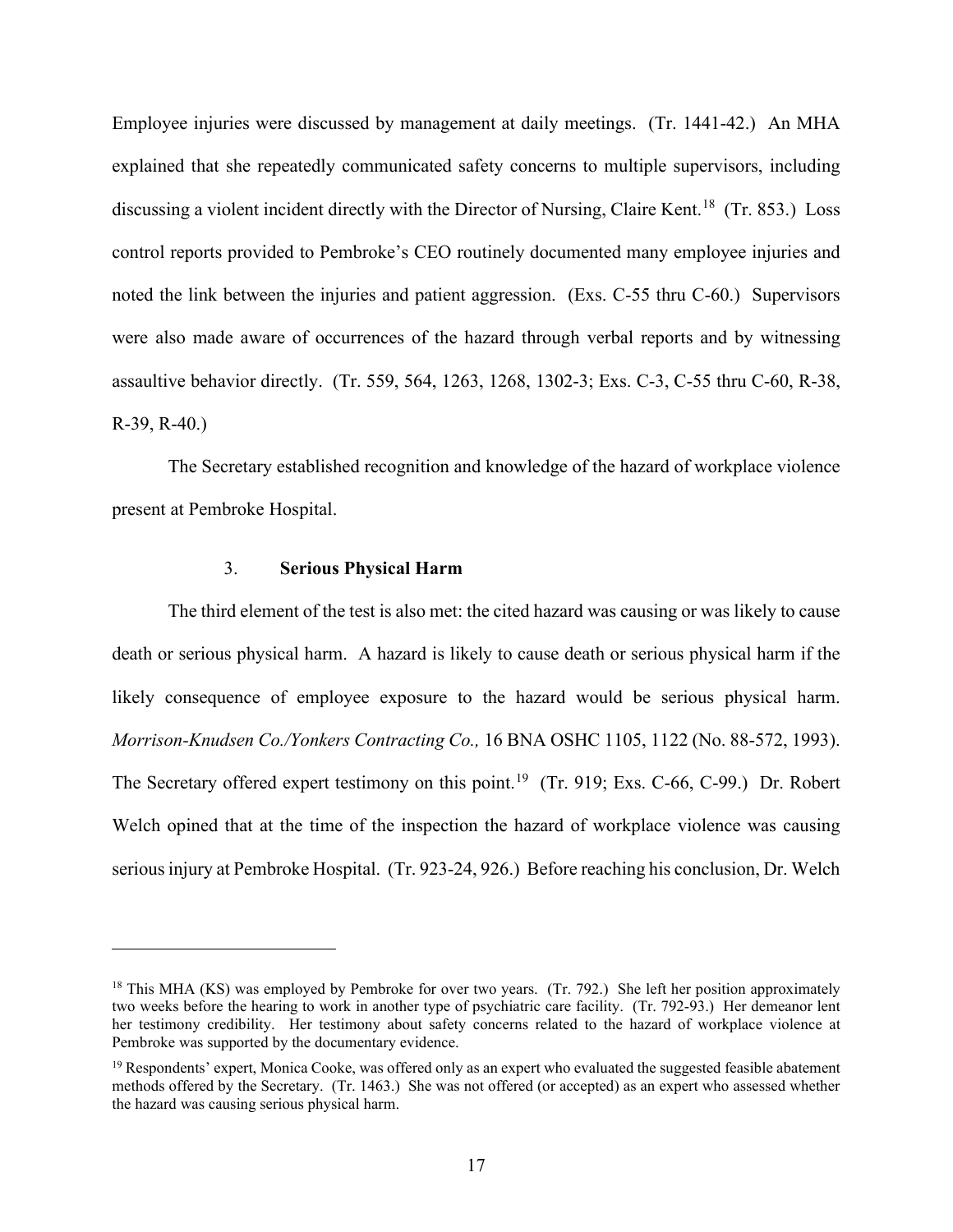Employee injuries were discussed by management at daily meetings. (Tr. 1441-42.) An MHA explained that she repeatedly communicated safety concerns to multiple supervisors, including discussing a violent incident directly with the Director of Nursing, Claire Kent.<sup>18</sup> (Tr. 853.) Loss control reports provided to Pembroke's CEO routinely documented many employee injuries and noted the link between the injuries and patient aggression. (Exs. C-55 thru C-60.) Supervisors were also made aware of occurrences of the hazard through verbal reports and by witnessing assaultive behavior directly. (Tr. 559, 564, 1263, 1268, 1302-3; Exs. C-3, C-55 thru C-60, R-38, R-39, R-40.)

The Secretary established recognition and knowledge of the hazard of workplace violence present at Pembroke Hospital.

### 3. **Serious Physical Harm**

The third element of the test is also met: the cited hazard was causing or was likely to cause death or serious physical harm. A hazard is likely to cause death or serious physical harm if the likely consequence of employee exposure to the hazard would be serious physical harm. *Morrison-Knudsen Co./Yonkers Contracting Co.,* 16 BNA OSHC 1105, 1122 (No. 88-572, 1993). The Secretary offered expert testimony on this point.<sup>19</sup> (Tr. 919; Exs. C-66, C-99.) Dr. Robert Welch opined that at the time of the inspection the hazard of workplace violence was causing serious injury at Pembroke Hospital. (Tr. 923-24, 926.) Before reaching his conclusion, Dr. Welch

<sup>&</sup>lt;sup>18</sup> This MHA (KS) was employed by Pembroke for over two years. (Tr. 792.) She left her position approximately two weeks before the hearing to work in another type of psychiatric care facility. (Tr. 792-93.) Her demeanor lent her testimony credibility. Her testimony about safety concerns related to the hazard of workplace violence at Pembroke was supported by the documentary evidence.

 $19$  Respondents' expert, Monica Cooke, was offered only as an expert who evaluated the suggested feasible abatement methods offered by the Secretary. (Tr. 1463.) She was not offered (or accepted) as an expert who assessed whether the hazard was causing serious physical harm.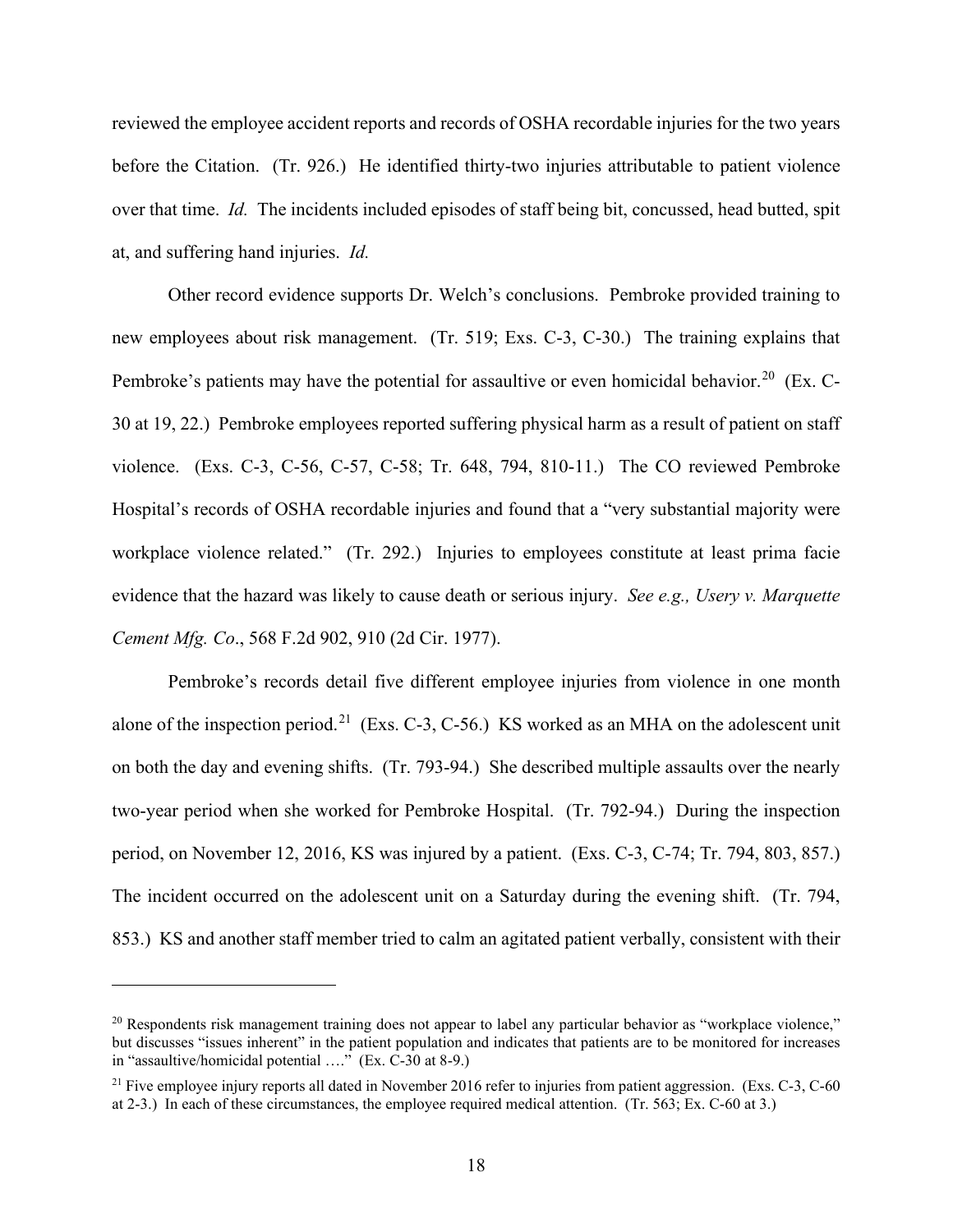reviewed the employee accident reports and records of OSHA recordable injuries for the two years before the Citation. (Tr. 926.) He identified thirty-two injuries attributable to patient violence over that time. *Id.* The incidents included episodes of staff being bit, concussed, head butted, spit at, and suffering hand injuries. *Id.*

Other record evidence supports Dr. Welch's conclusions. Pembroke provided training to new employees about risk management. (Tr. 519; Exs. C-3, C-30.) The training explains that Pembroke's patients may have the potential for assaultive or even homicidal behavior.<sup>20</sup> (Ex. C-30 at 19, 22.) Pembroke employees reported suffering physical harm as a result of patient on staff violence. (Exs. C-3, C-56, C-57, C-58; Tr. 648, 794, 810-11.) The CO reviewed Pembroke Hospital's records of OSHA recordable injuries and found that a "very substantial majority were workplace violence related." (Tr. 292.) Injuries to employees constitute at least prima facie evidence that the hazard was likely to cause death or serious injury. *See e.g., Usery v. Marquette Cement Mfg. Co*., 568 F.2d 902, 910 (2d Cir. 1977).

Pembroke's records detail five different employee injuries from violence in one month alone of the inspection period.<sup>21</sup> (Exs. C-3, C-56.) KS worked as an MHA on the adolescent unit on both the day and evening shifts. (Tr. 793-94.) She described multiple assaults over the nearly two-year period when she worked for Pembroke Hospital. (Tr. 792-94.) During the inspection period, on November 12, 2016, KS was injured by a patient. (Exs. C-3, C-74; Tr. 794, 803, 857.) The incident occurred on the adolescent unit on a Saturday during the evening shift. (Tr. 794, 853.) KS and another staff member tried to calm an agitated patient verbally, consistent with their

<sup>&</sup>lt;sup>20</sup> Respondents risk management training does not appear to label any particular behavior as "workplace violence," but discusses "issues inherent" in the patient population and indicates that patients are to be monitored for increases in "assaultive/homicidal potential …." (Ex. C-30 at 8-9.)

 $21$  Five employee injury reports all dated in November 2016 refer to injuries from patient aggression. (Exs. C-3, C-60) at 2-3.) In each of these circumstances, the employee required medical attention. (Tr. 563; Ex. C-60 at 3.)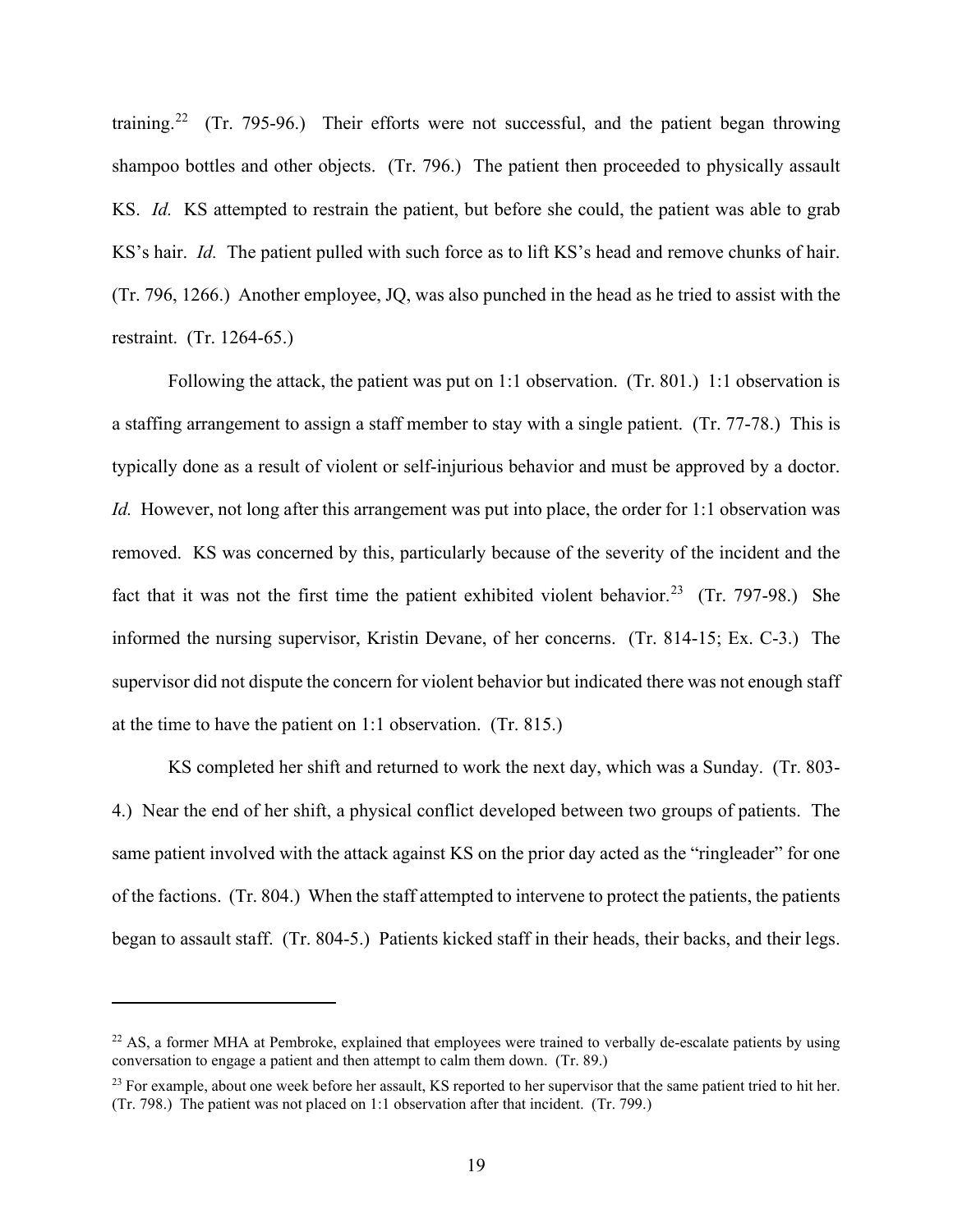training.<sup>22</sup> (Tr. 795-96.) Their efforts were not successful, and the patient began throwing shampoo bottles and other objects. (Tr. 796.) The patient then proceeded to physically assault KS. *Id.* KS attempted to restrain the patient, but before she could, the patient was able to grab KS's hair. *Id.* The patient pulled with such force as to lift KS's head and remove chunks of hair. (Tr. 796, 1266.) Another employee, JQ, was also punched in the head as he tried to assist with the restraint. (Tr. 1264-65.)

Following the attack, the patient was put on 1:1 observation. (Tr. 801.) 1:1 observation is a staffing arrangement to assign a staff member to stay with a single patient. (Tr. 77-78.) This is typically done as a result of violent or self-injurious behavior and must be approved by a doctor. *Id.* However, not long after this arrangement was put into place, the order for 1:1 observation was removed. KS was concerned by this, particularly because of the severity of the incident and the fact that it was not the first time the patient exhibited violent behavior.<sup>23</sup> (Tr. 797-98.) She informed the nursing supervisor, Kristin Devane, of her concerns. (Tr. 814-15; Ex. C-3.) The supervisor did not dispute the concern for violent behavior but indicated there was not enough staff at the time to have the patient on 1:1 observation. (Tr. 815.)

KS completed her shift and returned to work the next day, which was a Sunday. (Tr. 803- 4.) Near the end of her shift, a physical conflict developed between two groups of patients. The same patient involved with the attack against KS on the prior day acted as the "ringleader" for one of the factions. (Tr. 804.) When the staff attempted to intervene to protect the patients, the patients began to assault staff. (Tr. 804-5.) Patients kicked staff in their heads, their backs, and their legs.

 $^{22}$  AS, a former MHA at Pembroke, explained that employees were trained to verbally de-escalate patients by using conversation to engage a patient and then attempt to calm them down. (Tr. 89.)

<sup>&</sup>lt;sup>23</sup> For example, about one week before her assault, KS reported to her supervisor that the same patient tried to hit her. (Tr. 798.) The patient was not placed on 1:1 observation after that incident. (Tr. 799.)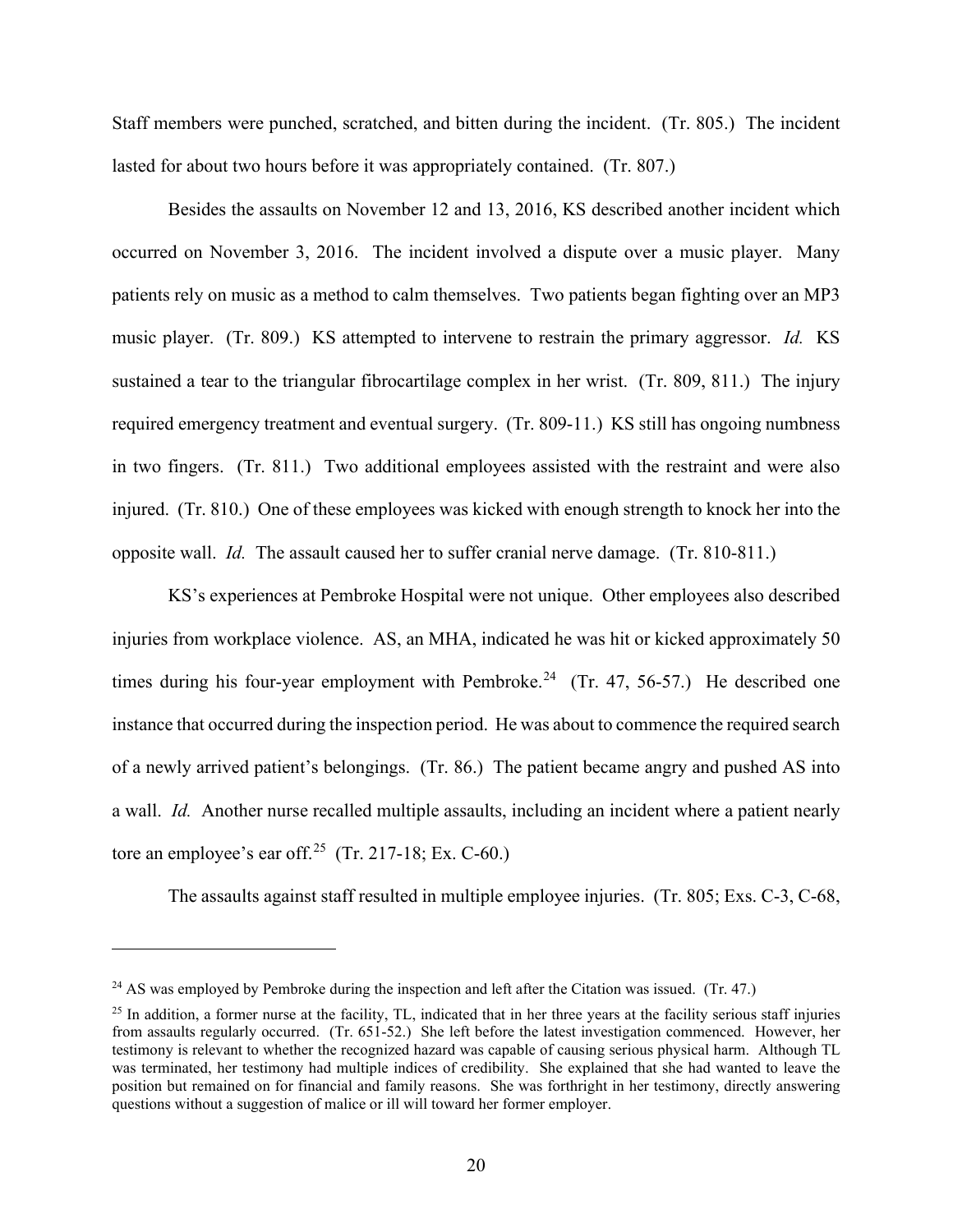Staff members were punched, scratched, and bitten during the incident. (Tr. 805.) The incident lasted for about two hours before it was appropriately contained. (Tr. 807.)

Besides the assaults on November 12 and 13, 2016, KS described another incident which occurred on November 3, 2016. The incident involved a dispute over a music player. Many patients rely on music as a method to calm themselves. Two patients began fighting over an MP3 music player. (Tr. 809.) KS attempted to intervene to restrain the primary aggressor. *Id.* KS sustained a tear to the triangular fibrocartilage complex in her wrist. (Tr. 809, 811.) The injury required emergency treatment and eventual surgery. (Tr. 809-11.) KS still has ongoing numbness in two fingers. (Tr. 811.) Two additional employees assisted with the restraint and were also injured. (Tr. 810.) One of these employees was kicked with enough strength to knock her into the opposite wall. *Id.* The assault caused her to suffer cranial nerve damage. (Tr. 810-811.)

KS's experiences at Pembroke Hospital were not unique. Other employees also described injuries from workplace violence. AS, an MHA, indicated he was hit or kicked approximately 50 times during his four-year employment with Pembroke.<sup>24</sup> (Tr. 47, 56-57.) He described one instance that occurred during the inspection period. He was about to commence the required search of a newly arrived patient's belongings. (Tr. 86.) The patient became angry and pushed AS into a wall. *Id.* Another nurse recalled multiple assaults, including an incident where a patient nearly tore an employee's ear off.<sup>25</sup> (Tr. 217-18; Ex. C-60.)

The assaults against staff resulted in multiple employee injuries. (Tr. 805; Exs. C-3, C-68,

 $24$  AS was employed by Pembroke during the inspection and left after the Citation was issued. (Tr. 47.)

 $25$  In addition, a former nurse at the facility, TL, indicated that in her three years at the facility serious staff injuries from assaults regularly occurred. (Tr. 651-52.) She left before the latest investigation commenced. However, her testimony is relevant to whether the recognized hazard was capable of causing serious physical harm. Although TL was terminated, her testimony had multiple indices of credibility. She explained that she had wanted to leave the position but remained on for financial and family reasons. She was forthright in her testimony, directly answering questions without a suggestion of malice or ill will toward her former employer.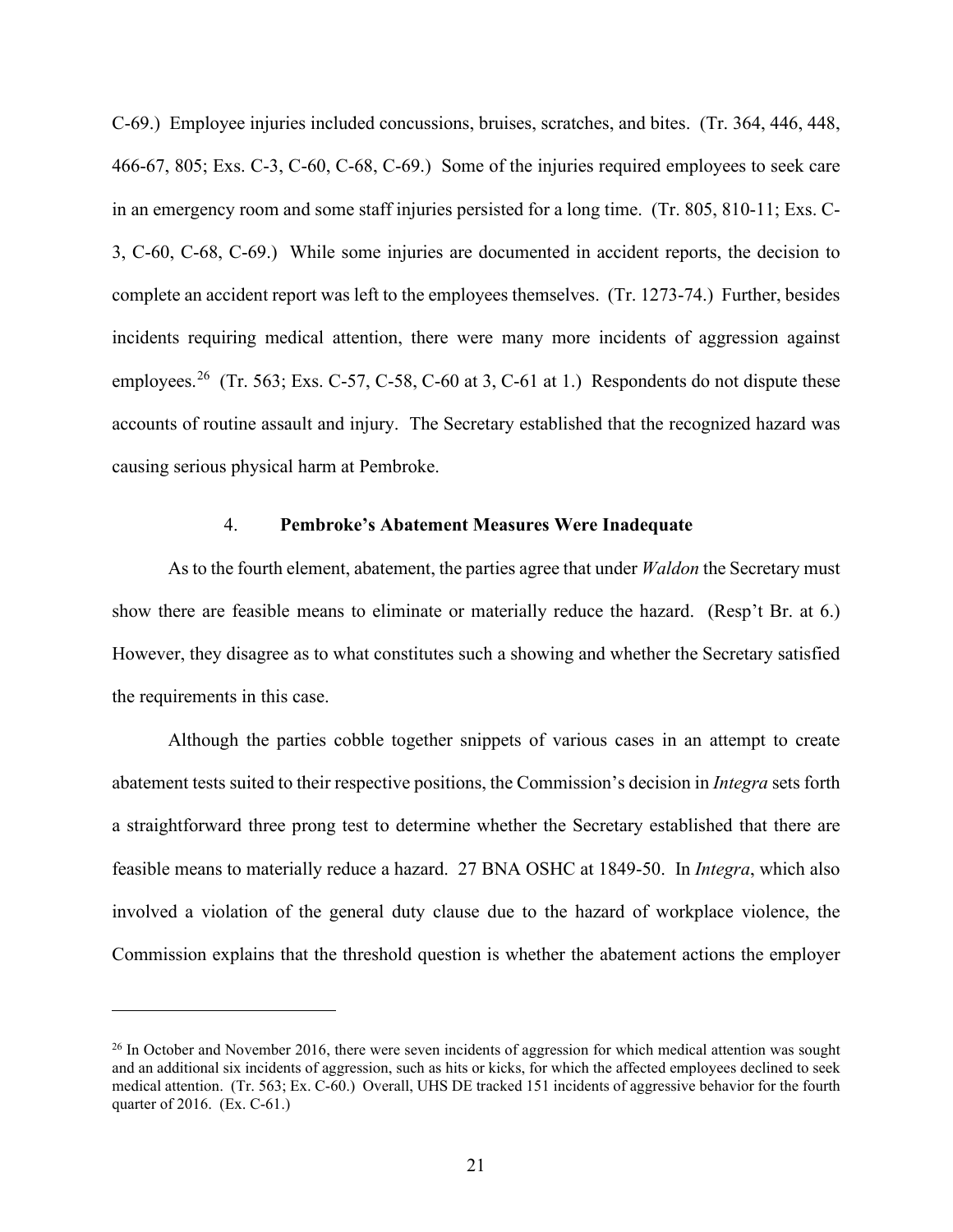C-69.) Employee injuries included concussions, bruises, scratches, and bites. (Tr. 364, 446, 448, 466-67, 805; Exs. C-3, C-60, C-68, C-69.) Some of the injuries required employees to seek care in an emergency room and some staff injuries persisted for a long time. (Tr. 805, 810-11; Exs. C-3, C-60, C-68, C-69.) While some injuries are documented in accident reports, the decision to complete an accident report was left to the employees themselves. (Tr. 1273-74.) Further, besides incidents requiring medical attention, there were many more incidents of aggression against employees.<sup>26</sup> (Tr. 563; Exs. C-57, C-58, C-60 at 3, C-61 at 1.) Respondents do not dispute these accounts of routine assault and injury. The Secretary established that the recognized hazard was causing serious physical harm at Pembroke.

#### 4. **Pembroke's Abatement Measures Were Inadequate**

As to the fourth element, abatement, the parties agree that under *Waldon* the Secretary must show there are feasible means to eliminate or materially reduce the hazard. (Resp't Br. at 6.) However, they disagree as to what constitutes such a showing and whether the Secretary satisfied the requirements in this case.

Although the parties cobble together snippets of various cases in an attempt to create abatement tests suited to their respective positions, the Commission's decision in *Integra* sets forth a straightforward three prong test to determine whether the Secretary established that there are feasible means to materially reduce a hazard. 27 BNA OSHC at 1849-50. In *Integra*, which also involved a violation of the general duty clause due to the hazard of workplace violence, the Commission explains that the threshold question is whether the abatement actions the employer

 $26$  In October and November 2016, there were seven incidents of aggression for which medical attention was sought and an additional six incidents of aggression, such as hits or kicks, for which the affected employees declined to seek medical attention. (Tr. 563; Ex. C-60.) Overall, UHS DE tracked 151 incidents of aggressive behavior for the fourth quarter of 2016. (Ex. C-61.)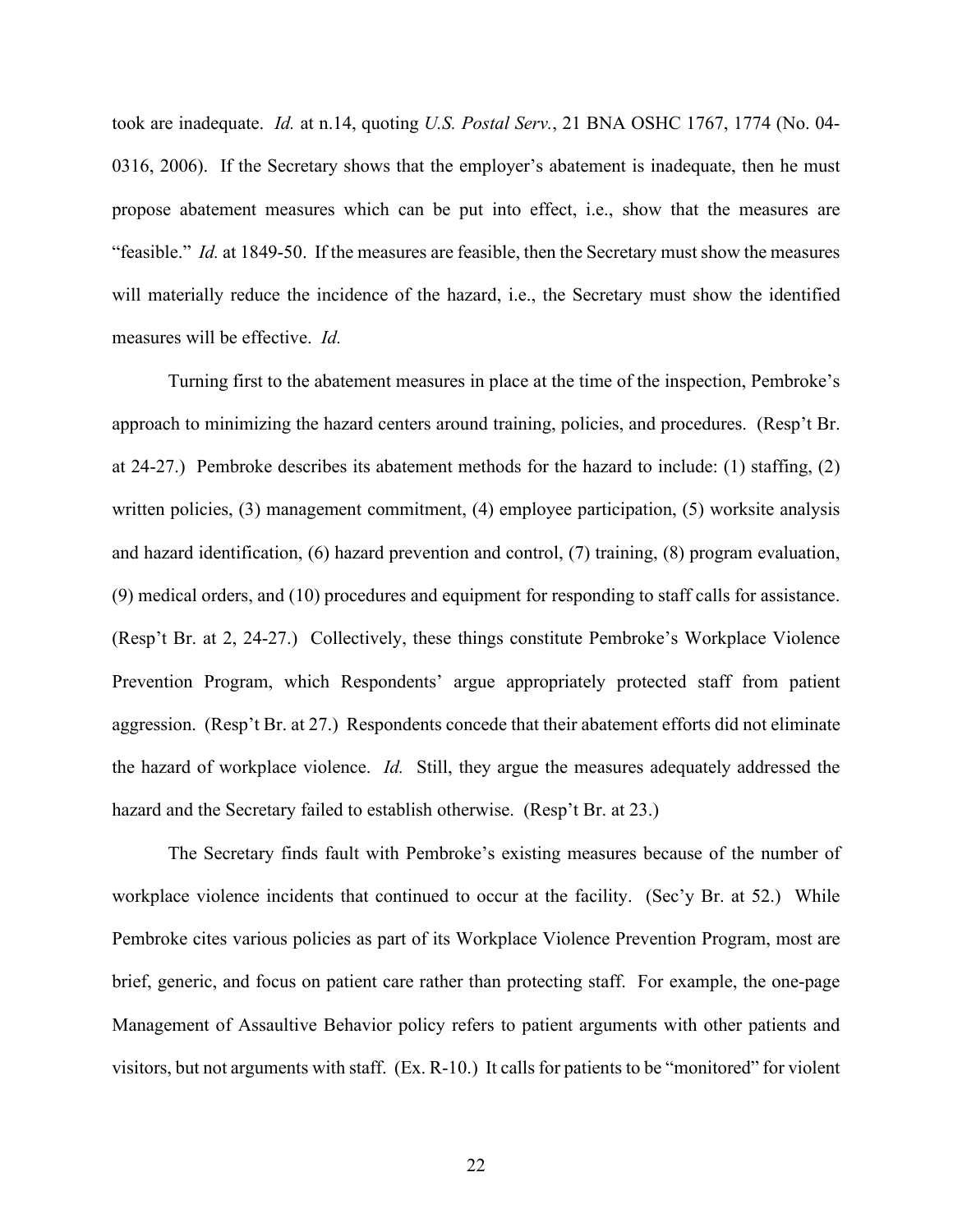took are inadequate. *Id.* at n.14, quoting *U.S. Postal Serv.*, 21 BNA OSHC 1767, 1774 (No. 04- 0316, 2006). If the Secretary shows that the employer's abatement is inadequate, then he must propose abatement measures which can be put into effect, i.e., show that the measures are "feasible." *Id.* at 1849-50. If the measures are feasible, then the Secretary must show the measures will materially reduce the incidence of the hazard, i.e., the Secretary must show the identified measures will be effective. *Id.* 

Turning first to the abatement measures in place at the time of the inspection, Pembroke's approach to minimizing the hazard centers around training, policies, and procedures. (Resp't Br. at 24-27.) Pembroke describes its abatement methods for the hazard to include: (1) staffing, (2) written policies, (3) management commitment, (4) employee participation, (5) worksite analysis and hazard identification, (6) hazard prevention and control, (7) training, (8) program evaluation, (9) medical orders, and (10) procedures and equipment for responding to staff calls for assistance. (Resp't Br. at 2, 24-27.) Collectively, these things constitute Pembroke's Workplace Violence Prevention Program, which Respondents' argue appropriately protected staff from patient aggression. (Resp't Br. at 27.) Respondents concede that their abatement efforts did not eliminate the hazard of workplace violence. *Id.* Still, they argue the measures adequately addressed the hazard and the Secretary failed to establish otherwise. (Resp't Br. at 23.)

The Secretary finds fault with Pembroke's existing measures because of the number of workplace violence incidents that continued to occur at the facility. (Sec'y Br. at 52.) While Pembroke cites various policies as part of its Workplace Violence Prevention Program, most are brief, generic, and focus on patient care rather than protecting staff. For example, the one-page Management of Assaultive Behavior policy refers to patient arguments with other patients and visitors, but not arguments with staff. (Ex. R-10.) It calls for patients to be "monitored" for violent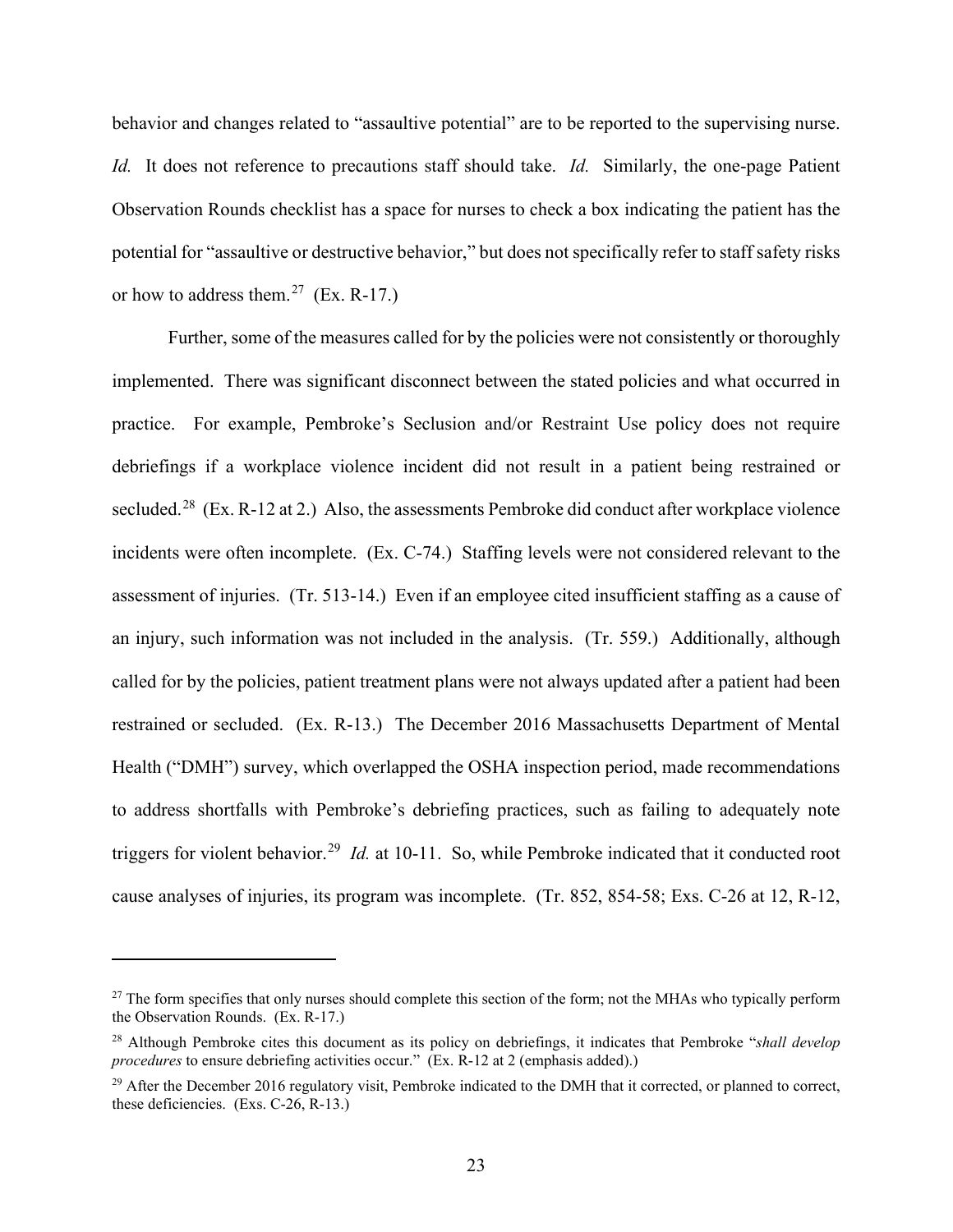behavior and changes related to "assaultive potential" are to be reported to the supervising nurse. *Id.* It does not reference to precautions staff should take. *Id.* Similarly, the one-page Patient Observation Rounds checklist has a space for nurses to check a box indicating the patient has the potential for "assaultive or destructive behavior," but does not specifically refer to staff safety risks or how to address them.<sup>27</sup> (Ex. R-17.)

Further, some of the measures called for by the policies were not consistently or thoroughly implemented. There was significant disconnect between the stated policies and what occurred in practice. For example, Pembroke's Seclusion and/or Restraint Use policy does not require debriefings if a workplace violence incident did not result in a patient being restrained or secluded.<sup>28</sup> (Ex. R-12 at 2.) Also, the assessments Pembroke did conduct after workplace violence incidents were often incomplete. (Ex. C-74.) Staffing levels were not considered relevant to the assessment of injuries. (Tr. 513-14.) Even if an employee cited insufficient staffing as a cause of an injury, such information was not included in the analysis. (Tr. 559.) Additionally, although called for by the policies, patient treatment plans were not always updated after a patient had been restrained or secluded. (Ex. R-13.) The December 2016 Massachusetts Department of Mental Health ("DMH") survey, which overlapped the OSHA inspection period, made recommendations to address shortfalls with Pembroke's debriefing practices, such as failing to adequately note triggers for violent behavior.29 *Id.* at 10-11. So, while Pembroke indicated that it conducted root cause analyses of injuries, its program was incomplete. (Tr. 852, 854-58; Exs. C-26 at 12, R-12,

 $27$  The form specifies that only nurses should complete this section of the form; not the MHAs who typically perform the Observation Rounds. (Ex. R-17.)

<sup>28</sup> Although Pembroke cites this document as its policy on debriefings, it indicates that Pembroke "*shall develop procedures* to ensure debriefing activities occur." (Ex. R-12 at 2 (emphasis added).)

 $^{29}$  After the December 2016 regulatory visit, Pembroke indicated to the DMH that it corrected, or planned to correct, these deficiencies. (Exs. C-26, R-13.)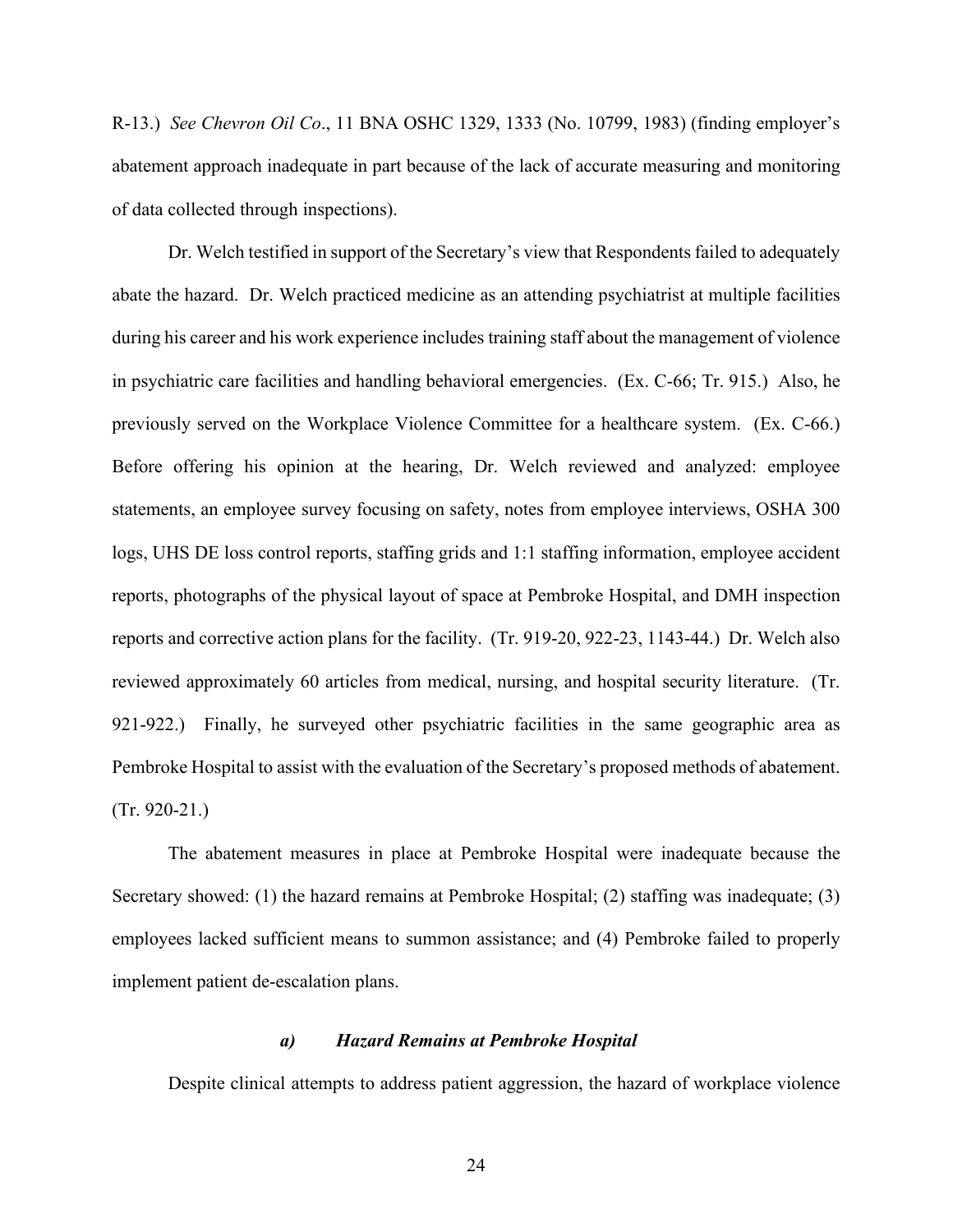R-13.) *See Chevron Oil Co*., 11 BNA OSHC 1329, 1333 (No. 10799, 1983) (finding employer's abatement approach inadequate in part because of the lack of accurate measuring and monitoring of data collected through inspections).

Dr. Welch testified in support of the Secretary's view that Respondents failed to adequately abate the hazard. Dr. Welch practiced medicine as an attending psychiatrist at multiple facilities during his career and his work experience includes training staff about the management of violence in psychiatric care facilities and handling behavioral emergencies. (Ex. C-66; Tr. 915.) Also, he previously served on the Workplace Violence Committee for a healthcare system. (Ex. C-66.) Before offering his opinion at the hearing, Dr. Welch reviewed and analyzed: employee statements, an employee survey focusing on safety, notes from employee interviews, OSHA 300 logs, UHS DE loss control reports, staffing grids and 1:1 staffing information, employee accident reports, photographs of the physical layout of space at Pembroke Hospital, and DMH inspection reports and corrective action plans for the facility. (Tr. 919-20, 922-23, 1143-44.) Dr. Welch also reviewed approximately 60 articles from medical, nursing, and hospital security literature. (Tr. 921-922.) Finally, he surveyed other psychiatric facilities in the same geographic area as Pembroke Hospital to assist with the evaluation of the Secretary's proposed methods of abatement. (Tr. 920-21.)

The abatement measures in place at Pembroke Hospital were inadequate because the Secretary showed: (1) the hazard remains at Pembroke Hospital; (2) staffing was inadequate; (3) employees lacked sufficient means to summon assistance; and (4) Pembroke failed to properly implement patient de-escalation plans.

### *a) Hazard Remains at Pembroke Hospital*

Despite clinical attempts to address patient aggression, the hazard of workplace violence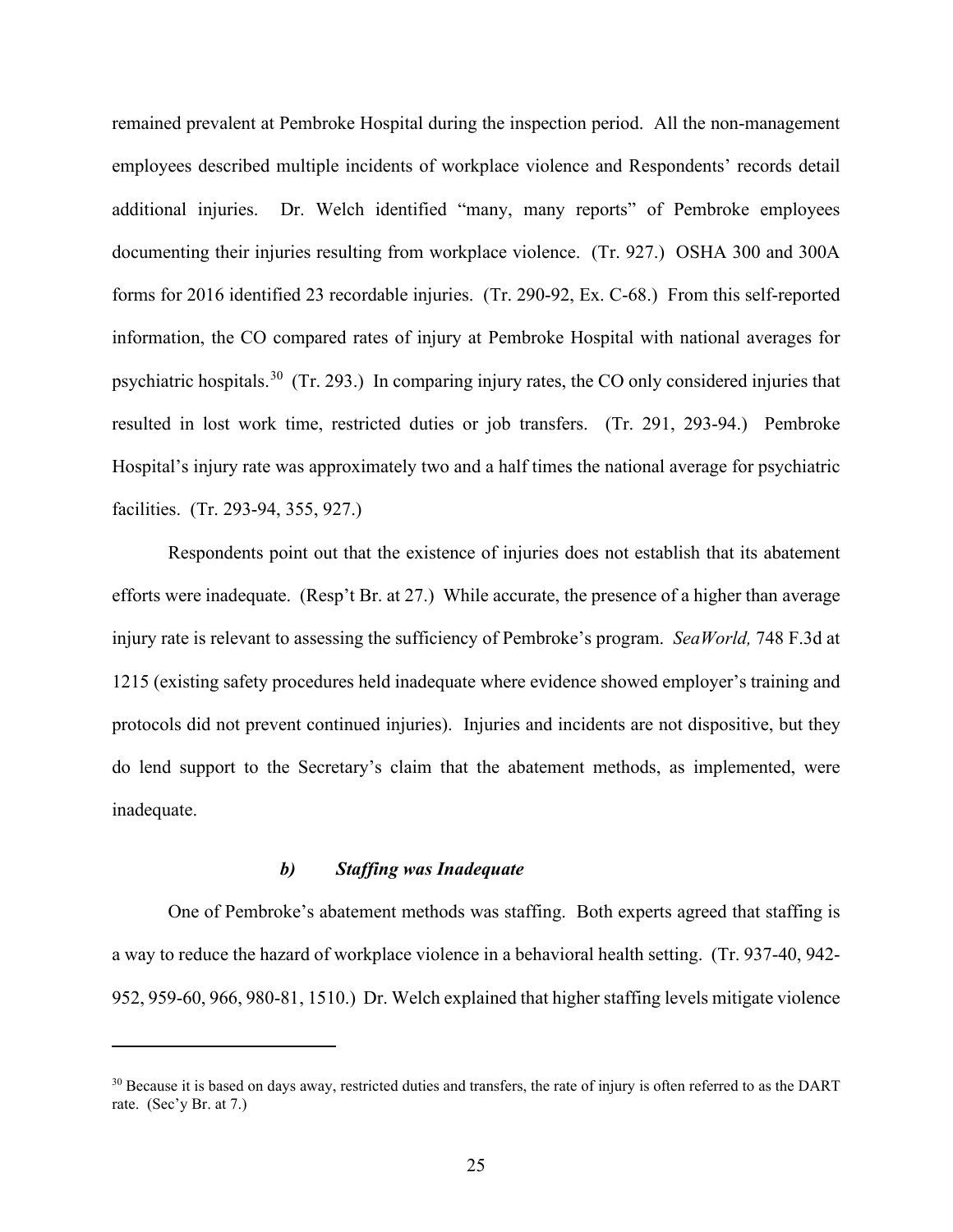remained prevalent at Pembroke Hospital during the inspection period. All the non-management employees described multiple incidents of workplace violence and Respondents' records detail additional injuries. Dr. Welch identified "many, many reports" of Pembroke employees documenting their injuries resulting from workplace violence. (Tr. 927.) OSHA 300 and 300A forms for 2016 identified 23 recordable injuries. (Tr. 290-92, Ex. C-68.) From this self-reported information, the CO compared rates of injury at Pembroke Hospital with national averages for psychiatric hospitals.30 (Tr. 293.) In comparing injury rates, the CO only considered injuries that resulted in lost work time, restricted duties or job transfers. (Tr. 291, 293-94.) Pembroke Hospital's injury rate was approximately two and a half times the national average for psychiatric facilities. (Tr. 293-94, 355, 927.)

Respondents point out that the existence of injuries does not establish that its abatement efforts were inadequate. (Resp't Br. at 27.) While accurate, the presence of a higher than average injury rate is relevant to assessing the sufficiency of Pembroke's program. *SeaWorld,* 748 F.3d at 1215 (existing safety procedures held inadequate where evidence showed employer's training and protocols did not prevent continued injuries). Injuries and incidents are not dispositive, but they do lend support to the Secretary's claim that the abatement methods, as implemented, were inadequate.

# *b) Staffing was Inadequate*

One of Pembroke's abatement methods was staffing. Both experts agreed that staffing is a way to reduce the hazard of workplace violence in a behavioral health setting. (Tr. 937-40, 942- 952, 959-60, 966, 980-81, 1510.) Dr. Welch explained that higher staffing levels mitigate violence

<sup>&</sup>lt;sup>30</sup> Because it is based on days away, restricted duties and transfers, the rate of injury is often referred to as the DART rate. (Sec'y Br. at 7.)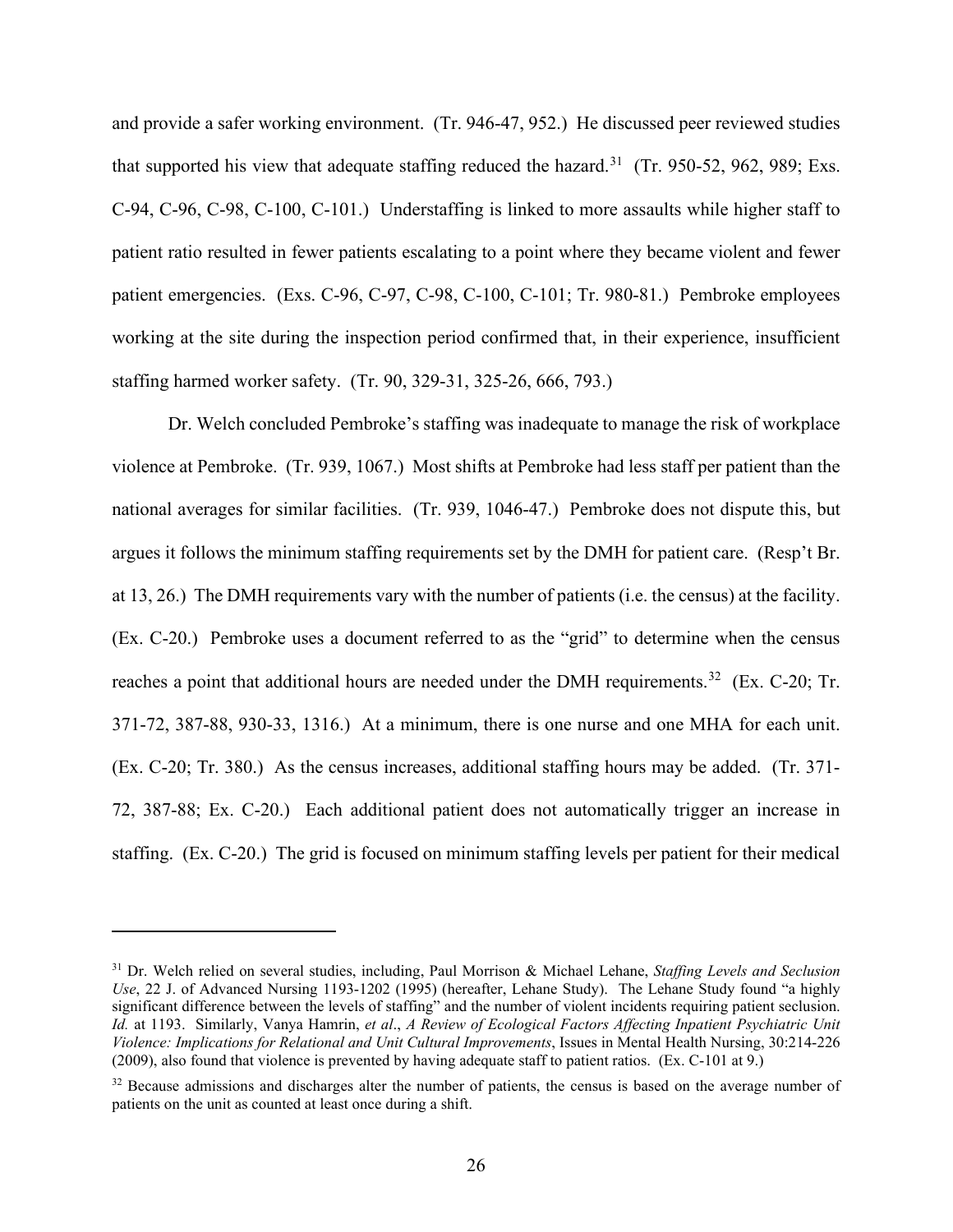and provide a safer working environment. (Tr. 946-47, 952.) He discussed peer reviewed studies that supported his view that adequate staffing reduced the hazard.<sup>31</sup> (Tr. 950-52, 962, 989; Exs. C-94, C-96, C-98, C-100, C-101.) Understaffing is linked to more assaults while higher staff to patient ratio resulted in fewer patients escalating to a point where they became violent and fewer patient emergencies. (Exs. C-96, C-97, C-98, C-100, C-101; Tr. 980-81.) Pembroke employees working at the site during the inspection period confirmed that, in their experience, insufficient staffing harmed worker safety. (Tr. 90, 329-31, 325-26, 666, 793.)

Dr. Welch concluded Pembroke's staffing was inadequate to manage the risk of workplace violence at Pembroke. (Tr. 939, 1067.) Most shifts at Pembroke had less staff per patient than the national averages for similar facilities. (Tr. 939, 1046-47.) Pembroke does not dispute this, but argues it follows the minimum staffing requirements set by the DMH for patient care. (Resp't Br. at 13, 26.) The DMH requirements vary with the number of patients (i.e. the census) at the facility. (Ex. C-20.) Pembroke uses a document referred to as the "grid" to determine when the census reaches a point that additional hours are needed under the DMH requirements.<sup>32</sup> (Ex. C-20; Tr. 371-72, 387-88, 930-33, 1316.) At a minimum, there is one nurse and one MHA for each unit. (Ex. C-20; Tr. 380.) As the census increases, additional staffing hours may be added. (Tr. 371- 72, 387-88; Ex. C-20.) Each additional patient does not automatically trigger an increase in staffing. (Ex. C-20.) The grid is focused on minimum staffing levels per patient for their medical

<sup>31</sup> Dr. Welch relied on several studies, including, Paul Morrison & Michael Lehane, *Staffing Levels and Seclusion Use*, 22 J. of Advanced Nursing 1193-1202 (1995) (hereafter, Lehane Study). The Lehane Study found "a highly significant difference between the levels of staffing" and the number of violent incidents requiring patient seclusion. *Id.* at 1193. Similarly, Vanya Hamrin, *et al*., *A Review of Ecological Factors Affecting Inpatient Psychiatric Unit Violence: Implications for Relational and Unit Cultural Improvements*, Issues in Mental Health Nursing, 30:214-226 (2009), also found that violence is prevented by having adequate staff to patient ratios. (Ex. C-101 at 9.)

<sup>&</sup>lt;sup>32</sup> Because admissions and discharges alter the number of patients, the census is based on the average number of patients on the unit as counted at least once during a shift.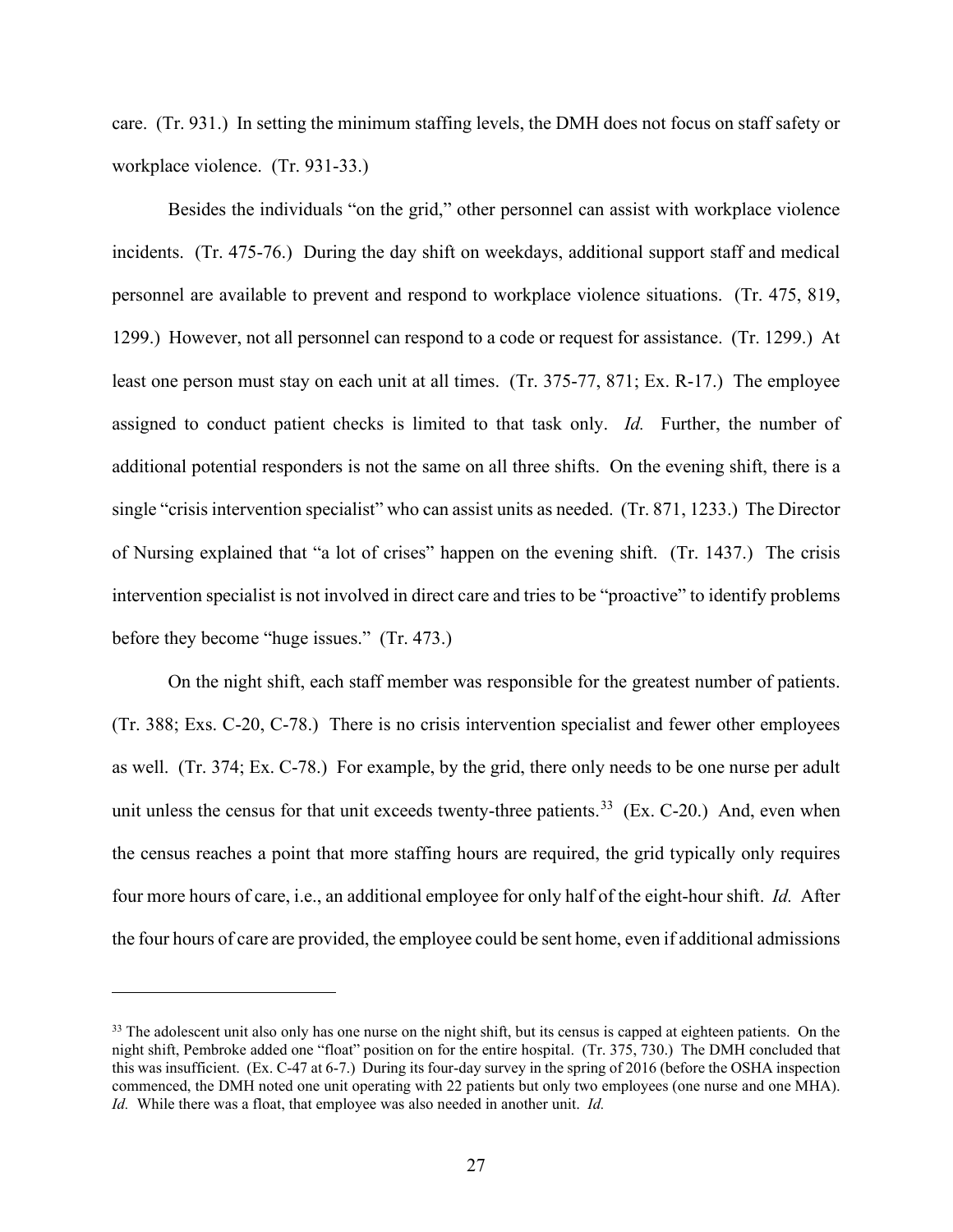care. (Tr. 931.) In setting the minimum staffing levels, the DMH does not focus on staff safety or workplace violence. (Tr. 931-33.)

Besides the individuals "on the grid," other personnel can assist with workplace violence incidents. (Tr. 475-76.) During the day shift on weekdays, additional support staff and medical personnel are available to prevent and respond to workplace violence situations. (Tr. 475, 819, 1299.) However, not all personnel can respond to a code or request for assistance. (Tr. 1299.) At least one person must stay on each unit at all times. (Tr. 375-77, 871; Ex. R-17.) The employee assigned to conduct patient checks is limited to that task only. *Id.* Further, the number of additional potential responders is not the same on all three shifts. On the evening shift, there is a single "crisis intervention specialist" who can assist units as needed. (Tr. 871, 1233.) The Director of Nursing explained that "a lot of crises" happen on the evening shift. (Tr. 1437.) The crisis intervention specialist is not involved in direct care and tries to be "proactive" to identify problems before they become "huge issues." (Tr. 473.)

On the night shift, each staff member was responsible for the greatest number of patients. (Tr. 388; Exs. C-20, C-78.)There is no crisis intervention specialist and fewer other employees as well. (Tr. 374; Ex. C-78.) For example, by the grid, there only needs to be one nurse per adult unit unless the census for that unit exceeds twenty-three patients.<sup>33</sup> (Ex. C-20.) And, even when the census reaches a point that more staffing hours are required, the grid typically only requires four more hours of care, i.e., an additional employee for only half of the eight-hour shift. *Id.* After the four hours of care are provided, the employee could be sent home, even if additional admissions

<sup>&</sup>lt;sup>33</sup> The adolescent unit also only has one nurse on the night shift, but its census is capped at eighteen patients. On the night shift, Pembroke added one "float" position on for the entire hospital. (Tr. 375, 730.) The DMH concluded that this was insufficient. (Ex. C-47 at 6-7.) During its four-day survey in the spring of 2016 (before the OSHA inspection commenced, the DMH noted one unit operating with 22 patients but only two employees (one nurse and one MHA). *Id.* While there was a float, that employee was also needed in another unit. *Id.*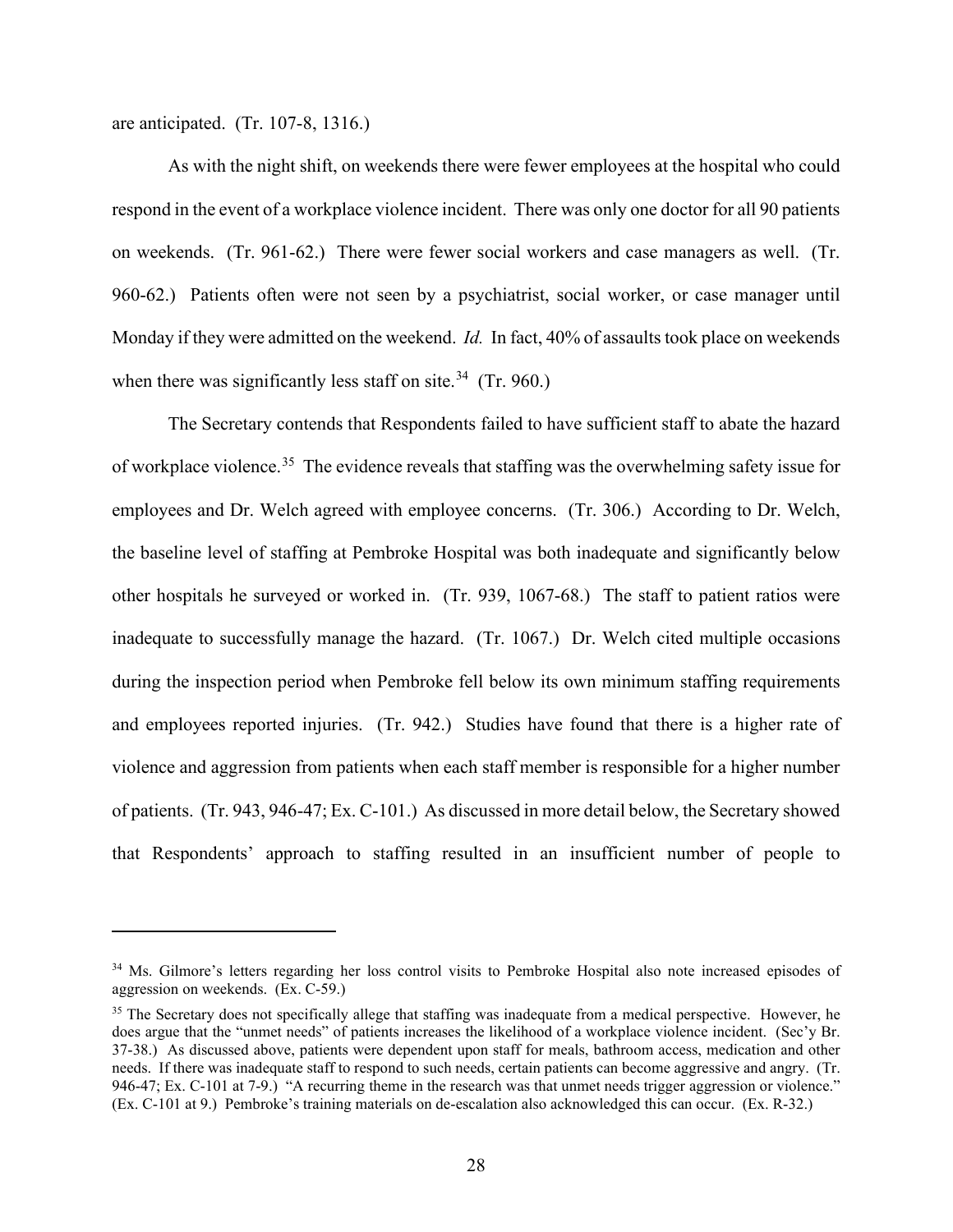are anticipated. (Tr. 107-8, 1316.)

As with the night shift, on weekends there were fewer employees at the hospital who could respond in the event of a workplace violence incident. There was only one doctor for all 90 patients on weekends. (Tr. 961-62.) There were fewer social workers and case managers as well. (Tr. 960-62.) Patients often were not seen by a psychiatrist, social worker, or case manager until Monday if they were admitted on the weekend. *Id.* In fact, 40% of assaults took place on weekends when there was significantly less staff on site. $34$  (Tr. 960.)

The Secretary contends that Respondents failed to have sufficient staff to abate the hazard of workplace violence.<sup>35</sup> The evidence reveals that staffing was the overwhelming safety issue for employees and Dr. Welch agreed with employee concerns. (Tr. 306.) According to Dr. Welch, the baseline level of staffing at Pembroke Hospital was both inadequate and significantly below other hospitals he surveyed or worked in. (Tr. 939, 1067-68.) The staff to patient ratios were inadequate to successfully manage the hazard. (Tr. 1067.) Dr. Welch cited multiple occasions during the inspection period when Pembroke fell below its own minimum staffing requirements and employees reported injuries. (Tr. 942.) Studies have found that there is a higher rate of violence and aggression from patients when each staff member is responsible for a higher number of patients. (Tr. 943, 946-47; Ex. C-101.) As discussed in more detail below, the Secretary showed that Respondents' approach to staffing resulted in an insufficient number of people to

<sup>&</sup>lt;sup>34</sup> Ms. Gilmore's letters regarding her loss control visits to Pembroke Hospital also note increased episodes of aggression on weekends. (Ex. C-59.)

<sup>&</sup>lt;sup>35</sup> The Secretary does not specifically allege that staffing was inadequate from a medical perspective. However, he does argue that the "unmet needs" of patients increases the likelihood of a workplace violence incident. (Sec'y Br. 37-38.) As discussed above, patients were dependent upon staff for meals, bathroom access, medication and other needs. If there was inadequate staff to respond to such needs, certain patients can become aggressive and angry. (Tr. 946-47; Ex. C-101 at 7-9.) "A recurring theme in the research was that unmet needs trigger aggression or violence." (Ex. C-101 at 9.) Pembroke's training materials on de-escalation also acknowledged this can occur. (Ex. R-32.)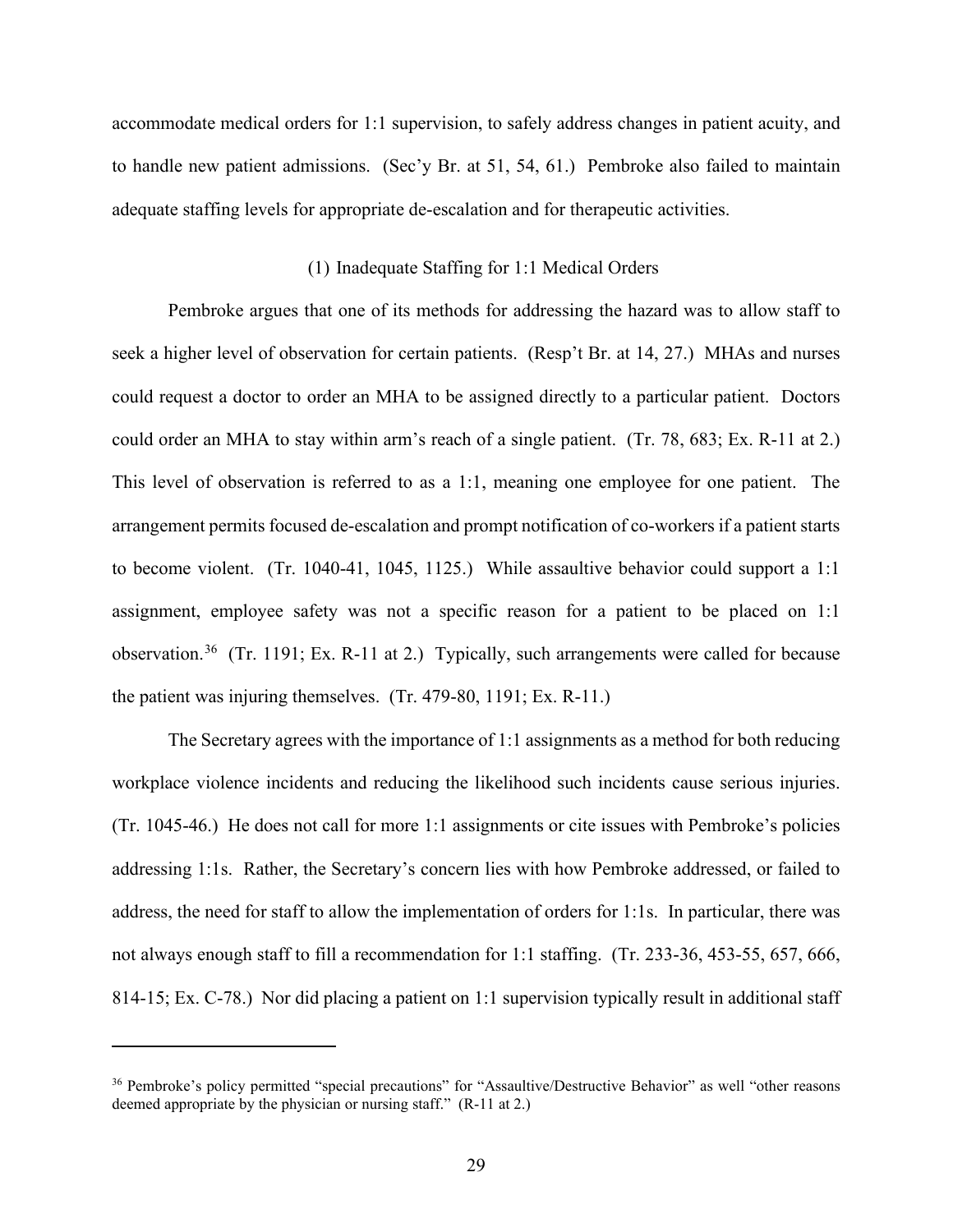accommodate medical orders for 1:1 supervision, to safely address changes in patient acuity, and to handle new patient admissions. (Sec'y Br. at 51, 54, 61.) Pembroke also failed to maintain adequate staffing levels for appropriate de-escalation and for therapeutic activities.

### (1) Inadequate Staffing for 1:1 Medical Orders

Pembroke argues that one of its methods for addressing the hazard was to allow staff to seek a higher level of observation for certain patients. (Resp't Br. at 14, 27.) MHAs and nurses could request a doctor to order an MHA to be assigned directly to a particular patient. Doctors could order an MHA to stay within arm's reach of a single patient. (Tr. 78, 683; Ex. R-11 at 2.) This level of observation is referred to as a 1:1, meaning one employee for one patient. The arrangement permits focused de-escalation and prompt notification of co-workers if a patient starts to become violent. (Tr. 1040-41, 1045, 1125.) While assaultive behavior could support a 1:1 assignment, employee safety was not a specific reason for a patient to be placed on 1:1 observation.36 (Tr. 1191; Ex. R-11 at 2.) Typically, such arrangements were called for because the patient was injuring themselves. (Tr. 479-80, 1191; Ex. R-11.)

The Secretary agrees with the importance of 1:1 assignments as a method for both reducing workplace violence incidents and reducing the likelihood such incidents cause serious injuries. (Tr. 1045-46.) He does not call for more 1:1 assignments or cite issues with Pembroke's policies addressing 1:1s. Rather, the Secretary's concern lies with how Pembroke addressed, or failed to address, the need for staff to allow the implementation of orders for 1:1s. In particular, there was not always enough staff to fill a recommendation for 1:1 staffing. (Tr. 233-36, 453-55, 657, 666, 814-15; Ex. C-78.) Nor did placing a patient on 1:1 supervision typically result in additional staff

<sup>36</sup> Pembroke's policy permitted "special precautions" for "Assaultive/Destructive Behavior" as well "other reasons deemed appropriate by the physician or nursing staff." (R-11 at 2.)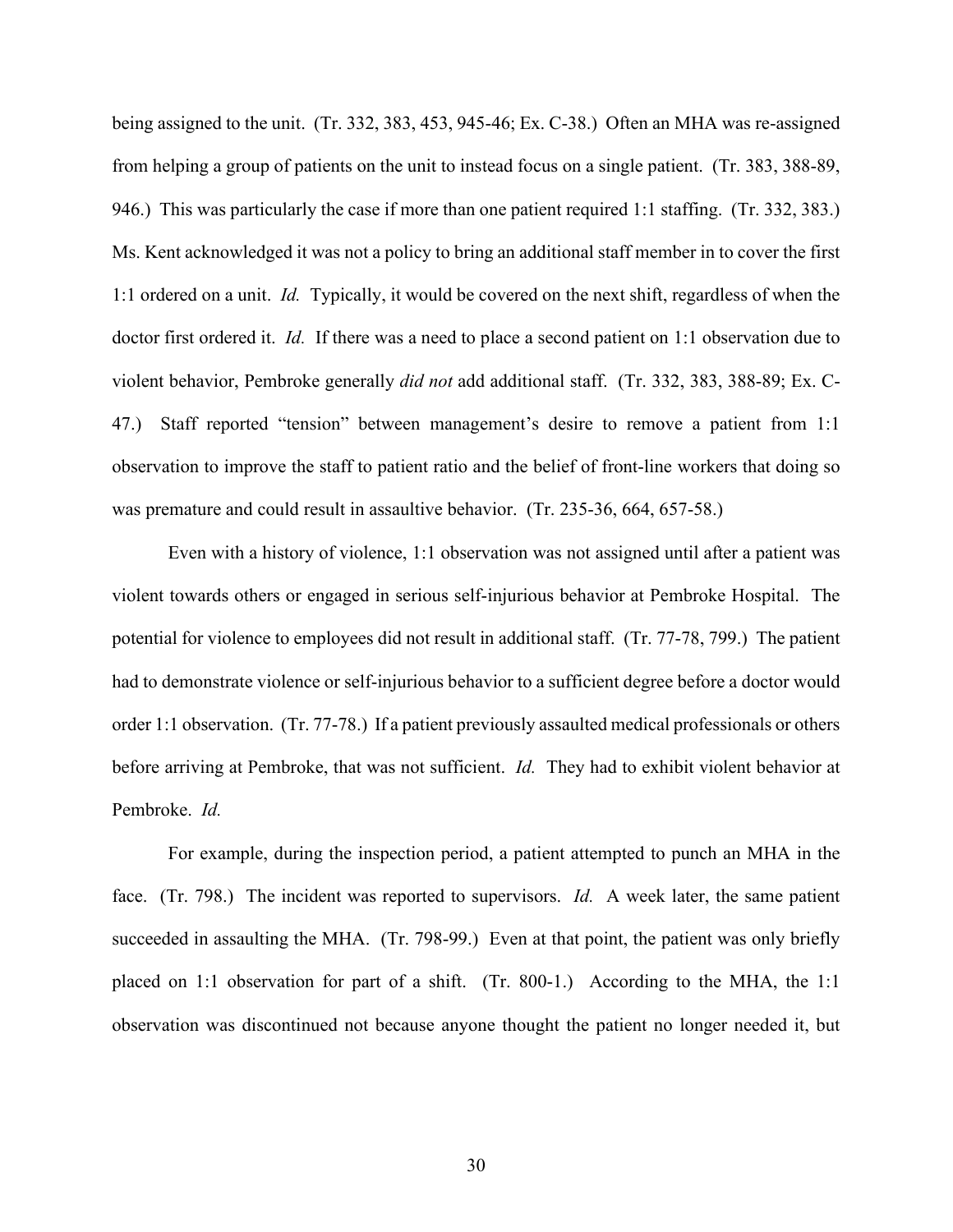being assigned to the unit. (Tr. 332, 383, 453, 945-46; Ex. C-38.) Often an MHA was re-assigned from helping a group of patients on the unit to instead focus on a single patient. (Tr. 383, 388-89, 946.) This was particularly the case if more than one patient required 1:1 staffing. (Tr. 332, 383.) Ms. Kent acknowledged it was not a policy to bring an additional staff member in to cover the first 1:1 ordered on a unit. *Id.* Typically, it would be covered on the next shift, regardless of when the doctor first ordered it. *Id.* If there was a need to place a second patient on 1:1 observation due to violent behavior, Pembroke generally *did not* add additional staff. (Tr. 332, 383, 388-89; Ex. C-47.)Staff reported "tension" between management's desire to remove a patient from 1:1 observation to improve the staff to patient ratio and the belief of front-line workers that doing so was premature and could result in assaultive behavior. (Tr. 235-36, 664, 657-58.)

Even with a history of violence, 1:1 observation was not assigned until after a patient was violent towards others or engaged in serious self-injurious behavior at Pembroke Hospital. The potential for violence to employees did not result in additional staff. (Tr. 77-78, 799.) The patient had to demonstrate violence or self-injurious behavior to a sufficient degree before a doctor would order 1:1 observation. (Tr. 77-78.) If a patient previously assaulted medical professionals or others before arriving at Pembroke, that was not sufficient. *Id.* They had to exhibit violent behavior at Pembroke. *Id.*

For example, during the inspection period, a patient attempted to punch an MHA in the face. (Tr. 798.) The incident was reported to supervisors. *Id.* A week later, the same patient succeeded in assaulting the MHA. (Tr. 798-99.) Even at that point, the patient was only briefly placed on 1:1 observation for part of a shift. (Tr. 800-1.) According to the MHA, the 1:1 observation was discontinued not because anyone thought the patient no longer needed it, but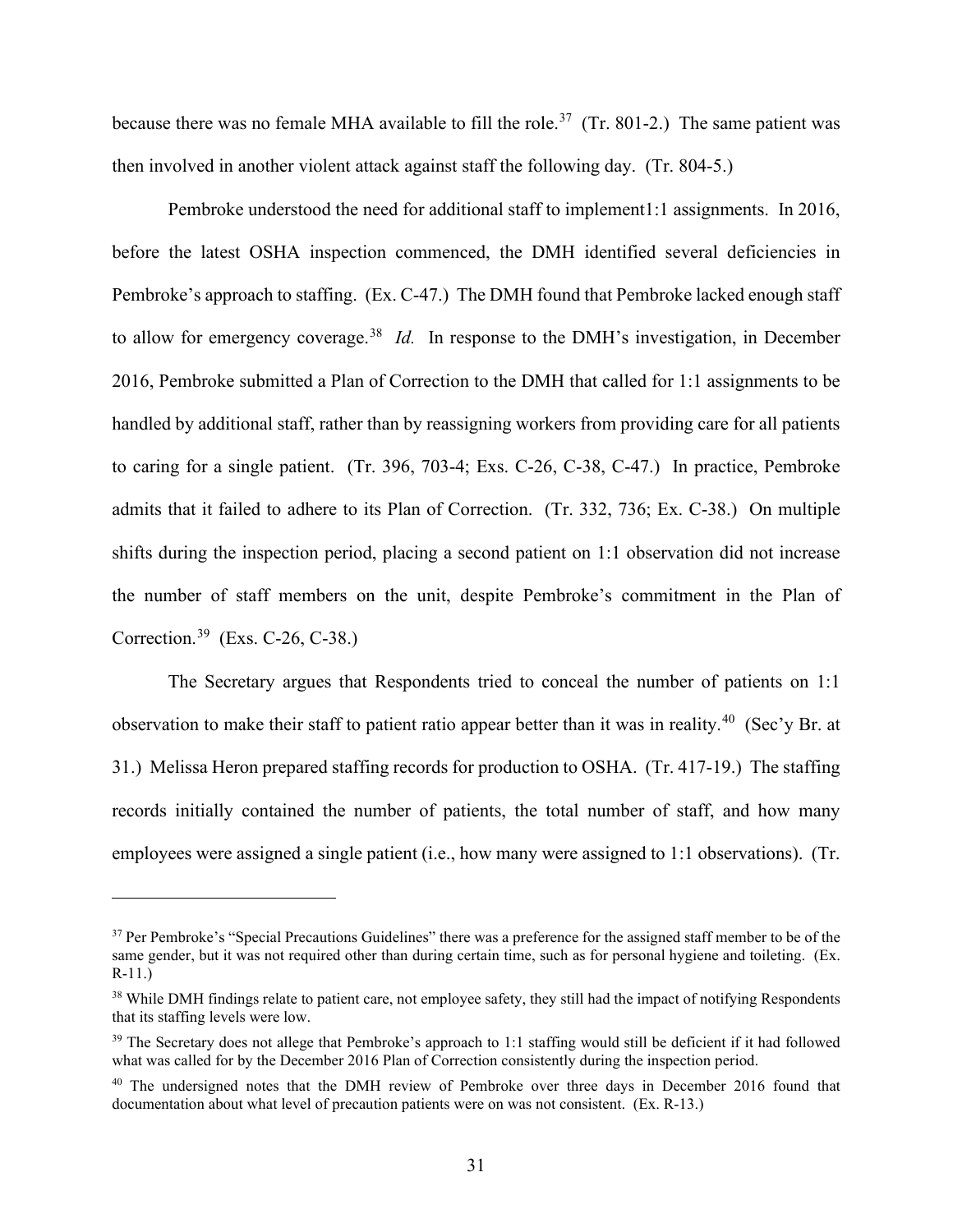because there was no female MHA available to fill the role.<sup>37</sup> (Tr. 801-2.) The same patient was then involved in another violent attack against staff the following day. (Tr. 804-5.)

Pembroke understood the need for additional staff to implement1:1 assignments. In 2016, before the latest OSHA inspection commenced, the DMH identified several deficiencies in Pembroke's approach to staffing. (Ex. C-47.) The DMH found that Pembroke lacked enough staff to allow for emergency coverage.38 *Id.* In response to the DMH's investigation, in December 2016, Pembroke submitted a Plan of Correction to the DMH that called for 1:1 assignments to be handled by additional staff, rather than by reassigning workers from providing care for all patients to caring for a single patient. (Tr. 396, 703-4; Exs. C-26, C-38, C-47.) In practice, Pembroke admits that it failed to adhere to its Plan of Correction. (Tr. 332, 736; Ex. C-38.) On multiple shifts during the inspection period, placing a second patient on 1:1 observation did not increase the number of staff members on the unit, despite Pembroke's commitment in the Plan of Correction.39 (Exs. C-26, C-38.)

The Secretary argues that Respondents tried to conceal the number of patients on 1:1 observation to make their staff to patient ratio appear better than it was in reality.<sup>40</sup> (Sec'y Br. at 31.) Melissa Heron prepared staffing records for production to OSHA. (Tr. 417-19.) The staffing records initially contained the number of patients, the total number of staff, and how many employees were assigned a single patient (i.e., how many were assigned to 1:1 observations). (Tr.

<sup>&</sup>lt;sup>37</sup> Per Pembroke's "Special Precautions Guidelines" there was a preference for the assigned staff member to be of the same gender, but it was not required other than during certain time, such as for personal hygiene and toileting. (Ex. R-11.)

<sup>&</sup>lt;sup>38</sup> While DMH findings relate to patient care, not employee safety, they still had the impact of notifying Respondents that its staffing levels were low.

<sup>&</sup>lt;sup>39</sup> The Secretary does not allege that Pembroke's approach to 1:1 staffing would still be deficient if it had followed what was called for by the December 2016 Plan of Correction consistently during the inspection period.

<sup>&</sup>lt;sup>40</sup> The undersigned notes that the DMH review of Pembroke over three days in December 2016 found that documentation about what level of precaution patients were on was not consistent. (Ex. R-13.)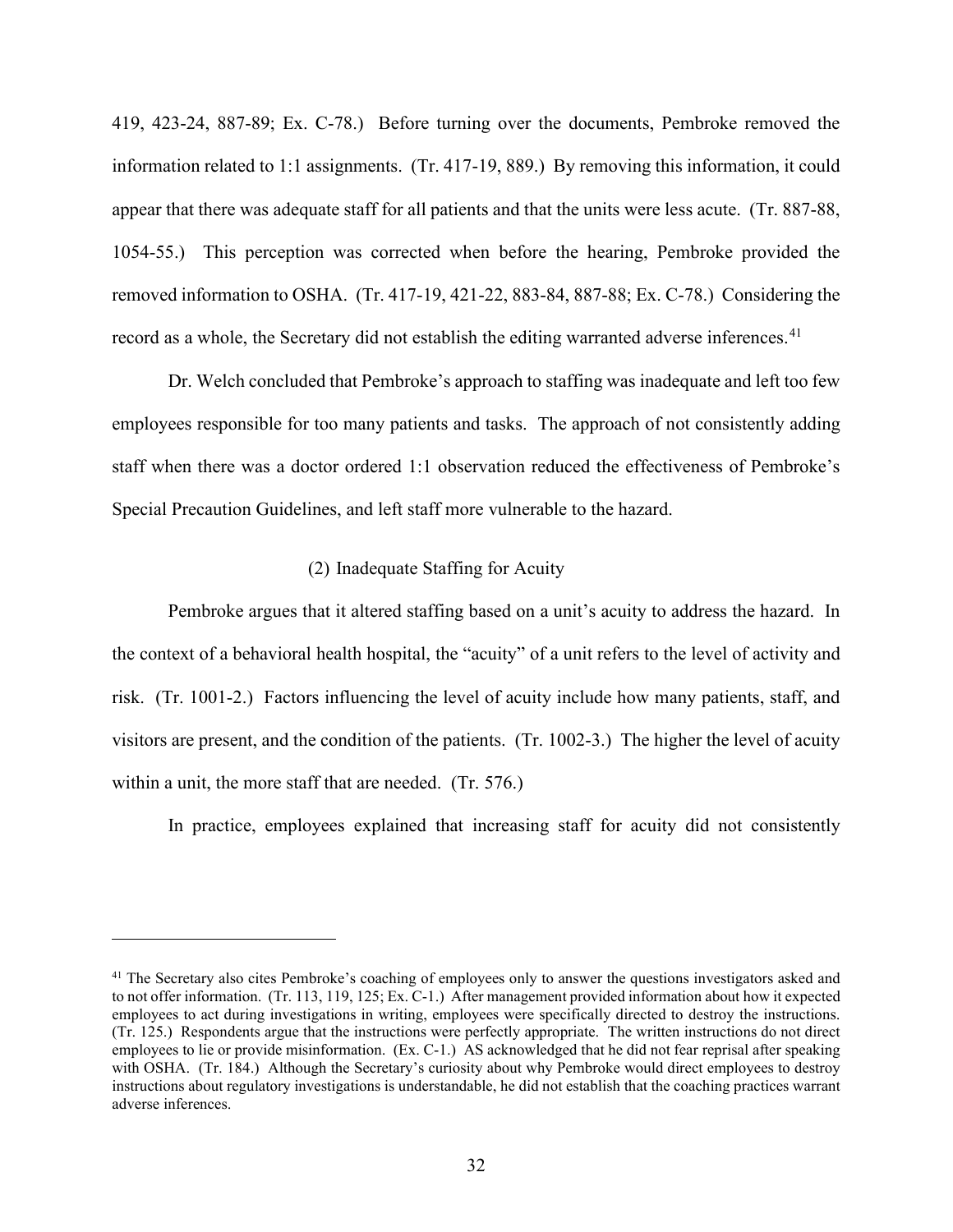419, 423-24, 887-89; Ex. C-78.) Before turning over the documents, Pembroke removed the information related to 1:1 assignments. (Tr. 417-19, 889.) By removing this information, it could appear that there was adequate staff for all patients and that the units were less acute. (Tr. 887-88, 1054-55.) This perception was corrected when before the hearing, Pembroke provided the removed information to OSHA. (Tr. 417-19, 421-22, 883-84, 887-88; Ex. C-78.) Considering the record as a whole, the Secretary did not establish the editing warranted adverse inferences.<sup>41</sup>

Dr. Welch concluded that Pembroke's approach to staffing was inadequate and left too few employees responsible for too many patients and tasks. The approach of not consistently adding staff when there was a doctor ordered 1:1 observation reduced the effectiveness of Pembroke's Special Precaution Guidelines, and left staff more vulnerable to the hazard.

## (2) Inadequate Staffing for Acuity

Pembroke argues that it altered staffing based on a unit's acuity to address the hazard. In the context of a behavioral health hospital, the "acuity" of a unit refers to the level of activity and risk. (Tr. 1001-2.) Factors influencing the level of acuity include how many patients, staff, and visitors are present, and the condition of the patients. (Tr. 1002-3.) The higher the level of acuity within a unit, the more staff that are needed. (Tr. 576.)

In practice, employees explained that increasing staff for acuity did not consistently

<sup>&</sup>lt;sup>41</sup> The Secretary also cites Pembroke's coaching of employees only to answer the questions investigators asked and to not offer information. (Tr. 113, 119, 125; Ex. C-1.) After management provided information about how it expected employees to act during investigations in writing, employees were specifically directed to destroy the instructions. (Tr. 125.) Respondents argue that the instructions were perfectly appropriate. The written instructions do not direct employees to lie or provide misinformation. (Ex. C-1.) AS acknowledged that he did not fear reprisal after speaking with OSHA. (Tr. 184.) Although the Secretary's curiosity about why Pembroke would direct employees to destroy instructions about regulatory investigations is understandable, he did not establish that the coaching practices warrant adverse inferences.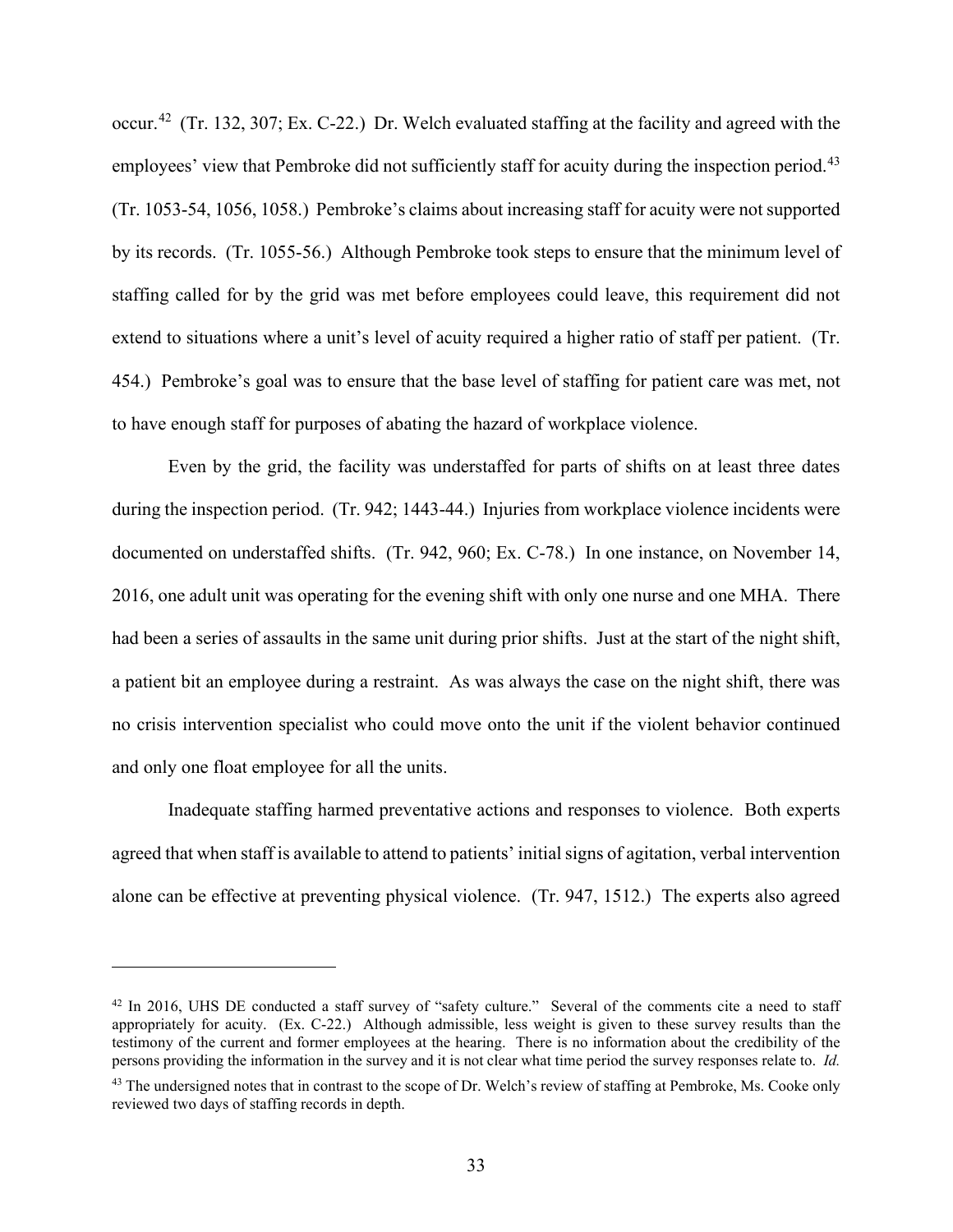occur.42 (Tr. 132, 307; Ex. C-22.) Dr. Welch evaluated staffing at the facility and agreed with the employees' view that Pembroke did not sufficiently staff for acuity during the inspection period.<sup>43</sup> (Tr. 1053-54, 1056, 1058.) Pembroke's claims about increasing staff for acuity were not supported by its records. (Tr. 1055-56.) Although Pembroke took steps to ensure that the minimum level of staffing called for by the grid was met before employees could leave, this requirement did not extend to situations where a unit's level of acuity required a higher ratio of staff per patient. (Tr. 454.) Pembroke's goal was to ensure that the base level of staffing for patient care was met, not to have enough staff for purposes of abating the hazard of workplace violence.

Even by the grid, the facility was understaffed for parts of shifts on at least three dates during the inspection period. (Tr. 942; 1443-44.) Injuries from workplace violence incidents were documented on understaffed shifts. (Tr. 942, 960; Ex. C-78.) In one instance, on November 14, 2016, one adult unit was operating for the evening shift with only one nurse and one MHA. There had been a series of assaults in the same unit during prior shifts. Just at the start of the night shift, a patient bit an employee during a restraint. As was always the case on the night shift, there was no crisis intervention specialist who could move onto the unit if the violent behavior continued and only one float employee for all the units.

Inadequate staffing harmed preventative actions and responses to violence. Both experts agreed that when staff is available to attend to patients' initial signs of agitation, verbal intervention alone can be effective at preventing physical violence. (Tr. 947, 1512.) The experts also agreed

<sup>&</sup>lt;sup>42</sup> In 2016, UHS DE conducted a staff survey of "safety culture." Several of the comments cite a need to staff appropriately for acuity. (Ex. C-22.) Although admissible, less weight is given to these survey results than the testimony of the current and former employees at the hearing. There is no information about the credibility of the persons providing the information in the survey and it is not clear what time period the survey responses relate to. *Id.* 

<sup>&</sup>lt;sup>43</sup> The undersigned notes that in contrast to the scope of Dr. Welch's review of staffing at Pembroke, Ms. Cooke only reviewed two days of staffing records in depth.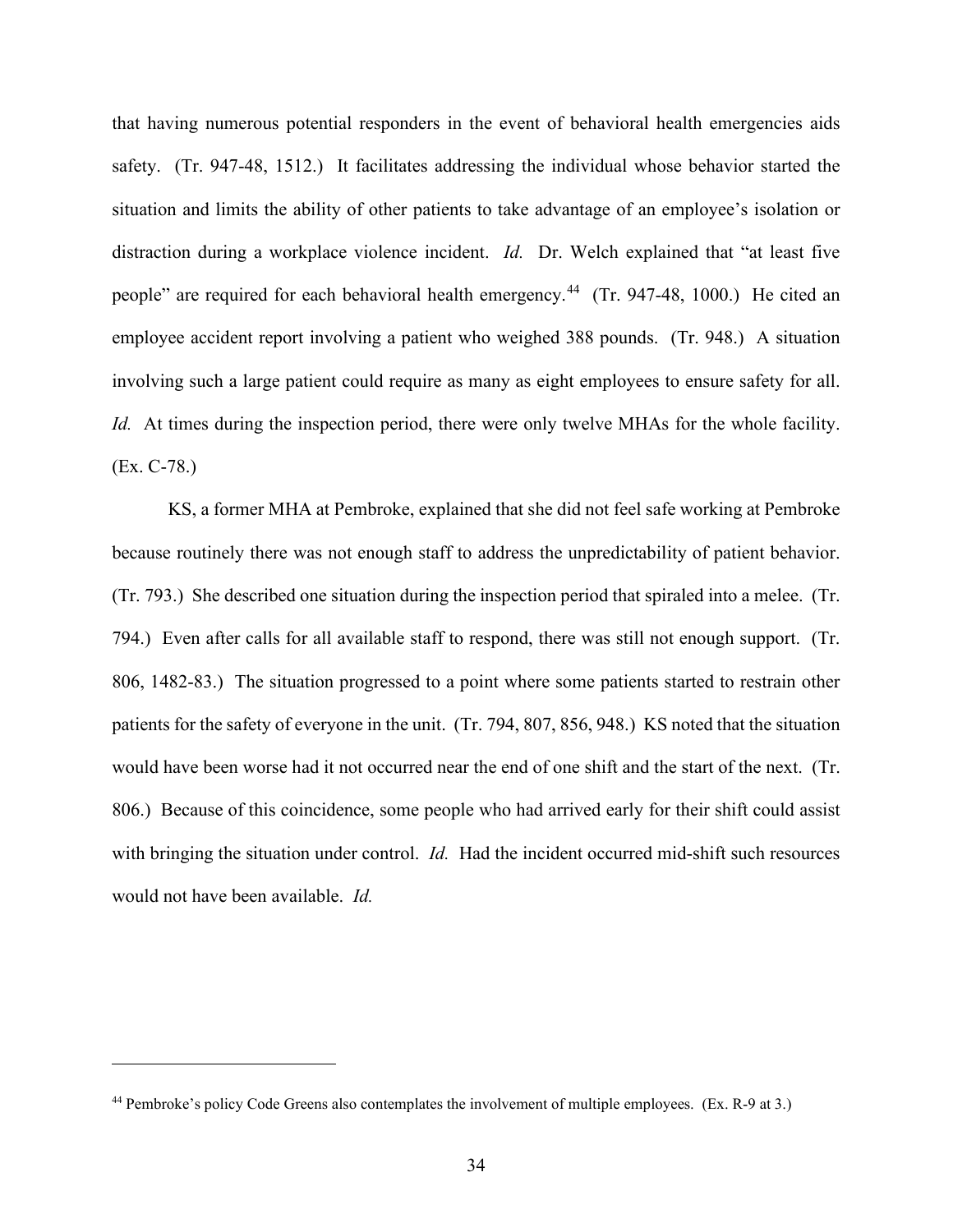that having numerous potential responders in the event of behavioral health emergencies aids safety. (Tr. 947-48, 1512.) It facilitates addressing the individual whose behavior started the situation and limits the ability of other patients to take advantage of an employee's isolation or distraction during a workplace violence incident. *Id.* Dr. Welch explained that "at least five people" are required for each behavioral health emergency.<sup>44</sup> (Tr. 947-48, 1000.) He cited an employee accident report involving a patient who weighed 388 pounds. (Tr. 948.) A situation involving such a large patient could require as many as eight employees to ensure safety for all. *Id.* At times during the inspection period, there were only twelve MHAs for the whole facility. (Ex. C-78.)

KS, a former MHA at Pembroke, explained that she did not feel safe working at Pembroke because routinely there was not enough staff to address the unpredictability of patient behavior. (Tr. 793.) She described one situation during the inspection period that spiraled into a melee. (Tr. 794.) Even after calls for all available staff to respond, there was still not enough support. (Tr. 806, 1482-83.) The situation progressed to a point where some patients started to restrain other patients for the safety of everyone in the unit. (Tr. 794, 807, 856, 948.) KS noted that the situation would have been worse had it not occurred near the end of one shift and the start of the next. (Tr. 806.) Because of this coincidence, some people who had arrived early for their shift could assist with bringing the situation under control. *Id*. Had the incident occurred mid-shift such resources would not have been available. *Id.* 

<sup>44</sup> Pembroke's policy Code Greens also contemplates the involvement of multiple employees. (Ex. R-9 at 3.)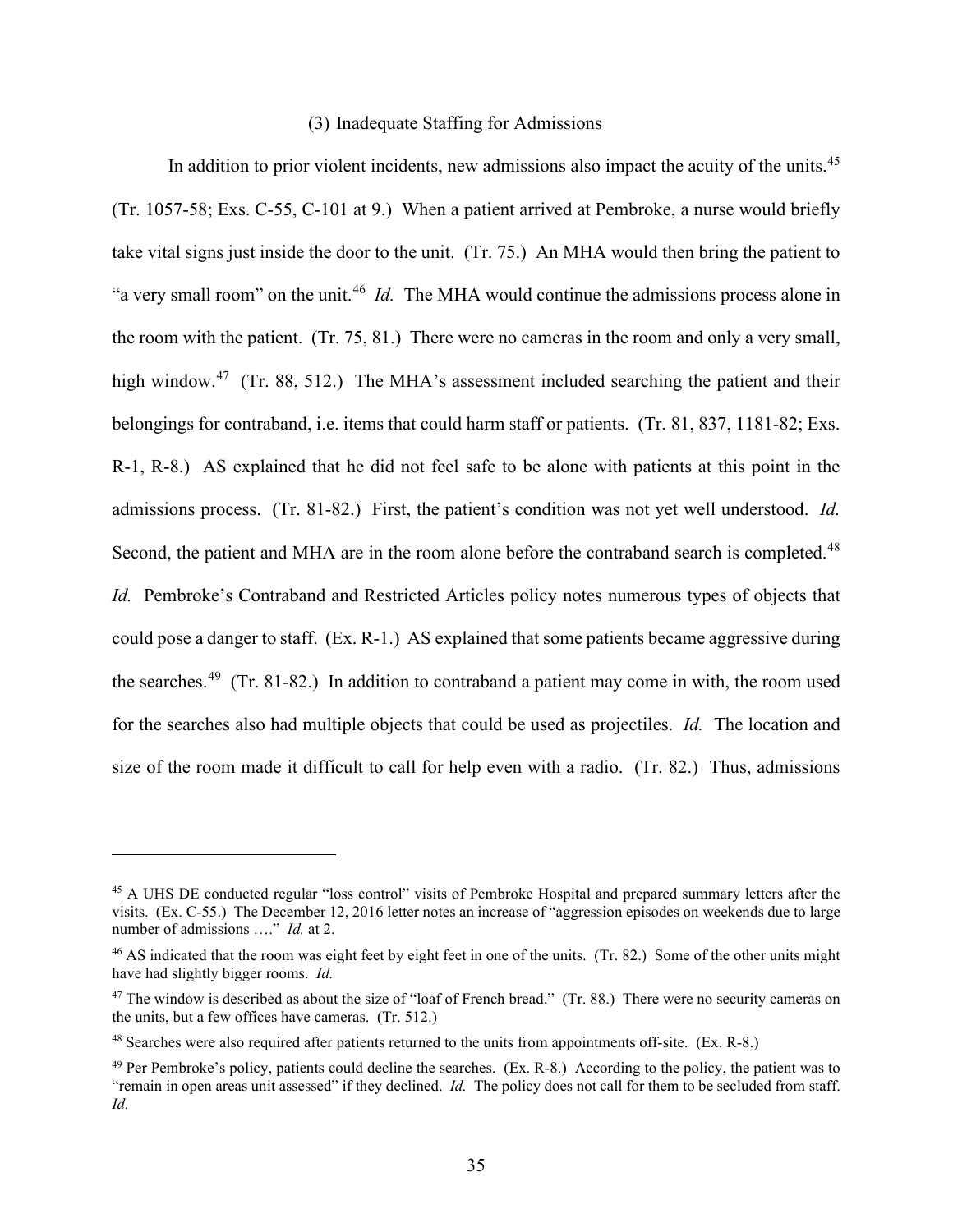## (3) Inadequate Staffing for Admissions

In addition to prior violent incidents, new admissions also impact the acuity of the units.<sup>45</sup> (Tr. 1057-58; Exs. C-55, C-101 at 9.) When a patient arrived at Pembroke, a nurse would briefly take vital signs just inside the door to the unit. (Tr. 75.) An MHA would then bring the patient to "a very small room" on the unit.<sup>46</sup> *Id.* The MHA would continue the admissions process alone in the room with the patient. (Tr. 75, 81.) There were no cameras in the room and only a very small, high window.<sup>47</sup> (Tr. 88, 512.) The MHA's assessment included searching the patient and their belongings for contraband, i.e. items that could harm staff or patients. (Tr. 81, 837, 1181-82; Exs. R-1, R-8.) AS explained that he did not feel safe to be alone with patients at this point in the admissions process. (Tr. 81-82.) First, the patient's condition was not yet well understood. *Id.*  Second, the patient and MHA are in the room alone before the contraband search is completed.<sup>48</sup> *Id.* Pembroke's Contraband and Restricted Articles policy notes numerous types of objects that could pose a danger to staff. (Ex. R-1.) AS explained that some patients became aggressive during the searches.<sup>49</sup> (Tr. 81-82.) In addition to contraband a patient may come in with, the room used for the searches also had multiple objects that could be used as projectiles. *Id.* The location and size of the room made it difficult to call for help even with a radio. (Tr. 82.) Thus, admissions

<sup>45</sup> A UHS DE conducted regular "loss control" visits of Pembroke Hospital and prepared summary letters after the visits. (Ex. C-55.) The December 12, 2016 letter notes an increase of "aggression episodes on weekends due to large number of admissions …." *Id.* at 2.

<sup>46</sup> AS indicated that the room was eight feet by eight feet in one of the units. (Tr. 82.) Some of the other units might have had slightly bigger rooms. *Id.* 

<sup>&</sup>lt;sup>47</sup> The window is described as about the size of "loaf of French bread." (Tr. 88.) There were no security cameras on the units, but a few offices have cameras. (Tr. 512.)

<sup>48</sup> Searches were also required after patients returned to the units from appointments off-site. (Ex. R-8.)

 $^{49}$  Per Pembroke's policy, patients could decline the searches. (Ex. R-8.) According to the policy, the patient was to "remain in open areas unit assessed" if they declined. *Id.* The policy does not call for them to be secluded from staff. *Id.*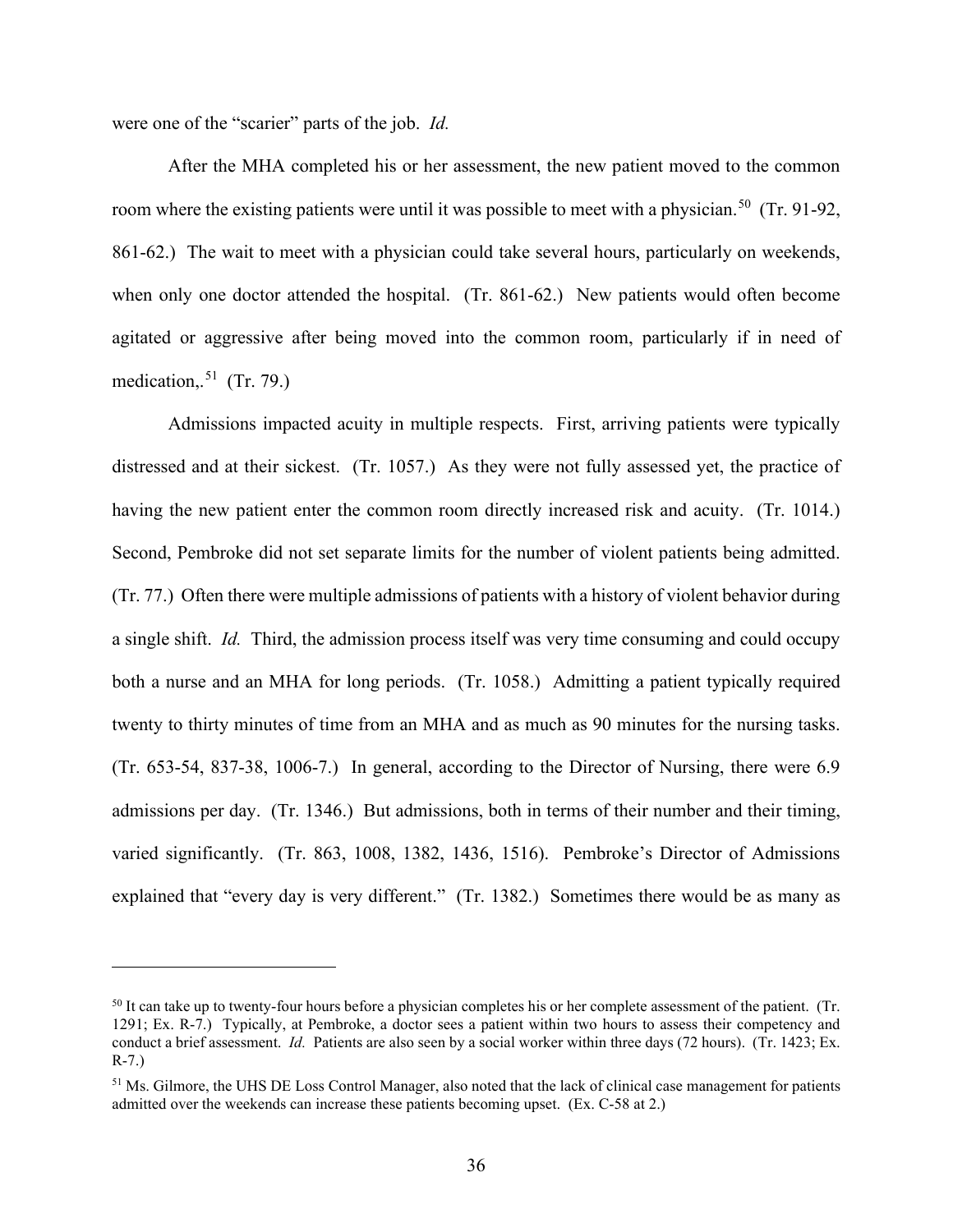were one of the "scarier" parts of the job. *Id.*

After the MHA completed his or her assessment, the new patient moved to the common room where the existing patients were until it was possible to meet with a physician.<sup>50</sup> (Tr. 91-92, 861-62.) The wait to meet with a physician could take several hours, particularly on weekends, when only one doctor attended the hospital. (Tr. 861-62.) New patients would often become agitated or aggressive after being moved into the common room, particularly if in need of medication,.<sup>51</sup> (Tr. 79.)

Admissions impacted acuity in multiple respects. First, arriving patients were typically distressed and at their sickest. (Tr. 1057.) As they were not fully assessed yet, the practice of having the new patient enter the common room directly increased risk and acuity. (Tr. 1014.) Second, Pembroke did not set separate limits for the number of violent patients being admitted. (Tr. 77.) Often there were multiple admissions of patients with a history of violent behavior during a single shift. *Id.* Third, the admission process itself was very time consuming and could occupy both a nurse and an MHA for long periods. (Tr. 1058.) Admitting a patient typically required twenty to thirty minutes of time from an MHA and as much as 90 minutes for the nursing tasks. (Tr. 653-54, 837-38, 1006-7.) In general, according to the Director of Nursing, there were 6.9 admissions per day. (Tr. 1346.) But admissions, both in terms of their number and their timing, varied significantly. (Tr. 863, 1008, 1382, 1436, 1516). Pembroke's Director of Admissions explained that "every day is very different." (Tr. 1382.) Sometimes there would be as many as

<sup>&</sup>lt;sup>50</sup> It can take up to twenty-four hours before a physician completes his or her complete assessment of the patient. (Tr. 1291; Ex. R-7.) Typically, at Pembroke, a doctor sees a patient within two hours to assess their competency and conduct a brief assessment. *Id.* Patients are also seen by a social worker within three days (72 hours). (Tr. 1423; Ex. R-7.)

<sup>&</sup>lt;sup>51</sup> Ms. Gilmore, the UHS DE Loss Control Manager, also noted that the lack of clinical case management for patients admitted over the weekends can increase these patients becoming upset. (Ex. C-58 at 2.)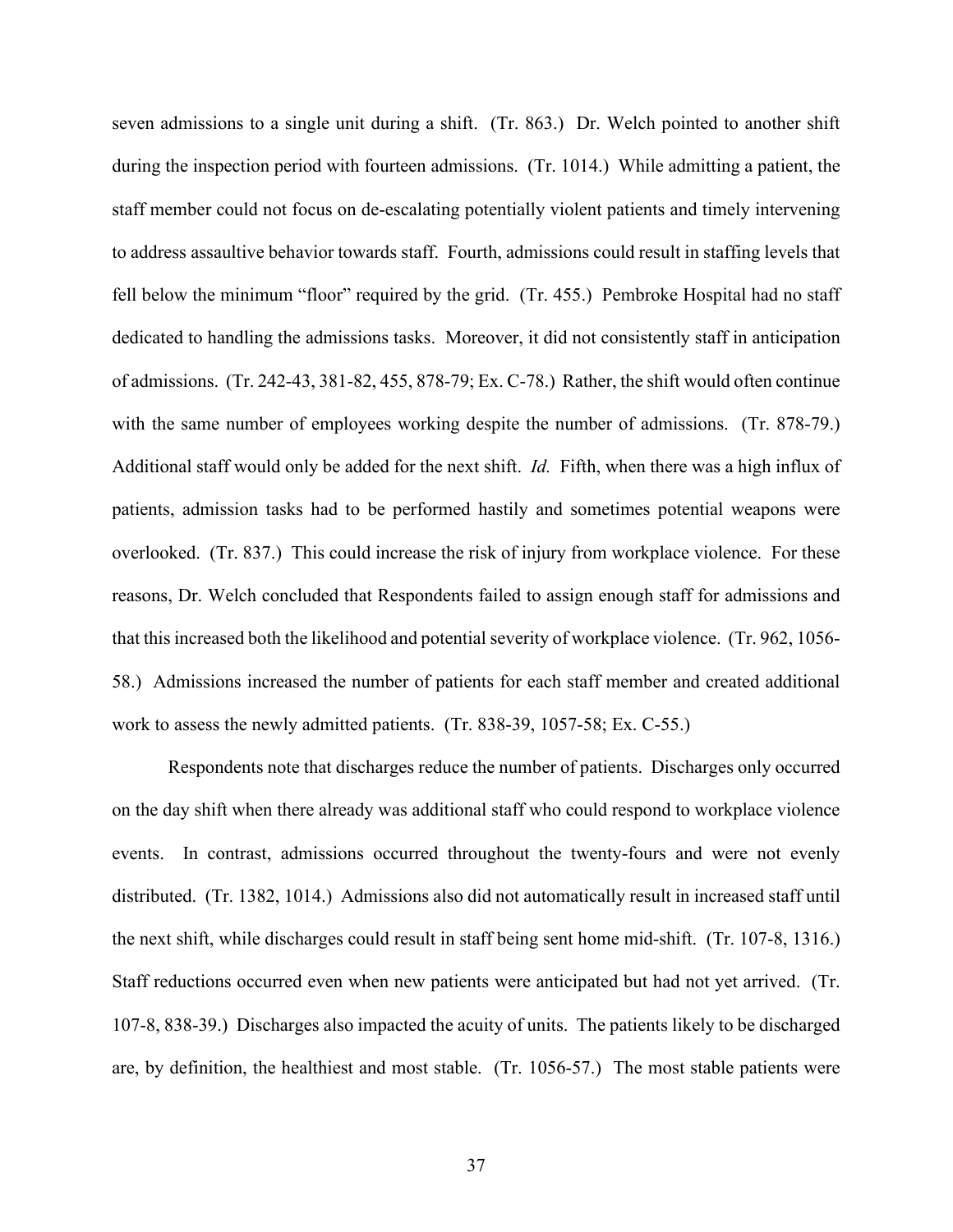seven admissions to a single unit during a shift. (Tr. 863.) Dr. Welch pointed to another shift during the inspection period with fourteen admissions. (Tr. 1014.) While admitting a patient, the staff member could not focus on de-escalating potentially violent patients and timely intervening to address assaultive behavior towards staff. Fourth, admissions could result in staffing levels that fell below the minimum "floor" required by the grid. (Tr. 455.) Pembroke Hospital had no staff dedicated to handling the admissions tasks. Moreover, it did not consistently staff in anticipation of admissions. (Tr. 242-43, 381-82, 455, 878-79; Ex. C-78.) Rather, the shift would often continue with the same number of employees working despite the number of admissions. (Tr. 878-79.) Additional staff would only be added for the next shift. *Id.* Fifth, when there was a high influx of patients, admission tasks had to be performed hastily and sometimes potential weapons were overlooked. (Tr. 837.) This could increase the risk of injury from workplace violence. For these reasons, Dr. Welch concluded that Respondents failed to assign enough staff for admissions and that this increased both the likelihood and potential severity of workplace violence. (Tr. 962, 1056- 58.) Admissions increased the number of patients for each staff member and created additional work to assess the newly admitted patients. (Tr. 838-39, 1057-58; Ex. C-55.)

Respondents note that discharges reduce the number of patients. Discharges only occurred on the day shift when there already was additional staff who could respond to workplace violence events. In contrast, admissions occurred throughout the twenty-fours and were not evenly distributed. (Tr. 1382, 1014.) Admissions also did not automatically result in increased staff until the next shift, while discharges could result in staff being sent home mid-shift. (Tr. 107-8, 1316.) Staff reductions occurred even when new patients were anticipated but had not yet arrived. (Tr. 107-8, 838-39.) Discharges also impacted the acuity of units. The patients likely to be discharged are, by definition, the healthiest and most stable. (Tr. 1056-57.) The most stable patients were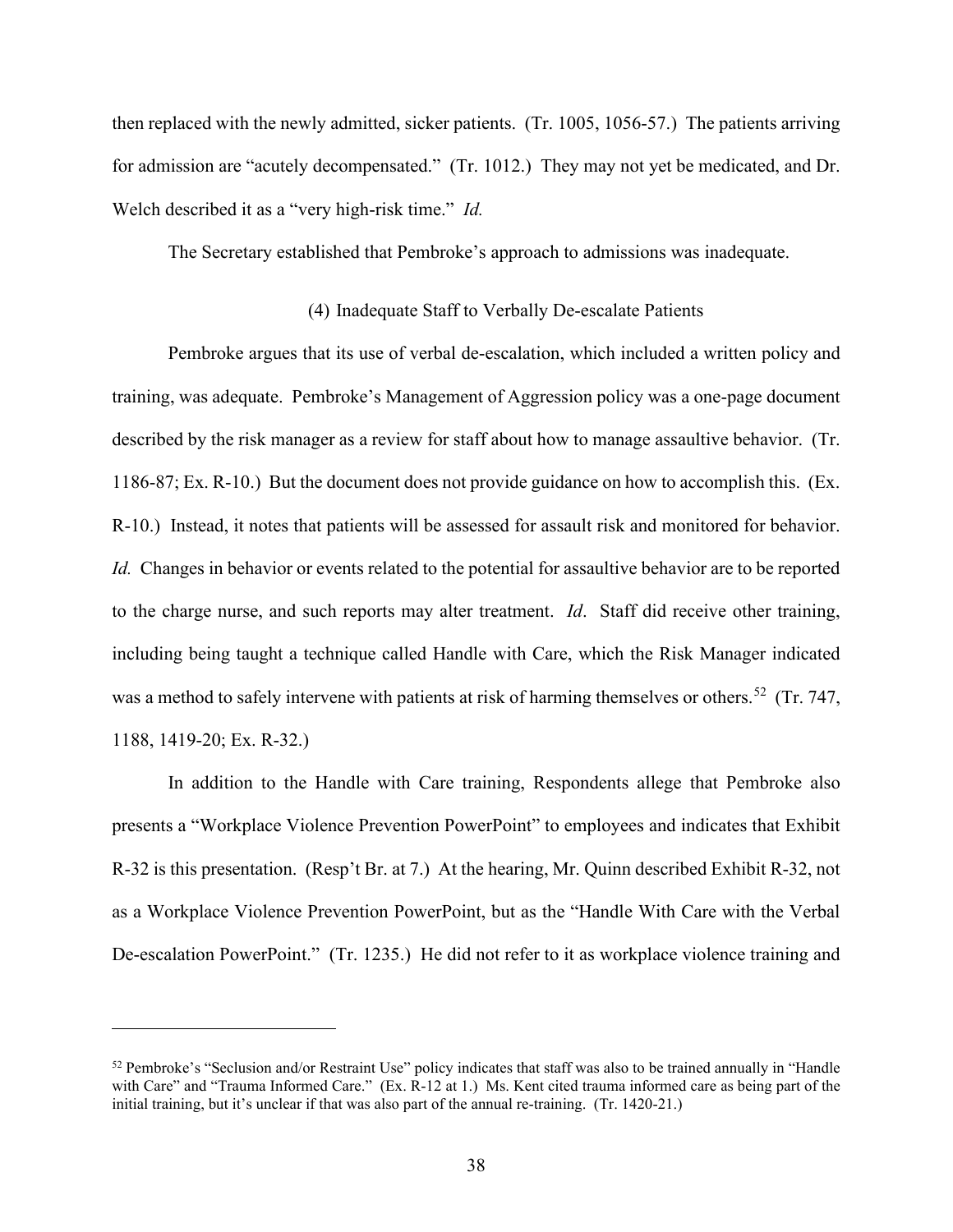then replaced with the newly admitted, sicker patients. (Tr. 1005, 1056-57.) The patients arriving for admission are "acutely decompensated." (Tr. 1012.) They may not yet be medicated, and Dr. Welch described it as a "very high-risk time." *Id.* 

The Secretary established that Pembroke's approach to admissions was inadequate.

# (4) Inadequate Staff to Verbally De-escalate Patients

Pembroke argues that its use of verbal de-escalation, which included a written policy and training, was adequate. Pembroke's Management of Aggression policy was a one-page document described by the risk manager as a review for staff about how to manage assaultive behavior. (Tr. 1186-87; Ex. R-10.) But the document does not provide guidance on how to accomplish this. (Ex. R-10.) Instead, it notes that patients will be assessed for assault risk and monitored for behavior. *Id.* Changes in behavior or events related to the potential for assaultive behavior are to be reported to the charge nurse, and such reports may alter treatment. *Id*. Staff did receive other training, including being taught a technique called Handle with Care, which the Risk Manager indicated was a method to safely intervene with patients at risk of harming themselves or others.<sup>52</sup> (Tr. 747, 1188, 1419-20; Ex. R-32.)

In addition to the Handle with Care training, Respondents allege that Pembroke also presents a "Workplace Violence Prevention PowerPoint" to employees and indicates that Exhibit R-32 is this presentation. (Resp't Br. at 7.) At the hearing, Mr. Quinn described Exhibit R-32, not as a Workplace Violence Prevention PowerPoint, but as the "Handle With Care with the Verbal De-escalation PowerPoint." (Tr. 1235.) He did not refer to it as workplace violence training and

<sup>52</sup> Pembroke's "Seclusion and/or Restraint Use" policy indicates that staff was also to be trained annually in "Handle with Care" and "Trauma Informed Care." (Ex. R-12 at 1.) Ms. Kent cited trauma informed care as being part of the initial training, but it's unclear if that was also part of the annual re-training. (Tr. 1420-21.)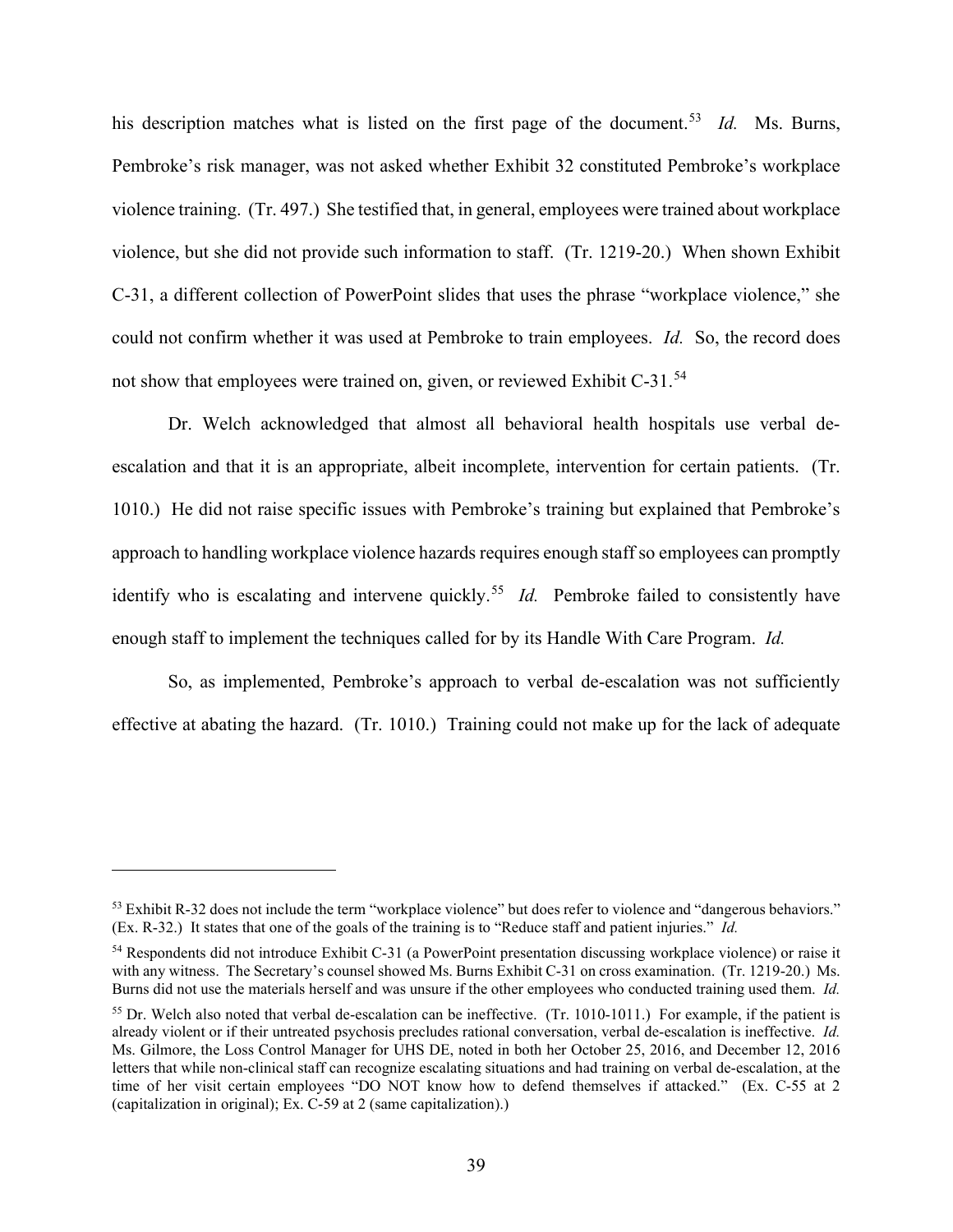his description matches what is listed on the first page of the document. 53 *Id.* Ms. Burns, Pembroke's risk manager, was not asked whether Exhibit 32 constituted Pembroke's workplace violence training. (Tr. 497.) She testified that, in general, employees were trained about workplace violence, but she did not provide such information to staff. (Tr. 1219-20.) When shown Exhibit C-31, a different collection of PowerPoint slides that uses the phrase "workplace violence," she could not confirm whether it was used at Pembroke to train employees. *Id.* So, the record does not show that employees were trained on, given, or reviewed Exhibit C-31.<sup>54</sup>

Dr. Welch acknowledged that almost all behavioral health hospitals use verbal deescalation and that it is an appropriate, albeit incomplete, intervention for certain patients. (Tr. 1010.) He did not raise specific issues with Pembroke's training but explained that Pembroke's approach to handling workplace violence hazards requires enough staff so employees can promptly identify who is escalating and intervene quickly.<sup>55</sup> *Id.* Pembroke failed to consistently have enough staff to implement the techniques called for by its Handle With Care Program. *Id.* 

So, as implemented, Pembroke's approach to verbal de-escalation was not sufficiently effective at abating the hazard. (Tr. 1010.) Training could not make up for the lack of adequate

<sup>&</sup>lt;sup>53</sup> Exhibit R-32 does not include the term "workplace violence" but does refer to violence and "dangerous behaviors." (Ex. R-32.) It states that one of the goals of the training is to "Reduce staff and patient injuries." *Id.* 

<sup>54</sup> Respondents did not introduce Exhibit C-31 (a PowerPoint presentation discussing workplace violence) or raise it with any witness. The Secretary's counsel showed Ms. Burns Exhibit C-31 on cross examination. (Tr. 1219-20.) Ms. Burns did not use the materials herself and was unsure if the other employees who conducted training used them. *Id.* 

 $55$  Dr. Welch also noted that verbal de-escalation can be ineffective. (Tr. 1010-1011.) For example, if the patient is already violent or if their untreated psychosis precludes rational conversation, verbal de-escalation is ineffective. *Id.*  Ms. Gilmore, the Loss Control Manager for UHS DE, noted in both her October 25, 2016, and December 12, 2016 letters that while non-clinical staff can recognize escalating situations and had training on verbal de-escalation, at the time of her visit certain employees "DO NOT know how to defend themselves if attacked." (Ex. C-55 at 2 (capitalization in original); Ex. C-59 at 2 (same capitalization).)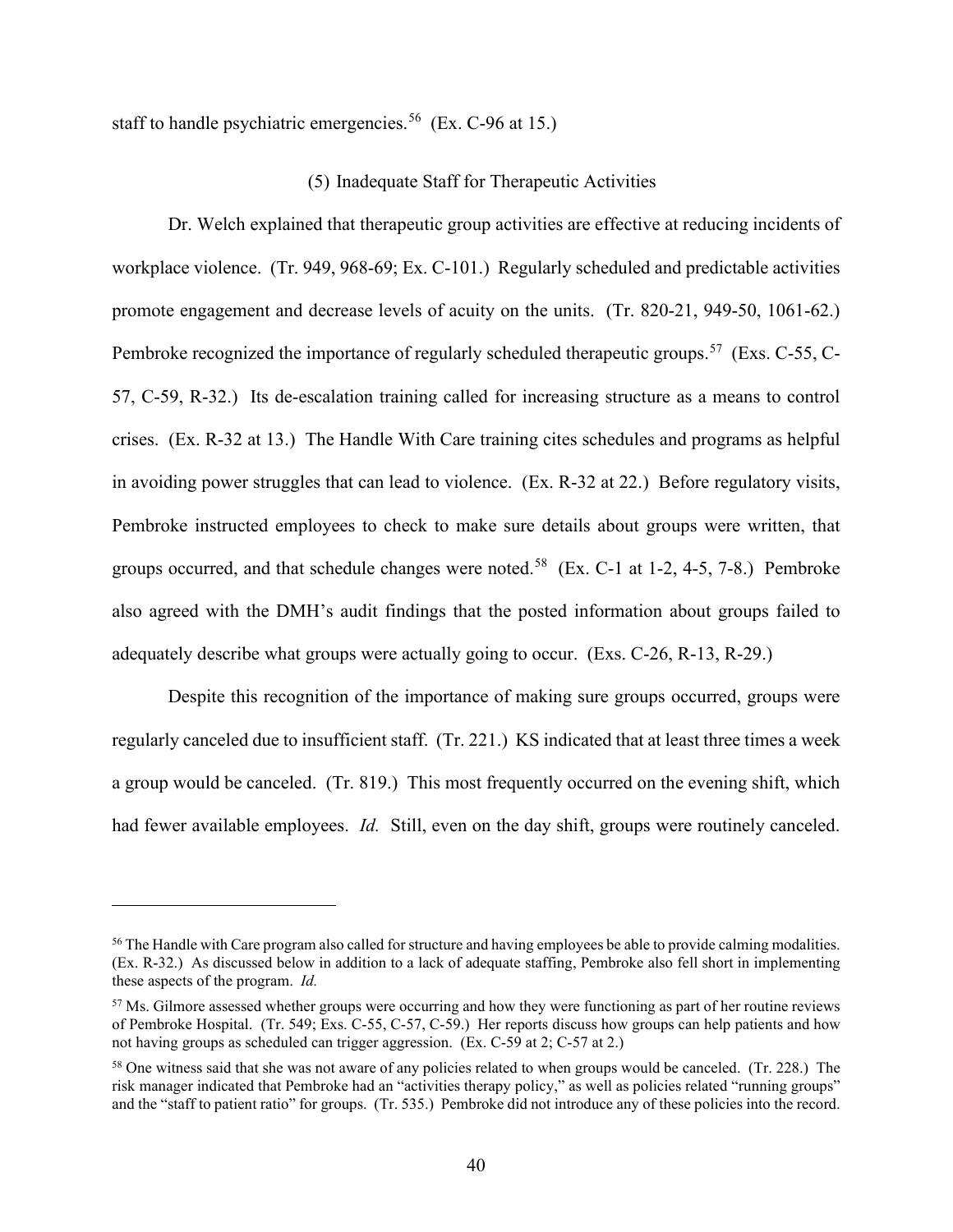staff to handle psychiatric emergencies.<sup>56</sup> (Ex. C-96 at 15.)

### (5) Inadequate Staff for Therapeutic Activities

Dr. Welch explained that therapeutic group activities are effective at reducing incidents of workplace violence. (Tr. 949, 968-69; Ex. C-101.) Regularly scheduled and predictable activities promote engagement and decrease levels of acuity on the units. (Tr. 820-21, 949-50, 1061-62.) Pembroke recognized the importance of regularly scheduled therapeutic groups.<sup>57</sup> (Exs. C-55, C-57, C-59, R-32.) Its de-escalation training called for increasing structure as a means to control crises. (Ex. R-32 at 13.) The Handle With Care training cites schedules and programs as helpful in avoiding power struggles that can lead to violence. (Ex. R-32 at 22.) Before regulatory visits, Pembroke instructed employees to check to make sure details about groups were written, that groups occurred, and that schedule changes were noted.<sup>58</sup> (Ex. C-1 at 1-2, 4-5, 7-8.) Pembroke also agreed with the DMH's audit findings that the posted information about groups failed to adequately describe what groups were actually going to occur. (Exs. C-26, R-13, R-29.)

Despite this recognition of the importance of making sure groups occurred, groups were regularly canceled due to insufficient staff. (Tr. 221.) KS indicated that at least three times a week a group would be canceled. (Tr. 819.) This most frequently occurred on the evening shift, which had fewer available employees. *Id.* Still, even on the day shift, groups were routinely canceled.

<sup>&</sup>lt;sup>56</sup> The Handle with Care program also called for structure and having employees be able to provide calming modalities. (Ex. R-32.) As discussed below in addition to a lack of adequate staffing, Pembroke also fell short in implementing these aspects of the program. *Id.* 

<sup>&</sup>lt;sup>57</sup> Ms. Gilmore assessed whether groups were occurring and how they were functioning as part of her routine reviews of Pembroke Hospital. (Tr. 549; Exs. C-55, C-57, C-59.) Her reports discuss how groups can help patients and how not having groups as scheduled can trigger aggression. (Ex. C-59 at 2; C-57 at 2.)

<sup>&</sup>lt;sup>58</sup> One witness said that she was not aware of any policies related to when groups would be canceled. (Tr. 228.) The risk manager indicated that Pembroke had an "activities therapy policy," as well as policies related "running groups" and the "staff to patient ratio" for groups. (Tr. 535.) Pembroke did not introduce any of these policies into the record.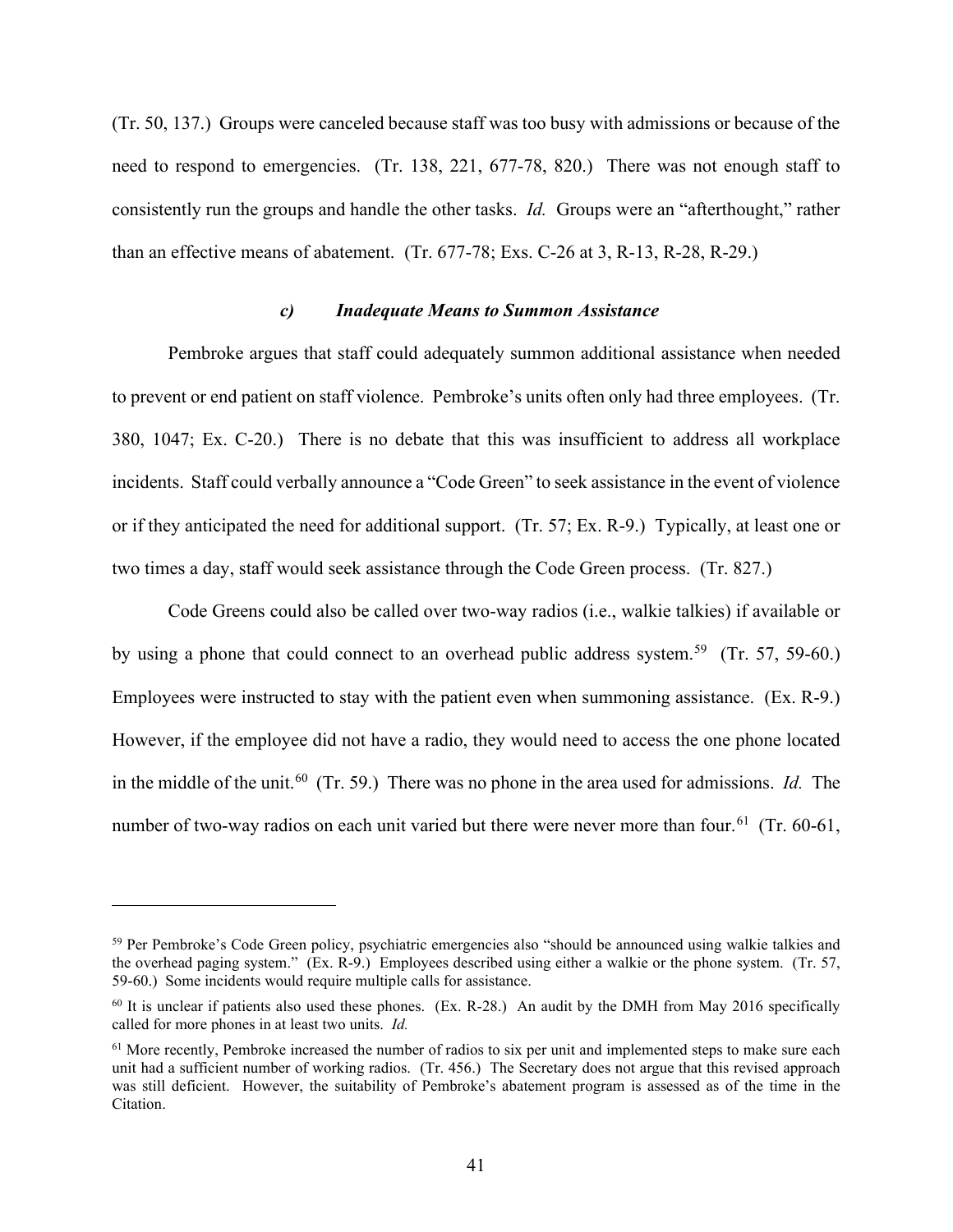(Tr. 50, 137.) Groups were canceled because staff was too busy with admissions or because of the need to respond to emergencies. (Tr. 138, 221, 677-78, 820.) There was not enough staff to consistently run the groups and handle the other tasks. *Id.* Groups were an "afterthought," rather than an effective means of abatement. (Tr. 677-78; Exs. C-26 at 3, R-13, R-28, R-29.)

# *c) Inadequate Means to Summon Assistance*

Pembroke argues that staff could adequately summon additional assistance when needed to prevent or end patient on staff violence. Pembroke's units often only had three employees. (Tr. 380, 1047; Ex. C-20.) There is no debate that this was insufficient to address all workplace incidents. Staff could verbally announce a "Code Green" to seek assistance in the event of violence or if they anticipated the need for additional support. (Tr. 57; Ex. R-9.) Typically, at least one or two times a day, staff would seek assistance through the Code Green process. (Tr. 827.)

Code Greens could also be called over two-way radios (i.e., walkie talkies) if available or by using a phone that could connect to an overhead public address system.<sup>59</sup> (Tr. 57, 59-60.) Employees were instructed to stay with the patient even when summoning assistance. (Ex. R-9.) However, if the employee did not have a radio, they would need to access the one phone located in the middle of the unit. 60 (Tr. 59.) There was no phone in the area used for admissions. *Id.* The number of two-way radios on each unit varied but there were never more than four.<sup>61</sup> (Tr. 60-61,

<sup>59</sup> Per Pembroke's Code Green policy, psychiatric emergencies also "should be announced using walkie talkies and the overhead paging system." (Ex. R-9.) Employees described using either a walkie or the phone system. (Tr. 57, 59-60.) Some incidents would require multiple calls for assistance.

 $60$  It is unclear if patients also used these phones. (Ex. R-28.) An audit by the DMH from May 2016 specifically called for more phones in at least two units. *Id.* 

<sup>&</sup>lt;sup>61</sup> More recently, Pembroke increased the number of radios to six per unit and implemented steps to make sure each unit had a sufficient number of working radios. (Tr. 456.) The Secretary does not argue that this revised approach was still deficient. However, the suitability of Pembroke's abatement program is assessed as of the time in the Citation.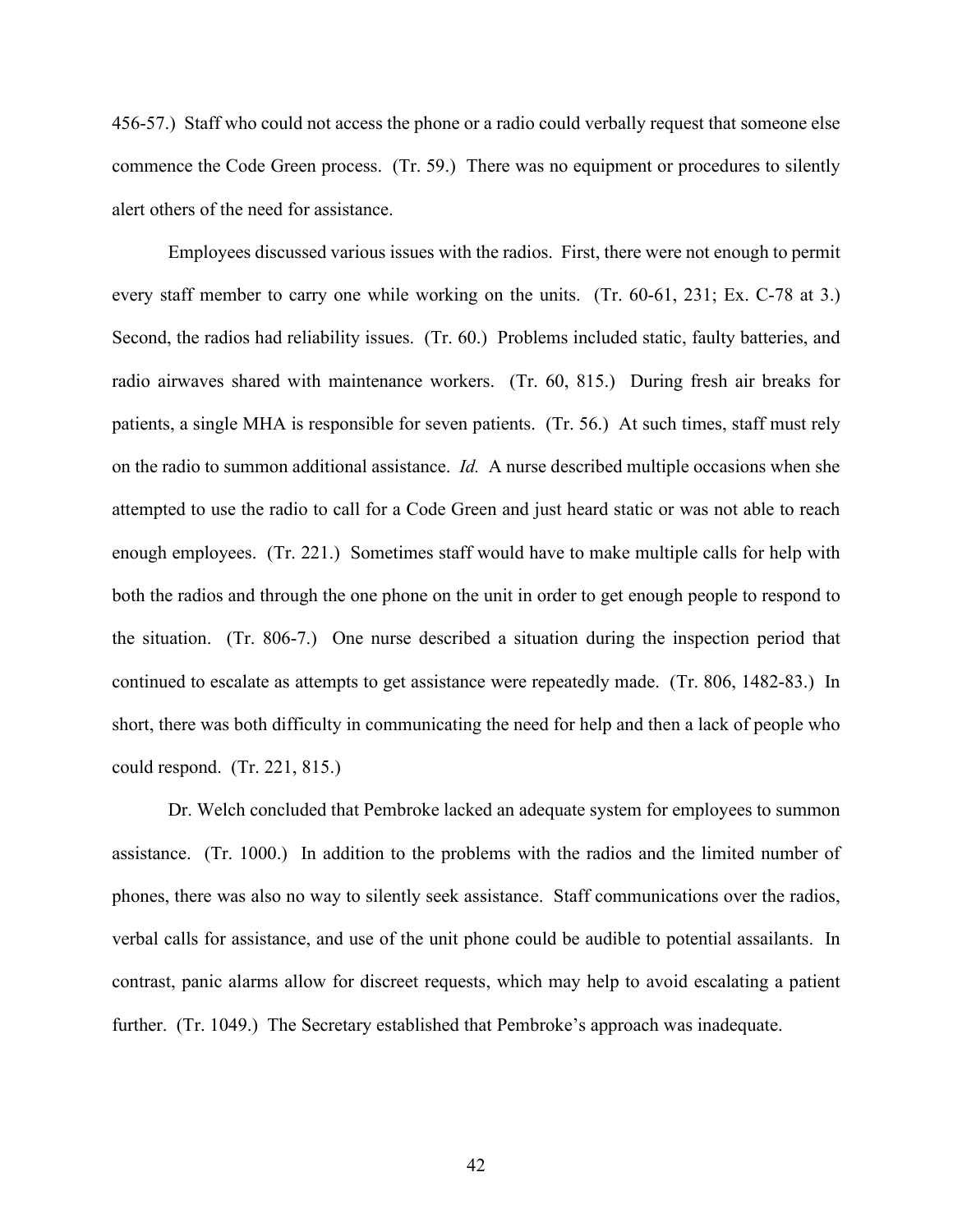456-57.) Staff who could not access the phone or a radio could verbally request that someone else commence the Code Green process. (Tr. 59.) There was no equipment or procedures to silently alert others of the need for assistance.

Employees discussed various issues with the radios. First, there were not enough to permit every staff member to carry one while working on the units. (Tr. 60-61, 231; Ex. C-78 at 3.) Second, the radios had reliability issues. (Tr. 60.) Problems included static, faulty batteries, and radio airwaves shared with maintenance workers. (Tr. 60, 815.) During fresh air breaks for patients, a single MHA is responsible for seven patients. (Tr. 56.) At such times, staff must rely on the radio to summon additional assistance. *Id.* A nurse described multiple occasions when she attempted to use the radio to call for a Code Green and just heard static or was not able to reach enough employees. (Tr. 221.) Sometimes staff would have to make multiple calls for help with both the radios and through the one phone on the unit in order to get enough people to respond to the situation. (Tr. 806-7.) One nurse described a situation during the inspection period that continued to escalate as attempts to get assistance were repeatedly made. (Tr. 806, 1482-83.) In short, there was both difficulty in communicating the need for help and then a lack of people who could respond. (Tr. 221, 815.)

Dr. Welch concluded that Pembroke lacked an adequate system for employees to summon assistance. (Tr. 1000.) In addition to the problems with the radios and the limited number of phones, there was also no way to silently seek assistance. Staff communications over the radios, verbal calls for assistance, and use of the unit phone could be audible to potential assailants. In contrast, panic alarms allow for discreet requests, which may help to avoid escalating a patient further. (Tr. 1049.) The Secretary established that Pembroke's approach was inadequate.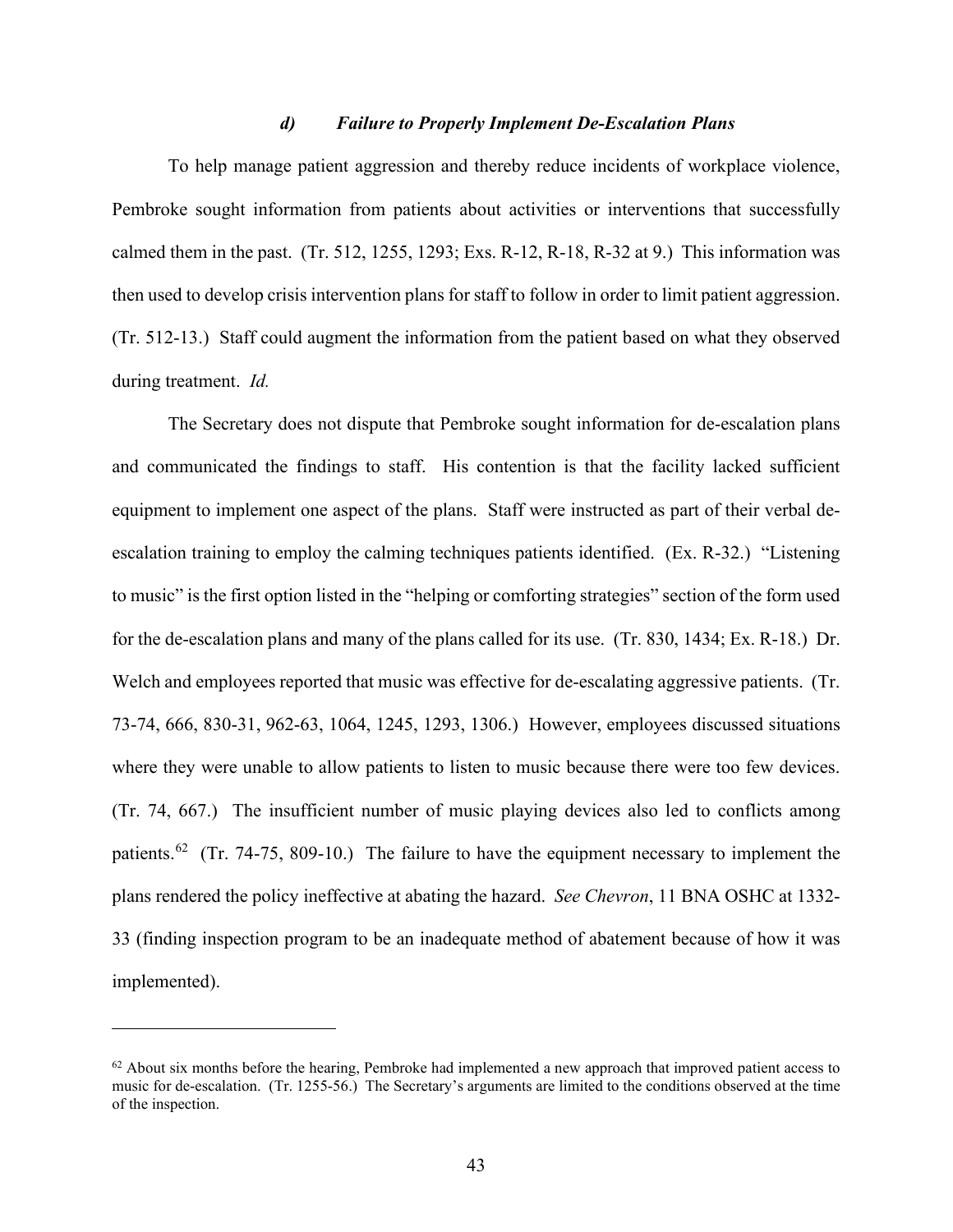### *d) Failure to Properly Implement De-Escalation Plans*

To help manage patient aggression and thereby reduce incidents of workplace violence, Pembroke sought information from patients about activities or interventions that successfully calmed them in the past. (Tr. 512, 1255, 1293; Exs. R-12, R-18, R-32 at 9.) This information was then used to develop crisis intervention plans for staff to follow in order to limit patient aggression. (Tr. 512-13.) Staff could augment the information from the patient based on what they observed during treatment. *Id.*

The Secretary does not dispute that Pembroke sought information for de-escalation plans and communicated the findings to staff. His contention is that the facility lacked sufficient equipment to implement one aspect of the plans. Staff were instructed as part of their verbal deescalation training to employ the calming techniques patients identified. (Ex. R-32.) "Listening to music" is the first option listed in the "helping or comforting strategies" section of the form used for the de-escalation plans and many of the plans called for its use. (Tr. 830, 1434; Ex. R-18.) Dr. Welch and employees reported that music was effective for de-escalating aggressive patients. (Tr. 73-74, 666, 830-31, 962-63, 1064, 1245, 1293, 1306.) However, employees discussed situations where they were unable to allow patients to listen to music because there were too few devices. (Tr. 74, 667.) The insufficient number of music playing devices also led to conflicts among patients.<sup>62</sup> (Tr. 74-75, 809-10.) The failure to have the equipment necessary to implement the plans rendered the policy ineffective at abating the hazard. *See Chevron*, 11 BNA OSHC at 1332- 33 (finding inspection program to be an inadequate method of abatement because of how it was implemented).

 $62$  About six months before the hearing, Pembroke had implemented a new approach that improved patient access to music for de-escalation. (Tr. 1255-56.) The Secretary's arguments are limited to the conditions observed at the time of the inspection.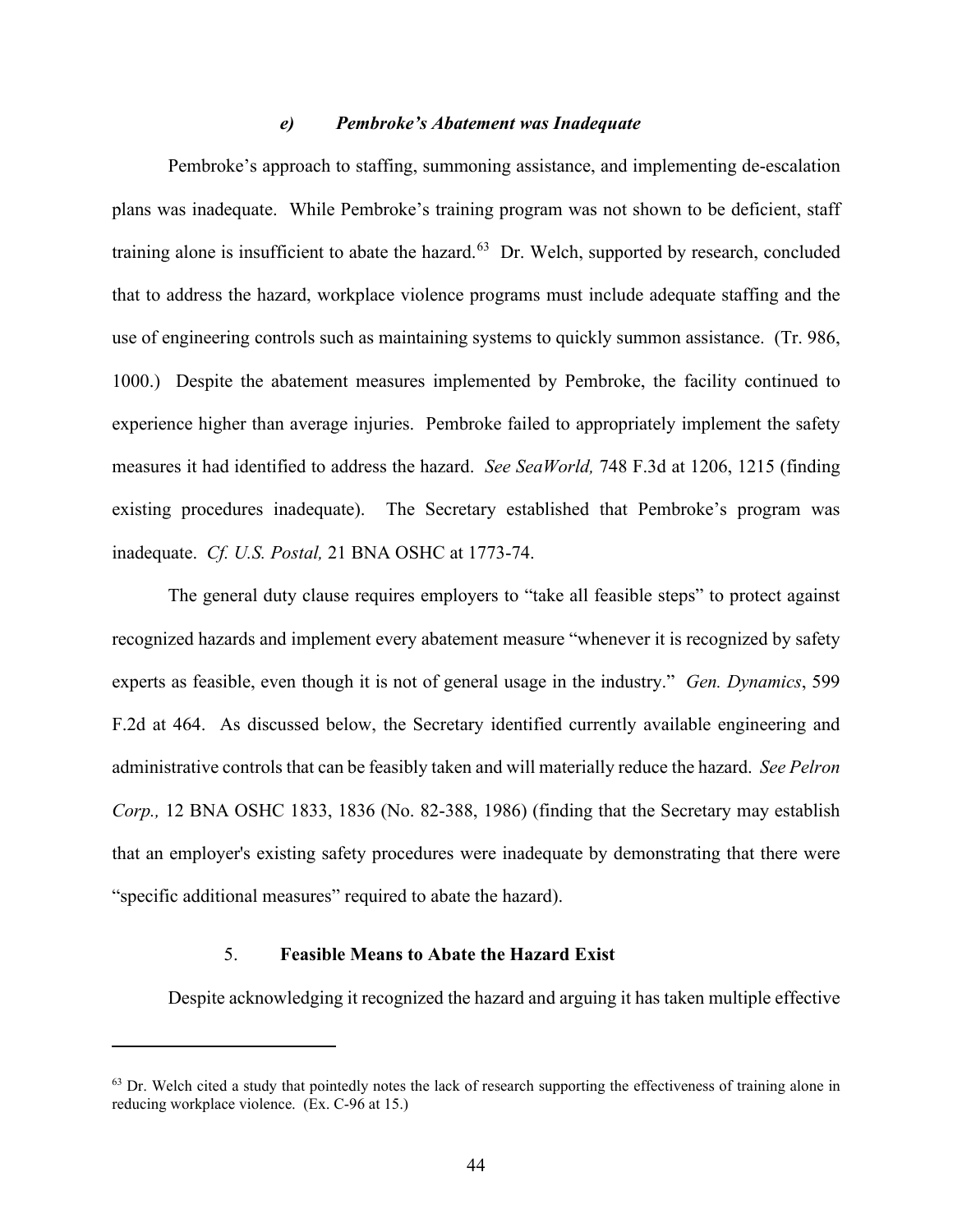### *e) Pembroke's Abatement was Inadequate*

Pembroke's approach to staffing, summoning assistance, and implementing de-escalation plans was inadequate. While Pembroke's training program was not shown to be deficient, staff training alone is insufficient to abate the hazard.<sup>63</sup> Dr. Welch, supported by research, concluded that to address the hazard, workplace violence programs must include adequate staffing and the use of engineering controls such as maintaining systems to quickly summon assistance. (Tr. 986, 1000.) Despite the abatement measures implemented by Pembroke, the facility continued to experience higher than average injuries. Pembroke failed to appropriately implement the safety measures it had identified to address the hazard. *See SeaWorld,* 748 F.3d at 1206, 1215 (finding existing procedures inadequate). The Secretary established that Pembroke's program was inadequate. *Cf. U.S. Postal,* 21 BNA OSHC at 1773-74.

The general duty clause requires employers to "take all feasible steps" to protect against recognized hazards and implement every abatement measure "whenever it is recognized by safety experts as feasible, even though it is not of general usage in the industry." *Gen. Dynamics*, 599 F.2d at 464. As discussed below, the Secretary identified currently available engineering and administrative controls that can be feasibly taken and will materially reduce the hazard. *See Pelron Corp.,* 12 BNA OSHC 1833, 1836 (No. 82-388, 1986) (finding that the Secretary may establish that an employer's existing safety procedures were inadequate by demonstrating that there were "specific additional measures" required to abate the hazard).

## 5. **Feasible Means to Abate the Hazard Exist**

Despite acknowledging it recognized the hazard and arguing it has taken multiple effective

 $<sup>63</sup>$  Dr. Welch cited a study that pointedly notes the lack of research supporting the effectiveness of training alone in</sup> reducing workplace violence. (Ex. C-96 at 15.)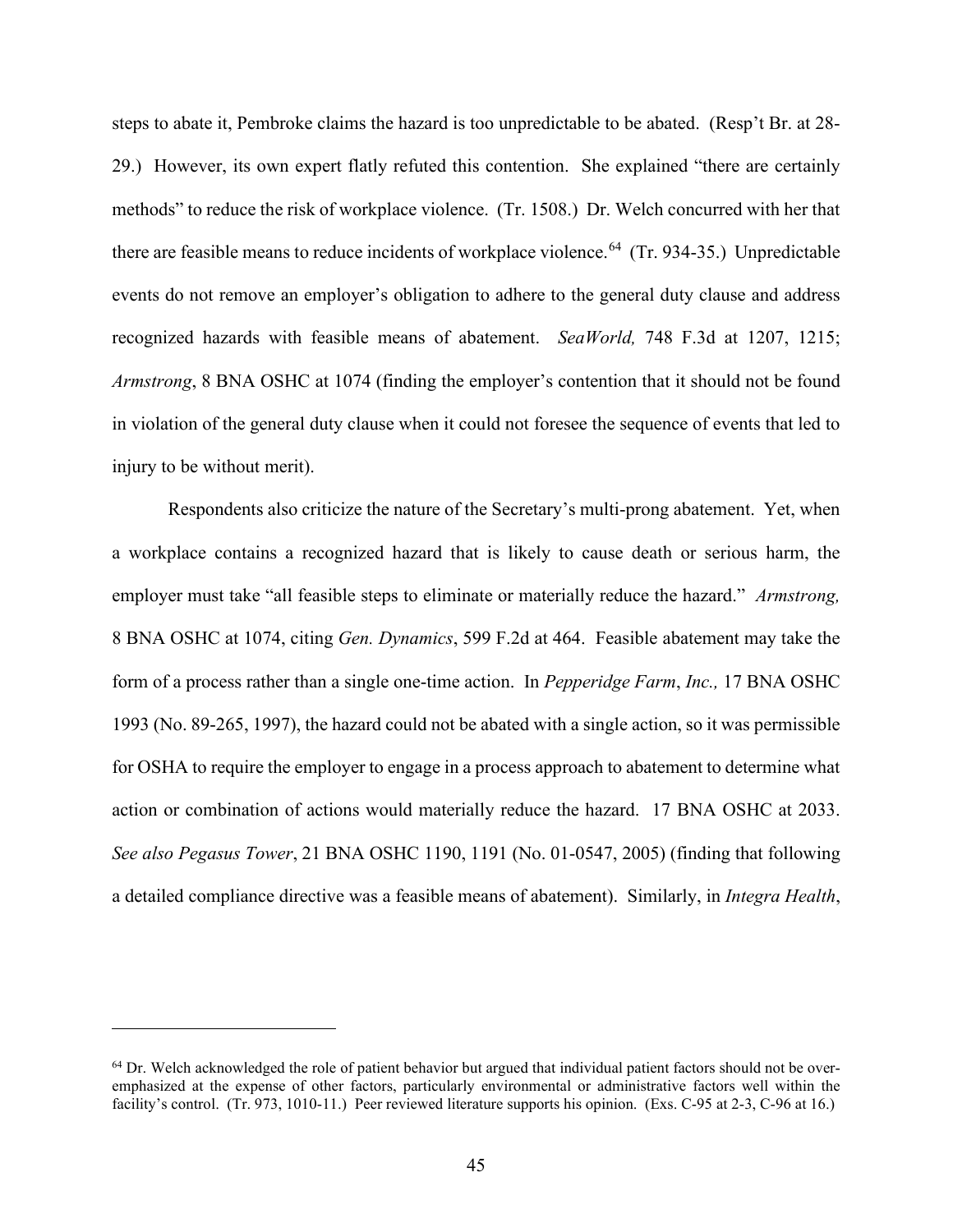steps to abate it, Pembroke claims the hazard is too unpredictable to be abated. (Resp't Br. at 28- 29.) However, its own expert flatly refuted this contention. She explained "there are certainly methods" to reduce the risk of workplace violence. (Tr. 1508.) Dr. Welch concurred with her that there are feasible means to reduce incidents of workplace violence.<sup>64</sup> (Tr. 934-35.) Unpredictable events do not remove an employer's obligation to adhere to the general duty clause and address recognized hazards with feasible means of abatement. *SeaWorld,* 748 F.3d at 1207, 1215; *Armstrong*, 8 BNA OSHC at 1074 (finding the employer's contention that it should not be found in violation of the general duty clause when it could not foresee the sequence of events that led to injury to be without merit).

Respondents also criticize the nature of the Secretary's multi-prong abatement. Yet, when a workplace contains a recognized hazard that is likely to cause death or serious harm, the employer must take "all feasible steps to eliminate or materially reduce the hazard." *Armstrong,*  8 BNA OSHC at 1074, citing *Gen. Dynamics*, 599 F.2d at 464. Feasible abatement may take the form of a process rather than a single one-time action. In *Pepperidge Farm*, *Inc.,* 17 BNA OSHC 1993 (No. 89-265, 1997), the hazard could not be abated with a single action, so it was permissible for OSHA to require the employer to engage in a process approach to abatement to determine what action or combination of actions would materially reduce the hazard. 17 BNA OSHC at 2033. *See also Pegasus Tower*, 21 BNA OSHC 1190, 1191 (No. 01-0547, 2005) (finding that following a detailed compliance directive was a feasible means of abatement). Similarly, in *Integra Health*,

 $64$  Dr. Welch acknowledged the role of patient behavior but argued that individual patient factors should not be overemphasized at the expense of other factors, particularly environmental or administrative factors well within the facility's control. (Tr. 973, 1010-11.) Peer reviewed literature supports his opinion. (Exs. C-95 at 2-3, C-96 at 16.)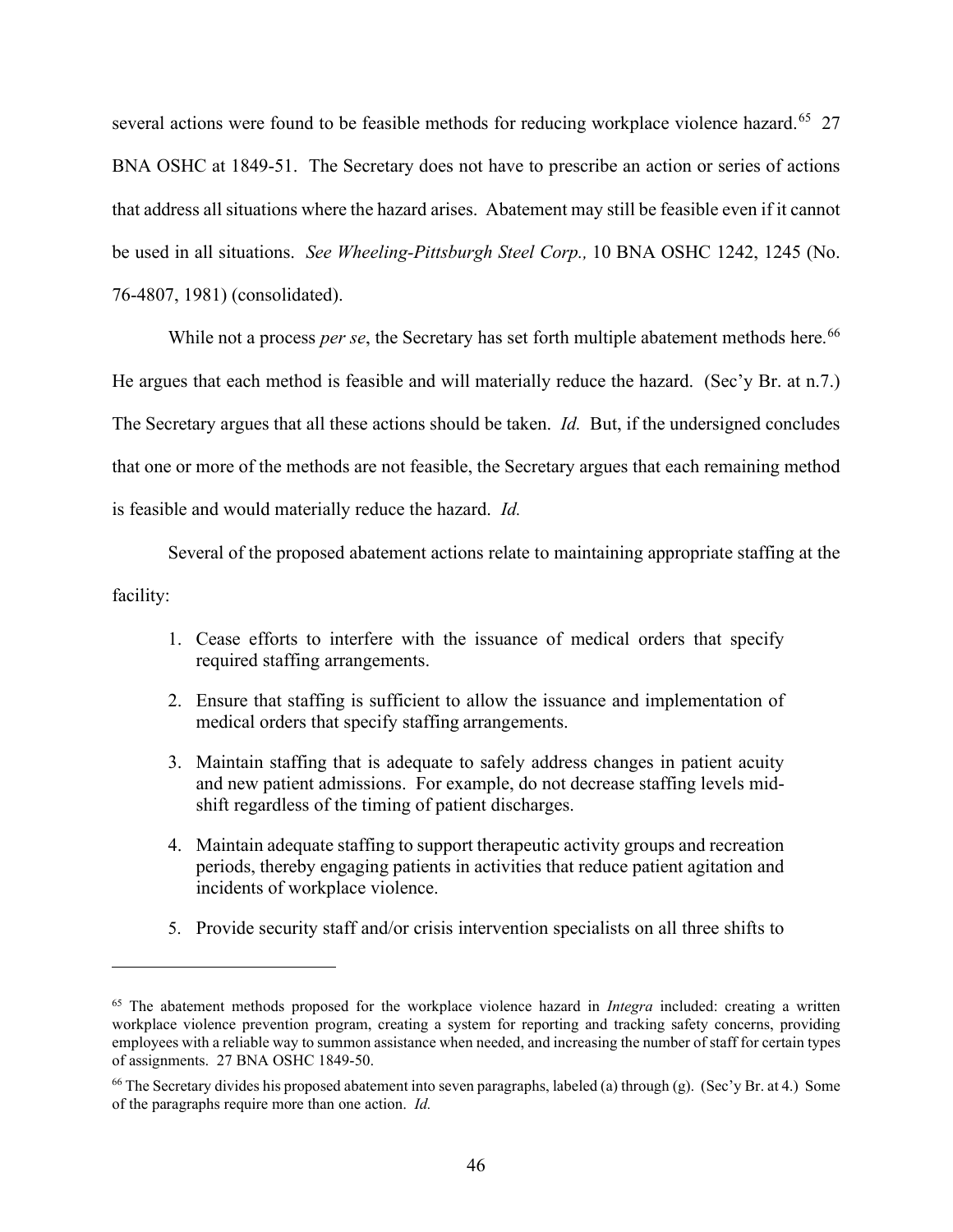several actions were found to be feasible methods for reducing workplace violence hazard.<sup>65</sup> 27 BNA OSHC at 1849-51. The Secretary does not have to prescribe an action or series of actions that address all situations where the hazard arises. Abatement may still be feasible even if it cannot be used in all situations. *See Wheeling-Pittsburgh Steel Corp.,* 10 BNA OSHC 1242, 1245 (No. 76-4807, 1981) (consolidated).

While not a process *per se*, the Secretary has set forth multiple abatement methods here.<sup>66</sup> He argues that each method is feasible and will materially reduce the hazard. (Sec'y Br. at n.7.) The Secretary argues that all these actions should be taken. *Id.* But, if the undersigned concludes that one or more of the methods are not feasible, the Secretary argues that each remaining method is feasible and would materially reduce the hazard. *Id.*

Several of the proposed abatement actions relate to maintaining appropriate staffing at the facility:

- 1. Cease efforts to interfere with the issuance of medical orders that specify required staffing arrangements.
- 2. Ensure that staffing is sufficient to allow the issuance and implementation of medical orders that specify staffing arrangements.
- 3. Maintain staffing that is adequate to safely address changes in patient acuity and new patient admissions. For example, do not decrease staffing levels midshift regardless of the timing of patient discharges.
- 4. Maintain adequate staffing to support therapeutic activity groups and recreation periods, thereby engaging patients in activities that reduce patient agitation and incidents of workplace violence.
- 5. Provide security staff and/or crisis intervention specialists on all three shifts to

<sup>65</sup> The abatement methods proposed for the workplace violence hazard in *Integra* included: creating a written workplace violence prevention program, creating a system for reporting and tracking safety concerns, providing employees with a reliable way to summon assistance when needed, and increasing the number of staff for certain types of assignments. 27 BNA OSHC 1849-50.

<sup>&</sup>lt;sup>66</sup> The Secretary divides his proposed abatement into seven paragraphs, labeled (a) through (g). (Sec'y Br. at 4.) Some of the paragraphs require more than one action. *Id.*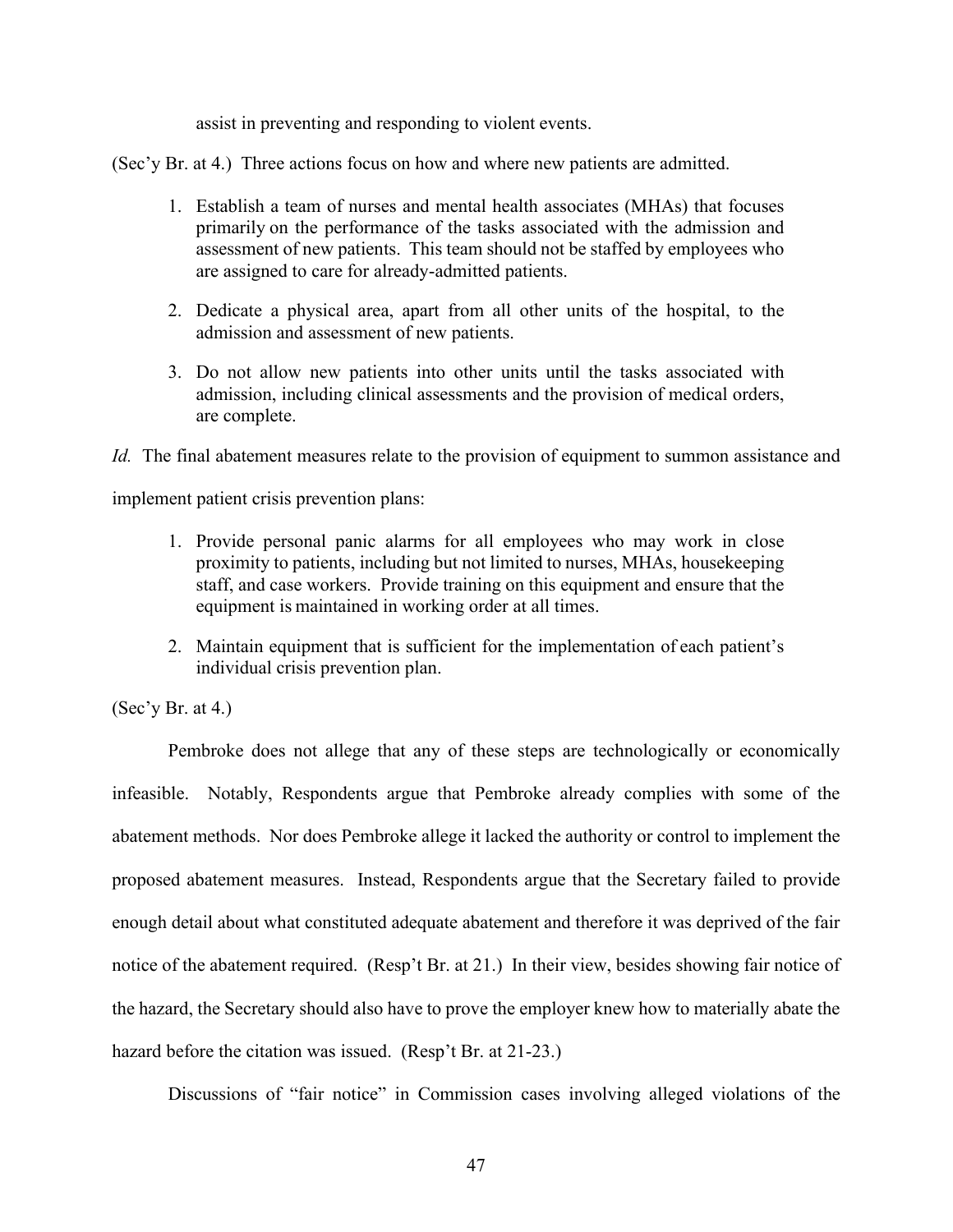assist in preventing and responding to violent events.

(Sec'y Br. at 4.) Three actions focus on how and where new patients are admitted.

- 1. Establish a team of nurses and mental health associates (MHAs) that focuses primarily on the performance of the tasks associated with the admission and assessment of new patients. This team should not be staffed by employees who are assigned to care for already-admitted patients.
- 2. Dedicate a physical area, apart from all other units of the hospital, to the admission and assessment of new patients.
- 3. Do not allow new patients into other units until the tasks associated with admission, including clinical assessments and the provision of medical orders, are complete.

*Id.* The final abatement measures relate to the provision of equipment to summon assistance and

implement patient crisis prevention plans:

- 1. Provide personal panic alarms for all employees who may work in close proximity to patients, including but not limited to nurses, MHAs, housekeeping staff, and case workers. Provide training on this equipment and ensure that the equipment is maintained in working order at all times.
- 2. Maintain equipment that is sufficient for the implementation of each patient's individual crisis prevention plan.

 $(Sec'y Br. at 4.)$ 

Pembroke does not allege that any of these steps are technologically or economically infeasible. Notably, Respondents argue that Pembroke already complies with some of the abatement methods. Nor does Pembroke allege it lacked the authority or control to implement the proposed abatement measures. Instead, Respondents argue that the Secretary failed to provide enough detail about what constituted adequate abatement and therefore it was deprived of the fair notice of the abatement required. (Resp't Br. at 21.) In their view, besides showing fair notice of the hazard, the Secretary should also have to prove the employer knew how to materially abate the hazard before the citation was issued. (Resp't Br. at 21-23.)

Discussions of "fair notice" in Commission cases involving alleged violations of the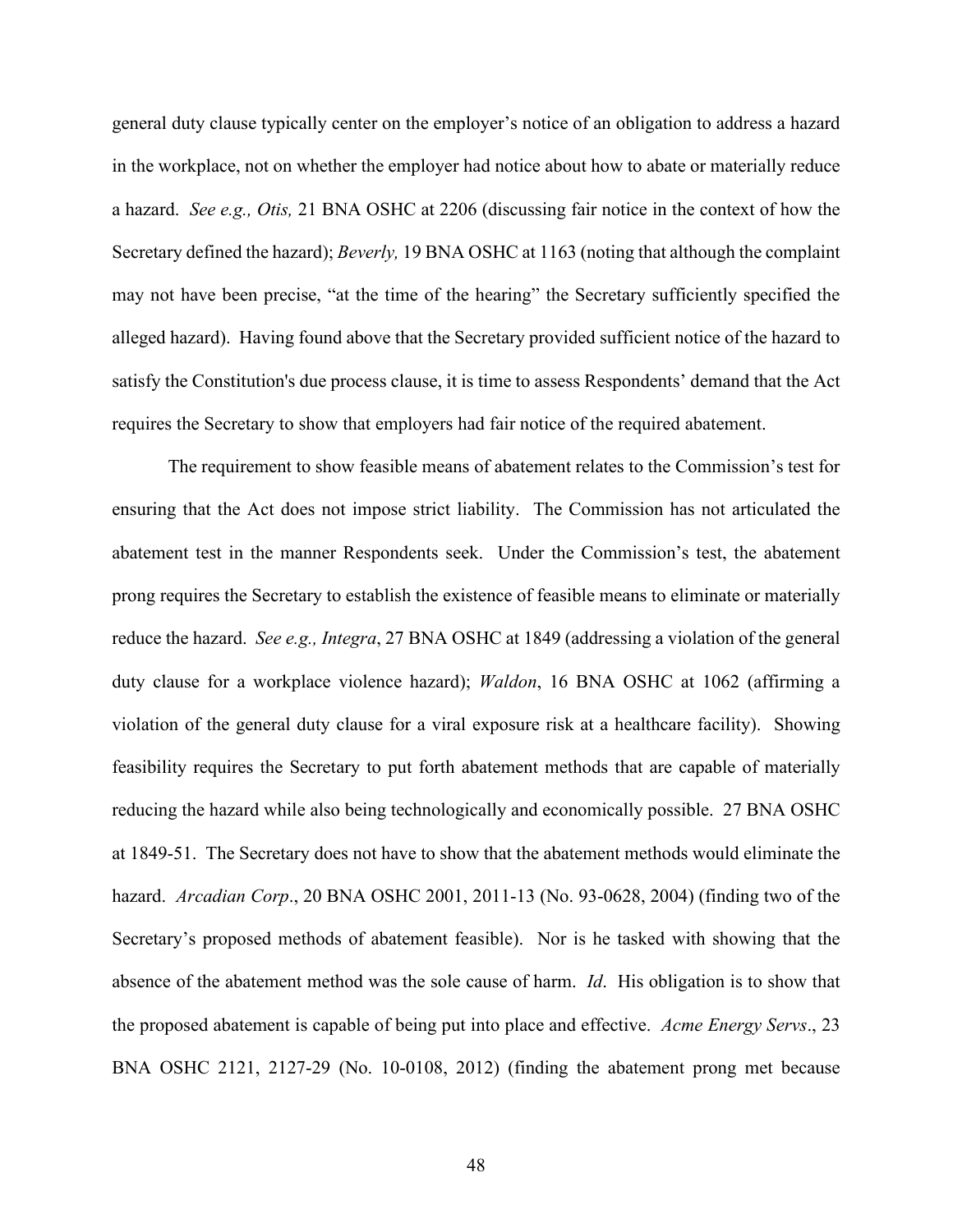general duty clause typically center on the employer's notice of an obligation to address a hazard in the workplace, not on whether the employer had notice about how to abate or materially reduce a hazard. *See e.g., Otis,* 21 BNA OSHC at 2206 (discussing fair notice in the context of how the Secretary defined the hazard); *Beverly,* 19 BNA OSHC at 1163 (noting that although the complaint may not have been precise, "at the time of the hearing" the Secretary sufficiently specified the alleged hazard). Having found above that the Secretary provided sufficient notice of the hazard to satisfy the Constitution's due process clause, it is time to assess Respondents' demand that the Act requires the Secretary to show that employers had fair notice of the required abatement.

The requirement to show feasible means of abatement relates to the Commission's test for ensuring that the Act does not impose strict liability. The Commission has not articulated the abatement test in the manner Respondents seek. Under the Commission's test, the abatement prong requires the Secretary to establish the existence of feasible means to eliminate or materially reduce the hazard. *See e.g., Integra*, 27 BNA OSHC at 1849 (addressing a violation of the general duty clause for a workplace violence hazard); *Waldon*, 16 BNA OSHC at 1062 (affirming a violation of the general duty clause for a viral exposure risk at a healthcare facility).Showing feasibility requires the Secretary to put forth abatement methods that are capable of materially reducing the hazard while also being technologically and economically possible. 27 BNA OSHC at 1849-51. The Secretary does not have to show that the abatement methods would eliminate the hazard. *Arcadian Corp*., 20 BNA OSHC 2001, 2011-13 (No. 93-0628, 2004) (finding two of the Secretary's proposed methods of abatement feasible). Nor is he tasked with showing that the absence of the abatement method was the sole cause of harm. *Id*. His obligation is to show that the proposed abatement is capable of being put into place and effective. *Acme Energy Servs*., 23 BNA OSHC 2121, 2127-29 (No. 10-0108, 2012) (finding the abatement prong met because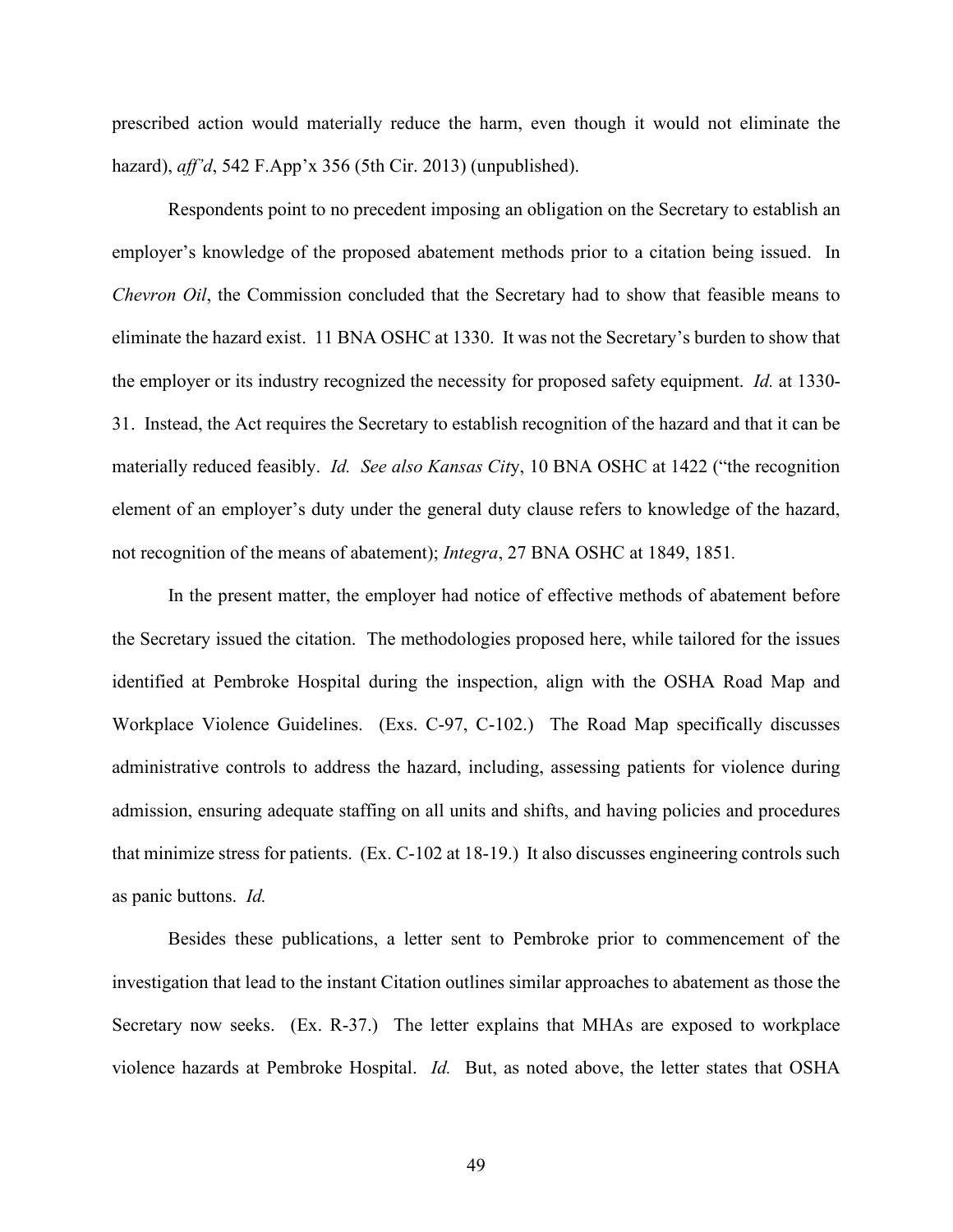prescribed action would materially reduce the harm, even though it would not eliminate the hazard), *aff'd*, 542 F.App'x 356 (5th Cir. 2013) (unpublished).

Respondents point to no precedent imposing an obligation on the Secretary to establish an employer's knowledge of the proposed abatement methods prior to a citation being issued. In *Chevron Oil*, the Commission concluded that the Secretary had to show that feasible means to eliminate the hazard exist. 11 BNA OSHC at 1330. It was not the Secretary's burden to show that the employer or its industry recognized the necessity for proposed safety equipment. *Id.* at 1330- 31. Instead, the Act requires the Secretary to establish recognition of the hazard and that it can be materially reduced feasibly. *Id. See also Kansas Cit*y, 10 BNA OSHC at 1422 ("the recognition element of an employer's duty under the general duty clause refers to knowledge of the hazard, not recognition of the means of abatement); *Integra*, 27 BNA OSHC at 1849, 1851*.* 

In the present matter, the employer had notice of effective methods of abatement before the Secretary issued the citation. The methodologies proposed here, while tailored for the issues identified at Pembroke Hospital during the inspection, align with the OSHA Road Map and Workplace Violence Guidelines. (Exs. C-97, C-102.) The Road Map specifically discusses administrative controls to address the hazard, including, assessing patients for violence during admission, ensuring adequate staffing on all units and shifts, and having policies and procedures that minimize stress for patients. (Ex. C-102 at 18-19.) It also discusses engineering controls such as panic buttons. *Id.*

Besides these publications, a letter sent to Pembroke prior to commencement of the investigation that lead to the instant Citation outlines similar approaches to abatement as those the Secretary now seeks. (Ex. R-37.) The letter explains that MHAs are exposed to workplace violence hazards at Pembroke Hospital. *Id.* But, as noted above, the letter states that OSHA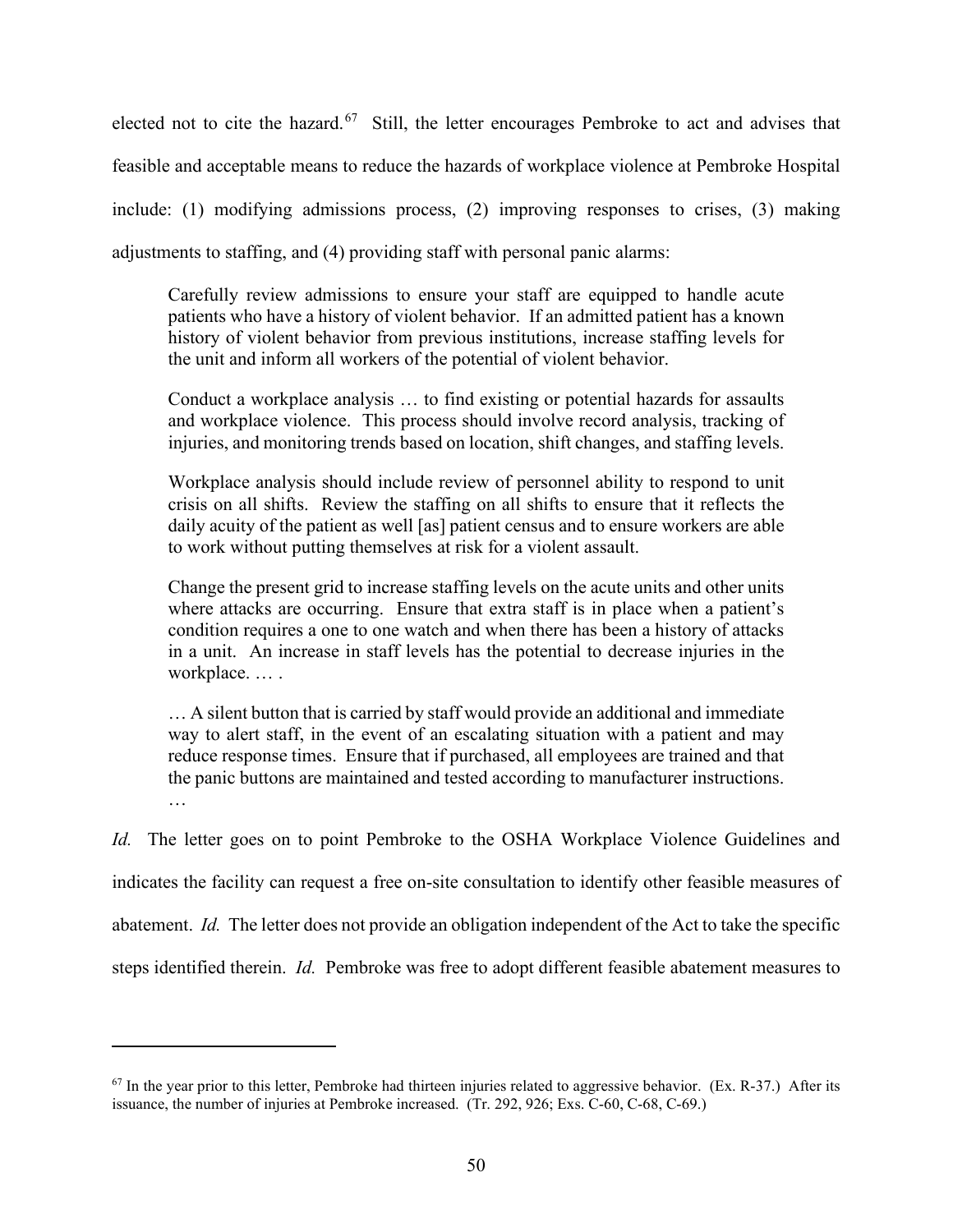elected not to cite the hazard.<sup>67</sup> Still, the letter encourages Pembroke to act and advises that feasible and acceptable means to reduce the hazards of workplace violence at Pembroke Hospital include: (1) modifying admissions process, (2) improving responses to crises, (3) making adjustments to staffing, and (4) providing staff with personal panic alarms:

Carefully review admissions to ensure your staff are equipped to handle acute patients who have a history of violent behavior. If an admitted patient has a known history of violent behavior from previous institutions, increase staffing levels for the unit and inform all workers of the potential of violent behavior.

Conduct a workplace analysis … to find existing or potential hazards for assaults and workplace violence. This process should involve record analysis, tracking of injuries, and monitoring trends based on location, shift changes, and staffing levels.

Workplace analysis should include review of personnel ability to respond to unit crisis on all shifts. Review the staffing on all shifts to ensure that it reflects the daily acuity of the patient as well [as] patient census and to ensure workers are able to work without putting themselves at risk for a violent assault.

Change the present grid to increase staffing levels on the acute units and other units where attacks are occurring. Ensure that extra staff is in place when a patient's condition requires a one to one watch and when there has been a history of attacks in a unit. An increase in staff levels has the potential to decrease injuries in the workplace. … .

… A silent button that is carried by staff would provide an additional and immediate way to alert staff, in the event of an escalating situation with a patient and may reduce response times. Ensure that if purchased, all employees are trained and that the panic buttons are maintained and tested according to manufacturer instructions. …

*Id.* The letter goes on to point Pembroke to the OSHA Workplace Violence Guidelines and indicates the facility can request a free on-site consultation to identify other feasible measures of abatement. *Id.* The letter does not provide an obligation independent of the Act to take the specific steps identified therein. *Id.* Pembroke was free to adopt different feasible abatement measures to

 $67$  In the year prior to this letter, Pembroke had thirteen injuries related to aggressive behavior. (Ex. R-37.) After its issuance, the number of injuries at Pembroke increased. (Tr. 292, 926; Exs. C-60, C-68, C-69.)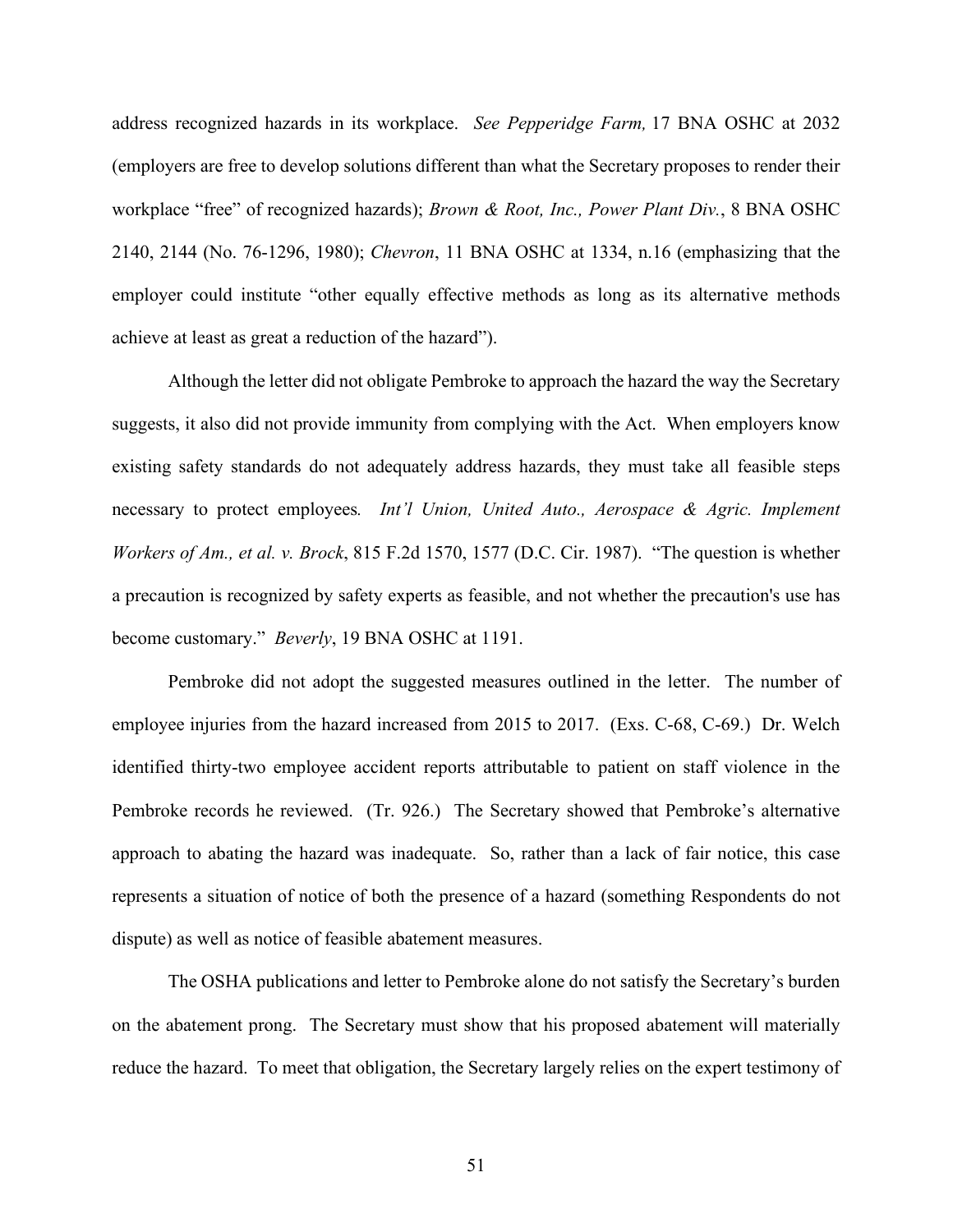address recognized hazards in its workplace. *See Pepperidge Farm,* 17 BNA OSHC at 2032 (employers are free to develop solutions different than what the Secretary proposes to render their workplace "free" of recognized hazards); *Brown & Root, Inc., Power Plant Div.*, 8 BNA OSHC 2140, 2144 (No. 76-1296, 1980); *Chevron*, 11 BNA OSHC at 1334, n.16 (emphasizing that the employer could institute "other equally effective methods as long as its alternative methods achieve at least as great a reduction of the hazard").

Although the letter did not obligate Pembroke to approach the hazard the way the Secretary suggests, it also did not provide immunity from complying with the Act. When employers know existing safety standards do not adequately address hazards, they must take all feasible steps necessary to protect employees*. Int'l Union, United Auto., Aerospace & Agric. Implement Workers of Am., et al. v. Brock*, 815 F.2d 1570, 1577 (D.C. Cir. 1987). "The question is whether a precaution is recognized by safety experts as feasible, and not whether the precaution's use has become customary." *Beverly*, 19 BNA OSHC at 1191.

Pembroke did not adopt the suggested measures outlined in the letter. The number of employee injuries from the hazard increased from 2015 to 2017. (Exs. C-68, C-69.) Dr. Welch identified thirty-two employee accident reports attributable to patient on staff violence in the Pembroke records he reviewed. (Tr. 926.) The Secretary showed that Pembroke's alternative approach to abating the hazard was inadequate. So, rather than a lack of fair notice, this case represents a situation of notice of both the presence of a hazard (something Respondents do not dispute) as well as notice of feasible abatement measures.

The OSHA publications and letter to Pembroke alone do not satisfy the Secretary's burden on the abatement prong. The Secretary must show that his proposed abatement will materially reduce the hazard. To meet that obligation, the Secretary largely relies on the expert testimony of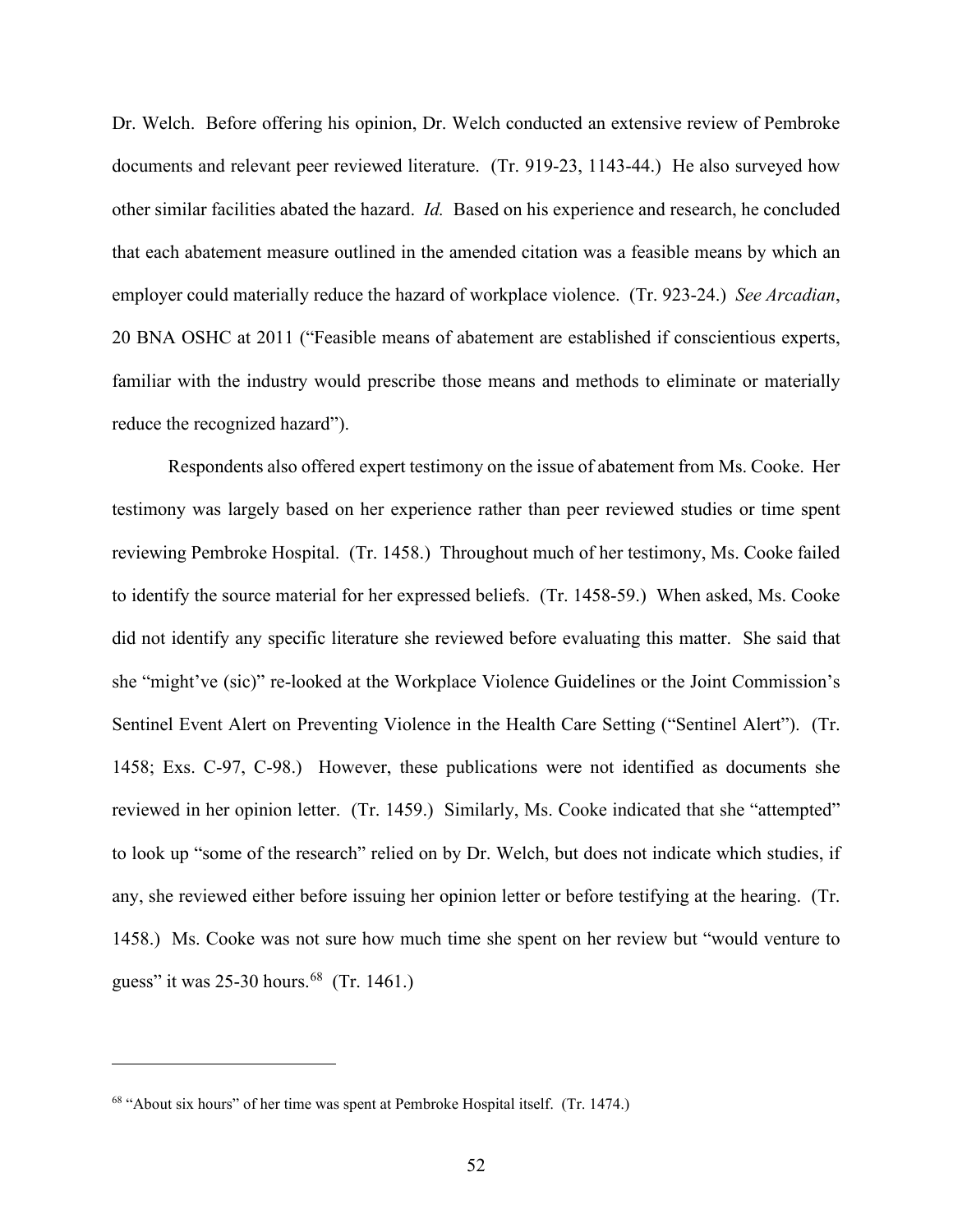Dr. Welch. Before offering his opinion, Dr. Welch conducted an extensive review of Pembroke documents and relevant peer reviewed literature. (Tr. 919-23, 1143-44.) He also surveyed how other similar facilities abated the hazard. *Id.* Based on his experience and research, he concluded that each abatement measure outlined in the amended citation was a feasible means by which an employer could materially reduce the hazard of workplace violence. (Tr. 923-24.) *See Arcadian*, 20 BNA OSHC at 2011 ("Feasible means of abatement are established if conscientious experts, familiar with the industry would prescribe those means and methods to eliminate or materially reduce the recognized hazard").

Respondents also offered expert testimony on the issue of abatement from Ms. Cooke. Her testimony was largely based on her experience rather than peer reviewed studies or time spent reviewing Pembroke Hospital. (Tr. 1458.) Throughout much of her testimony, Ms. Cooke failed to identify the source material for her expressed beliefs. (Tr. 1458-59.) When asked, Ms. Cooke did not identify any specific literature she reviewed before evaluating this matter. She said that she "might've (sic)" re-looked at the Workplace Violence Guidelines or the Joint Commission's Sentinel Event Alert on Preventing Violence in the Health Care Setting ("Sentinel Alert"). (Tr. 1458; Exs. C-97, C-98.) However, these publications were not identified as documents she reviewed in her opinion letter. (Tr. 1459.) Similarly, Ms. Cooke indicated that she "attempted" to look up "some of the research" relied on by Dr. Welch, but does not indicate which studies, if any, she reviewed either before issuing her opinion letter or before testifying at the hearing. (Tr. 1458.) Ms. Cooke was not sure how much time she spent on her review but "would venture to guess" it was  $25-30$  hours.<sup>68</sup> (Tr. 1461.)

<sup>68</sup> "About six hours" of her time was spent at Pembroke Hospital itself. (Tr. 1474.)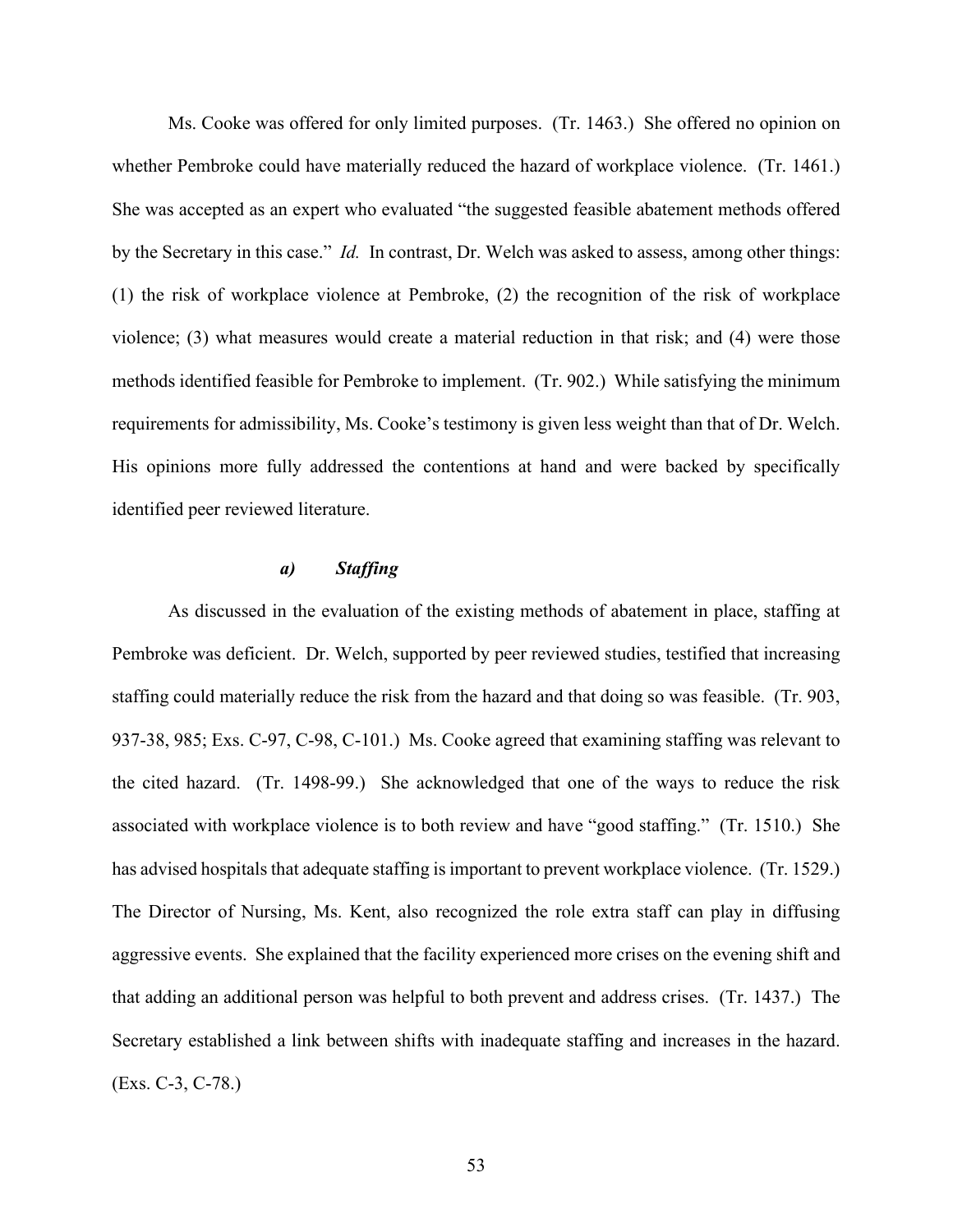Ms. Cooke was offered for only limited purposes. (Tr. 1463.) She offered no opinion on whether Pembroke could have materially reduced the hazard of workplace violence. (Tr. 1461.) She was accepted as an expert who evaluated "the suggested feasible abatement methods offered by the Secretary in this case." *Id.* In contrast, Dr. Welch was asked to assess, among other things: (1) the risk of workplace violence at Pembroke, (2) the recognition of the risk of workplace violence; (3) what measures would create a material reduction in that risk; and (4) were those methods identified feasible for Pembroke to implement. (Tr. 902.) While satisfying the minimum requirements for admissibility, Ms. Cooke's testimony is given less weight than that of Dr. Welch. His opinions more fully addressed the contentions at hand and were backed by specifically identified peer reviewed literature.

## *a) Staffing*

As discussed in the evaluation of the existing methods of abatement in place, staffing at Pembroke was deficient. Dr. Welch, supported by peer reviewed studies, testified that increasing staffing could materially reduce the risk from the hazard and that doing so was feasible. (Tr. 903, 937-38, 985; Exs. C-97, C-98, C-101.) Ms. Cooke agreed that examining staffing was relevant to the cited hazard. (Tr. 1498-99.) She acknowledged that one of the ways to reduce the risk associated with workplace violence is to both review and have "good staffing." (Tr. 1510.) She has advised hospitals that adequate staffing is important to prevent workplace violence. (Tr. 1529.) The Director of Nursing, Ms. Kent, also recognized the role extra staff can play in diffusing aggressive events. She explained that the facility experienced more crises on the evening shift and that adding an additional person was helpful to both prevent and address crises. (Tr. 1437.) The Secretary established a link between shifts with inadequate staffing and increases in the hazard. (Exs. C-3, C-78.)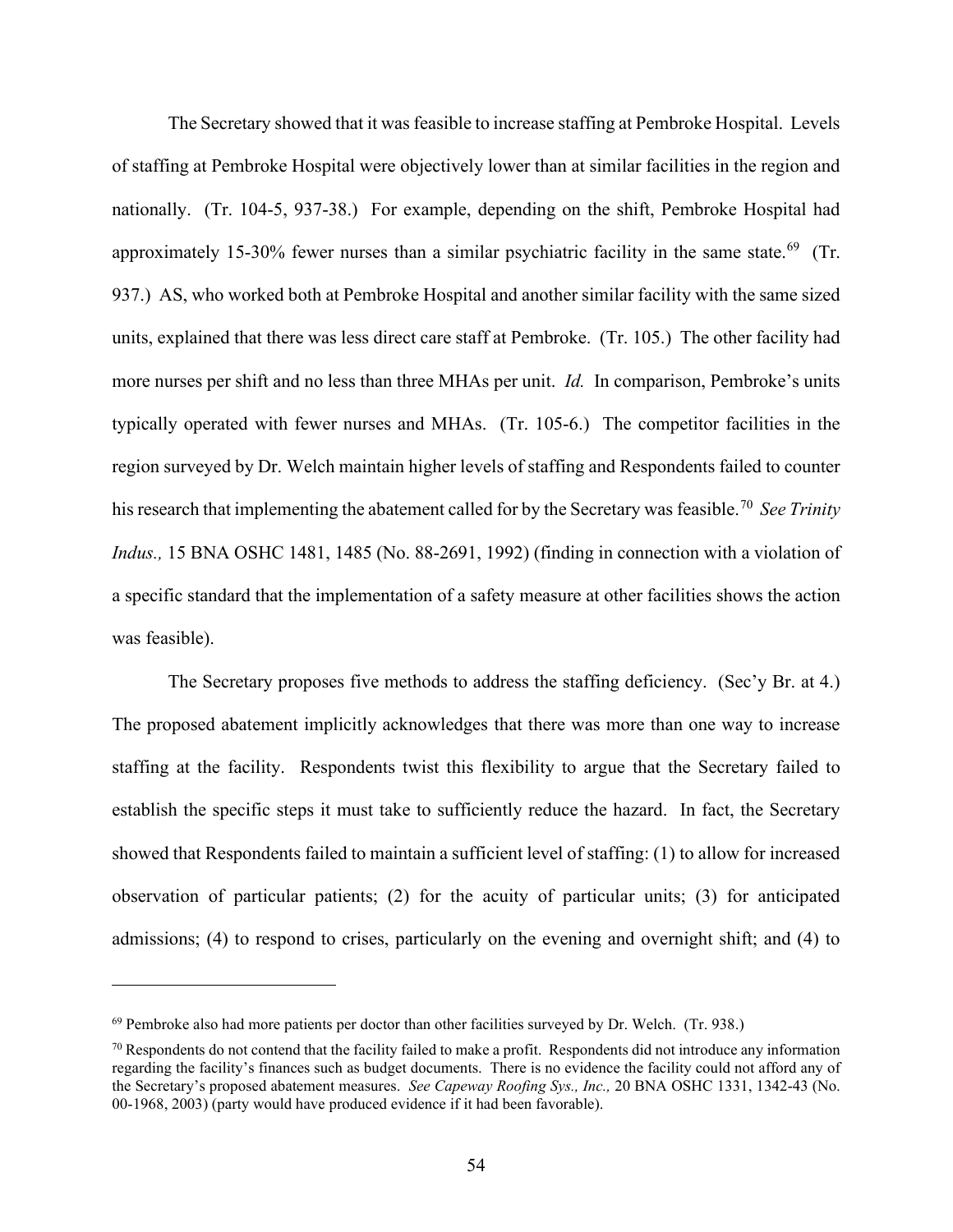The Secretary showed that it was feasible to increase staffing at Pembroke Hospital. Levels of staffing at Pembroke Hospital were objectively lower than at similar facilities in the region and nationally. (Tr. 104-5, 937-38.) For example, depending on the shift, Pembroke Hospital had approximately 15-30% fewer nurses than a similar psychiatric facility in the same state.<sup>69</sup> (Tr. 937.) AS, who worked both at Pembroke Hospital and another similar facility with the same sized units, explained that there was less direct care staff at Pembroke. (Tr. 105.) The other facility had more nurses per shift and no less than three MHAs per unit. *Id.* In comparison, Pembroke's units typically operated with fewer nurses and MHAs. (Tr. 105-6.) The competitor facilities in the region surveyed by Dr. Welch maintain higher levels of staffing and Respondents failed to counter his research that implementing the abatement called for by the Secretary was feasible.70 *See Trinity Indus.,* 15 BNA OSHC 1481, 1485 (No. 88-2691, 1992) (finding in connection with a violation of a specific standard that the implementation of a safety measure at other facilities shows the action was feasible).

The Secretary proposes five methods to address the staffing deficiency. (Sec'y Br. at 4.) The proposed abatement implicitly acknowledges that there was more than one way to increase staffing at the facility. Respondents twist this flexibility to argue that the Secretary failed to establish the specific steps it must take to sufficiently reduce the hazard. In fact, the Secretary showed that Respondents failed to maintain a sufficient level of staffing: (1) to allow for increased observation of particular patients; (2) for the acuity of particular units; (3) for anticipated admissions; (4) to respond to crises, particularly on the evening and overnight shift; and (4) to

<sup>69</sup> Pembroke also had more patients per doctor than other facilities surveyed by Dr. Welch. (Tr. 938.)

 $\frac{70}{10}$  Respondents do not contend that the facility failed to make a profit. Respondents did not introduce any information regarding the facility's finances such as budget documents. There is no evidence the facility could not afford any of the Secretary's proposed abatement measures. *See Capeway Roofing Sys., Inc.,* 20 BNA OSHC 1331, 1342-43 (No. 00-1968, 2003) (party would have produced evidence if it had been favorable).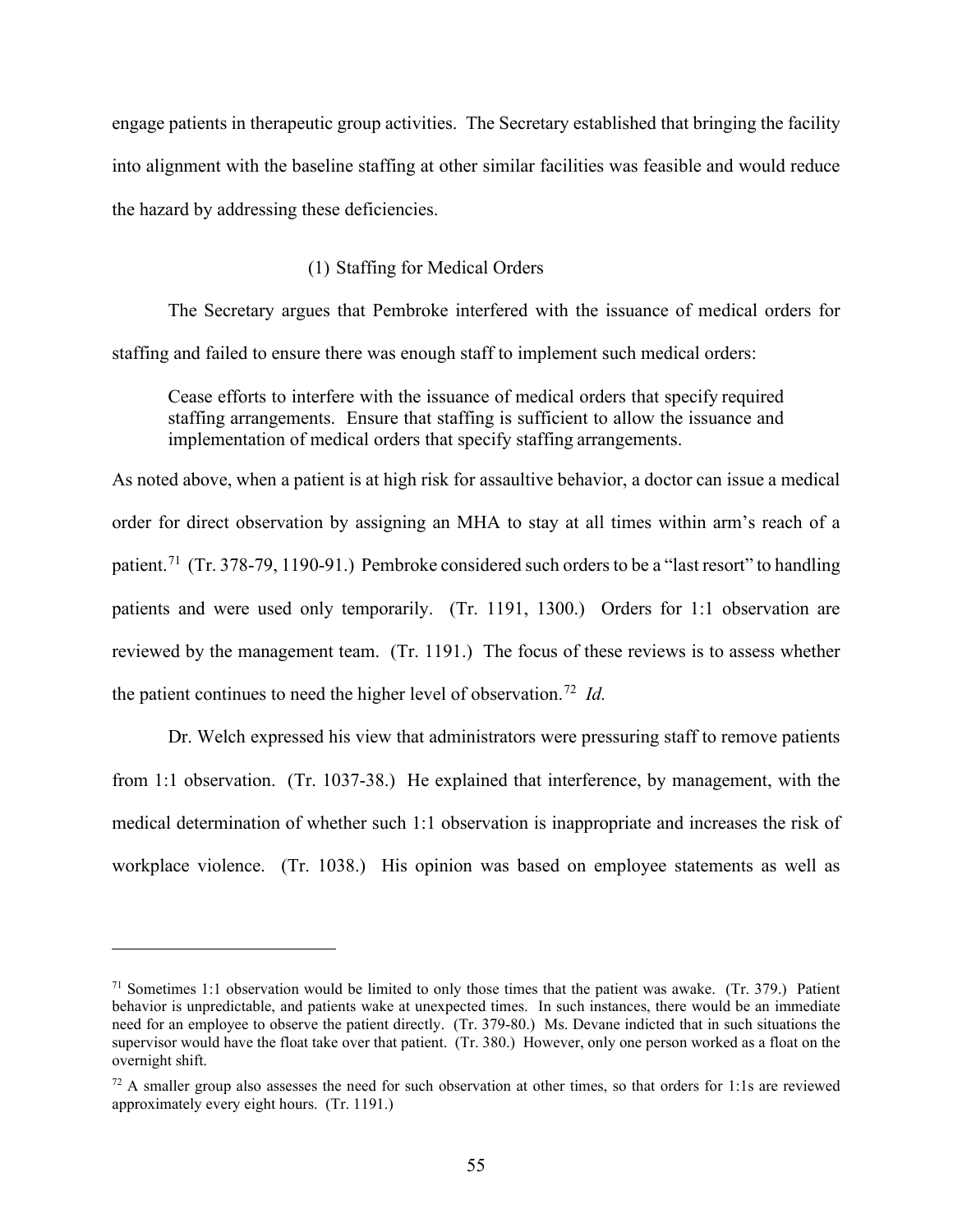engage patients in therapeutic group activities. The Secretary established that bringing the facility into alignment with the baseline staffing at other similar facilities was feasible and would reduce the hazard by addressing these deficiencies.

## (1) Staffing for Medical Orders

The Secretary argues that Pembroke interfered with the issuance of medical orders for staffing and failed to ensure there was enough staff to implement such medical orders:

Cease efforts to interfere with the issuance of medical orders that specify required staffing arrangements. Ensure that staffing is sufficient to allow the issuance and implementation of medical orders that specify staffing arrangements.

As noted above, when a patient is at high risk for assaultive behavior, a doctor can issue a medical order for direct observation by assigning an MHA to stay at all times within arm's reach of a patient.<sup>71</sup> (Tr. 378-79, 1190-91.) Pembroke considered such orders to be a "last resort" to handling patients and were used only temporarily. (Tr. 1191, 1300.) Orders for 1:1 observation are reviewed by the management team. (Tr. 1191.) The focus of these reviews is to assess whether the patient continues to need the higher level of observation.72 *Id.*

Dr. Welch expressed his view that administrators were pressuring staff to remove patients from 1:1 observation. (Tr. 1037-38.) He explained that interference, by management, with the medical determination of whether such 1:1 observation is inappropriate and increases the risk of workplace violence. (Tr. 1038.) His opinion was based on employee statements as well as

 $71$  Sometimes 1:1 observation would be limited to only those times that the patient was awake. (Tr. 379.) Patient behavior is unpredictable, and patients wake at unexpected times. In such instances, there would be an immediate need for an employee to observe the patient directly. (Tr. 379-80.) Ms. Devane indicted that in such situations the supervisor would have the float take over that patient. (Tr. 380.) However, only one person worked as a float on the overnight shift.

 $72$  A smaller group also assesses the need for such observation at other times, so that orders for 1:1s are reviewed approximately every eight hours. (Tr. 1191.)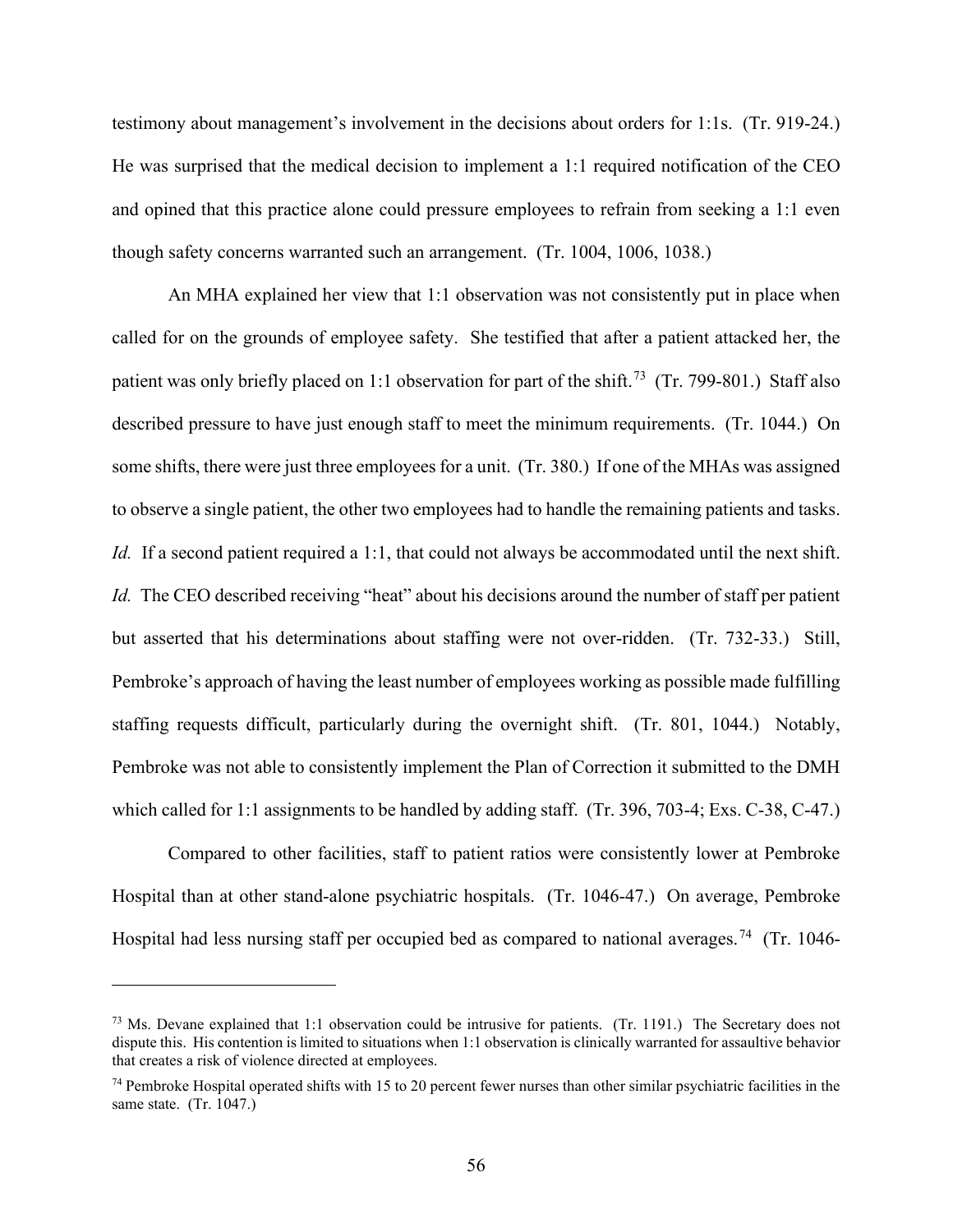testimony about management's involvement in the decisions about orders for 1:1s. (Tr. 919-24.) He was surprised that the medical decision to implement a 1:1 required notification of the CEO and opined that this practice alone could pressure employees to refrain from seeking a 1:1 even though safety concerns warranted such an arrangement. (Tr. 1004, 1006, 1038.)

An MHA explained her view that 1:1 observation was not consistently put in place when called for on the grounds of employee safety. She testified that after a patient attacked her, the patient was only briefly placed on 1:1 observation for part of the shift.<sup>73</sup> (Tr. 799-801.) Staff also described pressure to have just enough staff to meet the minimum requirements. (Tr. 1044.) On some shifts, there were just three employees for a unit. (Tr. 380.) If one of the MHAs was assigned to observe a single patient, the other two employees had to handle the remaining patients and tasks. *Id.* If a second patient required a 1:1, that could not always be accommodated until the next shift. *Id.* The CEO described receiving "heat" about his decisions around the number of staff per patient but asserted that his determinations about staffing were not over-ridden. (Tr. 732-33.) Still, Pembroke's approach of having the least number of employees working as possible made fulfilling staffing requests difficult, particularly during the overnight shift. (Tr. 801, 1044.) Notably, Pembroke was not able to consistently implement the Plan of Correction it submitted to the DMH which called for 1:1 assignments to be handled by adding staff. (Tr. 396, 703-4; Exs. C-38, C-47.)

Compared to other facilities, staff to patient ratios were consistently lower at Pembroke Hospital than at other stand-alone psychiatric hospitals. (Tr. 1046-47.) On average, Pembroke Hospital had less nursing staff per occupied bed as compared to national averages.<sup>74</sup> (Tr. 1046-

<sup>&</sup>lt;sup>73</sup> Ms. Devane explained that 1:1 observation could be intrusive for patients. (Tr. 1191.) The Secretary does not dispute this. His contention is limited to situations when 1:1 observation is clinically warranted for assaultive behavior that creates a risk of violence directed at employees.

<sup>74</sup> Pembroke Hospital operated shifts with 15 to 20 percent fewer nurses than other similar psychiatric facilities in the same state. (Tr. 1047.)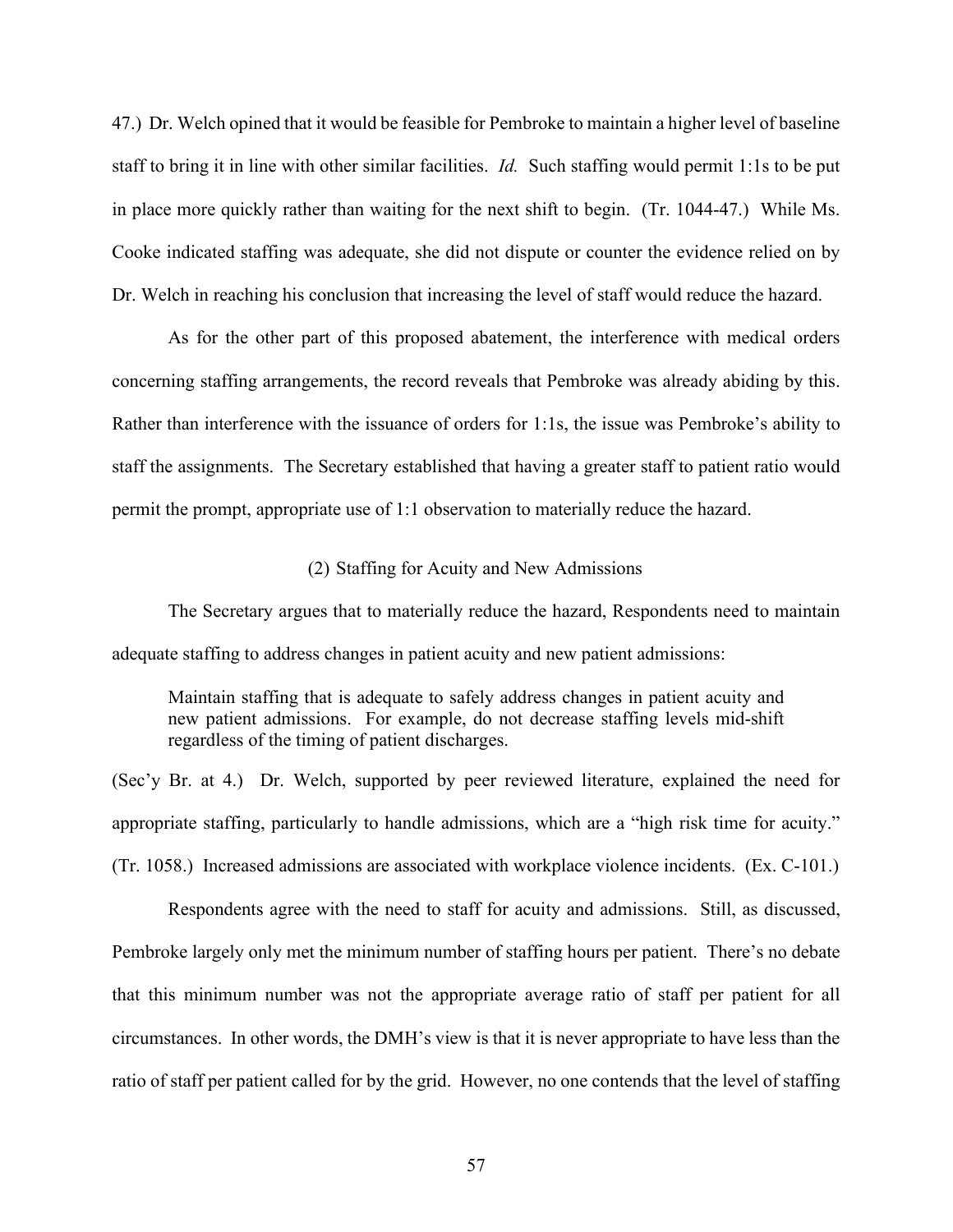47.) Dr. Welch opined that it would be feasible for Pembroke to maintain a higher level of baseline staff to bring it in line with other similar facilities. *Id.* Such staffing would permit 1:1s to be put in place more quickly rather than waiting for the next shift to begin. (Tr. 1044-47.) While Ms. Cooke indicated staffing was adequate, she did not dispute or counter the evidence relied on by Dr. Welch in reaching his conclusion that increasing the level of staff would reduce the hazard.

As for the other part of this proposed abatement, the interference with medical orders concerning staffing arrangements, the record reveals that Pembroke was already abiding by this. Rather than interference with the issuance of orders for 1:1s, the issue was Pembroke's ability to staff the assignments. The Secretary established that having a greater staff to patient ratio would permit the prompt, appropriate use of 1:1 observation to materially reduce the hazard.

### (2) Staffing for Acuity and New Admissions

The Secretary argues that to materially reduce the hazard, Respondents need to maintain adequate staffing to address changes in patient acuity and new patient admissions:

Maintain staffing that is adequate to safely address changes in patient acuity and new patient admissions. For example, do not decrease staffing levels mid-shift regardless of the timing of patient discharges.

(Sec'y Br. at 4.) Dr. Welch, supported by peer reviewed literature, explained the need for appropriate staffing, particularly to handle admissions, which are a "high risk time for acuity." (Tr. 1058.) Increased admissions are associated with workplace violence incidents. (Ex. C-101.)

Respondents agree with the need to staff for acuity and admissions. Still, as discussed, Pembroke largely only met the minimum number of staffing hours per patient. There's no debate that this minimum number was not the appropriate average ratio of staff per patient for all circumstances. In other words, the DMH's view is that it is never appropriate to have less than the ratio of staff per patient called for by the grid. However, no one contends that the level of staffing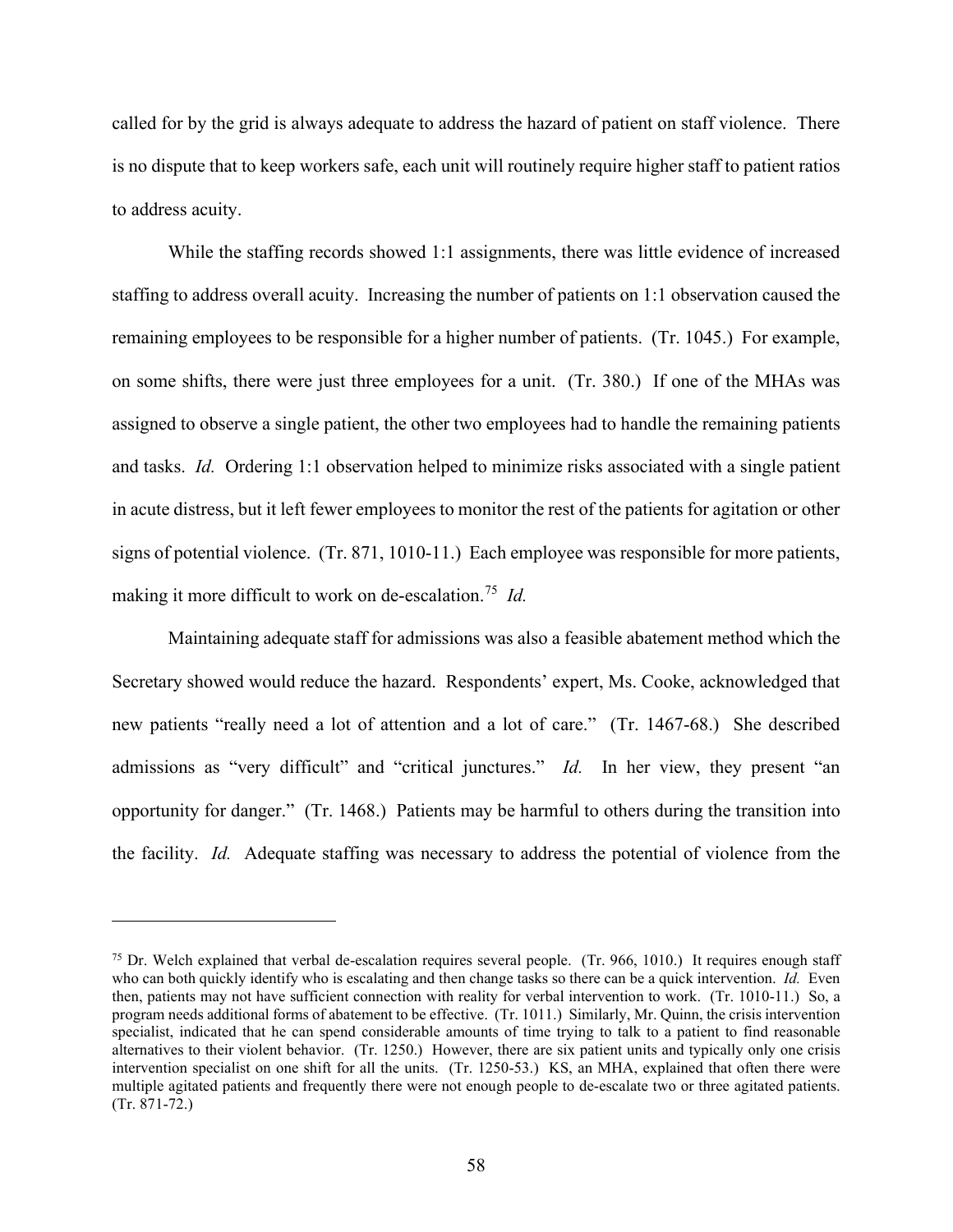called for by the grid is always adequate to address the hazard of patient on staff violence. There is no dispute that to keep workers safe, each unit will routinely require higher staff to patient ratios to address acuity.

While the staffing records showed 1:1 assignments, there was little evidence of increased staffing to address overall acuity. Increasing the number of patients on 1:1 observation caused the remaining employees to be responsible for a higher number of patients. (Tr. 1045.) For example, on some shifts, there were just three employees for a unit. (Tr. 380.) If one of the MHAs was assigned to observe a single patient, the other two employees had to handle the remaining patients and tasks. *Id.* Ordering 1:1 observation helped to minimize risks associated with a single patient in acute distress, but it left fewer employees to monitor the rest of the patients for agitation or other signs of potential violence. (Tr. 871, 1010-11.) Each employee was responsible for more patients, making it more difficult to work on de-escalation.75 *Id.*

Maintaining adequate staff for admissions was also a feasible abatement method which the Secretary showed would reduce the hazard. Respondents' expert, Ms. Cooke, acknowledged that new patients "really need a lot of attention and a lot of care." (Tr. 1467-68.) She described admissions as "very difficult" and "critical junctures." *Id.* In her view, they present "an opportunity for danger." (Tr. 1468.) Patients may be harmful to others during the transition into the facility. *Id.* Adequate staffing was necessary to address the potential of violence from the

<sup>&</sup>lt;sup>75</sup> Dr. Welch explained that verbal de-escalation requires several people. (Tr. 966, 1010.) It requires enough staff who can both quickly identify who is escalating and then change tasks so there can be a quick intervention. *Id.* Even then, patients may not have sufficient connection with reality for verbal intervention to work. (Tr. 1010-11.) So, a program needs additional forms of abatement to be effective. (Tr. 1011.) Similarly, Mr. Quinn, the crisis intervention specialist, indicated that he can spend considerable amounts of time trying to talk to a patient to find reasonable alternatives to their violent behavior. (Tr. 1250.) However, there are six patient units and typically only one crisis intervention specialist on one shift for all the units. (Tr. 1250-53.) KS, an MHA, explained that often there were multiple agitated patients and frequently there were not enough people to de-escalate two or three agitated patients. (Tr. 871-72.)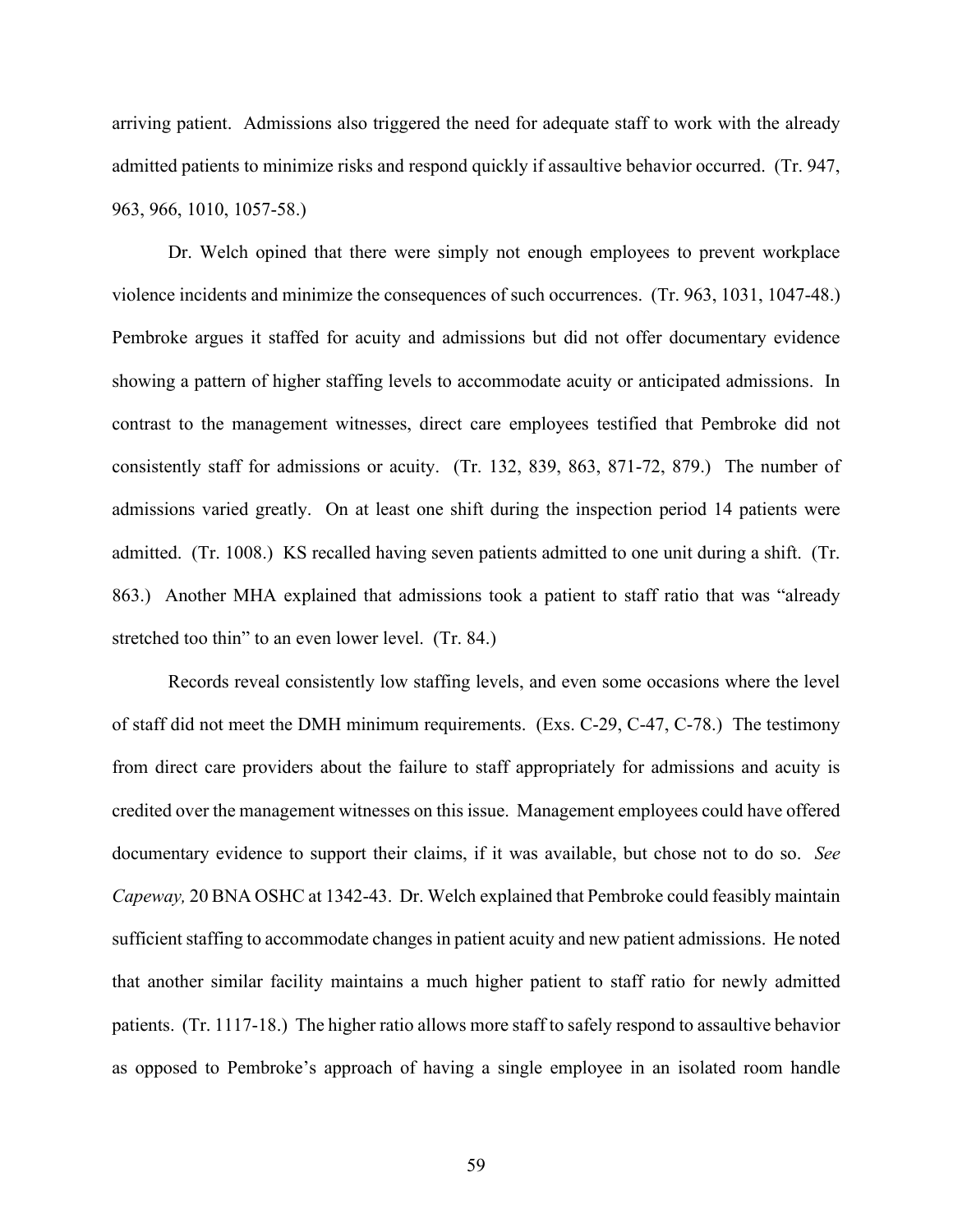arriving patient. Admissions also triggered the need for adequate staff to work with the already admitted patients to minimize risks and respond quickly if assaultive behavior occurred. (Tr. 947, 963, 966, 1010, 1057-58.)

Dr. Welch opined that there were simply not enough employees to prevent workplace violence incidents and minimize the consequences of such occurrences. (Tr. 963, 1031, 1047-48.) Pembroke argues it staffed for acuity and admissions but did not offer documentary evidence showing a pattern of higher staffing levels to accommodate acuity or anticipated admissions. In contrast to the management witnesses, direct care employees testified that Pembroke did not consistently staff for admissions or acuity. (Tr. 132, 839, 863, 871-72, 879.) The number of admissions varied greatly. On at least one shift during the inspection period 14 patients were admitted. (Tr. 1008.) KS recalled having seven patients admitted to one unit during a shift. (Tr. 863.) Another MHA explained that admissions took a patient to staff ratio that was "already stretched too thin" to an even lower level. (Tr. 84.)

Records reveal consistently low staffing levels, and even some occasions where the level of staff did not meet the DMH minimum requirements. (Exs. C-29, C-47, C-78.) The testimony from direct care providers about the failure to staff appropriately for admissions and acuity is credited over the management witnesses on this issue. Management employees could have offered documentary evidence to support their claims, if it was available, but chose not to do so. *See Capeway,* 20 BNA OSHC at 1342-43. Dr. Welch explained that Pembroke could feasibly maintain sufficient staffing to accommodate changes in patient acuity and new patient admissions. He noted that another similar facility maintains a much higher patient to staff ratio for newly admitted patients. (Tr. 1117-18.) The higher ratio allows more staff to safely respond to assaultive behavior as opposed to Pembroke's approach of having a single employee in an isolated room handle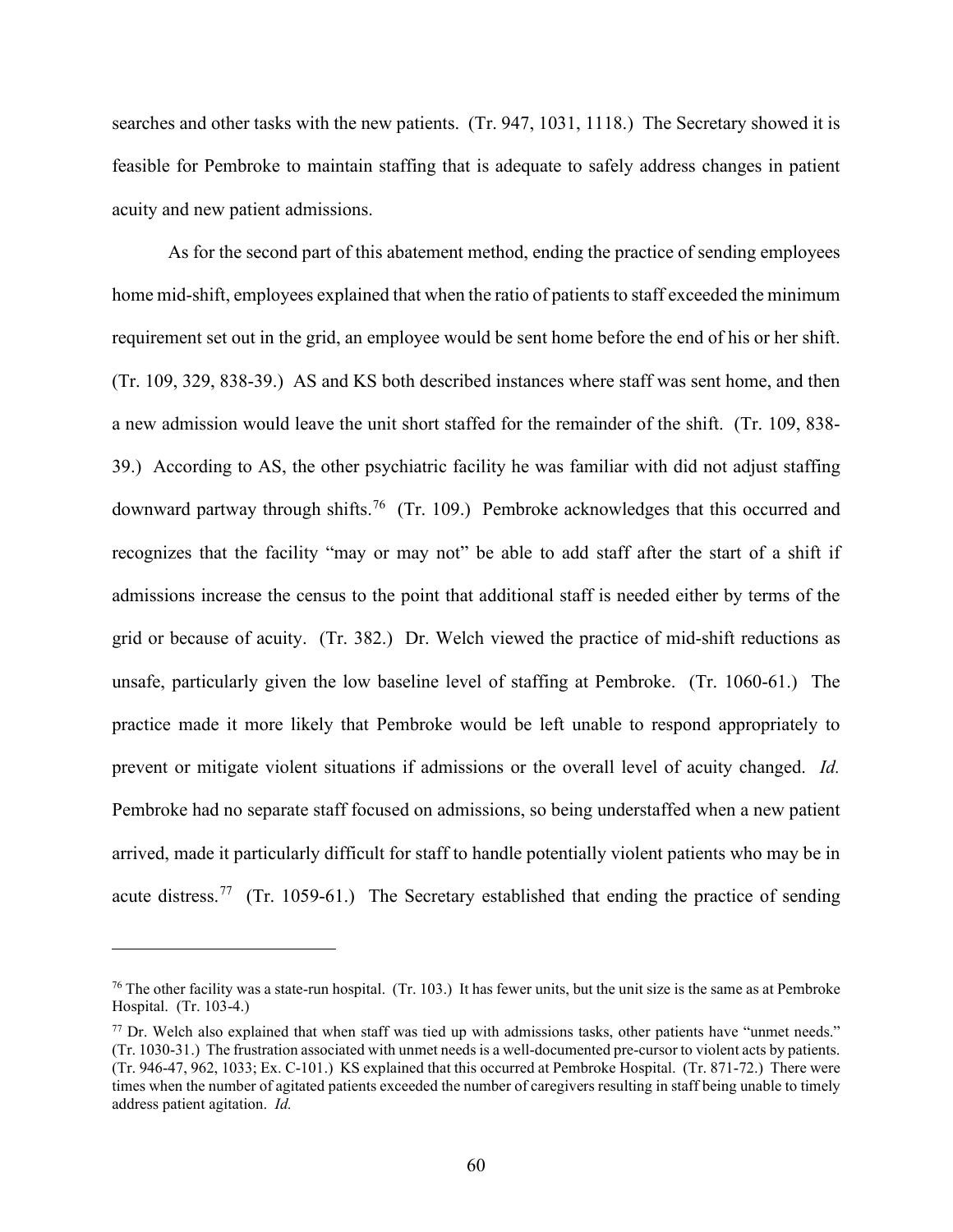searches and other tasks with the new patients. (Tr. 947, 1031, 1118.) The Secretary showed it is feasible for Pembroke to maintain staffing that is adequate to safely address changes in patient acuity and new patient admissions.

As for the second part of this abatement method, ending the practice of sending employees home mid-shift, employees explained that when the ratio of patients to staff exceeded the minimum requirement set out in the grid, an employee would be sent home before the end of his or her shift. (Tr. 109, 329, 838-39.) AS and KS both described instances where staff was sent home, and then a new admission would leave the unit short staffed for the remainder of the shift. (Tr. 109, 838- 39.) According to AS, the other psychiatric facility he was familiar with did not adjust staffing downward partway through shifts.<sup>76</sup> (Tr. 109.) Pembroke acknowledges that this occurred and recognizes that the facility "may or may not" be able to add staff after the start of a shift if admissions increase the census to the point that additional staff is needed either by terms of the grid or because of acuity. (Tr. 382.) Dr. Welch viewed the practice of mid-shift reductions as unsafe, particularly given the low baseline level of staffing at Pembroke. (Tr. 1060-61.) The practice made it more likely that Pembroke would be left unable to respond appropriately to prevent or mitigate violent situations if admissions or the overall level of acuity changed. *Id.*  Pembroke had no separate staff focused on admissions, so being understaffed when a new patient arrived, made it particularly difficult for staff to handle potentially violent patients who may be in acute distress.<sup>77</sup> (Tr. 1059-61.) The Secretary established that ending the practice of sending

 $76$  The other facility was a state-run hospital. (Tr. 103.) It has fewer units, but the unit size is the same as at Pembroke Hospital. (Tr. 103-4.)

 $77$  Dr. Welch also explained that when staff was tied up with admissions tasks, other patients have "unmet needs." (Tr. 1030-31.) The frustration associated with unmet needs is a well-documented pre-cursor to violent acts by patients. (Tr. 946-47, 962, 1033; Ex. C-101.) KS explained that this occurred at Pembroke Hospital. (Tr. 871-72.) There were times when the number of agitated patients exceeded the number of caregivers resulting in staff being unable to timely address patient agitation. *Id.*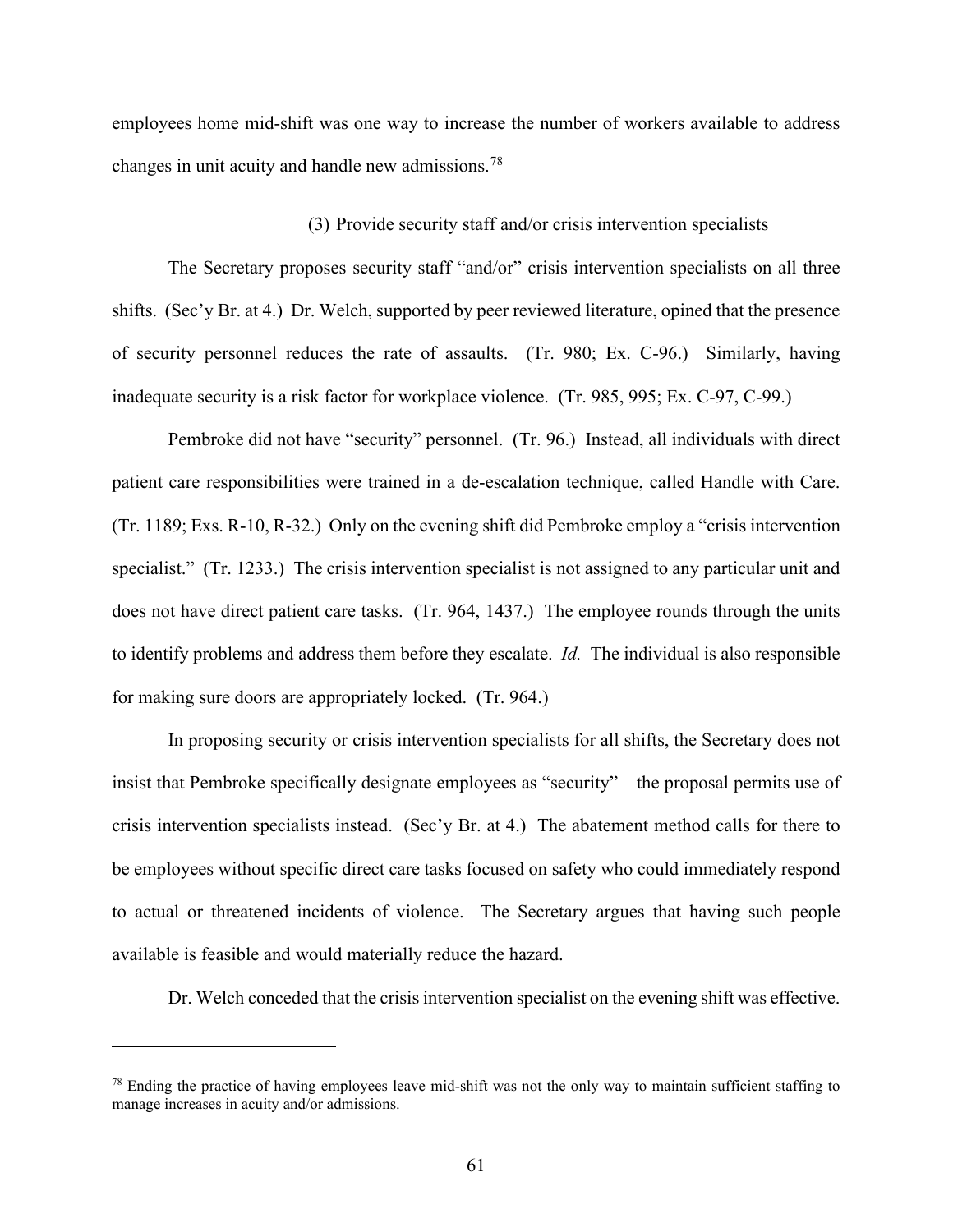employees home mid-shift was one way to increase the number of workers available to address changes in unit acuity and handle new admissions.<sup>78</sup>

## (3) Provide security staff and/or crisis intervention specialists

The Secretary proposes security staff "and/or" crisis intervention specialists on all three shifts. (Sec'y Br. at 4.) Dr. Welch, supported by peer reviewed literature, opined that the presence of security personnel reduces the rate of assaults. (Tr. 980; Ex. C-96.) Similarly, having inadequate security is a risk factor for workplace violence. (Tr. 985, 995; Ex. C-97, C-99.)

Pembroke did not have "security" personnel. (Tr. 96.) Instead, all individuals with direct patient care responsibilities were trained in a de-escalation technique, called Handle with Care. (Tr. 1189; Exs. R-10, R-32.) Only on the evening shift did Pembroke employ a "crisis intervention specialist." (Tr. 1233.) The crisis intervention specialist is not assigned to any particular unit and does not have direct patient care tasks. (Tr. 964, 1437.) The employee rounds through the units to identify problems and address them before they escalate. *Id.* The individual is also responsible for making sure doors are appropriately locked. (Tr. 964.)

In proposing security or crisis intervention specialists for all shifts, the Secretary does not insist that Pembroke specifically designate employees as "security"—the proposal permits use of crisis intervention specialists instead. (Sec'y Br. at 4.) The abatement method calls for there to be employees without specific direct care tasks focused on safety who could immediately respond to actual or threatened incidents of violence. The Secretary argues that having such people available is feasible and would materially reduce the hazard.

Dr. Welch conceded that the crisis intervention specialist on the evening shift was effective.

<sup>&</sup>lt;sup>78</sup> Ending the practice of having employees leave mid-shift was not the only way to maintain sufficient staffing to manage increases in acuity and/or admissions.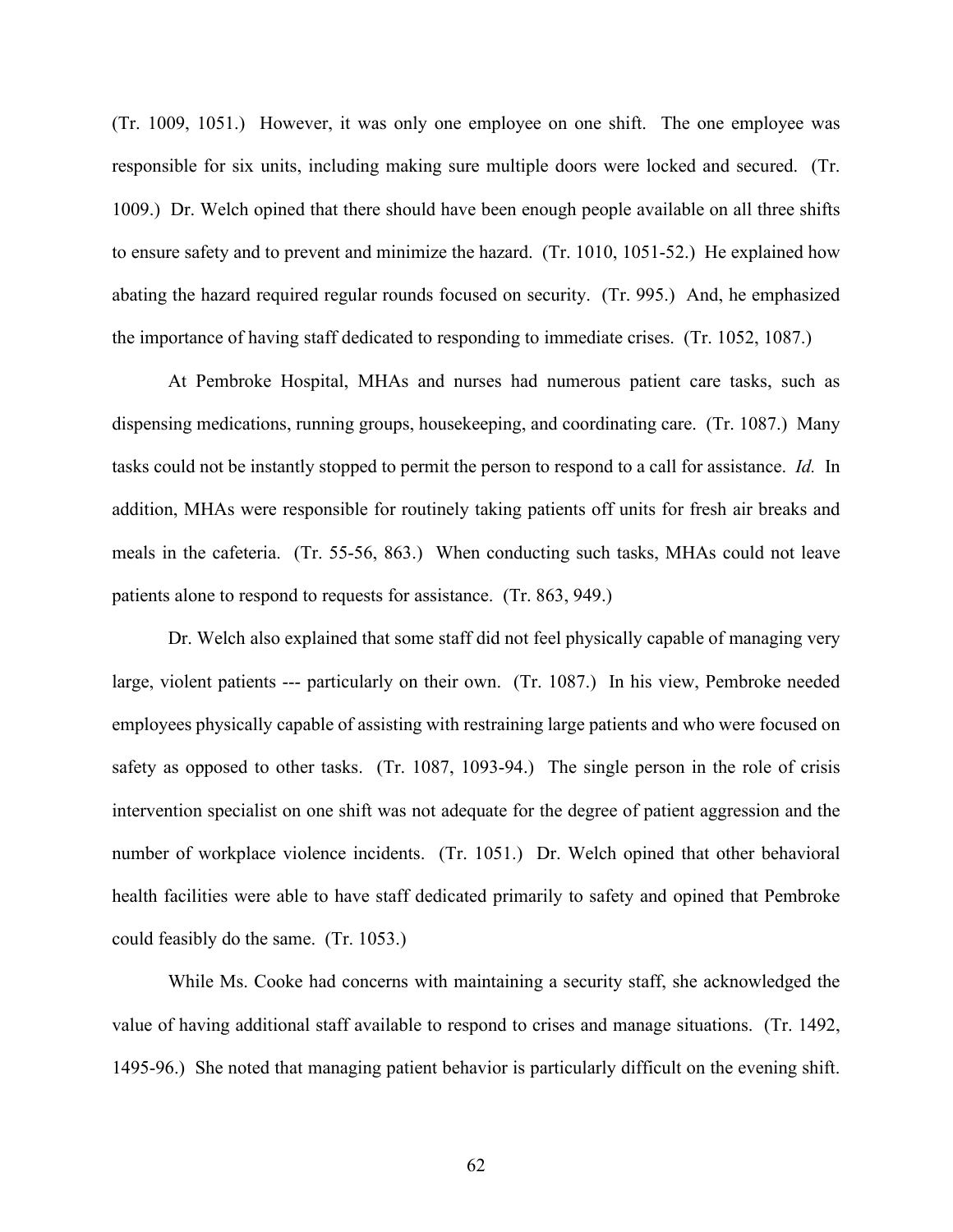(Tr. 1009, 1051.) However, it was only one employee on one shift. The one employee was responsible for six units, including making sure multiple doors were locked and secured. (Tr. 1009.) Dr. Welch opined that there should have been enough people available on all three shifts to ensure safety and to prevent and minimize the hazard. (Tr. 1010, 1051-52.) He explained how abating the hazard required regular rounds focused on security. (Tr. 995.) And, he emphasized the importance of having staff dedicated to responding to immediate crises. (Tr. 1052, 1087.)

At Pembroke Hospital, MHAs and nurses had numerous patient care tasks, such as dispensing medications, running groups, housekeeping, and coordinating care. (Tr. 1087.) Many tasks could not be instantly stopped to permit the person to respond to a call for assistance. *Id.* In addition, MHAs were responsible for routinely taking patients off units for fresh air breaks and meals in the cafeteria. (Tr. 55-56, 863.) When conducting such tasks, MHAs could not leave patients alone to respond to requests for assistance. (Tr. 863, 949.)

Dr. Welch also explained that some staff did not feel physically capable of managing very large, violent patients --- particularly on their own. (Tr. 1087.) In his view, Pembroke needed employees physically capable of assisting with restraining large patients and who were focused on safety as opposed to other tasks. (Tr. 1087, 1093-94.) The single person in the role of crisis intervention specialist on one shift was not adequate for the degree of patient aggression and the number of workplace violence incidents. (Tr. 1051.) Dr. Welch opined that other behavioral health facilities were able to have staff dedicated primarily to safety and opined that Pembroke could feasibly do the same. (Tr. 1053.)

While Ms. Cooke had concerns with maintaining a security staff, she acknowledged the value of having additional staff available to respond to crises and manage situations. (Tr. 1492, 1495-96.) She noted that managing patient behavior is particularly difficult on the evening shift.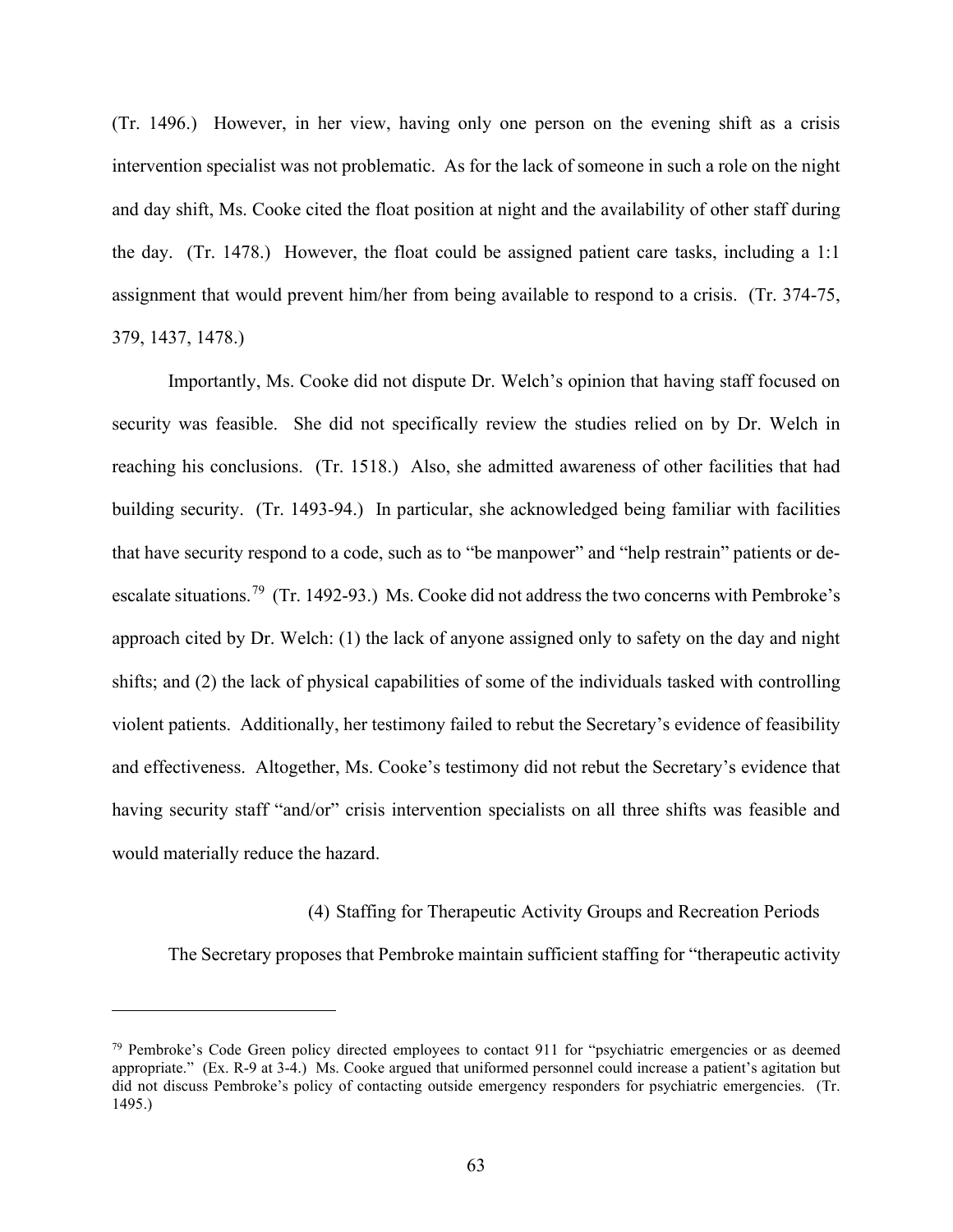(Tr. 1496.) However, in her view, having only one person on the evening shift as a crisis intervention specialist was not problematic. As for the lack of someone in such a role on the night and day shift, Ms. Cooke cited the float position at night and the availability of other staff during the day. (Tr. 1478.) However, the float could be assigned patient care tasks, including a 1:1 assignment that would prevent him/her from being available to respond to a crisis. (Tr. 374-75, 379, 1437, 1478.)

Importantly, Ms. Cooke did not dispute Dr. Welch's opinion that having staff focused on security was feasible. She did not specifically review the studies relied on by Dr. Welch in reaching his conclusions. (Tr. 1518.) Also, she admitted awareness of other facilities that had building security. (Tr. 1493-94.) In particular, she acknowledged being familiar with facilities that have security respond to a code, such as to "be manpower" and "help restrain" patients or deescalate situations.<sup>79</sup> (Tr. 1492-93.) Ms. Cooke did not address the two concerns with Pembroke's approach cited by Dr. Welch: (1) the lack of anyone assigned only to safety on the day and night shifts; and (2) the lack of physical capabilities of some of the individuals tasked with controlling violent patients. Additionally, her testimony failed to rebut the Secretary's evidence of feasibility and effectiveness. Altogether, Ms. Cooke's testimony did not rebut the Secretary's evidence that having security staff "and/or" crisis intervention specialists on all three shifts was feasible and would materially reduce the hazard.

(4) Staffing for Therapeutic Activity Groups and Recreation Periods

The Secretary proposes that Pembroke maintain sufficient staffing for "therapeutic activity

 $79$  Pembroke's Code Green policy directed employees to contact 911 for "psychiatric emergencies or as deemed appropriate." (Ex. R-9 at 3-4.) Ms. Cooke argued that uniformed personnel could increase a patient's agitation but did not discuss Pembroke's policy of contacting outside emergency responders for psychiatric emergencies. (Tr. 1495.)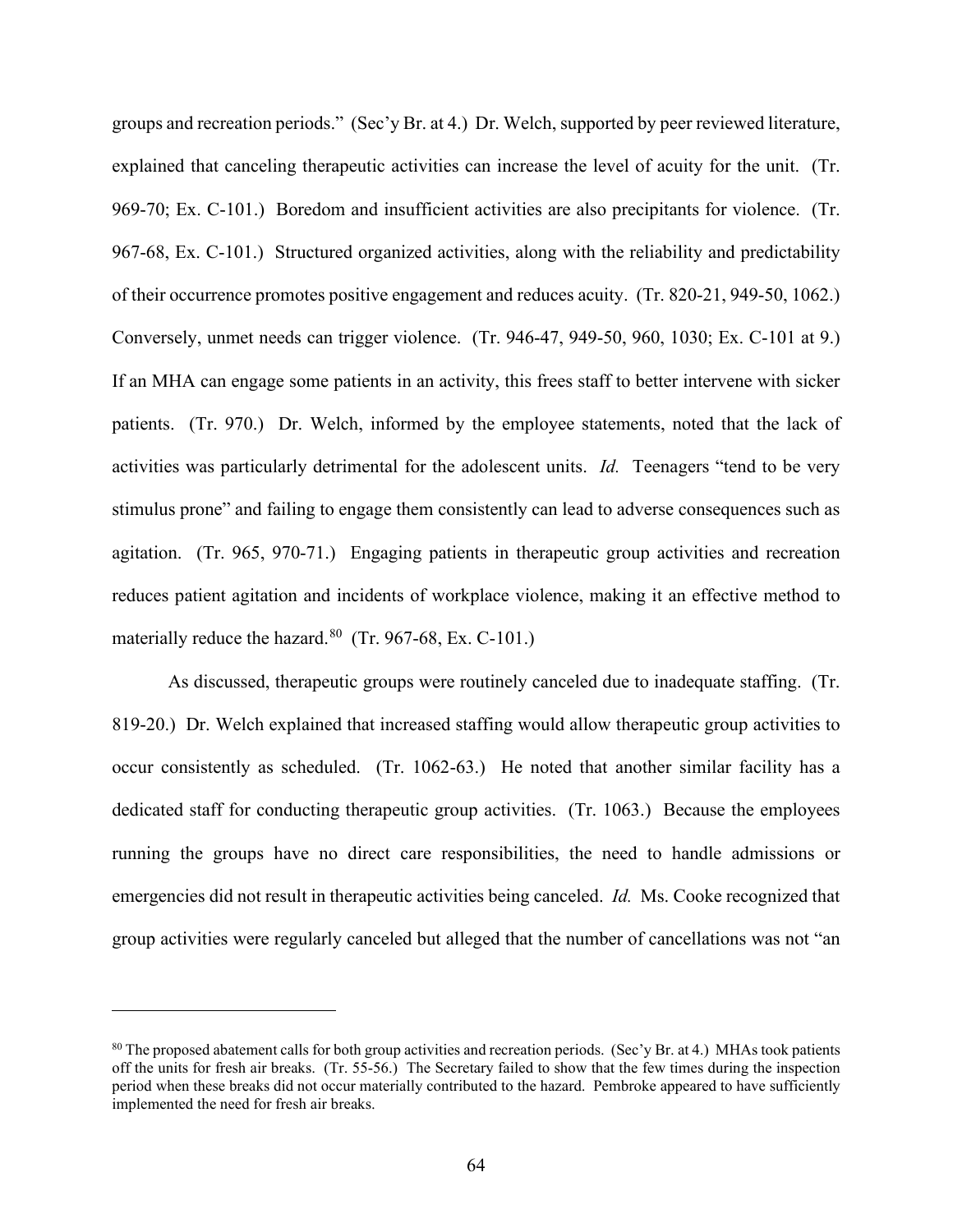groups and recreation periods." (Sec'y Br. at 4.) Dr. Welch, supported by peer reviewed literature, explained that canceling therapeutic activities can increase the level of acuity for the unit. (Tr. 969-70; Ex. C-101.) Boredom and insufficient activities are also precipitants for violence. (Tr. 967-68, Ex. C-101.) Structured organized activities, along with the reliability and predictability of their occurrence promotes positive engagement and reduces acuity. (Tr. 820-21, 949-50, 1062.) Conversely, unmet needs can trigger violence. (Tr. 946-47, 949-50, 960, 1030; Ex. C-101 at 9.) If an MHA can engage some patients in an activity, this frees staff to better intervene with sicker patients. (Tr. 970.) Dr. Welch, informed by the employee statements, noted that the lack of activities was particularly detrimental for the adolescent units. *Id.* Teenagers "tend to be very stimulus prone" and failing to engage them consistently can lead to adverse consequences such as agitation. (Tr. 965, 970-71.) Engaging patients in therapeutic group activities and recreation reduces patient agitation and incidents of workplace violence, making it an effective method to materially reduce the hazard. $80$  (Tr. 967-68, Ex. C-101.)

As discussed, therapeutic groups were routinely canceled due to inadequate staffing. (Tr. 819-20.) Dr. Welch explained that increased staffing would allow therapeutic group activities to occur consistently as scheduled. (Tr. 1062-63.) He noted that another similar facility has a dedicated staff for conducting therapeutic group activities. (Tr. 1063.) Because the employees running the groups have no direct care responsibilities, the need to handle admissions or emergencies did not result in therapeutic activities being canceled. *Id.* Ms. Cooke recognized that group activities were regularly canceled but alleged that the number of cancellations was not "an

<sup>80</sup> The proposed abatement calls for both group activities and recreation periods. (Sec'y Br. at 4.) MHAs took patients off the units for fresh air breaks. (Tr. 55-56.) The Secretary failed to show that the few times during the inspection period when these breaks did not occur materially contributed to the hazard. Pembroke appeared to have sufficiently implemented the need for fresh air breaks.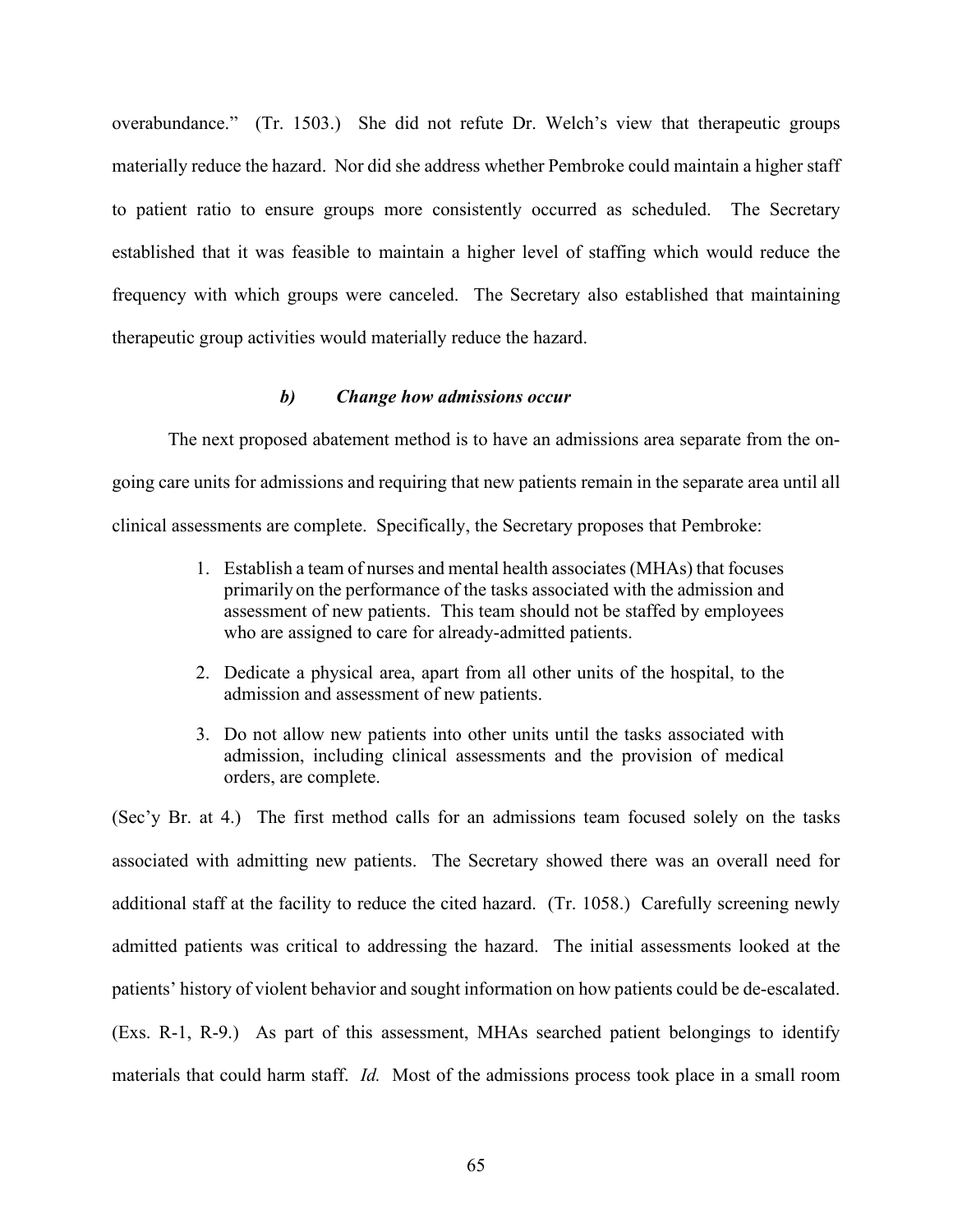overabundance." (Tr. 1503.) She did not refute Dr. Welch's view that therapeutic groups materially reduce the hazard. Nor did she address whether Pembroke could maintain a higher staff to patient ratio to ensure groups more consistently occurred as scheduled. The Secretary established that it was feasible to maintain a higher level of staffing which would reduce the frequency with which groups were canceled. The Secretary also established that maintaining therapeutic group activities would materially reduce the hazard.

## *b) Change how admissions occur*

The next proposed abatement method is to have an admissions area separate from the ongoing care units for admissions and requiring that new patients remain in the separate area until all clinical assessments are complete. Specifically, the Secretary proposes that Pembroke:

- 1. Establish a team of nurses and mental health associates (MHAs) that focuses primarily on the performance of the tasks associated with the admission and assessment of new patients. This team should not be staffed by employees who are assigned to care for already-admitted patients.
- 2. Dedicate a physical area, apart from all other units of the hospital, to the admission and assessment of new patients.
- 3. Do not allow new patients into other units until the tasks associated with admission, including clinical assessments and the provision of medical orders, are complete.

(Sec'y Br. at 4.) The first method calls for an admissions team focused solely on the tasks associated with admitting new patients. The Secretary showed there was an overall need for additional staff at the facility to reduce the cited hazard. (Tr. 1058.) Carefully screening newly admitted patients was critical to addressing the hazard. The initial assessments looked at the patients' history of violent behavior and sought information on how patients could be de-escalated. (Exs. R-1, R-9.) As part of this assessment, MHAs searched patient belongings to identify materials that could harm staff. *Id.* Most of the admissions process took place in a small room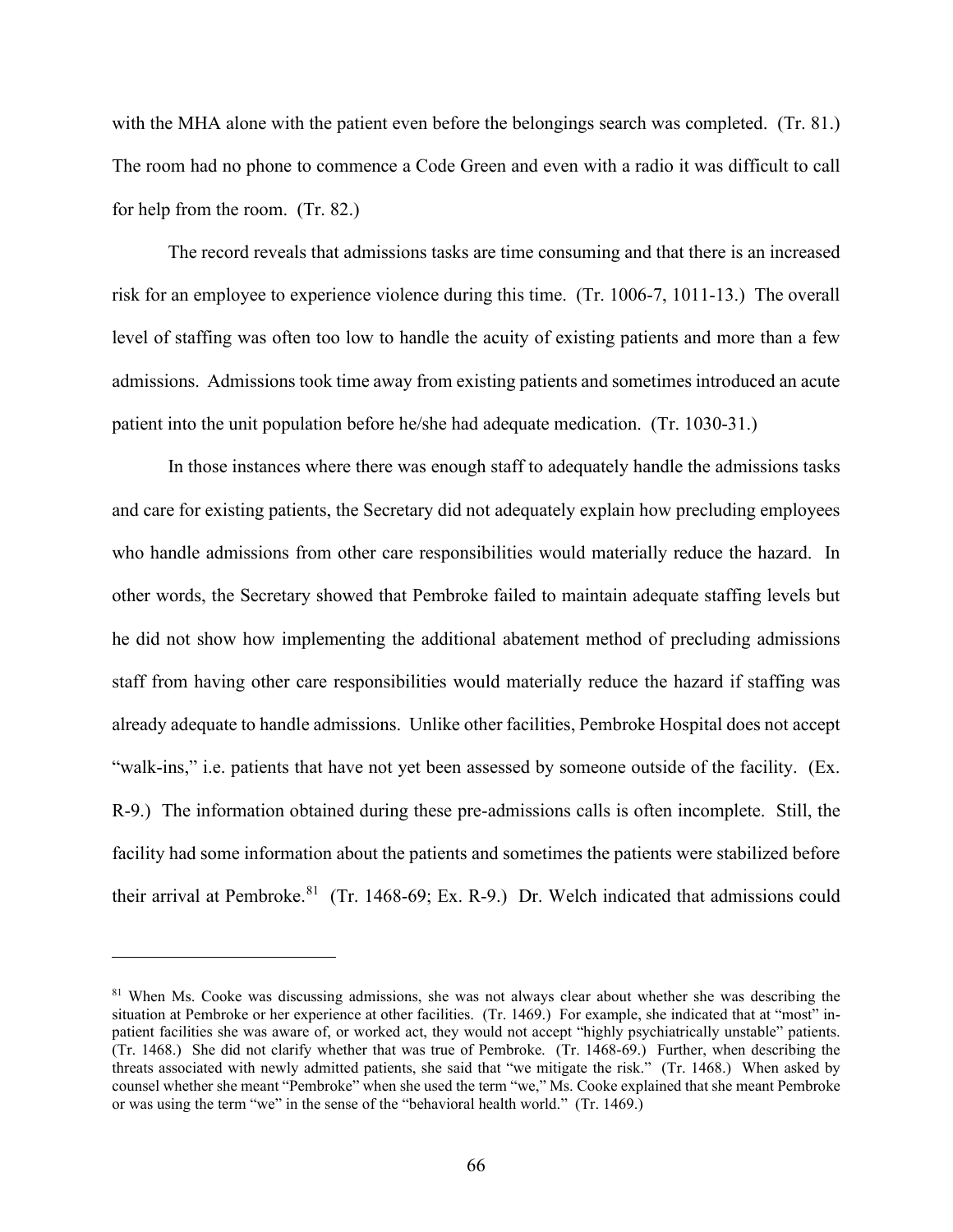with the MHA alone with the patient even before the belongings search was completed. (Tr. 81.) The room had no phone to commence a Code Green and even with a radio it was difficult to call for help from the room. (Tr. 82.)

The record reveals that admissions tasks are time consuming and that there is an increased risk for an employee to experience violence during this time. (Tr. 1006-7, 1011-13.) The overall level of staffing was often too low to handle the acuity of existing patients and more than a few admissions. Admissions took time away from existing patients and sometimes introduced an acute patient into the unit population before he/she had adequate medication. (Tr. 1030-31.)

In those instances where there was enough staff to adequately handle the admissions tasks and care for existing patients, the Secretary did not adequately explain how precluding employees who handle admissions from other care responsibilities would materially reduce the hazard. In other words, the Secretary showed that Pembroke failed to maintain adequate staffing levels but he did not show how implementing the additional abatement method of precluding admissions staff from having other care responsibilities would materially reduce the hazard if staffing was already adequate to handle admissions. Unlike other facilities, Pembroke Hospital does not accept "walk-ins," i.e. patients that have not yet been assessed by someone outside of the facility. (Ex. R-9.) The information obtained during these pre-admissions calls is often incomplete. Still, the facility had some information about the patients and sometimes the patients were stabilized before their arrival at Pembroke.<sup>81</sup> (Tr. 1468-69; Ex. R-9.) Dr. Welch indicated that admissions could

<sup>&</sup>lt;sup>81</sup> When Ms. Cooke was discussing admissions, she was not always clear about whether she was describing the situation at Pembroke or her experience at other facilities. (Tr. 1469.) For example, she indicated that at "most" inpatient facilities she was aware of, or worked act, they would not accept "highly psychiatrically unstable" patients. (Tr. 1468.) She did not clarify whether that was true of Pembroke. (Tr. 1468-69.) Further, when describing the threats associated with newly admitted patients, she said that "we mitigate the risk." (Tr. 1468.) When asked by counsel whether she meant "Pembroke" when she used the term "we," Ms. Cooke explained that she meant Pembroke or was using the term "we" in the sense of the "behavioral health world." (Tr. 1469.)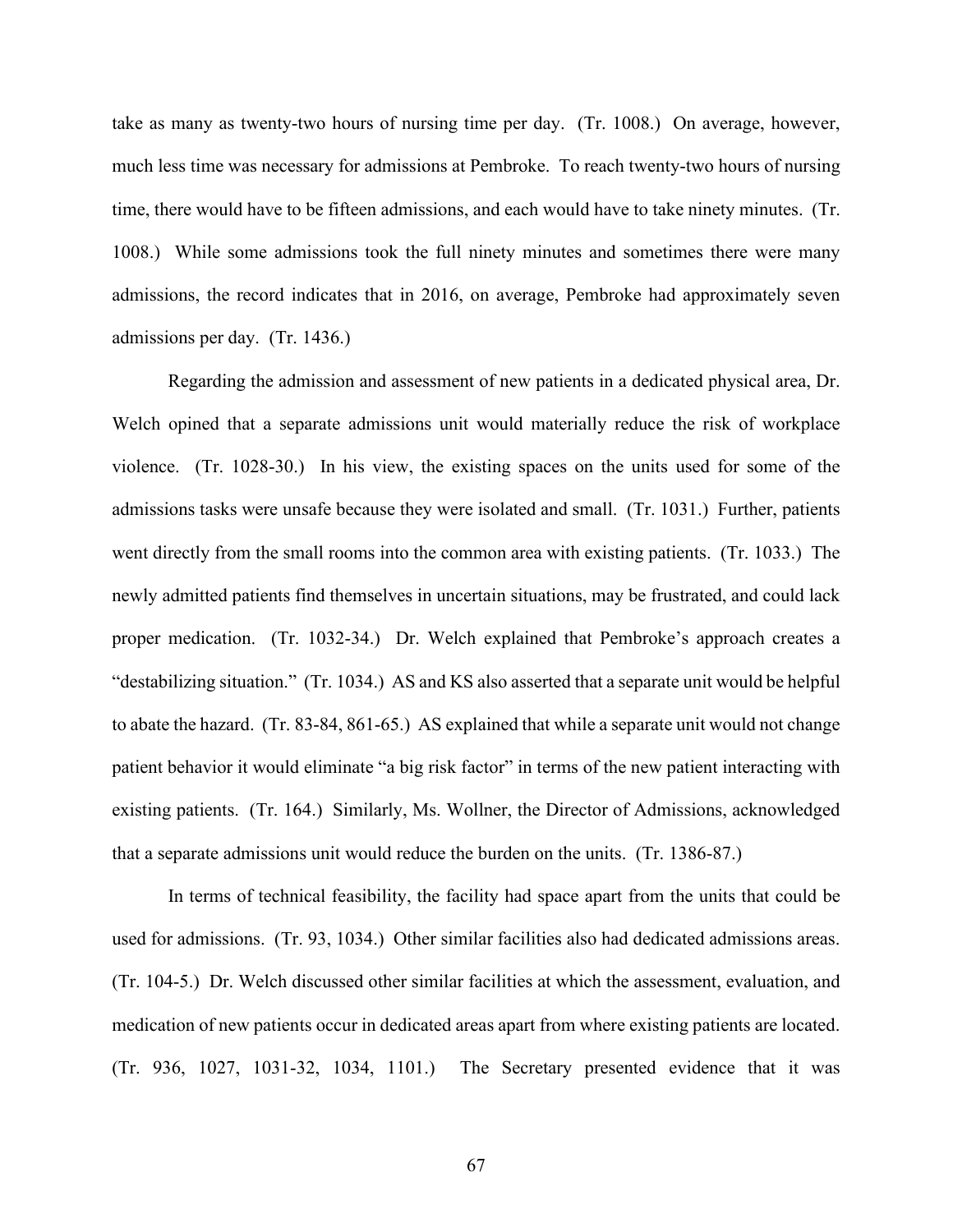take as many as twenty-two hours of nursing time per day. (Tr. 1008.) On average, however, much less time was necessary for admissions at Pembroke. To reach twenty-two hours of nursing time, there would have to be fifteen admissions, and each would have to take ninety minutes. (Tr. 1008.) While some admissions took the full ninety minutes and sometimes there were many admissions, the record indicates that in 2016, on average, Pembroke had approximately seven admissions per day. (Tr. 1436.)

Regarding the admission and assessment of new patients in a dedicated physical area, Dr. Welch opined that a separate admissions unit would materially reduce the risk of workplace violence. (Tr. 1028-30.) In his view, the existing spaces on the units used for some of the admissions tasks were unsafe because they were isolated and small. (Tr. 1031.) Further, patients went directly from the small rooms into the common area with existing patients. (Tr. 1033.) The newly admitted patients find themselves in uncertain situations, may be frustrated, and could lack proper medication. (Tr. 1032-34.) Dr. Welch explained that Pembroke's approach creates a "destabilizing situation." (Tr. 1034.) AS and KS also asserted that a separate unit would be helpful to abate the hazard. (Tr. 83-84, 861-65.) AS explained that while a separate unit would not change patient behavior it would eliminate "a big risk factor" in terms of the new patient interacting with existing patients. (Tr. 164.) Similarly, Ms. Wollner, the Director of Admissions, acknowledged that a separate admissions unit would reduce the burden on the units. (Tr. 1386-87.)

In terms of technical feasibility, the facility had space apart from the units that could be used for admissions. (Tr. 93, 1034.) Other similar facilities also had dedicated admissions areas. (Tr. 104-5.) Dr. Welch discussed other similar facilities at which the assessment, evaluation, and medication of new patients occur in dedicated areas apart from where existing patients are located. (Tr. 936, 1027, 1031-32, 1034, 1101.) The Secretary presented evidence that it was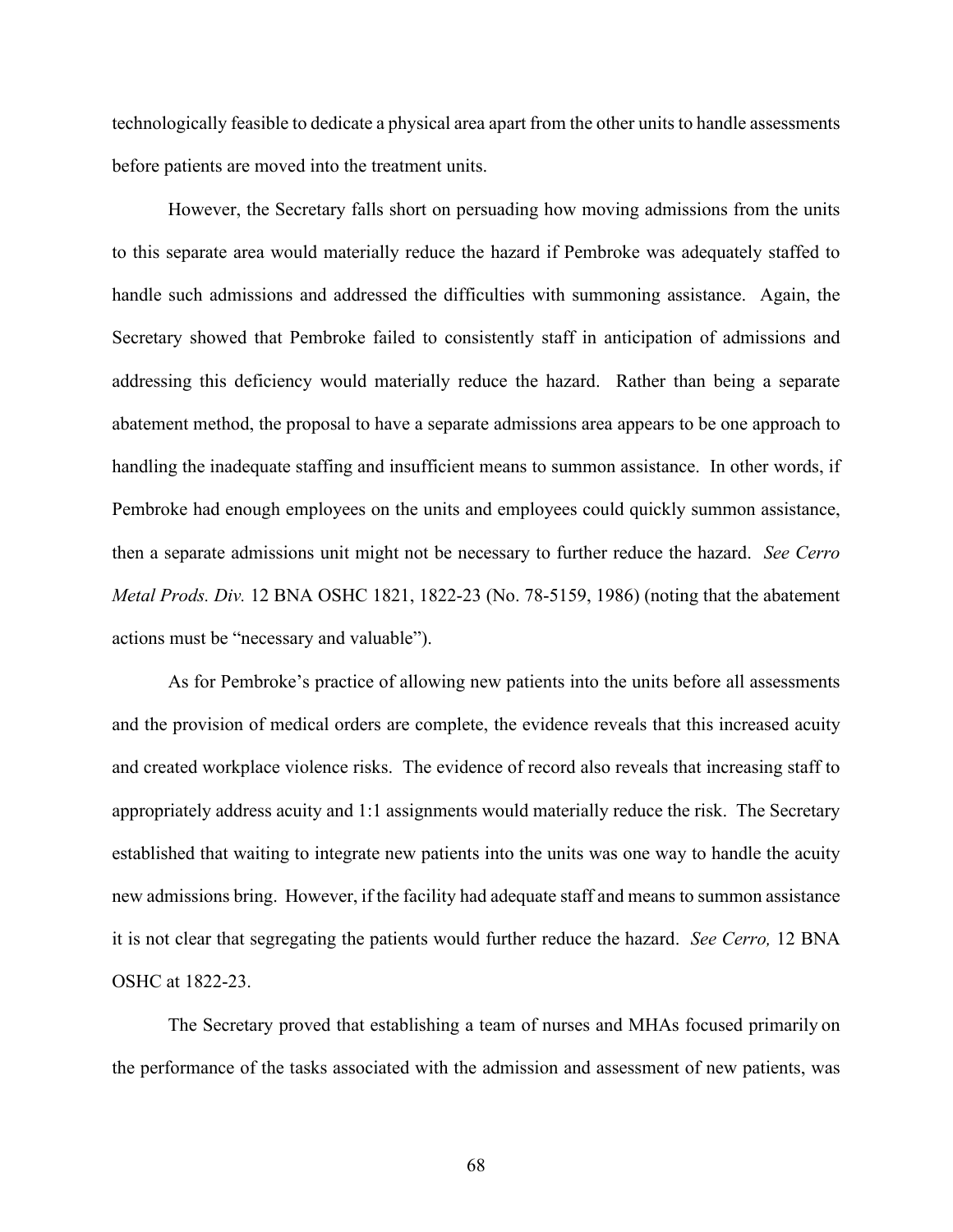technologically feasible to dedicate a physical area apart from the other units to handle assessments before patients are moved into the treatment units.

However, the Secretary falls short on persuading how moving admissions from the units to this separate area would materially reduce the hazard if Pembroke was adequately staffed to handle such admissions and addressed the difficulties with summoning assistance. Again, the Secretary showed that Pembroke failed to consistently staff in anticipation of admissions and addressing this deficiency would materially reduce the hazard. Rather than being a separate abatement method, the proposal to have a separate admissions area appears to be one approach to handling the inadequate staffing and insufficient means to summon assistance. In other words, if Pembroke had enough employees on the units and employees could quickly summon assistance, then a separate admissions unit might not be necessary to further reduce the hazard. *See Cerro Metal Prods. Div.* 12 BNA OSHC 1821, 1822-23 (No. 78-5159, 1986) (noting that the abatement actions must be "necessary and valuable").

As for Pembroke's practice of allowing new patients into the units before all assessments and the provision of medical orders are complete, the evidence reveals that this increased acuity and created workplace violence risks. The evidence of record also reveals that increasing staff to appropriately address acuity and 1:1 assignments would materially reduce the risk. The Secretary established that waiting to integrate new patients into the units was one way to handle the acuity new admissions bring. However, if the facility had adequate staff and means to summon assistance it is not clear that segregating the patients would further reduce the hazard. *See Cerro,* 12 BNA OSHC at 1822-23.

The Secretary proved that establishing a team of nurses and MHAs focused primarily on the performance of the tasks associated with the admission and assessment of new patients, was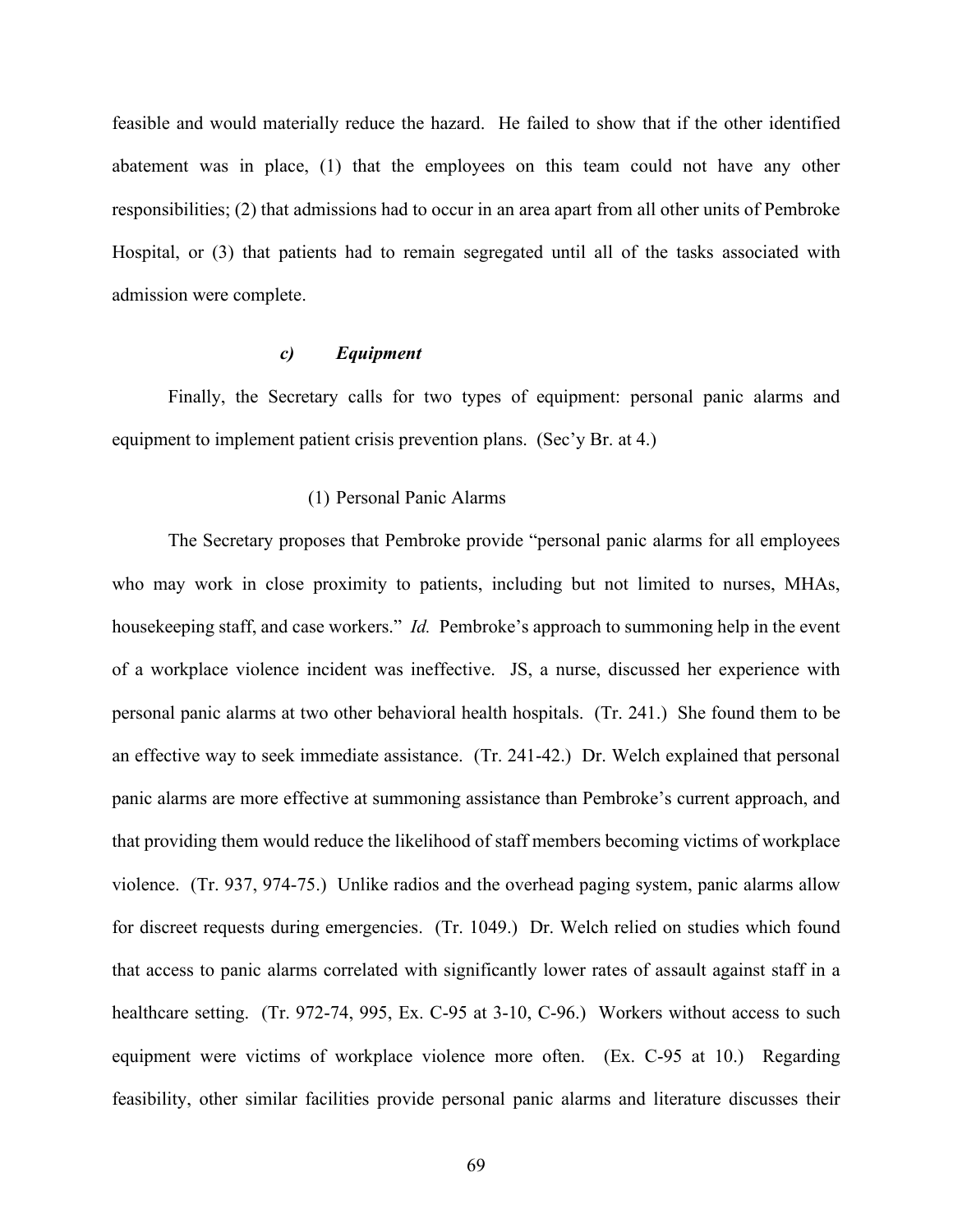feasible and would materially reduce the hazard. He failed to show that if the other identified abatement was in place, (1) that the employees on this team could not have any other responsibilities; (2) that admissions had to occur in an area apart from all other units of Pembroke Hospital, or (3) that patients had to remain segregated until all of the tasks associated with admission were complete.

### *c) Equipment*

Finally, the Secretary calls for two types of equipment: personal panic alarms and equipment to implement patient crisis prevention plans. (Sec'y Br. at 4.)

## (1) Personal Panic Alarms

The Secretary proposes that Pembroke provide "personal panic alarms for all employees who may work in close proximity to patients, including but not limited to nurses, MHAs, housekeeping staff, and case workers." *Id.* Pembroke's approach to summoning help in the event of a workplace violence incident was ineffective. JS, a nurse, discussed her experience with personal panic alarms at two other behavioral health hospitals. (Tr. 241.) She found them to be an effective way to seek immediate assistance. (Tr. 241-42.) Dr. Welch explained that personal panic alarms are more effective at summoning assistance than Pembroke's current approach, and that providing them would reduce the likelihood of staff members becoming victims of workplace violence. (Tr. 937, 974-75.) Unlike radios and the overhead paging system, panic alarms allow for discreet requests during emergencies. (Tr. 1049.) Dr. Welch relied on studies which found that access to panic alarms correlated with significantly lower rates of assault against staff in a healthcare setting. (Tr. 972-74, 995, Ex. C-95 at 3-10, C-96.) Workers without access to such equipment were victims of workplace violence more often. (Ex. C-95 at 10.) Regarding feasibility, other similar facilities provide personal panic alarms and literature discusses their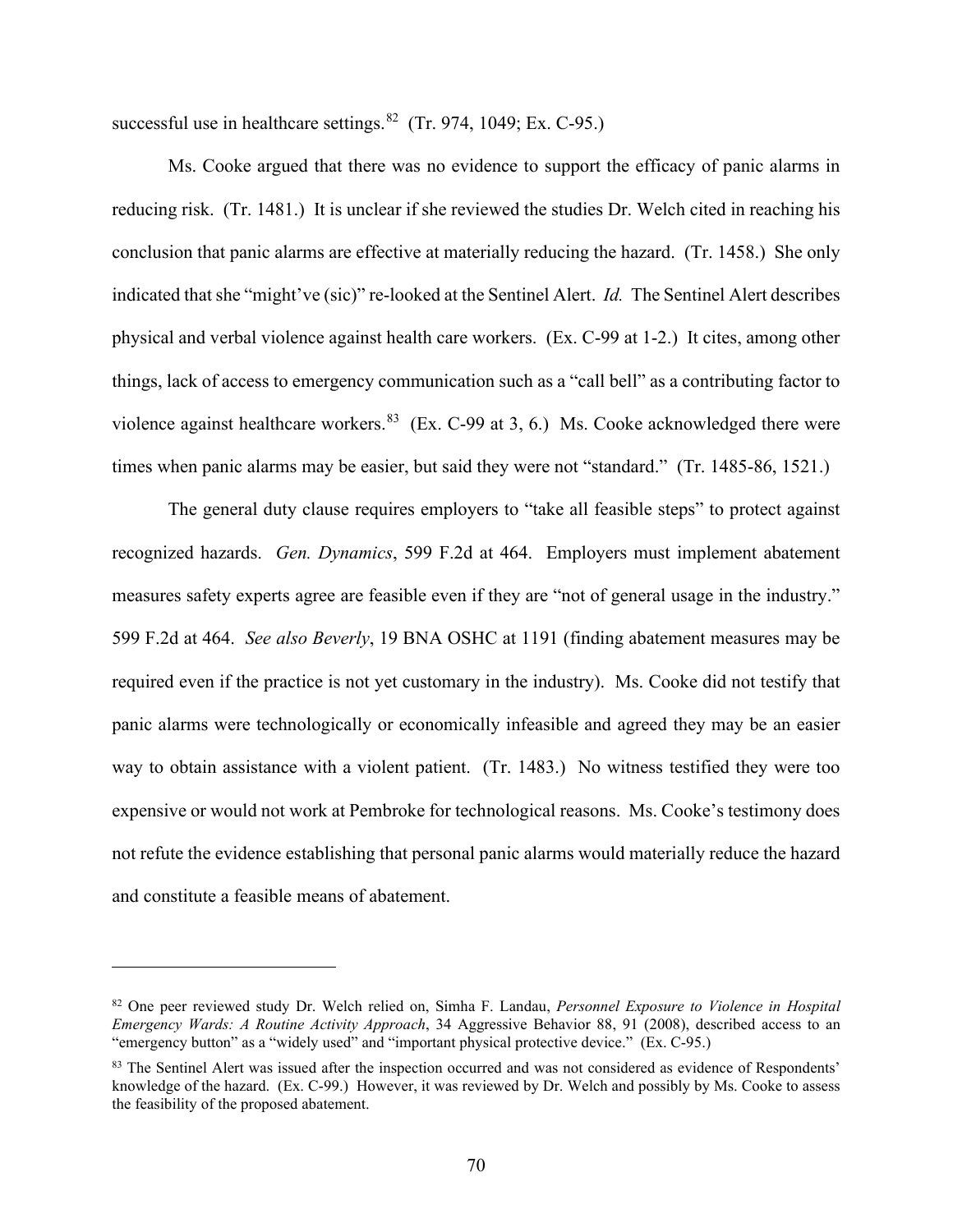successful use in healthcare settings. $82$  (Tr. 974, 1049; Ex. C-95.)

Ms. Cooke argued that there was no evidence to support the efficacy of panic alarms in reducing risk. (Tr. 1481.) It is unclear if she reviewed the studies Dr. Welch cited in reaching his conclusion that panic alarms are effective at materially reducing the hazard. (Tr. 1458.) She only indicated that she "might've (sic)" re-looked at the Sentinel Alert. *Id.* The Sentinel Alert describes physical and verbal violence against health care workers. (Ex. C-99 at 1-2.) It cites, among other things, lack of access to emergency communication such as a "call bell" as a contributing factor to violence against healthcare workers.  $83$  (Ex. C-99 at 3, 6.) Ms. Cooke acknowledged there were times when panic alarms may be easier, but said they were not "standard." (Tr. 1485-86, 1521.)

The general duty clause requires employers to "take all feasible steps" to protect against recognized hazards. *Gen. Dynamics*, 599 F.2d at 464. Employers must implement abatement measures safety experts agree are feasible even if they are "not of general usage in the industry." 599 F.2d at 464. *See also Beverly*, 19 BNA OSHC at 1191 (finding abatement measures may be required even if the practice is not yet customary in the industry). Ms. Cooke did not testify that panic alarms were technologically or economically infeasible and agreed they may be an easier way to obtain assistance with a violent patient. (Tr. 1483.) No witness testified they were too expensive or would not work at Pembroke for technological reasons. Ms. Cooke's testimony does not refute the evidence establishing that personal panic alarms would materially reduce the hazard and constitute a feasible means of abatement.

<sup>82</sup> One peer reviewed study Dr. Welch relied on, Simha F. Landau, *Personnel Exposure to Violence in Hospital Emergency Wards: A Routine Activity Approach*, 34 Aggressive Behavior 88, 91 (2008), described access to an "emergency button" as a "widely used" and "important physical protective device." (Ex. C-95.)

<sup>&</sup>lt;sup>83</sup> The Sentinel Alert was issued after the inspection occurred and was not considered as evidence of Respondents' knowledge of the hazard. (Ex. C-99.) However, it was reviewed by Dr. Welch and possibly by Ms. Cooke to assess the feasibility of the proposed abatement.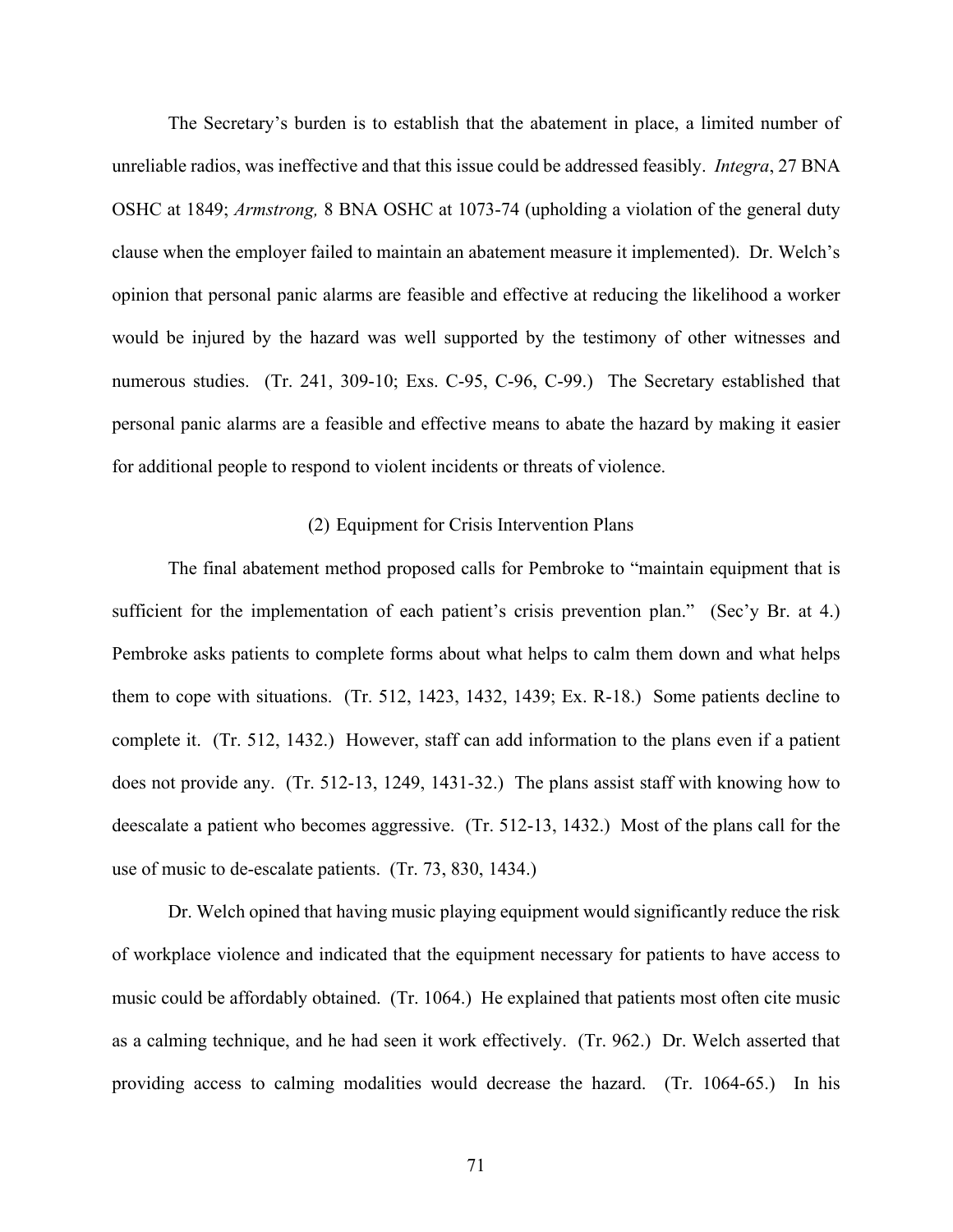The Secretary's burden is to establish that the abatement in place, a limited number of unreliable radios, was ineffective and that this issue could be addressed feasibly. *Integra*, 27 BNA OSHC at 1849; *Armstrong,* 8 BNA OSHC at 1073-74 (upholding a violation of the general duty clause when the employer failed to maintain an abatement measure it implemented). Dr. Welch's opinion that personal panic alarms are feasible and effective at reducing the likelihood a worker would be injured by the hazard was well supported by the testimony of other witnesses and numerous studies. (Tr. 241, 309-10; Exs. C-95, C-96, C-99.) The Secretary established that personal panic alarms are a feasible and effective means to abate the hazard by making it easier for additional people to respond to violent incidents or threats of violence.

#### (2) Equipment for Crisis Intervention Plans

The final abatement method proposed calls for Pembroke to "maintain equipment that is sufficient for the implementation of each patient's crisis prevention plan." (Sec'y Br. at 4.) Pembroke asks patients to complete forms about what helps to calm them down and what helps them to cope with situations. (Tr. 512, 1423, 1432, 1439; Ex. R-18.) Some patients decline to complete it. (Tr. 512, 1432.) However, staff can add information to the plans even if a patient does not provide any. (Tr. 512-13, 1249, 1431-32.) The plans assist staff with knowing how to deescalate a patient who becomes aggressive. (Tr. 512-13, 1432.) Most of the plans call for the use of music to de-escalate patients. (Tr. 73, 830, 1434.)

Dr. Welch opined that having music playing equipment would significantly reduce the risk of workplace violence and indicated that the equipment necessary for patients to have access to music could be affordably obtained. (Tr. 1064.) He explained that patients most often cite music as a calming technique, and he had seen it work effectively. (Tr. 962.) Dr. Welch asserted that providing access to calming modalities would decrease the hazard. (Tr. 1064-65.) In his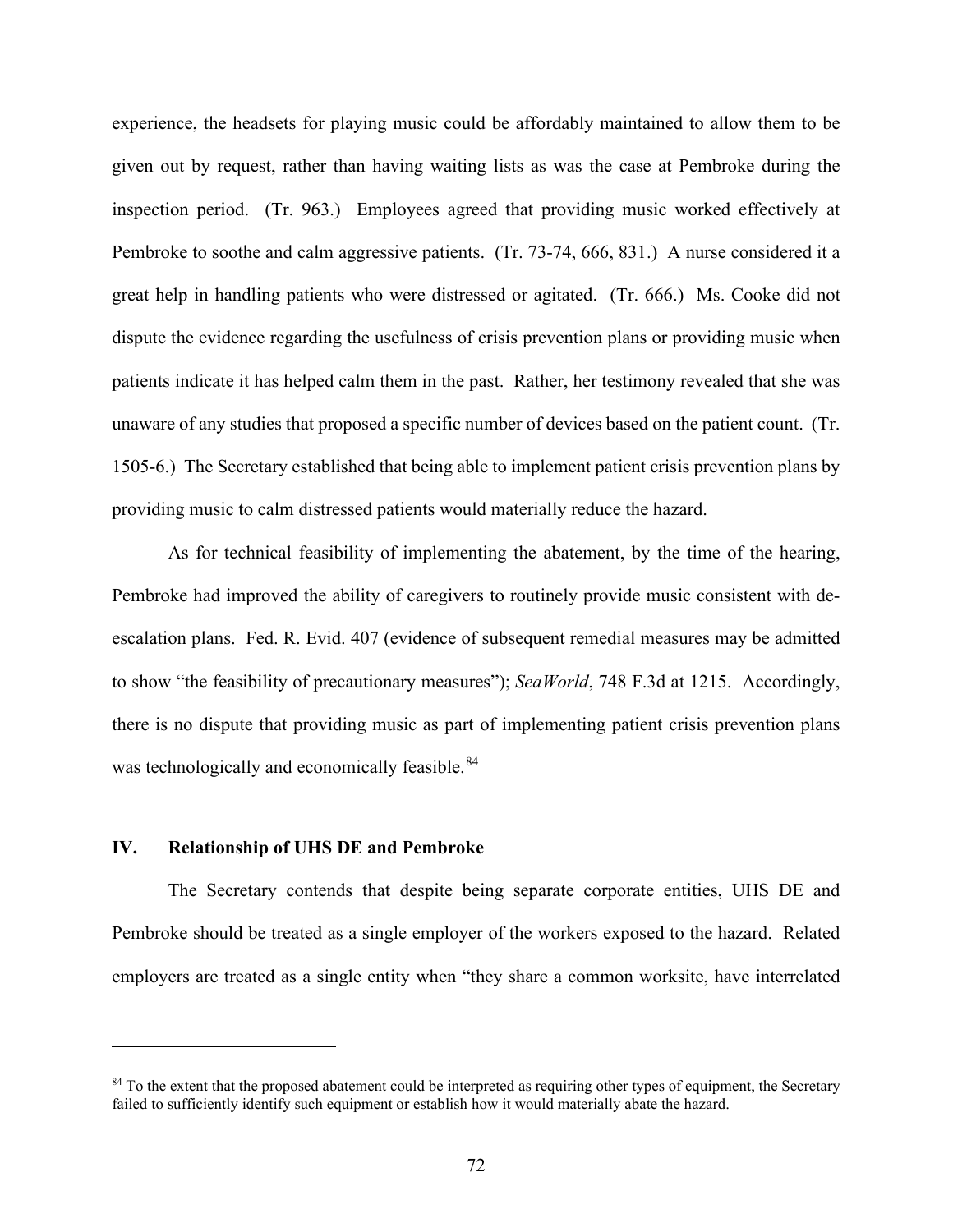experience, the headsets for playing music could be affordably maintained to allow them to be given out by request, rather than having waiting lists as was the case at Pembroke during the inspection period. (Tr. 963.) Employees agreed that providing music worked effectively at Pembroke to soothe and calm aggressive patients. (Tr. 73-74, 666, 831.) A nurse considered it a great help in handling patients who were distressed or agitated. (Tr. 666.) Ms. Cooke did not dispute the evidence regarding the usefulness of crisis prevention plans or providing music when patients indicate it has helped calm them in the past. Rather, her testimony revealed that she was unaware of any studies that proposed a specific number of devices based on the patient count. (Tr. 1505-6.) The Secretary established that being able to implement patient crisis prevention plans by providing music to calm distressed patients would materially reduce the hazard.

As for technical feasibility of implementing the abatement, by the time of the hearing, Pembroke had improved the ability of caregivers to routinely provide music consistent with deescalation plans. Fed. R. Evid. 407 (evidence of subsequent remedial measures may be admitted to show "the feasibility of precautionary measures"); *SeaWorld*, 748 F.3d at 1215. Accordingly, there is no dispute that providing music as part of implementing patient crisis prevention plans was technologically and economically feasible.<sup>84</sup>

## **IV. Relationship of UHS DE and Pembroke**

The Secretary contends that despite being separate corporate entities, UHS DE and Pembroke should be treated as a single employer of the workers exposed to the hazard. Related employers are treated as a single entity when "they share a common worksite, have interrelated

<sup>&</sup>lt;sup>84</sup> To the extent that the proposed abatement could be interpreted as requiring other types of equipment, the Secretary failed to sufficiently identify such equipment or establish how it would materially abate the hazard.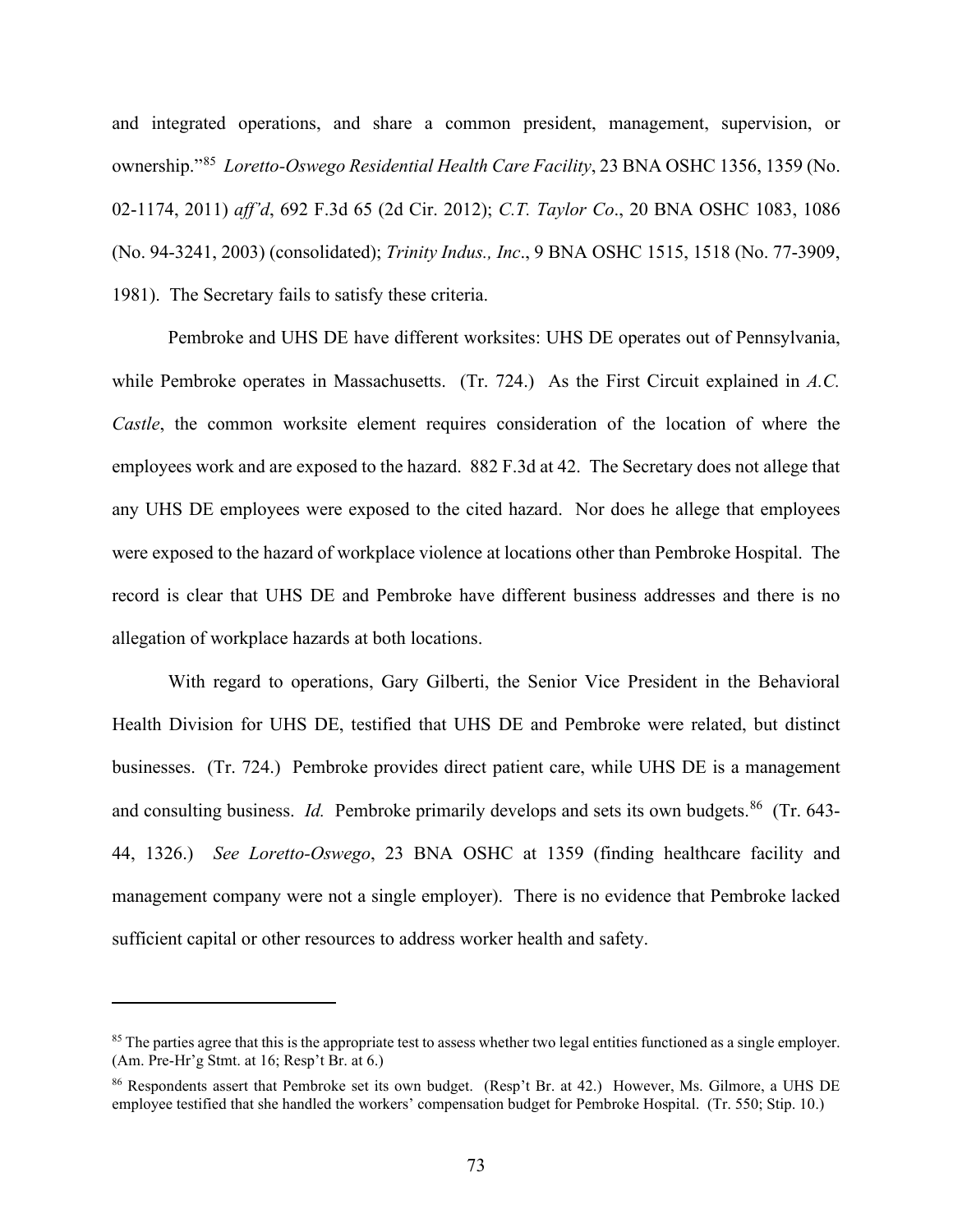and integrated operations, and share a common president, management, supervision, or ownership."85 *Loretto-Oswego Residential Health Care Facility*, 23 BNA OSHC 1356, 1359 (No. 02-1174, 2011) *aff'd*, 692 F.3d 65 (2d Cir. 2012); *C.T. Taylor Co*., 20 BNA OSHC 1083, 1086 (No. 94-3241, 2003) (consolidated); *Trinity Indus., Inc*., 9 BNA OSHC 1515, 1518 (No. 77-3909, 1981). The Secretary fails to satisfy these criteria.

Pembroke and UHS DE have different worksites: UHS DE operates out of Pennsylvania, while Pembroke operates in Massachusetts. (Tr. 724.) As the First Circuit explained in A.C. *Castle*, the common worksite element requires consideration of the location of where the employees work and are exposed to the hazard. 882 F.3d at 42. The Secretary does not allege that any UHS DE employees were exposed to the cited hazard. Nor does he allege that employees were exposed to the hazard of workplace violence at locations other than Pembroke Hospital. The record is clear that UHS DE and Pembroke have different business addresses and there is no allegation of workplace hazards at both locations.

With regard to operations, Gary Gilberti, the Senior Vice President in the Behavioral Health Division for UHS DE, testified that UHS DE and Pembroke were related, but distinct businesses. (Tr. 724.) Pembroke provides direct patient care, while UHS DE is a management and consulting business. *Id.* Pembroke primarily develops and sets its own budgets.<sup>86</sup> (Tr. 643-44, 1326.) *See Loretto-Oswego*, 23 BNA OSHC at 1359 (finding healthcare facility and management company were not a single employer). There is no evidence that Pembroke lacked sufficient capital or other resources to address worker health and safety.

<sup>&</sup>lt;sup>85</sup> The parties agree that this is the appropriate test to assess whether two legal entities functioned as a single employer. (Am. Pre-Hr'g Stmt. at 16; Resp't Br. at 6.)

<sup>86</sup> Respondents assert that Pembroke set its own budget. (Resp't Br. at 42.) However, Ms. Gilmore, a UHS DE employee testified that she handled the workers' compensation budget for Pembroke Hospital. (Tr. 550; Stip. 10.)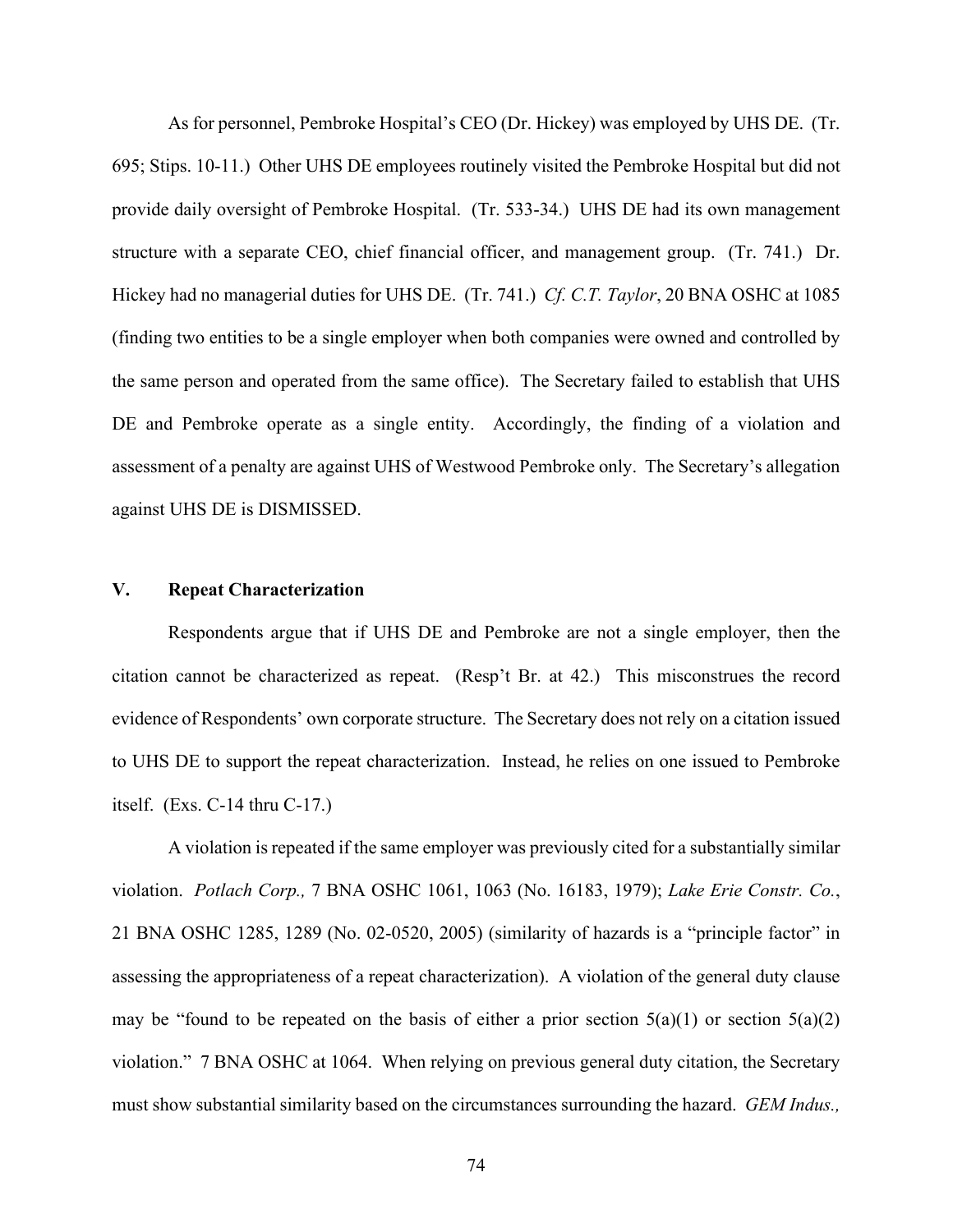As for personnel, Pembroke Hospital's CEO (Dr. Hickey) was employed by UHS DE. (Tr. 695; Stips. 10-11.) Other UHS DE employees routinely visited the Pembroke Hospital but did not provide daily oversight of Pembroke Hospital. (Tr. 533-34.) UHS DE had its own management structure with a separate CEO, chief financial officer, and management group. (Tr. 741.) Dr. Hickey had no managerial duties for UHS DE. (Tr. 741.) *Cf. C.T. Taylor*, 20 BNA OSHC at 1085 (finding two entities to be a single employer when both companies were owned and controlled by the same person and operated from the same office). The Secretary failed to establish that UHS DE and Pembroke operate as a single entity. Accordingly, the finding of a violation and assessment of a penalty are against UHS of Westwood Pembroke only. The Secretary's allegation against UHS DE is DISMISSED.

## **V. Repeat Characterization**

Respondents argue that if UHS DE and Pembroke are not a single employer, then the citation cannot be characterized as repeat. (Resp't Br. at 42.) This misconstrues the record evidence of Respondents' own corporate structure. The Secretary does not rely on a citation issued to UHS DE to support the repeat characterization. Instead, he relies on one issued to Pembroke itself. (Exs. C-14 thru C-17.)

A violation is repeated if the same employer was previously cited for a substantially similar violation. *Potlach Corp.,* 7 BNA OSHC 1061, 1063 (No. 16183, 1979); *Lake Erie Constr. Co.*, 21 BNA OSHC 1285, 1289 (No. 02-0520, 2005) (similarity of hazards is a "principle factor" in assessing the appropriateness of a repeat characterization). A violation of the general duty clause may be "found to be repeated on the basis of either a prior section  $5(a)(1)$  or section  $5(a)(2)$ violation." 7 BNA OSHC at 1064. When relying on previous general duty citation, the Secretary must show substantial similarity based on the circumstances surrounding the hazard. *GEM Indus.,*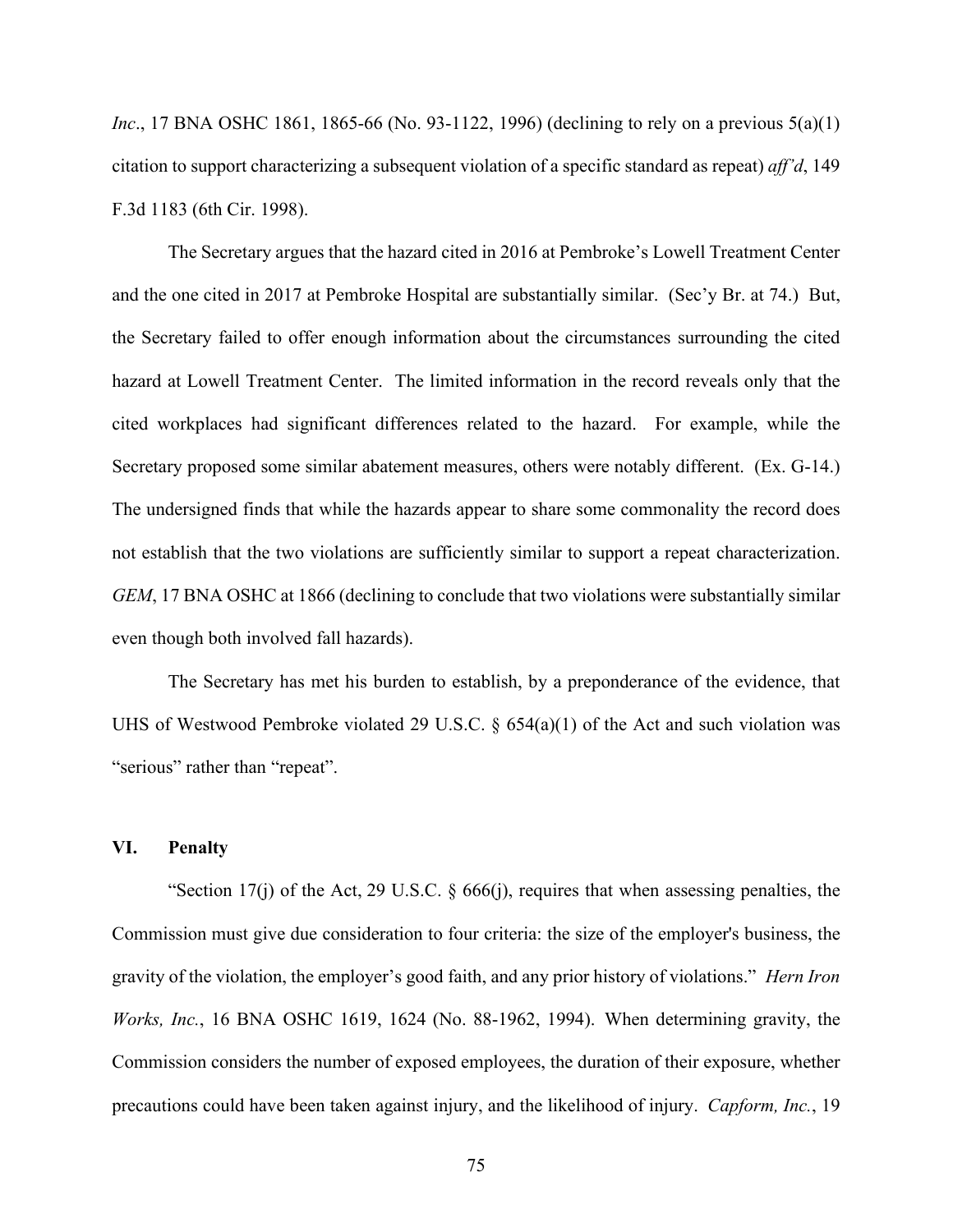*Inc.*, 17 BNA OSHC 1861, 1865-66 (No. 93-1122, 1996) (declining to rely on a previous 5(a)(1) citation to support characterizing a subsequent violation of a specific standard as repeat) *aff'd*, 149 F.3d 1183 (6th Cir. 1998).

The Secretary argues that the hazard cited in 2016 at Pembroke's Lowell Treatment Center and the one cited in 2017 at Pembroke Hospital are substantially similar. (Sec'y Br. at 74.) But, the Secretary failed to offer enough information about the circumstances surrounding the cited hazard at Lowell Treatment Center. The limited information in the record reveals only that the cited workplaces had significant differences related to the hazard. For example, while the Secretary proposed some similar abatement measures, others were notably different. (Ex. G-14.) The undersigned finds that while the hazards appear to share some commonality the record does not establish that the two violations are sufficiently similar to support a repeat characterization. *GEM*, 17 BNA OSHC at 1866 (declining to conclude that two violations were substantially similar even though both involved fall hazards).

The Secretary has met his burden to establish, by a preponderance of the evidence, that UHS of Westwood Pembroke violated 29 U.S.C. § 654(a)(1) of the Act and such violation was "serious" rather than "repeat".

## **VI. Penalty**

"Section 17(j) of the Act, 29 U.S.C. § 666(j), requires that when assessing penalties, the Commission must give due consideration to four criteria: the size of the employer's business, the gravity of the violation, the employer's good faith, and any prior history of violations." *Hern Iron Works, Inc.*, 16 BNA OSHC 1619, 1624 (No. 88-1962, 1994). When determining gravity, the Commission considers the number of exposed employees, the duration of their exposure, whether precautions could have been taken against injury, and the likelihood of injury. *Capform, Inc.*, 19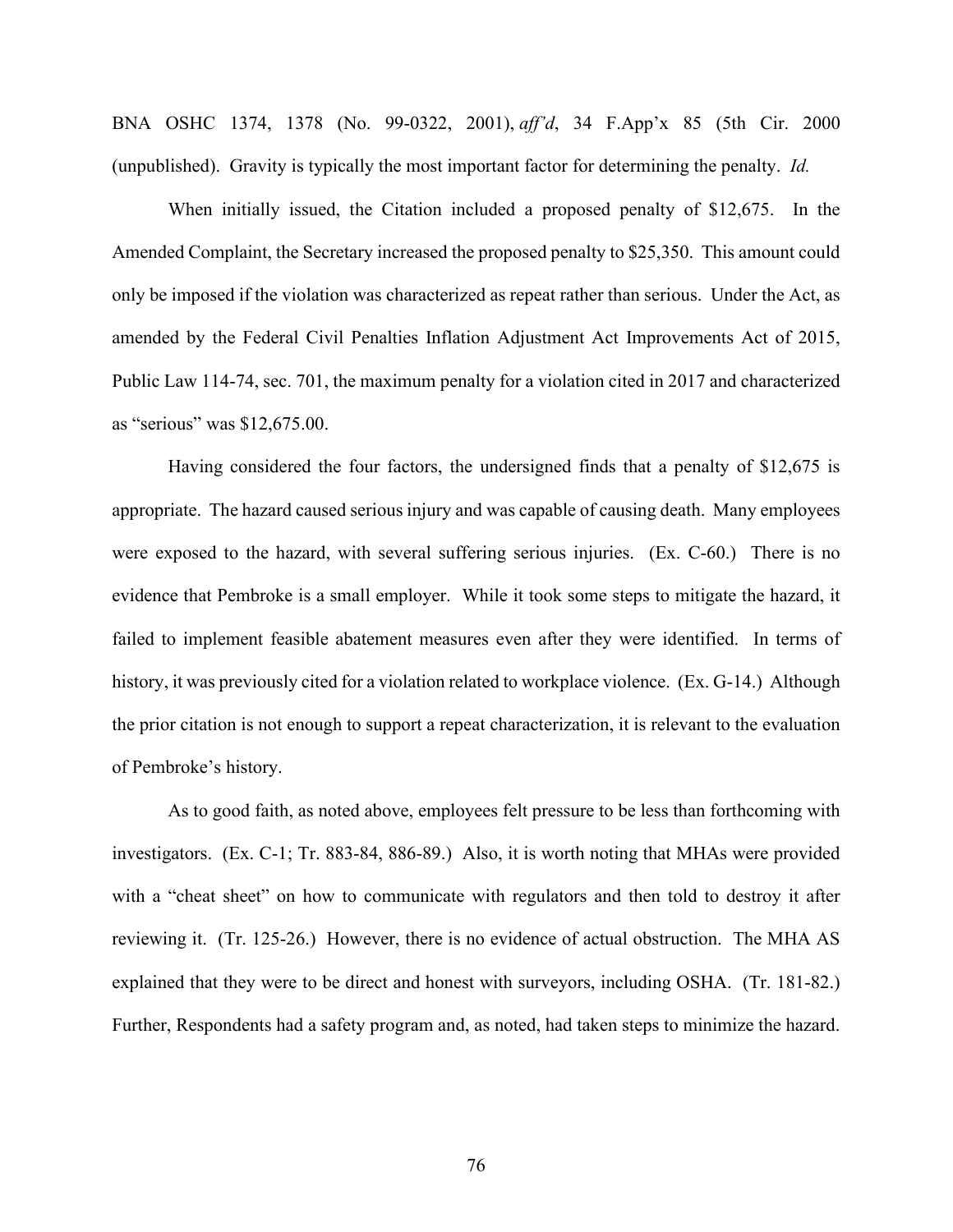BNA OSHC 1374, 1378 (No. 99-0322, 2001), *aff'd*, 34 F.App'x 85 (5th Cir. 2000 (unpublished). Gravity is typically the most important factor for determining the penalty. *Id.*

When initially issued, the Citation included a proposed penalty of \$12,675. In the Amended Complaint, the Secretary increased the proposed penalty to \$25,350. This amount could only be imposed if the violation was characterized as repeat rather than serious. Under the Act, as amended by the Federal Civil Penalties Inflation Adjustment Act Improvements Act of 2015, Public Law 114-74, sec. 701, the maximum penalty for a violation cited in 2017 and characterized as "serious" was \$12,675.00.

Having considered the four factors, the undersigned finds that a penalty of \$12,675 is appropriate. The hazard caused serious injury and was capable of causing death. Many employees were exposed to the hazard, with several suffering serious injuries. (Ex. C-60.) There is no evidence that Pembroke is a small employer. While it took some steps to mitigate the hazard, it failed to implement feasible abatement measures even after they were identified. In terms of history, it was previously cited for a violation related to workplace violence. (Ex. G-14.) Although the prior citation is not enough to support a repeat characterization, it is relevant to the evaluation of Pembroke's history.

As to good faith, as noted above, employees felt pressure to be less than forthcoming with investigators. (Ex. C-1; Tr. 883-84, 886-89.) Also, it is worth noting that MHAs were provided with a "cheat sheet" on how to communicate with regulators and then told to destroy it after reviewing it. (Tr. 125-26.) However, there is no evidence of actual obstruction. The MHA AS explained that they were to be direct and honest with surveyors, including OSHA. (Tr. 181-82.) Further, Respondents had a safety program and, as noted, had taken steps to minimize the hazard.